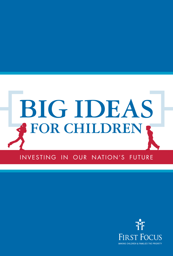# **Big Ideas for Children**

INVESTING IN OUR NATION'S FUTURE

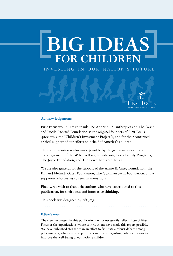# **BIG IDEAS for Children**

INVESTING IN OUR NATION'S FUTURE



#### **Acknowledgments**

First Focus would like to thank The Atlantic Philanthropies and The David and Lucile Packard Foundation as the original founders of First Focus (previously the "Children's Investment Project"), and for their continued critical support of our efforts on behalf of America's children.

This publication was also made possible by the generous support and encouragement of the W.K. Kellogg Foundation, Casey Family Programs, The Joyce Foundation, and The Pew Charitable Trusts.

We are also grateful for the support of the Annie E. Casey Foundation, the Bill and Melinda Gates Foundation, The Goldman Sachs Foundation, and a supporter who wishes to remain anonymous.

Finally, we wish to thank the authors who have contributed to this publication, for their ideas and innovative thinking.

This book was designed by 360jmg.

#### **Editor's note**

The views expressed in this publication do not necessarily reflect those of First Focus or the organizations whose contributions have made this report possible. We have published this series in an effort to facilitate a robust debate among policymakers, advocates, and political candidates regarding policy solutions to improve the well-being of our nation's children.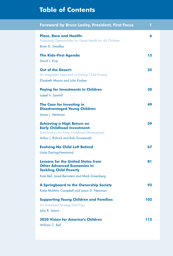# **Table of Contents**

| <b>Foreword by Bruce Lesley, President, First Focus</b>                                                                                                               | 1   |
|-----------------------------------------------------------------------------------------------------------------------------------------------------------------------|-----|
| <b>Place, Race and Health:</b><br>Promoting Opportunities for Good Health for All Children<br><b>Brian D. Smedley</b>                                                 | 6   |
| <b>The Kids-First Agenda</b><br>David L. Kirp                                                                                                                         | 15  |
| <b>Out of the Desert:</b><br>An Integrated Approach to Ending Child Poverty<br>Elisabeth Mason and Julie Kashen                                                       | 25  |
| <b>Paying for Investments in Children</b><br><b>Isabel V. Sawhill</b>                                                                                                 | 30  |
| <b>The Case for Investing in</b><br><b>Disadvantaged Young Children</b><br>James L. Heckman                                                                           | 49  |
| <b>Achieving a High Return on</b><br><b>Early Childhood Investment:</b><br><b>Scholarships for Early Childhood Development</b><br>Arthur J. Rolnick and Rob Grunewald | 59  |
| <b>Evolving No Child Left Behind</b><br>Linda Darling-Hammond                                                                                                         | 67  |
| <b>Lessons for the United States from</b><br><b>Other Advanced Economies in</b><br><b>Tackling Child Poverty</b>                                                      | 81  |
| Kate Bell, Jared Bernstein and Mark Greenberg                                                                                                                         |     |
| <b>A Springboard to the Ownership Society</b><br>Katie McMinn Campbell and Jason D. Newman                                                                            | 93  |
| <b>Supporting Young Children and Families:</b><br>An Investment Strategy that Pays<br>Julia B. Isaacs                                                                 | 102 |
| <b>2020 Vision for America's Children</b><br>William C. Bell                                                                                                          | 112 |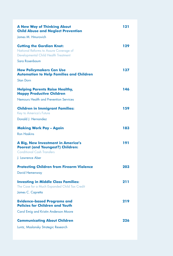| <b>A New Way of Thinking About</b><br><b>Child Abuse and Neglect Prevention</b>                                                                | 121 |
|------------------------------------------------------------------------------------------------------------------------------------------------|-----|
| James M. Hmurovich                                                                                                                             |     |
| <b>Cutting the Gordian Knot:</b><br>National Reforms to Assure Coverage of<br><b>Developmental Child Health Treatment</b>                      | 129 |
| Sara Rosenbaum                                                                                                                                 |     |
| <b>How Policymakers Can Use</b><br><b>Automation to Help Families and Children</b><br><b>Stan Dorn</b>                                         | 137 |
| <b>Helping Parents Raise Healthy,</b><br><b>Happy Productive Children</b>                                                                      | 146 |
| Nemours Health and Prevention Services                                                                                                         |     |
| <b>Children in Immigrant Families:</b><br>Key to America's Future<br>Donald I. Hernandez                                                       | 159 |
|                                                                                                                                                |     |
| <b>Making Work Pay - Again</b><br><b>Ron Haskins</b>                                                                                           | 183 |
| <b>A Big, New Investment in America's</b><br><b>Poorest (and Youngest?) Children:</b><br><b>Conditional Cash Transfers</b><br>I. Lawrence Aber | 191 |
| <b>Protecting Children from Firearm Violence</b>                                                                                               | 203 |
| David Hemenway                                                                                                                                 |     |
| Investing in Middle Class Families:<br>The Case for a Much Expanded Child Tax Credit                                                           | 211 |
| James C. Capretta                                                                                                                              |     |
| <b>Evidence-based Programs and</b><br><b>Policies for Children and Youth</b>                                                                   | 219 |
| Carol Emig and Kristin Anderson Moore                                                                                                          |     |
| <b>Communicating About Children</b>                                                                                                            | 226 |
| Luntz, Maslansky Strategic Research                                                                                                            |     |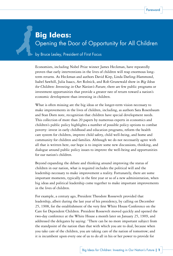# **Big Ideas:** Opening the Door of Opportunity for All Children

by Bruce Lesley, President of First Focus

Economists, including Nobel Prize winner James Heckman, have repeatedly proven that early interventions in the lives of children will reap enormous longterm returns. As Heckman and authors David Kirp, Linda Darling-Hammond, Isabel Sawhill, Julia Isaacs, Art Rolnick, and Rob Grunewald show in Big Ideas for Children: Investing in Our Nation's Future, there are few public programs or investment opportunities that provide a greater rate of return toward a nation's economic development than investing in children.

What is often missing are the big ideas or the longer-term vision necessary to make improvements in the lives of children, including, as authors Sara Rosenbaum and Stan Dorn note, recognition that children have special development needs. This collection of more than 20 papers by numerous experts in economics and children's public policy highlights a number of possible policy options to combat poverty: invest in early childhood and education programs, reform the health care system for children, improve child safety, child well-being, and home and community for children and families. Although we do not necessarily agree with all that is written here, our hope is to inspire some new discussions, thinking, and dialogue around public policy issues to improve the well-being and opportunities for our nation's children.

Beyond expanding the debate and thinking around improving the status of children in our nation, what is required includes the political will and the leadership necessary to make improvement a reality. Fortunately, there are some important moments, typically in the first year or so of a new administration, when big ideas and political leadership come together to make important improvements in the lives of children.

For example, a century ago, President Theodore Roosevelt provided that leadership, albeit during the last year of his presidency, by calling on December 25, 1908, for the establishment of the very first White House Conference on the Care for Dependent Children. President Roosevelt moved quickly and opened the two-day conference at the White House a month later on January 25, 1909, and addressed the delegates by saying: "There can be no more important subject from the standpoint of the nation than that with which you are to deal, because when you take care of the children, you are taking care of the nation of tomorrow; and it is incumbent upon every one of us to do all in his or her power to provide for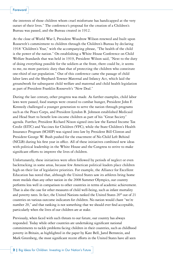#### Foreword

the interests of those children whom cruel misfortune has handicapped at the very outset of their lives." The conference's proposal for the creation of a Children's Bureau was passed, and the Bureau created in 1912.

At the close of World War I, President Woodrow Wilson renewed and built upon Roosevelt's commitment to children through the Children's Bureau by declaring 1918 "Children's Year," with the accompanying phrase, "The health of the child is the power of the nation." On establishing a White House Conference on Child Welfare Standards that was held in 1919, President Wilson said, "Next to the duty of doing everything possible for the soldiers at the front, there could be, it seems to me, no more patriotic duty than that of protecting the children who constitute one-third of our population." Out of this conference came the passage of child labor laws and the Shephard-Towner Maternal and Infancy Act, which laid the groundwork for subsequent child welfare and maternal and child health legislation as part of President Franklin Roosevelt's "New Deal."

During the last century, other progress was made. As further examples, child labor laws were passed, food stamps were created to combat hunger, President John F. Kennedy challenged a younger generation to serve the nation through programs such as the Peace Corps, and President Lyndon B. Johnson established Medicaid and Head Start to benefit low-income children as part of his "Great Society" agenda. Further, President Richard Nixon signed into law the Earned Income Tax Credit (EITC) and Vaccines for Children (VFC), while the State Children's Health Insurance Program (SCHIP) was signed into law by President Bill Clinton and President George W. Bush pushed for the enactment of No Child Left Behind (NCLB) during his first year in office. All of these initiatives combined new ideas with political leadership in the White House and the Congress to strive to make significant efforts to improve the lives of children.

Unfortunately, these initiatives were often followed by periods of neglect or even backtracking in some areas, because few American political leaders place children high on their list of legislative priorities. For example, the Alliance for Excellent Education has noted that, although the United States saw its athletes bring home more medals than any other nation in the 2008 Summer Olympics, our country performs less well in comparison to other countries in terms of academic achievement. That is also the case for other measures of child well-being, such as infant mortality and poverty rates. In fact, the United Nations ranked the United States 20<sup>th</sup> out of 21 countries on various outcome indicators for children. No nation would chant "we're number 20," and that ranking is not something that we should ever find acceptable, particularly when the lives of our children are at stake.

Previously, when faced with such threats to our future, our country has always responded. Today while other countries are undertaking significant national commitments to tackle problems facing children in their countries, such as childhood poverty in Britain, as highlighted in the paper by Kate Bell, Jared Bernstein, and Mark Greenberg, the most significant recent efforts in the United States have all seen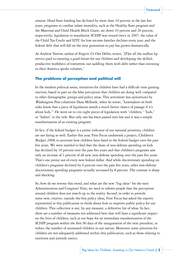erosion: Head Start funding has declined by more than 10 percent in the last five years; programs to combat infant mortality, such as the Healthy Start program and the Maternal and Child Health Block Grant, are down 10 percent and 20 percent, respectively; legislation to reauthorize SCHIP was vetoed twice in 2007; the value of the Child Tax Credit and EITC for low-income families declines every year; and the federal debt that will fall on the next generation to pay has grown dramatically.

As Andrew Yarrow, author of Forgive Us Our Debts, writes, "[F]or all the endless lip service paid to ensuring a good future for our children and developing the skilled, productive workforce of tomorrow, our saddling them with debt rather than investing in their America speaks volumes."

#### **The problems of perception and political will**

In the modern political arena, initiatives for children have had a difficult time gaining traction, based in part on the false perception that children are doing well compared to other demographic groups and policy areas. This sentiment was epitomized by Washington Post columnist Dana Milbank, when he wrote, "Lawmakers on both sides know that a piece of legislation stands a much better chance of passage if it's about kids."1 He went on to cite eight pieces of legislation with "children," "kids," or "babies" in the title. But only one has been passed into law and it was a simple reauthorization of an existing program.

In fact, if the federal budget is a prime indicator of our national priorities, children are not faring so well. Earlier this year, First Focus undertook a project, Children's Budget 2008, to ascertain how children have fared in the federal budget over the past five years. We were startled to find that the share of non-defense spending on kids has declined by 10 percent over the past five years and that children's programs saw only an increase of 1 percent of all new, non-defense spending over the past five years. That's one penny out of every new federal dollar. And while discretionary spending on children's programs declined by 6 percent over the past five years, other non-defense discretionary spending programs actually increased by 8 percent. The contrast is sharp and shocking.

So, how do we reverse this trend, and what are the new "big ideas" for the next Administration and Congress? First, we need to inform people that the perception around children does not match up to the reality. Second, in order to provide some new, creative, outside-the-box policy ideas, First Focus has asked the experts represented in this publication to think about how to improve public policy for our children. This collection is not, by any measure, a definitive list of ideas. In fact, there are a number of measures not addressed here that will have a significant impact on the lives of children, such as our hope for an immediate reauthorization of the SCHIP program within the first 90 days of the inauguration of the next president, to reduce the number of uninsured children in our nation. Moreover, some priorities for children are not adequately addressed within this publication, such as those relating to nutrition and juvenile justice.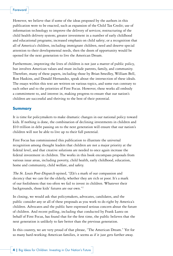#### Foreword

However, we believe that if some of the ideas proposed by the authors in this publication were to be enacted, such as expansion of the Child Tax Credit; use of information technology to improve the delivery of services; restructuring of the child health delivery system; greater investment in a number of early childhood and educational programs; increased emphasis on child safety; or a recognition that all of America's children, including immigrant children, need and deserve special attention to their developmental needs, then the doors of opportunity would be opened for the next generation to live the American Dream.

Furthermore, improving the lives of children is not just a matter of public policy, but involves American values and must include parents, family, and community. Therefore, many of these papers, including those by Brian Smedley, William Bell, Ron Haskins, and Donald Hernandez, speak about the intersection of these ideals. The essays within this text are written on various topics, and some run contrary to each other and to the priorities of First Focus. However, these works all embody a commitment to, and interest in, making progress to ensure that our nation's children are successful and thriving to the best of their potential.

#### **Summary**

It is time for policymakers to make dramatic changes in our national policy toward kids. If nothing is done, the combination of declining investments in children and \$10 trillion in debt passing on to the next generation will ensure that our nation's children will not be able to live up to their full potential.

First Focus has commissioned this publication to illustrate the universal recognition among thought leaders that children are not a major priority at the federal level, and that creative solutions are needed to once again increase the federal investment in children. The works in this book encompass proposals from various issue areas, including poverty, child health, early childhood, education, home and community, child welfare, and safety.

The St. Louis Post-Dispatch opined, "[I]t's a mark of our compassion and decency that we care for the elderly, whether they are rich or poor. It's a mark of our foolishness that too often we fail to invest in children. Whatever their backgrounds, those kids' futures are our own."2

In closing, we would ask that policymakers, advocates, candidates, and the public consider any or all of these proposals as you work to do right by America's children. Advocates and the public have expressed serious concern about the future of children. And recent polling, including that conducted by Frank Luntz on behalf of First Focus, has found that for the first time, the public believes that the next generation is unlikely to fare better than the previous generation.

In this country, we are very proud of that phrase, "The American Dream." Yet for so many hard-working American families, it seems as if it just gets further away.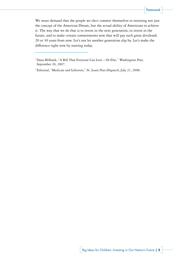#### Foreword

We must demand that the people we elect commit themselves to restoring not just the concept of the American Dream, but the actual ability of Americans to achieve it. The way that we do that is to invest in the next generation, to invest in the future, and to make certain commitments now that will pay such great dividends 20 or 30 years from now. Let's not let another generation slip by. Let's make the difference right now by starting today.

 $^1$  Dana Milbank, "A Bill That Everyone Can Love – Or Else," Washington Post, September 26, 2007.

<sup>&</sup>lt;sup>2</sup> Editorial, "Medicare and Leftovers," St. Louis Post-Dispatch, July 21, 2008.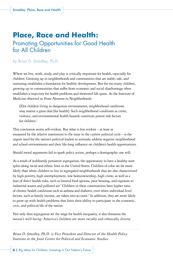### **Place, Race and Health:** Promoting Opportunities for Good Health for All Children

by Brian D. Smedley, Ph.D.

Where we live, work, study, and play is critically important for health, especially for children. Growing up in neighborhoods and communities that are stable, safe, and nurturing establishes a foundation for healthy development. But for too many children, growing up in communities that suffer from economic and social disadvantage often establishes a trajectory for health problems and shortened life spans. As the Institute of Medicine observed in From Neurons to Neighborhoods:

[F]or children living in dangerous environments, neighborhood conditions may matter a great deal [for health]. Such neighborhood conditions as crime, violence, and environmental health hazards constitute potent risk factors for children. $1$ 

This conclusion seems self-evident. But what is less evident – at least as measured by the relative inattention to the issue in the current political cycle – is the urgent need for the nation's political leaders to seriously address negative neighborhood and school environments and their life-long influence on children's health opportunities.

Should moral arguments fail to spark policy action, perhaps a demographic one will.

As a result of stubbornly persistent segregation, the opportunity to have a healthy start splits along racial and ethnic lines in the United States. Children of color are far more likely than white children to live in segregated neighborhoods that are also characterized by high poverty, high unemployment, low homeownership, high crime, as well as a host of direct health risks, such as limited food options, poor housing, and exposure to industrial wastes and polluted air.<sup>2</sup> Children in these communities have higher rates of chronic health conditions such as asthma and diabetes, even when individual-level factors, such as family income, are taken into account.<sup>3</sup> In addition, they are more likely to grow up with health problems that limit their ability to participate in the economic, civic, and political life of the nation.

Not only does segregation set the stage for health inequality, it also threatens the nation's well-being: America's children are more racially and ethnically diverse

Brian D. Smedley, Ph.D. is Vice President and Director of the Health Policy Institute at the Joint Center for Political and Economic Studies.

**6** | Big Ideas for Children: Investing in Our Nation's Future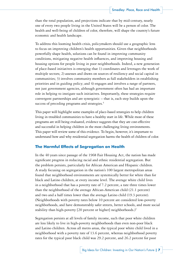than the total population, and projections indicate that by mid-century, nearly one of every two people living in the United States will be a person of color. The health and well-being of children of color, therefore, will shape the country's future economic and health landscape.

To address this looming health crisis, policymakers should use a geographic lens to focus on improving children's health opportunities. Given that neighborhoods powerfully shape health, solutions can be found in improving community conditions, mitigating negative health influences, and improving housing and housing options for people living in poor neighborhoods. Indeed, a new generation of place-based initiatives is emerging that 1) coordinates and leverages the work of multiple sectors; 2) assesses and draws on sources of resiliency and social capital in communities; 3) involves community members as full stakeholders in establishing priorities and in guiding policy; and 4) engages and involves a range of partners, not just government agencies, although government often has had an important role in helping to instigate such initiatives. Importantly, these strategies require convergent partnerships and are synergistic – that is, each step builds upon the success of preceding programs and strategies.<sup>4</sup>

This paper will highlight some examples of place-based strategies to help children living in troubled communities to have a healthy start in life. While most of these programs are still being evaluated, evidence suggests that they are cost-effective and successful in helping children in the most challenging living environments. This paper will review some of this evidence. To begin, however, it's important to understand how and why residential segregation harms the health of children of color.

#### **The Harmful Effects of Segregation on Health**

In the 40 years since passage of the 1968 Fair Housing Act, the nation has made significant progress in reducing racial and ethnic residential segregation. But the problem persists, particularly for African American and Hispanic children. A study focusing on segregation in the nation's 100 largest metropolitan areas found that neighborhood environments are systemically better for white than for black and Latino children, at every income level. The average white child lives in a neighborhood that has a poverty rate of 7.2 percent, a rate three times lower than the neighborhood of the average African-American child (21.1 percent) and two and a half times lower than the average Latino child (19.3 percent). (Neighborhoods with poverty rates below 10 percent are considered low-poverty neighborhoods, and have demonstrably safer streets, better schools, and more social stability than high-poverty  $[20$  percent or higher] neighborhoods.)<sup>5</sup>

Segregation persists at all levels of family income, such that poor white children are less likely to live in high-poverty neighborhoods than even non-poor black and Latino children. Across all metro areas, the typical poor white child lived in a neighborhood with a poverty rate of 13.6 percent, whereas neighborhood poverty rates for the typical poor black child was 29.2 percent, and 26.2 percent for poor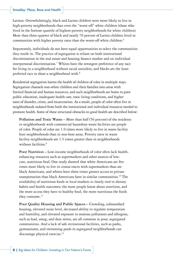Latinos. Overwhelmingly, black and Latino children were more likely to live in high-poverty neighborhoods than even the "worst-off" white children (those who lived in the bottom quartile of highest-poverty neighborhoods for white children). More than three-quarter of black and nearly 70 percent of Latino children lived in communities with higher poverty rates than the worst-off white children.<sup>6</sup>

Importantly, individuals do not have equal opportunities to select the communities they reside in. The practice of segregation is reliant on both institutional discrimination in the real estate and housing finance market and on individual interpersonal discrimination.7 Whites have the strongest preference of any race for living in a neighborhood without racial outsiders, and blacks are the leastpreferred race to share a neighborhood with.<sup>8</sup>

Residential segregation harms the health of children of color in multiple ways. Segregation channels non-white children and their families into areas with limited financial and human resources, and such neighborhoods are home to poor public education, inadequate health care, toxic living conditions, and higher rates of disorder, crime, and incarceration. As a result, people of color often live in neighborhoods isolated from both the institutional and individual resources needed to promote health. Some of these structural obstacles to good health are described below:

**Pollution and Toxic Waste –** More than half (56 percent) of the residents in neighborhoods with commercial hazardous waste facilities are people of color. People of color are 1.9 times more likely to live in waste facility host neighborhoods than in non-host areas. Poverty rates in waste facility neighborhoods are 1.5 times greater than in neighborhoods without facilities.<sup>9</sup>

**Poor Nutrition –** Low-income neighborhoods of color often lack healthenhancing resources such as supermarkets and other sources of lowcost, nutritious food. One study showed that white Americans are five times more likely to live in census tracts with supermarkets than are black Americans, and whites have three times greater access to private transportation than black Americans have in similar communities.10 The availability of nutritious foods in local markets is closely tied to dietary habits and health outcomes; the more people know about nutrition, and the more access they have to healthy food, the more nutritious the foods they consume.<sup>11</sup>

**Poor Quality Housing and Public Spaces –** Crowding, substandard housing, elevated noise level, decreased ability to regulate temperature and humidity, and elevated exposure to noxious pollutants and allergens, such as lead, smog, and dust mites, are all common in poor, segregated communities. And a lack of safe recreational facilities, such as parks, gymnasiums, and swimming pools in segregated neighborhoods can discourage physical exercise.<sup>12</sup>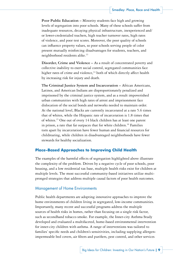**Poor Public Education –** Minority students face high and growing levels of segregation into poor schools. Many of these schools suffer from inadequate resources, decaying physical infrastructure, inexperienced and/ or lower-credentialed teachers, high teacher turnover rates, high rates of violence, and poor test scores. Moreover, the poor quality of schools can influence property values, so poor schools serving people of color present mutually reinforcing disadvantages for students, teachers, and neighborhood residents alike.13

**Disorder, Crime and Violence –** As a result of concentrated poverty and collective inability to exert social control, segregated communities face higher rates of crime and violence,<sup>14</sup> both of which directly affect health by increasing risk for injury and death.

**The Criminal Justice System and Incarceration –** African Americans, Latinos, and American Indians are disproportionately penalized and imprisoned by the criminal justice system, and as a result impoverished urban communities with high rates of arrest and imprisonment face dislocation of the social bonds and networks needed to maintain order. At the national level, Blacks are currently incarcerated at a rate 5.6 times that of whites, while the Hispanic rate of incarceration is 1.8 times that of whites.15 One out of every 14 black children has at least one parent in prison, a rate that far outpaces that for white children.<sup>16</sup> Families torn apart by incarceration have fewer human and financial resources for childrearing, while children in disadvantaged neighborhoods have fewer stewards for healthy socialization.

#### **Place-Based Approaches to Improving Child Health**

The examples of the harmful effects of segregation highlighted above illustrate the complexity of the problem. Driven by a negative cycle of poor schools, poor housing, and a low residential tax base, multiple health risks exist for children at multiple levels. The most successful community-based initiatives utilize multipronged strategies that address multiple causal factors of poor health outcomes.

#### Management of Home Environments

Public health departments are adopting innovative approaches to improve the home environments of children living in segregated, low-income communities. Importantly, many recent and successful programs address the multiple sources of health risks in homes, rather than focusing on a single risk factor, such as secondhand tobacco smoke. For example, the Inner-city Asthma Study developed and evaluated a multifaceted, home-based environmental intervention for inner-city children with asthma. A range of interventions was tailored to families' specific needs and children's sensitivities, including supplying allergenimpermeable bed covers, air filters and purifiers, pest control, and other services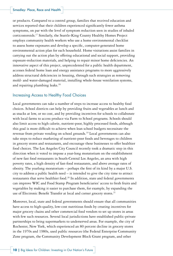or products. Compared to a control group, families that received education and services reported that their children experienced significantly fewer asthma symptoms, on par with the level of symptom reduction seen in studies of inhaled corticosteroids.17 Similarly, the Seattle-King County Healthy Homes Project employs community health workers who use a home environmental checklist to assess home exposures and develop a specific, computer-generated home environmental action plan for each household. Home visitations assist families in carrying out the action plan by offering educational and social support, providing exposure-reduction materials, and helping to repair minor home deficiencies. An innovative aspect of this project, unprecedented for a public health department, accesses federal home loan and energy assistance programs to more aggressively address structural deficiencies in housing, through such strategies as removing mold- and water-damaged material, installing whole-house ventilation systems, and repairing plumbing leaks.<sup>18</sup>

#### Increasing Access to Healthy Food Choices

Local governments can take a number of steps to increase access to healthy food choices. School districts can help by providing fruits and vegetables at lunch and as snacks at low, or no cost, and by providing incentives for schools to collaborate with local farms to access produce via Farm to School programs. Schools should also limit access to high calorie, nutrient-poor, highly processed foods, although this goal is more difficult to achieve when lean school budgets necessitate the revenue from private vending on school grounds.<sup>19</sup> Local governments can also take steps to reduce marketing of nutrient-poor foods and beverages to children in grocery stores and restaurants, and encourage these businesses to offer healthier food choices. The Los Angeles City Council recently took a dramatic step in this direction when it voted to impose a year-long moratorium on the establishment of new fast food restaurants in South-Central Los Angeles, an area with high poverty rates, a high density of fast-food restaurants, and above average rates of obesity. The yearlong moratorium – perhaps the first of its kind by a major U.S. city to address a public health need – is intended to give the city time to attract restaurants that serve healthier food.<sup>20</sup> In addition, state and federal governments can improve WIC and Food Stamp Program beneficiaries' access to fresh fruits and vegetables by making it easier to purchase them, for example, by expanding the use of Electronic Benefit Transfer at local and corner grocery stores.<sup>21</sup>

Moreover, local, state and federal governments should ensure that all communities have access to high-quality, low-cost nutritious foods by creating incentives for major grocery chains and other commercial food vendors to set up stores in areas with few such resources. Several local jurisdictions have established public-private partnerships to bring supermarkets to underserved areas. For example, the city of Rochester, New York, which experienced an 80 percent decline in grocery stores in the 1970s and 1980s, used public resources (the Federal Enterprise Community Zone program, the Community Development Block Grant program, and other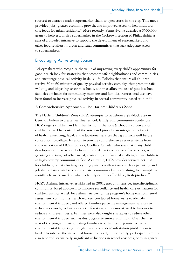sources) to attract a major supermarket chain to open stores in the city. This move provided jobs, greater economic growth, and improved access to healthful, lowcost foods for urban residents.<sup>22</sup> More recently, Pennsylvania awarded a \$500,000 grant to help establish a supermarket in the Yorktown section of Philadelphia as part of a broader initiative to support the development of supermarkets and other food retailers in urban and rural communities that lack adequate access to supermarkets. $^{23}$ 

#### Encouraging Active Living Spaces

Policymakers who recognize the value of improving every child's opportunity for good health look for strategies that promote safe neighborhoods and communities, and encourage physical activity in daily life. Policies that ensure all children receive 30 to 60 minutes of quality physical activity each day, that promote safe walking and bicycling access to schools, and that allow the use of public school facilities off-hours for community members and families' recreational use have been found to increase physical activity in several community-based studies.<sup>24</sup>

#### **A Comprehensive Approach – The Harlem Children's Zone**

The Harlem Children's Zone (HCZ) attempts to transform a 97-block area in Central Harlem to create healthier school, family, and community conditions. HCZ targets children and families living in the zone (although 25 percent of children served live outside of the zone) and provides an integrated network of health, parenting, legal, and educational services that span from well before conception to college. Its effort to provide comprehensive services stems from the observation of HCZ's founder, Geoffrey Canada, who saw that many child development initiatives only focus on the delivery of one or a few services, while ignoring the range of other social, economic, and familial challenges that children in high-poverty communities face. As a result, HCZ provides services not just for children, but it also targets young parents with services such as parenting and job skills classes, and serves the entire community by establishing, for example, a monthly farmers' market, where a family can buy affordable, fresh produce.<sup>25</sup>

HCZ's Asthma Initiative, established in 2001, uses an intensive, interdisciplinary, community-based approach to improve surveillance and health care utilization for children with or at risk for asthma. As part of the program's home environmental assessment, community health workers conducted home visits to identify environmental triggers, and offered families pesticide management services to reduce cockroach, rodent, or other infestation, and demonstrated techniques to reduce and prevent pests. Families were also taught strategies to reduce other environmental triggers such as dust, cigarette smoke, and mold. Over the first year of the program, participating families reported less exposure to many environmental triggers (although insect and rodent infestation problems were harder to solve at the individual household level). Importantly, participant families also reported statistically significant reductions in school absences, both in general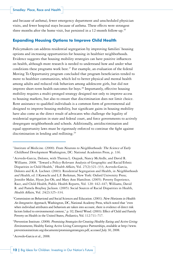and because of asthma), fewer emergency department and unscheduled physician visits, and fewer hospital stays because of asthma. These effects were strongest three months after the home visit, but persisted in a 12-month follow-up.<sup>26</sup>

#### **Expanding Housing Options to Improve Child Health**

Policymakers can address residential segregation by improving families' housing options and increasing opportunities for housing in healthier neighborhoods. Evidence suggests that housing mobility strategies can have positive influences on health, although more research is needed to understand how and under what conditions these programs work best.<sup>27</sup> For example, an evaluation of the federal Moving To Opportunity program concluded that program beneficiaries tended to move to healthier communities, which led to better physical and mental health among adults and reduced risk behaviors among adolescent girls, but did not improve short-term health outcomes for boys.<sup>28</sup> Importantly, effective housing mobility requires a multi-pronged strategy designed not only to improve access to housing markets, but also to ensure that discrimination does not limit choice. Rent assistance to qualified individuals is a common form of governmental aid designed to improve housing mobility, but significant gains in housing mobility have also come as the direct result of advocates who challenge the legality of residential segregation in state and federal court, and force governments to actively desegregate neighborhoods and schools. Additionally, antidiscrimination and equal opportunity laws must be rigorously enforced to continue the fight against discrimination in lending and redlining.<sup>29</sup>

5 Acevedo-Garcia et al., 2008.

<sup>&</sup>lt;sup>1</sup> Institute of Medicine. (2000). From Neurons to Neighborhoods: The Science of Early Childhood Development Washington, DC: National Academies Press, p. 336.

<sup>&</sup>lt;sup>2</sup> Acevedo-Garcia, Dolores, with Theresa L. Osypuk, Nancy McArdle, and David R. Williams. 2008. "Toward a Policy-Relevant Analysis of Geographic and Racial/Ethnic Disparities in Child Health," Health Affairs, Vol. 27(2):321–333; Acevedo-Garcia, Dolores and K.A. Lochner. (2003). Residential Segregation and Health, in Neighborhoods and Health, ed. I Kawachi and L.F. Berkman, New York: Oxford University Press; Jennifer Malat, Hyun Joo Oh, and Mary Ann Hamilton. (2005). Poverty Experience, Race, and Child Health, Public Health Reports, Vol. 120: 442–447; Williams, David R. and Pamela Brayboy Jackson. (2005). Social Sources of Racial Disparities in Health, Health Affairs, Vol. 24(2):325–334.

 $3$  Commission on Behavioral and Social Sciences and Education. (2001). New Horizons in Health: An Integrative Approach, Washington, DC, National Academy Press, which noted that "even when individual attributes and behaviors are taken into account, there is evidence of direct risk factors linked to environmental context," p. 92; David Wood. (2003). Effect of Child and Family Poverty on Health in the United States, Pediatrics, Vol. 112:711–717.

<sup>&</sup>lt;sup>4</sup> Prevention Institute. (2008). Promising Strategies for Creating Healthy Eating and Active Living Environments, Healthy Eating Active Living Convergence Partnerships, available at http://www. preventioninstitute.org/documents/promisingstrategies.pdf, accessed July 30, 2008.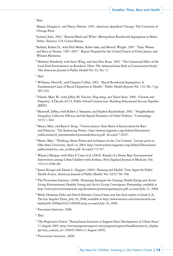$<sup>6</sup>$  Ibid.</sup>

- <sup>7</sup> Massey, Douglas S., and Nancy Denton. 1993. American Apartheid. Chicago: The University of Chicago Press.
- <sup>8</sup> Iceland, John. 2002. "Beyond Black and White: Metropolitan Residential Segregation in Multi-Ethnic America. U.S. Census Bureau.
- 9 Bullard, Robert D., with Paul Mohai, Robin Saha, and Beverly Wright. 2007. "Toxic Wastes and Race at Twenty: 1987–2007." Report Prepared for the United Church of Christ Justice and Witness Ministries.
- <sup>10</sup> Morland, Kimberly, with Steve Wing, and Ana Diez Roux. 2002. "The Contextual Effect of the Local Food Environment on Residents' Diets: The Atherosclerosis Risk in Communities Study." The American Journal of Public Health Vol. 92, No. 11.
- $11$  Ibid.
- <sup>12</sup> Williams, David R., and Chiquita Collins. 2001. "Racial Residential Segregation: A Fundamental Cause of Racial Disparities in Health." Public Health Reports Vol. 116, No. 5 pp. 405-416.
- <sup>13</sup> Filardo, Mary W., with Jeffrey M. Vincent, Ping Sung, and Travis Stein. 2006. "Growth and Disparity: A Decade of U.S. Public School Construction. Building Educational Success Together (BEST).
- <sup>14</sup> Morenoff, Jeffrey, with Robert J. Sampson, and Stephen Raudenbush. 2001. "Neighborhood Inequality, Collective Efficacy, and the Spatial Dynamics of Urban Violence." Criminology 39:517–560.
- <sup>15</sup> Mauer, Marc, and Ryan S. King. "Uneven Justice: State Rates of Incarceration by Race and Ethnicity." The Sentencing Project. http://sentencingproject.org/Admin/Documents/ publications/rd\_stateratesofincbyraceandethnicity.pdf. Accessed 7/26/07.
- <sup>16</sup> Mauer, Marc. "Thinking About Prison and its Impact on the 21st Century." Lecture given at Ohio State University, April 14, 2004. http://www.sentencingproject.org/Admin/Documents/ publications/inc\_osu\_reckless.pdf. Accessed 7/27/07.
- <sup>17</sup> Wayne J Morgan, with Ellen F. Crain et al. (2004). Results of a Home-Base Environmental Intervention among Urban Children with Asthma, New England Journal of Medicine, Vol. 351(11):1068–80.
- <sup>18</sup> James Krieger and Donna L. Higgins. (2002). Housing and Health: Time Again for Public Health Action, American Journal of Public Health, Vol. 92(5):758–768.
- <sup>19</sup> The Prevention Institute. (2008). Promising Strategies for Creating Health Eating and Active Living Environments, Healthy Eating and Active Living Convergence Partnership, available at http://www.preventioninstitute.org/documents/promisingstrategies.pdf, accessed July 31, 2008.
- <sup>20</sup> Molly Hennessy-Fiske and David Zahniser, Council bans new fast-food outlets in South L.A., The Los Angeles Times, July 30, 2008, available at http://www.latimes.com/news/local/la-mefastfood30-2008jul30,0,5189990.story, accessed July 30, 2008.
- <sup>21</sup> Prevention Institute, 2008.
- $22$  Ibid.
- $^{23}$  The Progressive Grocer, "Pennsylvania Initiative to Support Store Development in Urban Areas," 11 August 2005, http://www.progressivegrocer.com/progressivegrocer/headlines/article\_display. jsp?vnu\_content\_id=1001013066 (13 August 2005).

<sup>24</sup> Prevention Institute, 2008.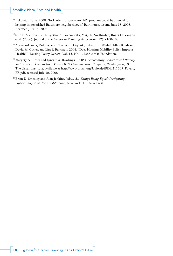#### Smedley: Place, Race and Health

- 25 Bykowicz, Julie. 2008. "In Harlem, a zone apart: NY program could be a model for helping impoverished Baltimore neighborhoods," Balrimoresun.com, June 18, 2008. Accessed July 18, 2008.
- <sup>26</sup> Seth E. Speilman, with Cynthia A. Golembeski, Mary E. Northridge, Roger D. Vaughn et al. (2006). Journal of the American Planning Association, 72(1):100-108.
- <sup>27</sup> Acevedo-Garcia, Dolores, with Theresa L. Osypuk, Rebecca E. Werbel, Ellen R. Meara, David M. Cutler, and Lisa F. Berkman. 2004. "Does Housing Mobility Policy Improve Health?" Housing Policy Debate. Vol. 15, No. 1. Fannie Mae Foundation.
- $28$  Margery A Turner and Lynette A. Rawlings. (2005). Overcoming Concentrated Poverty and Isolation: Lessons from Three HUD Demonstration Programs, Washington, DC: The Urban Institute, available at http://www.urban.org/UploadedPDF/311205\_Poverty\_ FR.pdf, accessed July 30, 2008.
- $29$  Brian D. Smedley and Alan Jenkins, (eds.), All Things Being Equal: Instigating Opportunity in an Inequitable Time, New York: The New Press.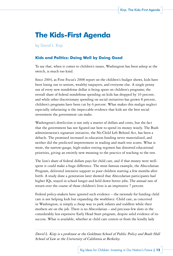## **The Kids-First Agenda**

by David L. Kirp

#### **Kids and Politics: Doing Well by Doing Good**

To say that, when it comes to children's issues, Washington has been asleep at the switch, is much too kind.

Since 2004, as First Focus's 2008 report on the children's budget shows, kids have been losing out to seniors, wealthy taxpayers, and everyone else. A single penny out of every new nondefense dollar is being spent on children's programs; the overall share of federal nondefense spending on kids has dropped by 10 percent; and while other discretionary spending on social initiatives has grown 8 percent, children's programs have been cut by 6 percent. What makes this malign neglect especially infuriating is the impeccable evidence that kids are the best social investment the government can make.

Washington's dereliction is not only a matter of dollars and cents, but the fact that the government has not figured out how to spend its money wisely. The Bush administration's signature initiative, the No Child Left Behind Act, has been a debacle. The promised increased in education funding never materialized, and neither did the predicted improvement in reading and math test scores. What is more, the narrow-gauge, high-stakes testing regimen has distorted educational priorities, giving an entirely new meaning to the practice of teaching to the test.

The lion's share of federal dollars pays for child care, and if that money were wellspent it could make a huge difference. The most famous example, the Abecedarian Program, delivered intensive support to poor children starting a few months after birth. A study done a generation later showed that Abecedarian participants had higher IQs, stayed in school longer and held down better jobs. The annual rate of return over the course of those children's lives is an impressive 7 percent.

Federal policy-makers have ignored such evidence – the rationale for funding child care is not helping kids but expanding the workforce. Child care, as conceived in Washington, is simply a cheap way to park infants and toddlers while their mothers are on the job. There is no Abecedarian – and precious few slots in the considerably less expensive Early Head Start program, despite solid evidence of its success. What is available, whether at child care centers or from the kindly lady

David L. Kirp is a professor at the Goldman School of Public Policy and Boalt Hall School of Law at the University of California at Berkeley.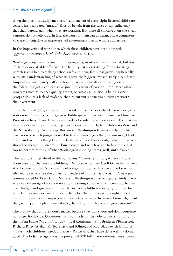down the block, is usually mediocre – and one out of every eight licensed child care centers has been rated "unsafe." Kids do benefit from the sense of self-sufficiency that their parents gain when they are working. But these ill-conceived, on-the-cheap ventures do not help kids. In fact, the worst of them can do harm. Some youngsters who spend long days in impoverished environments become more aggressive.

In the impoverished world into which these children have been dumped, aggression becomes a Lord of the Flies survival tactic.

Washington operates too many mini-programs, mostly well-intentioned, but few of them demonstrably effective. The laundry list – everything from educating homeless children to making schools safe and drug-free – has grown haphazardly, with little understanding of what will have the biggest impact. Early Head Start limps along with barely half a billion dollars – essentially a rounding error in the federal budget – and can serve just 2.4 percent of poor children. Meanwhile programs such as teacher quality grants, on which \$3 billion is being spent, prosper despite a lack of evidence that, as currently structured, they are worth the investment.

Since the mid-1990s, all the action has taken place outside the Beltway. Forty-one states now support prekindergarten. Public-private partnerships such as Ounce of Prevention have devised exemplary models for infant and toddler care. Foundations have underwritten promising experiments such as the Harlem Children's Zone and the Nurse-Family Partnership. But among Washington lawmakers there is little discussion of which programs need to be overhauled (whether, for instance, Head Start can learn something from the best state-funded preschools), which initiatives should be merged to streamline bureaucracy, and which ought to be dropped. A top-to-bottom rethink of what Washington is doing seems, well, unthinkable.

The public is miles ahead of the politicians. "Overwhelmingly, Americans care about meeting the needs of children," Democratic pollster Geoff Garin has written. And because of their "strong sense of obligation to give children a good start in life" many citizens see the un-benign neglect of children as a "crisis." A new poll commissioned by Every Child Matters, a Washington advocacy group, finds that a sizeable percentage of voters – notably the swing voters – rank increasing the Head Start budget and guaranteeing health care to all children above paying more for homeland security or farm support. The belief that child-rearing ought to be left entirely to parents is being replaced by an ethic of empathy – an acknowledgement that, while parents play a pivotal role, the polity must become a "good steward."

The old saw that children don't matter because they don't vote and don't consume no longer holds true. Governors from both sides of the political aisle – among them Tim Kaine (Virginia), Bobby Jindal (Louisiana), Phil Bredesen (Tennessee), Richard Riley (Alabama), Ted Strickland (Ohio), and Rod Blagojevich (Illinois) – have made children's needs a priority. Politically, they have done well by doing good. The kids-first agenda is the proverbial \$20 bill that economists insist cannot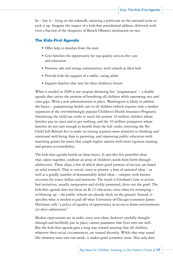be – but is – lying on the sidewalk, awaiting a politician on the national scene to pick it up. Imagine the impact of a kids-first presidential address, delivered with even a fraction of the eloquence of Barack Obama's meditation on race.

#### **The Kids-First Agenda**

- • Offer help to families from the start.
- • Give families the opportunity for top-quality zero-to-five care and education.
- Promote safe and strong communities, with schools as their hub
- Provide kids the support of a stable, caring adult.
- Support families that save for their children's future.

What is needed in 2008 is not utopian dreaming but "pragmatopia" – a doable agenda that carries the promise of benefiting all children while narrowing race and class gaps. With a new administration in place, Washington is likely to address the basics – guaranteeing health care to all children (which requires only a modest expansion of the overwhelmingly popular Children's Health Insurance Program); liberalizing the child tax credit to reach the poorest 10 million children whose families pay no taxes and so get nothing, and the 10 million youngsters whose families do not earn enough to benefit from the full credit; rewriting the No Child Left Behind Act to make its testing regimen more attentive to thinking and emotional well-being than to parroting; and improving public education with matching grants for states that couple higher salaries with more rigorous training and greater accountability.

The kids-first agenda builds on these basics. It specifies five powerful ideas that, taken together, confront an array of children's needs from birth through adolescence. These ideas, a few of which show good promise of success, are based on solid research. That is crucial, since at present, a host of untested ideas – as well as a goodly number of demonstrably failed ideas – compete with known successes for scarce dollars and attention. The result is Gresham's Law in action: bad initiatives, usually inexpensive and slickly promoted, drive out the good. The kids-first agenda does not focus on  $K-12$  education, since ideas for revamping – or blowing up – the public schools are already thick on the ground. Instead, it specifies what is needed to pull off what University of Chicago economist James Heckman calls "a policy of equality of opportunity in access to home environments (or their substitutes)."

Modest expectations are in order, since new ideas, however carefully thought through and faithfully put in place, cannot guarantee that lives turn out well. But the kids-first agenda goes a long way toward assuring that all children, whatever their social circumstances, are treated decently. While that may sound like mommy-state-ism run amok, it makes good economic sense. Not only does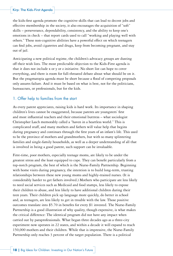the kids-first agenda promote the cognitive skills that can lead to decent jobs and effective membership in the society, it also encourages the acquisition of "soft" skills – perseverance, dependability, consistency, and the ability to keep one's emotions in check – that report cards used to call "working and playing well with others." These non-cognitive abilities have a powerful effect on which teenagers can find jobs, avoid cigarettes and drugs, keep from becoming pregnant, and stay out of jail.

Anticipating a new political regime, the children's advocacy groups are dusting off their wish lists. The most predictable objection to the Kids-First agenda is that it does not include x or y or z initiative. No short list can hope to cover everything, and there is room for full-throated debate about what should be on it. But the pragmatopia agenda must be short because a flood of competing proposals only assures failure. And it must be based on what is best, not for the politicians, bureaucrats, or professionals, but for the kids.

#### 1. Offer help to families from the start

As every parent appreciates, raising kids is hard work. Its importance in shaping children's lives cannot be exaggerated, because parents are youngsters' first and most influential teachers and their emotional buttress – what sociologist Christopher Lasch memorably called a "haven in a heartless world." This is complicated stuff, and many mothers and fathers will value help that begins during pregnancy and continues through the first years of an infant's life. This used to be the province of mothers and grandmothers, but with so many splintering families and single-family households, as well as a deeper understanding of all that is involved in being a good parent, such support can be invaluable.

First-time, poor mothers, especially teenage moms, are likely to be under the greatest stress and the least equipped to cope. They can benefit particularly from a top-notch program, the best of which is the Nurse-Family Partnership. Beginning with home visits during pregnancy, the intention is to build long-term, trusting relationships between these new young moms and highly-trained nurses. (It is considerably harder to get fathers involved.) Mothers who participate are less likely to need social services such as Medicaid and food stamps, less likely to expose their children to abuse, and less likely to have additional children during their teen years. Their children pick up language more quickly, do better in school and, as teenagers, are less likely to get in trouble with the law. Those positive outcomes translate into \$5.70 in benefits for every \$1 invested. The Nurse-Family Partnership is a good illustration of why quality, though expensive, is what makes the critical difference: The identical program did not have any impact when carried out by paraprofessionals. What began three decades ago as a three-city experiment now operates in 22 states, and within a decade it will expand to reach 150,000 mothers and their children. While that is impressive, the Nurse-Family Partnership only reaches 3 percent of the target population. There is a political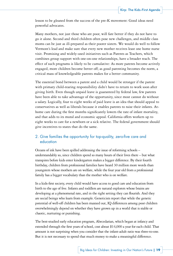lesson to be gleaned from the success of the pre-K movement: Good ideas need powerful advocates.

Many mothers, not just those who are poor, will fare better if they do not have to go it alone. Second and third children often pose new challenges, and middle class moms can be just as ill-prepared as their poorer sisters. We would do well to follow Vermont's lead and make sure that every new mother receives least one home nurse visit. Promising and widely-used initiatives such as Parents as Teachers, which combines group support with one-on-one relationships, have a broader reach. The effect of such programs is likely to be cumulative: As more parents become actively engaged, more children become better off; as good parenting becomes the norm, a critical mass of knowledgeable parents makes for a better community.

The essential bond between a parent and a child would be stronger if the parent with primary child-rearing responsibility didn't have to return to work soon after giving birth. Even though unpaid leave is guaranteed by federal law, few parents have been able to take advantage of the opportunity, since most cannot do without a salary. Logically, four to eight weeks of paid leave is an idea that should appeal to conservatives as well as liberals because it enables parents to raise their infants. Athome care during the first months significantly lowers the rate of infant mortality, and that adds to its moral and economic appeal. California offers workers up to eight weeks to care for a newborn or a sick relative. The federal government should give incentives to states that do the same.

#### 2. Give families the opportunity for top-quality, zero-five care and education

Oceans of ink have been spilled addressing the issue of reforming schools – understandably so, since children spend so many hours of their lives there – but what transpires before kids enter kindergarten makes a bigger difference. By their fourth birthday, children from professional families have heard 30 million more words than youngsters whose mothers are on welfare, while the four year old from a professional family has a bigger vocabulary than the mother who is on welfare.

In a kids-first society, every child would have access to good care and education from birth to the age of five. Infants and toddlers are natural explorers whose brains are developing at a phenomenal rate, and in the right setting they can flourish. And they are social beings who learn from example. Geneticists report that while the genetic potential of well-off children has been maxxed out, IQ differences among poor children overwhelmingly depend on whether they have grown up in a world that is stable or chaotic, nurturing or punishing.

The best-studied early education program, Abecedarian, which began at infancy and extended through the first years of school, cost about \$14,000 a year for each child. That amount is not surprising when you consider that the infant-adult ratio was three-to-one. But it is not necessary to spend that much money to make a meaningful difference.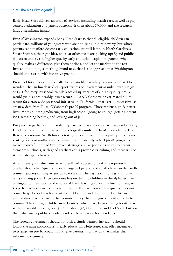Early Head Start delivers an array of services, including health care, as well as playcentered education and parent outreach. It costs about \$9,000, and the research finds a significant impact.

Even if Washington expands Early Head Start so that all eligible children can participate, millions of youngsters who are not living in dire poverty, but whose parents cannot afford decent early education, are still left out. North Carolina's Smart Start has the right idea, one that other states are picking up: Spend public dollars to underwrite higher-quality early education, explain to parents why quality makes a difference, give them options, and let the market do the rest. Instead of building something brand new, that is the approach that Washington should underwrite with incentive grants.

Preschool for three- and especially four-year-olds has lately become popular. No wonder. The landmark studies report returns on investment as unbelievably high at 17:1 for Perry Preschool. While a scaled-up venture of a high-quality pre-K would yield a considerably lower return – RAND Corporation estimated a 2.7:1 return for a statewide preschool initiative in California – that is still impressive, as are new data from Tulsa, Oklahoma's pre-K program. Those returns signify better lives: more children graduating from high school, going to college, getting decent jobs, remaining healthy, and staying out of jail.

Put pre-K together with nurse-family partnerships and care that is as good as Early Head Start and the cumulative effects logically multiply. In Minneapolis, Federal Reserve economist Art Rolnick is testing this approach. High-quality nurse home visiting for poor mothers and scholarships for carefully vetted pre-K programs make a powerful dose of two proven strategies. Give poor kids access to decent elementary schools, with good teachers and a proven curriculum, and there will be still greater gains to report.

As with every kids-first initiative, pre-K will succeed only if it is top-notch. Studies show what "quality" means: engaged parents and small classes so that welltrained teachers can pay attention to each kid. The best teaching uses kids' play as its starting point. It concentrates less on drilling children in the alphabet than on engaging their social and emotional lives: learning to wait in line, to share, to keep their tempers in check, letting them tell their stories. That quality does not come cheap. Perry Preschool cost about \$12,000, and despite the benefits such an investment would yield, that is more money than the government is likely to commit. The Chicago Child-Parent Centers, which have been running for 40 years with remarkable success, cost \$8,500, about \$2,000 more than Head Start, but less than what many public schools spend on elementary school students.

The federal government should not pick a single winner. Instead, it should follow the same approach as in early education: Help states that offer incentives to strengthen pre-K programs and give parents information that makes them informed consumers.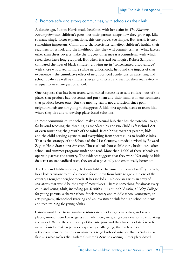#### 3. Promote safe and strong communities, with schools as their hub

A decade ago, Judith Harris made headlines with her claim in The Nurture Assumption that children's peers, not their parents, shape how they grow up. Like so many single-factor explanations, this one proves too simple. But Harris is onto something important. Community characteristics can affect children's health, their readiness for school, and the likelihood that they will commit crimes. What factors other than sheer poverty make the biggest difference is a conundrum with which researchers have long grappled. But when Harvard sociologist Robert Sampson compared the lives of black children growing up in "concentrated disadvantage" with those who lived in more stable neighborhoods, he found the impact of that experience – the cumulative effect of neighborhood conditions on parenting and school quality as well as children's levels of distrust and fear for their own safety – is equal to an entire year of school.

One response that has been tested with mixed success is to take children out of the places that produce bad outcomes and put them and their families in environments that produce better ones. But the moving van is not a solution, since poor neighborhoods are not going to disappear. A kids-first agenda needs to reach kids where they live and to develop place-based solutions.

In most communities, the school makes a natural hub that has the potential to go far beyond teaching the three Rs, as mandated by the No Child Left Behind Act, or even nurturing the growth of the mind. It can bring together parents, kids, and the child-serving agencies and everything from sports clubs to health clinics. That is the strategy of the Schools of the 21st Century, a model devised by Edward Zigler, Head Start's first director. Those schools house child care, health care, afterschool and summer programs under one roof. More than 1,000 of these schools are operating across the country. The evidence suggests that they work. Not only do kids do better on standardized tests, they are also physically and emotionally better off.

The Harlem Children's Zone, the brainchild of charismatic educator Geoffrey Canada, has a bolder vision: to build a cocoon for children from birth to age 20 in one of the country's toughest neighborhoods. It has seeded a 97-block area with an array of initiatives that would be the envy of most places. There is something for almost every child and young adult, including pre-K with a 4:1 adult-child ratio, a "Baby College" for young parents, a charter school for elementary and middle school youngsters, an arts program, after-school tutoring and an investment club for high school students, and tech training for young adults.

Canada would like to see similar ventures in other beleaguered cities, and several places, among them Los Angeles and Baltimore, are giving consideration to emulating the model. While the complexity of the enterprise and the character of its force-ofnature founder make replication especially challenging, the reach of its ambition – the commitment to turn a mean-streets neighborhood into one that is truly kidsfirst – is what makes the Harlem Children's Zone so exciting. Other place-based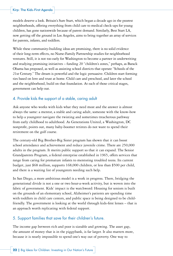models deserve a look. Britain's Sure Start, which began a decade ago in the poorest neighborhoods, offering everything from child care to medical check-ups for young children, has gone nationwide because of parent demand. Similarly, Best Start LA, now getting off the ground in Los Angeles, aims to bring together an array of services for parents, infants, and toddlers.

While these community-building ideas are promising, there is no solid evidence of their long-term effects, no Nurse-Family Partnership studies for neighborhood ventures. Still, it is not too early for Washington to become a partner in underwriting and studying promising initiatives – funding 20 "children's zones," perhaps, as Barack Obama has proposed, as well as assisting school districts that operate "Schools of the 21st Century." The dream is powerful and the logic persuasive. Children start forming ties based on love and trust at home. Child care and preschool, and later the school and the neighborhood, build on that foundation. At each of those critical stages, government can help out.

#### 4. Provide kids the support of a stable, caring adult

Ask anyone who works with kids what they need most and the answer is almost always the same: a mentor, a stable and caring adult, someone with the know-how to help a youngster navigate the twisting and sometimes treacherous pathway from early childhood to adulthood. As Generations United, a Washington, DC nonprofit, points out, many baby-boomer retirees do not want to spend their retirement on the golf course.

The century-old Big Brother-Big Sister program has shown that it can boost school attendance and achievement and reduce juvenile crime. There are 250,000 adults in the program. It merits public support so that it can expand. The Senior Grandparents Program, a federal enterprise established in 1965, offers services that range from caring for premature infants to mentoring troubled teens. Its current budget, just \$68 million, supports 168,000 children, or less than \$500 per child, and there is a waiting list of youngsters needing such help.

In San Diego, a more ambitious model is a work in progress. There, bridging the generational divide is not a one or two hour-a-week activity, but is woven into the fabric of government. Kids' impact is the watchword: Housing for seniors is built on the grounds of an elementary school, Alzheimer's patients are spending time with toddlers in child care centers, and public space is being designed to be childfriendly. The government is looking at the world through kids-first lenses – that is an approach worth replicating with federal support.

#### 5. Support families that save for their children's future.

The income gap between rich and poor is sizeable and growing. The asset gap, the amount of money that is in the piggybank, is far larger. It also matters more, because it is nearly impossible to spend one's way out of poverty. One way to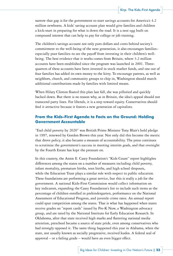narrow that gap is for the government to start savings accounts for America's 4.2 million newborns. A kids' saving account plan would give families and children a kick-start in preparing for what is down the road. It is a nest egg built on compound interest that can help to pay for college or job training.

The children's savings account not only puts dollars and cents behind society's commitment to the well-being of the next generation, it also encourages families– especially poor families–to see the payoff from investing in their children's wellbeing. The best evidence that it works comes from Britain, where 3.2 million accounts have been established since the program was launched in 2001. Threequarters of these accounts have been invested in stock market funds, and one out of four families has added its own money to the kitty. To encourage parents, as well as neighbors, church, and community groups to chip in, Washington should match additional contributions made by families with limited means.

When Hilary Clinton floated this plan last fall, she was pilloried and quickly backed down. But there is no reason why, as in Britain, the idea's appeal should not transcend party lines. For liberals, it is a step toward equity. Conservatives should find it attractive because it fosters a new generation of capitalists.

#### **From the Kids-First Agenda to Facts on the Ground: Holding Government Accountable**

"End child poverty by 2020" was British Prime Minister Tony Blair's bold pledge in 1997, renewed by Gordon Brown this year. Not only did this become the metric that drove policy, it also became a measure of accountability. The press continues to scrutinize the government's success in meeting interim goals, and that oversight by the Fourth Estate has kept the pressure on.

In this country, the Annie E. Casey Foundation's "Kids Count" report highlights differences among the states on a number of measures including child poverty, infant mortality, premature births, teen births, and high school dropouts, while the Education Trust plays a similar role with respect to public education. These foundations are performing a great service, but this is really a job for the government. A national Kids-First Commission would collect information on key indicators, expanding the Casey Foundation's list to include such items as the percentage of children enrolled in prekindergarten, performance on the National Assessment of Educational Progress, and juvenile crime rates. An annual report could spur competition among the states. That is what has happened when states receive grades on "report cards" issued by Pre-K Now, a Washington advocacy group, and are rated by the National Institute for Early Education Research. In Oklahoma, after that state received high marks and flattering national media attention, preschool became a source of state pride, even among conservatives who had strongly opposed it. The same thing happened this year in Alabama, when the state, not usually known as socially progressive, received kudos. A federal seal of approval – or a failing grade – would have an even bigger effect.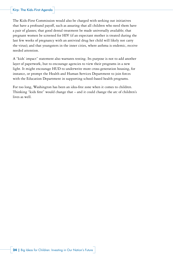#### Kirp: The Kids-First Agenda

The Kids-First Commission would also be charged with seeking out initiatives that have a profound payoff, such as assuring that all children who need them have a pair of glasses; that good dental treatment be made universally available; that pregnant women be screened for HIV (if an expectant mother is treated during the last few weeks of pregnancy with an antiviral drug her child will likely not carry the virus); and that youngsters in the inner cities, where asthma is endemic, receive needed attention.

A "kids' impact" statement also warrants testing. Its purpose is not to add another layer of paperwork, but to encourage agencies to view their programs in a new light. It might encourage HUD to underwrite more cross-generation housing, for instance, or prompt the Health and Human Services Department to join forces with the Education Department in supporting school-based health programs.

For too long, Washington has been an idea-free zone when it comes to children. Thinking "kids first" would change that – and it could change the arc of children's lives as well.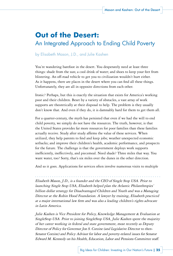# **Out of the Desert:** An Integrated Approach to Ending Child Poverty

#### by Elisabeth Mason, J.D., and Julie Kashen

You're wandering barefoot in the desert. You desperately need at least three things: shade from the sun; a cool drink of water; and shoes to keep your feet from blistering. An off-road vehicle to get you to civilization wouldn't hurt either. As it happens, there are places in the desert where you can find all these things. Unfortunately, they are all in opposite directions from each other.

Ironic? Perhaps, but this is exactly the situation that exists for America's working poor and their children. Beset by a variety of obstacles, a vast array of work supports are theoretically at their disposal to help. The problem is they usually don't know that. And even if they do, it is damnably hard for them to get them all.

For a quarter-century, the myth has persisted that even if we had the will to end child poverty, we simply do not have the resources. The truth, however, is that the United States provides far more resources for poor families than these families actually receive. Study after study affirms the value of these services. When utilized, they help parents to find and keep jobs; weather unexpected economic setbacks; and improve their children's health, academic performance, and prospects for the future. The challenge is that the government deploys work supports inefficiently, ineffectively, and piecemeal. Need shade? Three miles that way. You want water, too? Sorry, that's six miles over the dunes in the other direction.

And so it goes. Applications for services often involve numerous visits to multiple

Elisabeth Mason, J.D., is a founder and the CEO of Single Stop USA. Prior to launching Single Stop USA, Elisabeth helped plan the Atlantic Philanthropies' billion dollar strategy for Disadvantaged Children and Youth and was a Managing Director at the Robin Hood Foundation. A lawyer by training, Elisabeth practiced at a major international law firm and was also a leading children's rights advocate in Latin America.

Julie Kashen is Vice President for Policy, Knowledge Management & Evaluation at SingleStop USA. Prior to joining SingleStop USA, Julie Kashen spent the majority of her career working in federal and state government, most recently as Deputy Director of Policy for Governor Jon S. Corzine (and Legislative Director to then-Senator Corzine) and Policy Advisor for labor and poverty-related issues for Senator Edward M. Kennedy on his Health, Education, Labor and Pensions Committee staff.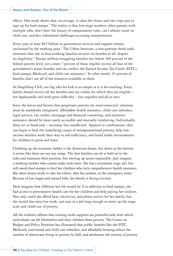offices. One study shows that, on average, it takes five hours and two trips just to sign up for food stamps.<sup>1</sup> The reality is that low-wage workers, often parents with multiple jobs, don't have the luxury of compensatory time, can't always count on child care, and face substantial challenges accessing transportation.

Every year, at least \$65 billion in government services and support remain unclaimed by the working poor.<sup>2</sup> The Urban Institute, a non-partisan think tank, estimates that one in four working families receives no benefits at all, despite its eligibility.<sup>3</sup> Twenty million struggling families live below 200 percent of the federal poverty level, yet a mere 7 percent of those eligible receive all four of the government's major benefits and tax credits: the Earned Income Tax Credit (EITC), food stamps, Medicaid, and child care assistance.<sup>4</sup> In other words, 93 percent of families don't use all of the resources available to them.

At SingleStop USA, our big idea for kids is as simple as it is far-reaching: Every family should receive all the benefits and tax credits for which they are eligible – not haphazardly and with great difficulty – but together and all at once.

Since the forces and factors that perpetuate poverty are interconnected, solutions must be seamlessly integrated. Affordable health insurance, child care subsidies, legal services, tax credits, mortgage and financial counseling, and nutrition assistance should be more easily accessible and mutually reinforcing. Individually, these act as band-aids – necessary but insufficient. Applied in combination, they can begin to heal the underlying causes of intergenerational poverty, help lowincome families work their way to self-sufficiency, and build stable environments for children to grow and learn.

Climbing up the economic ladder is the American dream, but down at the bottom it seems like there are not any rungs. The best families can do is hold on to the sides and maintain their position, but moving up seems impossible. Just imagine a working mother who cannot make ends meet. She has a minimum wage job, but still needs food stamps to feed her children who lack comprehensive health insurance. She often misses work to take her eldest, who has asthma, to the emergency room. Because of lost wages and missed bills, her family is facing eviction.

Now imagine how different her life would be if in addition to food stamps, she had access to preventative health care for her children and help paying her utilities. Not only could she afford heat, electricity, and phone service for her family, but she would also miss less work, and stay in a job long enough to move up the wage scale and climb out of poverty.

All the evidence affirms that existing work supports are powerful tools with which individuals can lift themselves and their children from poverty. The Center on Budget and Policy Priorities has illustrated that public benefits like the EITC, Medicaid, nutritional and child care subsidies, and affordable housing reduce the number of Americans living in poverty by half, and ameliorate the severity of poverty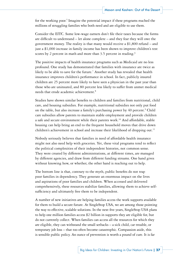for the working poor.<sup>5</sup> Imagine the potential impact if these programs reached the millions of struggling families who both need and are eligible to use them.

Consider the EITC. Some low-wage earners don't file their taxes because the forms are difficult to understand – let alone complete – and they fear they will owe the government money. The reality is that many would receive a \$1,800 refund – and just a \$1,000 increase in family income has been shown to improve children's test scores by 2 percent in math and more than  $3.5$  percent in reading.<sup>6</sup>

The positive impacts of health insurance programs such as Medicaid are no less profound. One study has demonstrated that families with insurance are twice as likely to be able to save for the future.<sup>7</sup> Another study has revealed that health insurance improves children's performance in school. In fact, publicly insured children are 25 percent more likely to have seen a physician in the past year than those who are uninsured, and 80 percent less likely to suffer from unmet medical needs that erode academic achievement.8

Studies have shown similar benefits to children and families from nutritional, child care, and housing subsidies. For example, nutritional subsidies not only put food on the table, but also increase a family's purchasing power by 40 percent.<sup>9</sup> Child care subsidies allow parents to maintain stable employment and provide children a safe and secure environment while their parents work.<sup>10</sup> And affordable, stable housing can help bring an end to the frequent household moves that drive down children's achievement in school and increase their likelihood of dropping out.<sup>11</sup>

Nobody seriously believes that families in need of affordable health insurance might not also need help with groceries. Yet, these vital programs tend to reflect the political complexities of their independent histories, not common sense. They were created by different administrations, at different times, are managed by different agencies, and draw from different funding streams. One hand gives without knowing how, or whether, the other hand is reaching out to help.

The bottom line is that, contrary to the myth, public benefits do not trap poor families in dependency. They generate an enormous impact on the lives and aspirations of poor families and children. When accessed and delivered comprehensively, these resources stabilize families, allowing them to achieve selfsufficiency and ultimately free them to be independent.

A number of new initiatives are helping families access the work supports available for them to build a secure future. At SingleStop USA, we are among those pointing the way to effective, scalable solutions. In the next five years, SingleStop USA plans to help one million families access \$2 billion in supports they are eligible for, but do not currently collect. When families can access all the resources for which they are eligible, they can withstand the small setbacks – a sick child, car trouble, or temporary job loss – that too often become catastrophic. Compassion aside, this is sensible public policy. An ounce of prevention is worth a pound of cure. It is far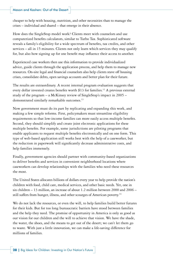cheaper to help with housing, nutrition, and other necessities than to manage the crises – individual and shared – that emerge in their absence.

How does the SingleStop model work? Clients meet with counselors and use computerized benefits calculators, similar to Turbo Tax. Sophisticated software reveals a family's eligibility for a wide spectrum of benefits, tax credits, and other services – all in 15 minutes. Clients not only learn which services they may qualify for, but also how signing up for one benefit may influence their access to another.

Experienced case workers then use this information to provide individualized advice, guide clients through the application process, and help them to manage new resources. On-site legal and financial counselors also help clients stave off housing crises, consolidate debts, open savings accounts and better plan for their future.

The results are extraordinary. A recent internal program evaluation suggests that every dollar invested creates benefits worth \$13 for families.<sup>12</sup> A previous external study of the program – a McKinsey review of SingleStop's impact in 2005 – demonstrated similarly remarkable outcomes.<sup>13</sup>

Now government must do its part by replicating and expanding this work, and making a few simple reforms. First, policymakers must streamline eligibility requirements so that low-income families can more easily access multiple benefits. Second, they should simplify and create joint electronic applications for these multiple benefits. For example, some jurisdictions are piloting programs that enable applicants to request multiple benefits electronically and on one form. This type of web-based application still works best with the help of a caseworker, but the reduction in paperwork will significantly decrease administrative costs, and help families immensely.

Finally, government agencies should partner with community-based organizations to deliver benefits and services in convenient neighborhood locations where caseworkers can develop relationships with the families who need these resources the most.

The United States allocates billions of dollars every year to help provide the nation's children with food, child care, medical services, and other basic needs. Yet, one in six children – 13 million, an increase of about 1.2 million between 2000 and 2006 – still suffers from hunger, illness, and other scourges of American poverty.<sup>14</sup>

We do not lack the resources, or even the will, to help families build better futures for their kids. But for too long bureaucratic barriers have stood between families and the help they need. The promise of opportunity in America is only as good as our vision for our children and the will to achieve that vision. We have the shade, the water, the shoes, and the means to get out of the desert; we can't let them go to waste. With just a little innovation, we can make a life-saving difference for millions of families.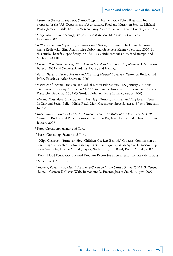- <sup>1</sup> Customer Service in the Food Stamp Program. Mathematica Policy Research, Inc. prepared for the U.S. Department of Agriculture, Food and Nutrition Service. Michael Ponza, James C. Ohls, Lorenzo Moreno, Amy Zambrowski and Rhoda Cohen, July 1999.
- <sup>2</sup> Single Stop Rollout Strategy Project Final Report. McKinsey & Company. February 2007.
- $3$  Is There a System Supporting Low-Income Working Families? The Urban Institute. Shelia Zedlewski, Gina Adams, Lisa Dubay and Genevieve Kenney, February 2006. In this study, "benefits" specifically include EITC, child care subsidies, food stamps, and Medicaid/SCHIP.
- <sup>4</sup> Current Population Survey, 2007 Annual Social and Economic Supplement. U.S. Census Bureau, 2007 and Zedlewski, Adams, Dubay and Kenney.
- <sup>5</sup> Public Benefits; Easing Poverty and Ensuring Medical Coverage. Center on Budget and Policy Priorities. Arloc Sherman, 2005.
- <sup>6</sup> Statistics of Income Division, Individual Master File System. IRS, January 2007 and The Impact of Family Income on Child Achievement. Institute for Research on Poverty, Discussion Paper no. 1305-05 Gordon Dahl and Lance Lochner, August 2005.
- <sup>7</sup>Making Ends Meet: Six Programs That Help Working Families and Employers. Center for Law and Social Policy. Nisha Patel, Mark Greenberg, Steve Savner and Vicki Turetsky, June 2002.
- <sup>8</sup>Improving Children's Health: A Chartbook about the Roles of Medicaid and SCHIP. Center on Budget and Policy Priorities. Leighton Ku, Mark Lin, and Matthew Broaddus, January 2007.
- <sup>9</sup> Patel, Greenberg, Savner, and Ture.
- <sup>10</sup> Patel, Greenberg, Savner, and Ture.
- <sup>11</sup> "High Classroom Turnover: How Children Get Left Behind." Citizens' Commission on Civil Rights. Chester Hartman in Rights at Risk: Equality in an Age of Terrorism. , pp 227-244 Piche, Dianne M., Ed.; Taylor, William L., Ed.; Reed, Robin A., Ed., 2002.
- $12$  Robin Hood Foundation Internal Program Report based on internal metrics calculations.
- <sup>13</sup> McKinsey & Company.
- $14$  Income, Poverty and Health Insurance Coverage in the United States 2006 U.S. Census Bureau. Carmen DeNavas-Walt, Bernadette D. Proctor, Jessica Smith, August 2007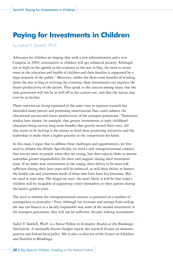# **Paying for Investments in Children**

by Isabel V. Sawhill, Ph.D.

Advocates for children are hoping that with a new administration and a new Congress in 2009, investments in children will get enhanced priority. Although not as high on the agenda as the economy or the war in Iraq, the need to invest more in the education and health of children and their families is supported by a large majority of the public.<sup>1</sup> Moreover, unlike the short-term benefits of winding down the war in Iraq or reviving the economy, these investments can improve the future productivity of the nation. They speak to the concern among many that the next generation will not be as well off as the current one, and that the nation may even be in decline.

These concerns are being expressed at the same time as rigorous research has identified many proven and promising interventions that could enhance the educational success and future productivity of the youngest generation.2 Numerous studies have shown, for example, that greater investments in early childhood education bring society long-term benefits that greatly exceed their costs. All that seems to be lacking is the money to fund these promising initiatives and the leadership to make them a higher priority in the competition for funds.

In this essay, I argue that to address these challenges and opportunities, we first need to reframe the debate. Specifically, we need a new intergenerational contract that invests more in people when they are young, but then expects them to assume somewhat greater responsibility for their own support during their retirement years. If we make wise investments in the young, their ability to be more selfsufficient during their later years will be enhanced, as will their ability to finance the health care and retirement needs of those who have been less fortunate. But we need to start now. The longer we wait, the more likely it will be that today's children will be incapable of supporting either themselves or their parents during the latter's golden years.

The need to reframe the intergenerational contract is premised on a number of assumptions or principles.<sup>3</sup> First, although tax increases and savings from ending the war can finance in a fiscally responsible way some of the needed investment in the youngest generation, they will not be sufficient. Second, linking investments

Isabel V. Sawhill, Ph.D. is a Senior Fellow in Economic Studies at the Brookings Institution. A nationally-known budget expert, her research focuses on domestic poverty and federal fiscal policy. She is also co-director of the Center on Children and Families at Brookings.

**30 |** Big Ideas for Children: Investing in Our Nation's Future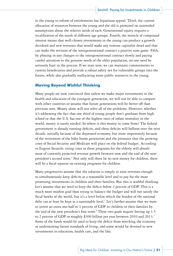in the young to reform of entitlements has bipartisan appeal. Third, the current allocation of resources between the young and the old is premised on outmoded assumptions about the relative needs of each. Generational equity requires a recalibration of the needs of different age groups. Fourth, the miracle of compound interest means that well-chosen investments in the young can produce a growth dividend and new revenues that would make any venture capitalist drool and that can make the revision of the intergenerational contract a positive sum game. Fifth, by phasing in any changes to the intergenerational contract slowly and paying careful attention to the genuine needs of the older population, no one need be seriously hurt in the process. If we start now, we can maintain commitments to current beneficiaries and provide a robust safety net for vulnerable groups into the future, while also gradually reallocating more public resources to the young.

#### **Moving Beyond Wishful Thinking**

Many people are now convinced that unless we make major investments in the health and education of the youngest generation, we will not be able to compete with other countries or assume that future generations will be better off than previous ones. Money alone will not solve all of the problems. However, whether it's addressing the fact that one third of young people don't graduate from high school or that the U.S. has one of the highest rates of infant mortality in the world, money is surely needed. So where is this money to come from? The federal government is already running deficits, and these deficits will balloon over the next decade, initially because of the depressed economy, but more importantly because of the retirement of the baby boom generation and the pressures that the growing costs of Social Security and Medicare will place on the federal budget. According to Eugene Steuerle, rising costs in these programs for the elderly will absorb most of currently projected revenue growth between now and the end of the next president's second term.<sup>4</sup> Not only will there be no new money for children, there will be a fiscal squeeze on existing programs for children.

Many progressives assume that the solution is simply to raise revenues enough to simultaneously keep deficits at a reasonable level and to pay for the most promising investments in children and their families. But this is wishful thinking. Let's assume that we need to keep the deficit below 2 percent of GDP. This is a much more modest goal than trying to balance the budget and will not satisfy the fiscal hawks of the world, but it's a level below which the burden of the national debt can at least be kept at a sustainable level.<sup>5</sup> Let's further assume that we want to invest an extra one-half to 1 percent of GDP in children or their families by the end of the new president's first term.<sup>6</sup> These two goals require freeing up 1.5 to 2 percent of GDP or roughly \$300 billion per year between 2010 and 2013.<sup>7</sup> Some of the funds would be used to keep the deficit from wrecking the economy or undermining future standards of living, and some would be devoted to new investments in education, health care, and the like.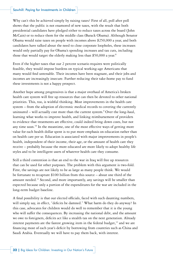#### Sawhill: Paying for Investments in Children

Why can't this be achieved simply by raising taxes? First of all, poll after poll shows that the public is not enamored of new taxes, with the result that both presidential candidates have pledged either to reduce taxes across the board (John McCain) or to reduce them for the middle class (Barack Obama). Although Senator Obama would raise taxes on people with incomes above \$250,000 a year, and both candidates have talked about the need to close corporate loopholes, these increases would only partially pay for Obama's spending increases and tax cuts, including those that would target the elderly making less than \$50,000 a year.<sup>8</sup>

Even if the higher taxes that our 2 percent scenario requires were politically feasible, they would impose burdens on typical working-age Americans that many would find untenable. Their incomes have been stagnant, and their jobs and incomes are increasingly insecure. Further reducing their take-home pay to fund these investments is not a happy prospect.

Another hope among progressives is that a major overhaul of America's broken health care system will free up resources that can then be devoted to other national priorities. This, too, is wishful thinking. Most improvements in the health care system – from the adoption of electronic medical records to covering the currently uninsured – will actually cost more than the current system.<sup>9</sup> Over the long-haul, learning what works to improve health, and linking reimbursement of providers to evidence that treatments are effective, could indeed bring down costs, but not any time soon.10 In the meantime, one of the most effective ways of getting more value for each health dollar spent is to put more emphasis on education rather than on health care per se. Education is associated with major improvements in people's health, independent of their income, their age, or the amount of health care they receive – probably because the more educated are more likely to adopt healthy life styles and to be intelligent users of whatever health care they consume.

Still a third contention is that an end to the war in Iraq will free up resources that can be used for other purposes. The problem with this argument is two-fold. First, the savings are not likely to be as large as many people think. We would be fortunate to recapture \$100 billion from this source – about one third of the amount needed.<sup>11</sup> Second, and more importantly, any savings will be smaller than expected because only a portion of the expenditures for the war are included in the long-term budget baseline.

A final possibility is that our elected officials, faced with such daunting numbers, will simply say, in effect, "deficits be damned." What harm do they do anyway? In this case, advocates for children would do well to remember that it is the young who will suffer the consequences. By increasing the national debt, and the amount we owe to foreigners, deficits act like a stealth tax on the next generation. Already interest payments are the fastest growing item in the federal budget, $12$  and we are financing most of each year's deficit by borrowing from countries such as China and Saudi Arabia. Eventually we will have to pay them back, with interest.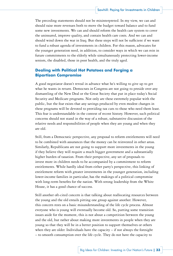The preceding statements should not be misinterpreted. In my view, we can and should raise more revenues both to move the budget toward balance and to fund some new investments. We can and should reform the health care system to cover the uninsured, improve quality, and contain health care costs. And we can and should wind down the war in Iraq. But these steps will not be sufficient if we want to fund a robust agenda of investments in children. For this reason, advocates for the younger generation need, in addition, to consider ways in which we can rein in future commitments to the elderly while simultaneously protecting lower-income seniors, the disabled, those in poor health, and the truly aged.

# **Dealing with Political Hot Potatoes and Forging a Bipartisan Compromise**

A good negotiator doesn't reveal in advance what he's willing to give up to get what he wants in return. Democrats in Congress are not going to preside over any dismantling of the New Deal or the Great Society that put in place today's Social Security and Medicare programs. Not only are these extremely popular with the public, but the fear exists that any savings produced by even modest changes in these programs will be devoted to providing tax cuts to those who need them least. This fear is understandable in the context of recent history. However, such political concerns should not stand in the way of a robust, substantive discussion of the relative needs and responsibilities of people when they are young and when they are old.

Still, from a Democratic perspective, any proposal to reform entitlements will need to be combined with assurances that the money can be reinvested in other areas. Similarly, Republicans are not going to support more investments in the young if they believe they will require a much bigger government and a substantially higher burden of taxation. From their perspective, any set of proposals to invest more in children needs to be accompanied by a commitment to reform entitlements. While hardly ideal from either party's perspective, this linking of entitlement reform with greater investments in the younger generation, including lower-income families in particular, has the makings of a political compromise with long-term benefits for the nation. With strong leadership from the White House, it has a good chance of success.

Still another oft-cited concern is that talking about reallocating resources between the young and the old entails pitting one group against another. However, this concern rests on a basic misunderstanding of the life cycle process. Almost everyone who is young will eventually become old. So, putting some transition issues aside for the moment, this is not about a competition between the young and the old, but rather about making more investments in people when they are young so that they will be in a better position to support themselves or others when they are older. Individuals have the capacity  $-$  if not always the foresight – to smooth consumption over the life cycle. They do not have the capacity to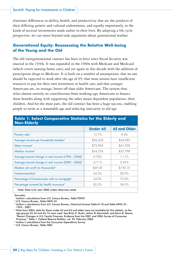eliminate differences in ability, health, and productivity that are the products of their differing genetic and cultural endowments, and equally importantly, in the kinds of societal investments made earlier in their lives. By adopting a life cycle perspective, we can move beyond stale arguments about generational warfare.

# **Generational Equity: Reassessing the Relative Well-being of the Young and the Old**

The old intergenerational contract has been in force since Social Security was enacted in the 1930s. It was expanded in the 1960s with Medicare and Medicaid (which covers nursing home care), and yet again in this decade with the addition of prescription drugs to Medicare. It is built on a number of assumptions: that no one should be expected to work after the age of 65; that most seniors have insufficient resources to pay for their own retirement or health care; and that younger Americans are, on average, better off than older Americans. The system thus relies almost entirely on contributions from working-age Americans to finance these benefits along with supporting the other major dependent population, their children. And for the most part, the old contract has been a huge success, enabling people to retire at a reasonable age and reducing insecurity in old age.

| Table 1: Select Comparative Statistics for the Elderly and<br><b>Non-Elderly</b> |                 |                     |  |
|----------------------------------------------------------------------------------|-----------------|---------------------|--|
|                                                                                  | <b>Under 65</b> | <b>65 and Older</b> |  |
| Poverty rate <sup>1</sup>                                                        | 12.7%           | 9.4%                |  |
| Average income per household member <sup>2</sup>                                 | \$26,350        | \$24,095            |  |
| Mean income <sup>2</sup>                                                         | \$72,906        | \$41,928            |  |
| Median income <sup>2</sup>                                                       | \$54,726        | \$27,798            |  |
| Average annual change in real income (1994 - 2006) <sup>3</sup>                  | 0.74%           | 1.11%               |  |
| Average annual change in real income (2000 - 2006) <sup>3</sup>                  | $-0.71%$        | 0.47%               |  |
| Median net worth (in thousands) <sup>4</sup>                                     | \$69.40         | \$190.10            |  |
| Homeownership <sup>5</sup>                                                       | 64.3%           | 80.0%               |  |
| Percentage of homeowners with no mortgage <sup>5</sup>                           | 24.0%           | 75.0%               |  |
| Percentage covered by health insurance <sup>6</sup>                              | 82.2%           | 98.5%               |  |
| Note: Data is for year 2006 unless otherwise noted                               |                 |                     |  |

#### Source(s):

5 Author's calculations from the Consumer Expenditure Survey

6 U.S. Census Bureau, Table HI05

<sup>1</sup> Author's calculations from U.S. Census Bureau, Table POV01

<sup>2</sup> U.S. Census Bureau, Table HINC-01

<sup>&</sup>lt;sup>3</sup> Author's calculations from U.S. Census Bureau, Historical Income Table H-10 and Table HINC-01, 1995 - 2007.

<sup>4</sup> Data from 2004; data for those under 65 and 65 and older were not available for this statistic, so the age groups 35-44 and 65-74 were used. See Brian K. Bucks, Arthur B. Kennickell, and Kevin B. Moore, "Recent Changes in U.S. Family Finances: Evidence from the 2001 and 2004 Survey of Consumer Finances," Table 1, Federal Reserve Bulletin, vol. 92, February 2006.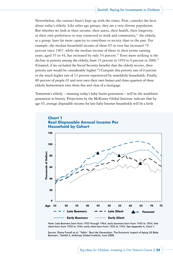Nevertheless, the contract hasn't kept up with the times. First, consider the facts about today's elderly. Like other age groups, they are a very diverse population. But whether we look at their income, their assets, their health, their longevity, or their own preferences to stay connected to work and community, $<sup>13</sup>$  the elderly,</sup> as a group, have far more capacity to contribute to society than in the past. For example, the median household income of those 65 or over has increased 79 percent since 1967, while the median income of those in their prime earning years, aged 35 to 44, has increased by only 54 percent.<sup>14</sup> Even more striking is the decline in poverty among the elderly, from 35 percent in 1959 to 9 percent in 2006.<sup>15</sup> (Granted, if we excluded the Social Security benefits that the elderly receive, their poverty rate would be considerably higher.<sup>16</sup>) Compare this poverty rate of 9 percent to the much higher rate of 13 percent experienced by nonelderly households. Finally, 80 percent of people 65 and over own their own homes and three-quarters of these elderly homeowners own them free and clear of a mortgage.

Tomorrow's elderly – meaning today's baby boom generation – will be the wealthiest generation in history. Projections by the McKinsey Global Institute indicate that by age 65, average disposable income for late baby boomer households will be a little



Note: Late Boomers born from 1955 through 1964; early boomers born from 1945 to 1954; late silent born from 1935 to 1944; early silent born from 1925 to 1934. See Appendix A, Chart 1.

Source: Diana Farrell et al, "Talkin' 'Bout My Generation: The Economic Impact of Aging US Baby Boomers," Exhibit 2, McKinsey Global Institute, June 2008.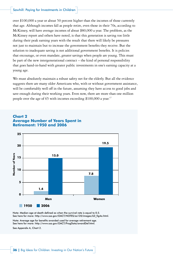#### Sawhill: Paying for Investments in Children

over \$100,000 a year or about 50 percent higher than the incomes of those currently that age. Although incomes fall as people retire, even those in their 70s, according to McKinsey, will have average incomes of about \$80,000 a year. The problem, as the McKinsey report and others have noted, is that this generation is saving too little during their peak earning years with the result that there will likely be pressures not just to maintain but to increase the government benefits they receive. But the solution to inadequate saving is not additional government benefits. It is policies that encourage, or even mandate, greater savings when people are young. This must be part of the new intergenerational contract – the kind of personal responsibility that goes hand-in-hand with greater public investments in one's earning capacity at a young age.

We must absolutely maintain a robust safety net for the elderly. But all the evidence suggests there are many older Americans who, with or without government assistance, will be comfortably well off in the future, assuming they have access to good jobs and save enough during their working years. Even now, there are more than one million people over the age of 65 with incomes exceeding \$100,000 a year.<sup>17</sup>



Note: Median age at death defined as when the survival rate is equal to 0.5. See here for more: http://www.ssa.gov/OACT/NOTES/as120/images/LD\_fig4a.html.

Note: Average age for benefits awarded used for average retirement age. See here for more: http://www.ssa.gov/OACT/ProgData/awardDef.html.

See Appendix A, Chart 2.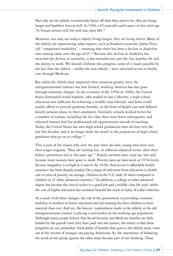Not only are the elderly economically better off than they used to be, they are living longer and healthier lives as well. In 1940, a 65-year-old could expect to live until age 78. Future retirees will live well into their 80s.<sup>18</sup>

Moreover, not only are today's elderly living longer, they are living better. Many of the elderly are experiencing what experts, such as Stanford researcher James Fries, call "compressed morbidity" – meaning that there has been a decline in disability rates among those over the age of 65.<sup>19</sup> Because this decline in disability has exceeded the decline in mortality, it has extended not just life, but healthy life and the ability to work. We should celebrate this progress, some of it made possible by the fact that the elderly – unlike the non-elderly – have universal access to health care through Medicare.

But while the elderly have improved their situation greatly since the intergenerational contract was first formed, working America has also gone through immense changes. In the economy of the 1950s or 1960s, the United States dominated world markets, jobs tended to last a lifetime, a high school education was sufficient for achieving a middle-class lifestyle, and firms could readily afford to provide generous benefits, in the form of health care and definedbenefit pension plans, to their employees. Similarly, schools worked better for a number of reasons, including the fact that there were fewer immigrants, and educated women had few professional job opportunities outside of teaching. Today, the United States has seen high school graduation rates decline over the last few decades, and it no longer leads the world in the proportion of high school graduates who go on to college.<sup>20</sup>

This is part of the reason why over the past three decades, young men have seen their wages stagnate. They are earning less, in inflation-adjusted terms, than their father's generation did at the same age.<sup>21</sup> Family incomes have crept up, but only because more women have gone to work. Poverty rates are now stuck at 1970s levels. Income inequality is as high as it was in the 1920s. And access to affordable health insurance has been sharply eroded. On a range of indicators from education to health care to rates of poverty, on average, children in the U.S. rank 18 when compared to children in 21 other advanced countries.<sup>22</sup> In addition, a college or other advanced degree has become the critical ticket to a good job and a middle-class life style, while the cost of higher education has escalated beyond the reach of many of today's families.

As a result of all these changes, the role of the government in providing economic mobility to workers or better education and job training for their children is more essential than ever. And yet, the historic commitment made to the elderly in the old intergenerational contract is placing a real burden on the working-age population. Although many people believe that Social Security and Medicare benefits are fully funded by the payroll taxes they have paid into the system, the reality is that these programs are not prefunded. Each dollar of benefits that goes to the elderly must come out of the income of younger, tax-paying Americans. So, the importance of balancing the needs of one group against the other must become part of our thinking. Those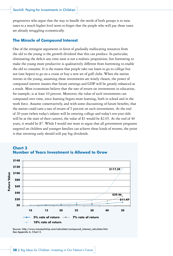progressives who argue that the way to handle the needs of both groups is to raise taxes to a much higher level seem to forget that the people who will pay those taxes are already struggling economically.

#### **The Miracle of Compound Interest**

One of the strongest arguments in favor of gradually reallocating resources from the old to the young is the growth dividend that this can produce. In particular, eliminating the deficit any time soon is not a realistic proposition, but borrowing to make the young more productive is qualitatively different from borrowing to enable the old to consume. It is the reason that people take out loans to go to college but not (one hopes) to go on a cruise or buy a new set of golf clubs. When the nation invests in the young, assuming those investments are wisely chosen, the power of compound interest insures that future earnings and GDP will be greatly enhanced as a result. Most economists believe that the rate of return on investments in education, for example, is at least 10 percent. Moreover, the value of such investments can compound over time, since learning begets more learning, both in school and in the work force. Assume conservatively, and with some discounting of future benefits, that the nation could earn a rate of return of 5 percent on such investments. At the end of 20 years (when today's infants will be entering college and today's ten-year olds will be at the start of their careers), the value of \$1 would be \$2.65. At the end of 40 years, it would be \$7. While I would not want to argue that all government programs targeted on children and younger families can achieve these kinds of returns, the point is that investing early should still pay big dividends.



# **Chart 3 Number of Years Investment is Allowed to Grow**

Source: http://www.moneychimp.com/calculator/compound\_interest\_calculator.htm See Appendix A, Chart 3.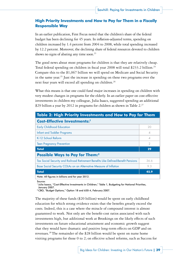# **High Priority Investments and How to Pay for Them in a Fiscally Responsible Way**

In an earlier publication, First Focus noted that the children's share of the federal budget has been declining for 45 years. In inflation-adjusted terms, spending on children increased by 1.4 percent from 2004 to 2008, while total spending increased by 12.2 percent. Moreover, the declining share of federal resources devoted to children shows no signs of abating any time soon.<sup>23</sup>

The good news about most programs for children is that they are relatively cheap. Total federal spending on children in fiscal year 2008 will total \$233.2 billion.<sup>24</sup> Compare this to the \$1,067 billion we will spend on Medicare and Social Security in the same year.<sup>25</sup> Just the increase in spending on these two programs over the next four years will exceed all spending on children.<sup>26</sup>

What this means is that one could fund major increases in spending on children with very modest changes in programs for the elderly. In an earlier paper on cost-effective investments in children my colleague, Julia Isaacs, suggested spending an additional \$29 billion a year by 2012 in programs for children as shown in Table 2.<sup>27</sup>

| Table 2: High Priority Investments and How to Pay for Them                         |                          |
|------------------------------------------------------------------------------------|--------------------------|
| <b>Cost-Effective Investments:1</b>                                                |                          |
| <b>Early Childhood Education</b>                                                   | 20                       |
| Infant and Toddler Programs                                                        | $\overline{\mathcal{A}}$ |
| K-12 School Reform                                                                 | $\overline{\mathcal{A}}$ |
| <b>Teen Pregnancy Prevention</b>                                                   | $\overline{2}$           |
| <b>Total</b>                                                                       | 29                       |
| <b>Possible Ways to Pay for Them:</b> 2                                            |                          |
| Tax Social Security and Railroad Retirement Benefits Like Defined-Benefit Pensions | 36.6                     |
| Base Social Security COLAs on an Alternative Measure of Inflation                  | 9.3                      |
| <b>Total</b>                                                                       | 45.9                     |
| Note: All figures in billions and for year 2012.                                   |                          |

Source:

1 Julia Isaacs, "Cost-Effective Investments in Children," Table 1, Budgeting for National Priorities, January 2007.

2 CBO, "Budget Options," Option 18 and 650-4, February 2007.

The majority of these funds (\$20 billion) would be spent on early childhood education for which strong evidence exists that the benefits greatly exceed the costs. Indeed, this is a case where the miracle of compound interest is almost guaranteed to work. Not only are the benefit-cost ratios associated with such investments high, but additional work at Brookings on the likely effects of such investments on future educational attainment and economic growth suggest that they would have dramatic and positive long-term effects on GDP and on revenues.28 The remainder of the \$28 billion would be spent on nurse home visiting programs for those 0 to 2; on effective school reforms, such as Success for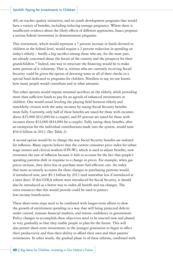#### Sawhill: Paying for Investments in Children

All; on teacher quality initiatives; and on youth development programs that would have a variety of benefits, including reducing teenage pregnancy. Where there is insufficient evidence about the likely effects of different approaches, Isaacs proposes a serious federal investment in demonstration programs.

This investment, which would represent a 7 percent increase in funds devoted to children at the federal level, would require a 2 percent reduction in spending on today's elderly – hardly a big sacrifice among those who are, for the most part, are already concerned about the future of the country and the prospects for their grandchildren.29 Indeed, one way to structure the financing would be to make some portion of it voluntary. That is, retirees who are currently receiving Social Security could be given the option of devoting some or all of their checks to a special fund dedicated to programs for children. Needless to say, no one knows how many people would contribute and in what amounts.

Two other options would impose minimal sacrifices on the elderly, while providing more than sufficient funds to pay for an agenda of enhanced investments in children. One would entail leveling the playing field between elderly and nonelderly citizens with the same incomes by taxing Social Security benefits more fully. Currently, only half of these benefits are taxed for those with incomes above \$25,000 (\$32,000 for a couple), and 85 percent are taxed for those with incomes above \$34,000 (\$44,000 for a couple). Fully taxing these benefits, after an exemption for the individual contributions made into the system, would raise \$36.6 billion in 2012. (See Table 2)

A second option would be to change the way Social Security benefits are indexed for inflation. Many experts believe that the current consumer price index for urban wage earners and clerical workers (CPI-W), which is used to adjust benefits, now overstates the rate of inflation because it fails to account for the fact that people's spending patterns shift in response to a change in prices. For example, when gas prices increase, they drive less or purchase more fuel-efficient cars. An index that more accurately accounts for these changes in purchasing patterns would, if introduced now, save \$9.3 billion by 2012 (and somewhat less if introduced at a later date). If this COLA reform were introduced for Social Security, it should also be introduced as a better way to index all benefit and tax changes. The extra resources that this would provide could be used to protect low-income beneficiaries.

These short-term steps need to be combined with longer-term efforts to slow the growth of entitlement spending in a way that will bring projected deficits under control, reassure financial markets, and restore confidence in government. Policy changes to accomplish these objectives need to be enacted now and phased in very gradually so that they enable people to plan for the future. This will also permit short-term investments in the younger generation to begin to affect their productivity and thus their ability to afford their own and their parents' retirements. In other words, the gradual phase in of these reforms, combined with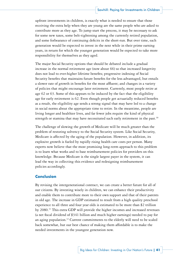upfront investments in children, is exactly what is needed to ensure that those receiving the extra help when they are young are the same people who are asked to contribute more as they age. To jump start the process, it may be necessary to ask for some new taxes, some belt-tightening among the currently retired population, and some forbearance of continuing deficits in the short-run. But over time, each generation would be expected to invest in the next while in their prime earning years, in return for which the younger generation would be expected to take more responsibility for themselves as they aged.

The major Social Security options that should be debated include a gradual increase in the normal retirement age (now about 66) so that increased longevity does not lead to ever-higher lifetime benefits; progressive indexing of Social Security benefits that maintains future benefits for the less advantaged, but entails a slower rate of growth in benefits for the most affluent; and changes in a variety of policies that might encourage later retirement. Currently, most people retire at age 62 or 63. Some of this appears to be induced by the fact that the eligibility age for early retirement is 62. Even though people get actuarially reduced benefits as a result, the eligibility age sends a strong signal that may have led to a change in social norms about the appropriate time to retire. In the meantime, people are living longer and healthier lives, and far fewer jobs require the kind of physical strength or stamina that may have necessitated such early retirement in the past. $30$ 

The challenge of slowing the growth of Medicare will be much greater than the problem of restoring solvency to the Social Security system. Like Social Security, Medicare is affected by the aging of the population. However, in addition, its explosive growth is fueled by rapidly rising health care costs per person. Many experts now believe that the most promising long-term approach to this problem is to learn what works and to base reimbursement policies for providers on this knowledge. Because Medicare is the single largest payer in the system, it can lead the way in collecting this evidence and redesigning reimbursement policies accordingly.

#### **Conclusion**

By revising the intergenerational contract, we can create a better future for all of our citizens. By investing wisely in children, we can enhance their productivity and enable them to contribute more to their own support and that of their parents in old age. The increase in GDP estimated to result from a high quality preschool experience to all three and four year olds is estimated to be more than \$2 trillion by 2080.31 This extra GDP will provide the higher incomes and increased revenues (a net fiscal dividend of \$341 billion and much higher earnings) needed to pay for an aging population.<sup>32</sup> Current commitments to the elderly will need to be scaled back somewhat, but our best chance of making them affordable is to make the needed investments in the youngest generation now.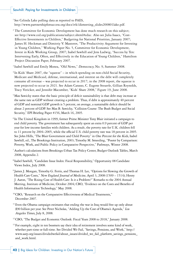#### Sawhill: Paying for Investments in Children

<sup>1</sup> See Celinda Lake polling data as reported to PAES, http://www.partnershipforsuccess.org/docs/ivk/iikmeeting\_slides200801lake.pdf.

 $2$  The Committee for Economic Development has done much research on this subject; see http://www.ced.org/publications/subject.shtml#educ. Also see Julia Isaacs, "Cost-Effective Investments in Children," Budgeting for National Priorities, January 2007; James H. Heckman and Dimitriy V. Masterov, "The Productivity Argument for Investing in Young Children," Working Paper No. 5, Committee for Economic Development, Invest in Kids Working Group, 2007; Isabel Sawhill and Jens Ludwig, "Success by Ten: Intervening Early, Often, and Effectively in the Education of Young Children," Hamilton Project Discussion Paper, February 2007.

<sup>3</sup> Isabel Sawhill and Emily Monea, "Old News," Democracy, No. 9, Summer 2008.

- $4$ In Kids' Share 2007, the "squeeze" in which spending on non-child Social Security, Medicare and Medicaid, defense, international, and interest on the debt will completely consume all revenue – was projected to occur in 2017; in the 2008 report, the squeeze is now projected to occur in 2021. See Adam Carasso, C. Eugene Steuerle, Gillian Reynolds, Tracy Vericker, and Jennifer Macomber, "Kids' Share 2008," Figure 19, June 2008.
- $<sup>5</sup>$  Max Sawicky states that the basic principle of deficit sustainability is that debt may increase at</sup> the same rate as GDP without creating a problem. Thus, if debt is approximately 40 percent of GDP and nominal GDP growth is 5 percent, on average, a sustainable deficit should be about 2 percent of GDP. See Max B. Sawicky, "Collision Course: The Bush Budget and Social Security," EPI Briefing Paper #156, March 16, 2005.
- 6 In The United Kingdom in 1999, former Prime Minister Tony Blair initiated a campaign to end child poverty. The government has subsequently spent an extra 0.9 percent of GDP per year for low-income families with children. As a result, the poverty rate for U.K. children fell to 11 percent by 2004–2005, while the official U.S. child poverty rate was 18 percent in 2005. See John Hills, "The Blair Government and Child Poverty" in One Percent for the Kids, Isabel Sawhill, ed., The Brookings Institution, 2003; Timothy M. Smeeding, "Poorer by Comparison: Poverty, Work, and Public Policy in Comparative Perspective," Pathways, Winter 2008.
- 7 Author's calculations from Brookings-Urban Tax Policy Center, Budget Outlook Tables, March 2008, Appendix 2.
- 8 Isabel Sawhill, "Candidate Issue Index: Fiscal Responsibility," Opportunity 08 Candidate Views Index, July 2008.
- 9 James J. Mongan, Timothy G. Ferris, and Thomas H. Lee, "Options for Slowing the Growth of Health Care Costs," New England Journal of Medicine, April 3, 2008 (1509 – 1514); Henry J. Aaron, "The Rising Cost of Health Care: Is it a Problem?" Remarks to the 2004 Annual Meeting, Institute of Medicine, October 2004; CBO, "Evidence on the Costs and Benefits of Health Information Technology," May 2008.
- <sup>10</sup> CBO, "Research on the Comparative Effectiveness of Medical Treatments," December 2007.
- $11$  Even the Obama campaign estimates that ending the war in Iraq would free up only about \$90 billion per year. See Peter Nicholas, "Adding Up the Cost of Obama's Agenda," Los Angeles Times, July 8, 2008.
- <sup>12</sup> CBO, "The Budget and Economic Outlook: Fiscal Years 2008 to 2018," January 2008.
- <sup>13</sup> For example, eight in ten boomers say their idea of retirement involves some kind of work, whether part-time or full-time. See Divided We Fail, "Savings, Pensions, and Work," http:// www.aarp.org/issues/dividedwefail/about\_issues/divided\_we\_fail\_platform\_savings\_pensions\_ and\_work.html.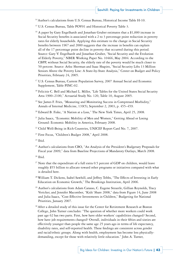- <sup>14</sup> Author's calculations from U.S. Census Bureau, Historical Income Table H-10.
- <sup>15</sup> U.S. Census Bureau, Table POV01 and Historical Poverty Table 3.
- $16$  A paper by Gary Engelhardt and Jonathan Gruber estimates that a \$1,000 increase in Social Security benefits is associated with a 2 to 3 percentage point reduction in poverty rates for elderly households. Applying this estimate to the change in Social Security benefits between 1967 and 2000 suggests that the increase in benefits can explain all of the 17 percentage point decline in poverty that occurred during this period. Source: Gary V. Engelhardt and Jonathan Gruber, "Social Security and the Evolution of Elderly Poverty," NBER Working Paper No. 10466, May 2004. According to the CBPP, without Social Security, the elderly rate of the poverty would be much closer to 50 percent. Source: Arloc Sherman and Isaac Shapiro, "Social Security Lifts 13 Million Seniors Above the Poverty Line: A State-by-State Analysis," Center on Budget and Policy Priorities, February 24, 2005.
- <sup>17</sup> U.S. Census Bureau, Current Population Survey, 2007 Annual Social and Economic Supplement, Table PINC-02.
- <sup>18</sup> Felicitie C. Bell and Michael L. Miller, "Life Tables for the United States Social Security Area 1900–2100," Actuarial Study No. 120, Table 10, August 2005.
- <sup>19</sup> See James F. Fries, "Measuring and Monitoring Success in Compressed Morbidity," Annals of Internal Medicine, 139(5), September 2, 2003, p. 455–459.
- <sup>20</sup> Edward B. Fiske, "A Nation at a Loss," The New York Times, April 25, 2008.
- <sup>21</sup> Julia Isaacs, "Economic Mobility of Men and Women," Getting Ahead or Losing Ground: Economic Mobility in America, February 2008.
- <sup>22</sup> Child Well-Being in Rich Countries, UNICEF Report Card No. 7, 2007.
- 23 First Focus, "Children's Budget 2008," April 2008.
- $24$  Ibid.
- <sup>25</sup> Author's calculations from CBO, "An Analysis of the President's Budgetary Proposals for Fiscal year 2009," data from Baseline Projections of Mandatory Outlays, March 2008.
- $26$  Ibid.
- $27$  Note that the expenditure of a full extra 0.5 percent of GDP on children, would leave roughly \$55 billion to allocate toward other programs or initiatives compared with what is detailed here.
- <sup>28</sup> William T. Dickens, Isabel Sawhill, and Jeffrey Tebbs, "The Effects of Investing in Early Education on Economic Growth," The Brookings Institution, April 2006.
- <sup>29</sup> Author's calculations from Adam Carasso, C. Eugene Steuerle, Gillian Reynolds, Tracy Vericker, and Jennifer Macomber, "Kids' Share 2008," data from Figure 14, June 2008 and Julia Isaacs, "Cost-Effective Investments in Children," Budgeting for National Priorities, January 2007.
- <sup>30</sup> After a detailed study of this issue for the Center for Retirement Research at Boston College, John Turner concludes: "The question of whether more workers could work past age 62 has two parts. First, how have older workers' capabilities changed? Second, how have job requirements changed? Overall, individuals in their fifties and sixties are effectively younger than people the same age 25 years ago in terms of life expectancy, disability rates, and self-reported health. These findings are consistent across gender and racial/ethnic groups. Along with health, employment has become less physicallydemanding, except for those with relatively little education." John A. Turner,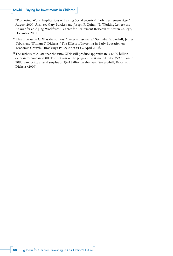#### Sawhill: Paying for Investments in Children

"Promoting Work: Implications of Raising Social Security's Early Retirement Age," August 2007. Also, see Gary Burtless and Joseph P. Quinn, "Is Working Longer the Answer for an Aging Workforce?" Center for Retirement Research at Boston College, December 2002.

- <sup>31</sup> This increase in GDP is the authors' "preferred estimate." See Isabel V. Sawhill, Jeffrey Tebbs, and William T. Dickens, "The Effects of Investing in Early Education on Economic Growth," Brookings Policy Brief #153, April 2006.
- $32$  The authors calculate that the extra GDP will produce approximately \$400 billion extra in revenue in 2080. The net cost of the program is estimated to be \$59 billion in 2080, producing a fiscal surplus of \$341 billion in that year. See Sawhill, Tebbs, and Dickens (2006).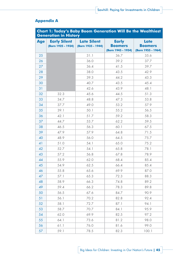# **Appendix A**

| <b>Chart 1: Today's Baby Boom Generation Will Be the Wealthiest</b><br><b>Generation in History</b> |                                           |                                          |                                                      |                                              |
|-----------------------------------------------------------------------------------------------------|-------------------------------------------|------------------------------------------|------------------------------------------------------|----------------------------------------------|
| <b>Age</b>                                                                                          | <b>Early Silent</b><br>(Born 1925 - 1934) | <b>Late Silent</b><br>(Born 1935 - 1944) | <b>Early</b><br><b>Boomers</b><br>(Born 1945 - 1954) | Late<br><b>Boomers</b><br>(Born 1955 - 1964) |
| 25                                                                                                  |                                           | 31.1                                     | 36.7                                                 | 35.6                                         |
| 26                                                                                                  |                                           | 36.0                                     | 39.2                                                 | 37.7                                         |
| 27                                                                                                  |                                           | 36.4                                     | 41.5                                                 | 39.7                                         |
| 28                                                                                                  |                                           | 38.0                                     | 43.5                                                 | 42.9                                         |
| 29                                                                                                  |                                           | 39.3                                     | 44.2                                                 | 43.3                                         |
| 30                                                                                                  |                                           | 40.7                                     | 43.5                                                 | 45.4                                         |
| 31                                                                                                  |                                           | 42.6                                     | 43.9                                                 | 48.1                                         |
| 32                                                                                                  | 32.3                                      | 45.6                                     | 44.5                                                 | 51.3                                         |
| 33                                                                                                  | 34.7                                      | 48.8                                     | 47.3                                                 | 53.8                                         |
| 34                                                                                                  | 37.7                                      | 49.0                                     | 53.2                                                 | 57.9                                         |
| 35                                                                                                  | 39.1                                      | 50.1                                     | 55.2                                                 | 56.5                                         |
| 36                                                                                                  | 42.1                                      | 51.7                                     | 59.2                                                 | 58.3                                         |
| 37                                                                                                  | 44.7                                      | 53.7                                     | 62.2                                                 | 59.5                                         |
| 38                                                                                                  | 46.5                                      | 56.3                                     | 60.1                                                 | 67.5                                         |
| 39                                                                                                  | 47.9                                      | 57.9                                     | 64.8                                                 | 71.5                                         |
| 40                                                                                                  | 48.9                                      | 56.0                                     | 64.5                                                 | 75.7                                         |
| 41                                                                                                  | 51.0                                      | 54.1                                     | 65.0                                                 | 75.2                                         |
| 42                                                                                                  | 52.7                                      | 54.1                                     | 65.8                                                 | 78.1                                         |
| 43                                                                                                  | 57.2                                      | 56.8                                     | 67.8                                                 | 78.9                                         |
| 44                                                                                                  | 55.9                                      | 62.0                                     | 68.4                                                 | 85.4                                         |
| 45                                                                                                  | 54.9                                      | 62.5                                     | 66.4                                                 | 85.4                                         |
| 46                                                                                                  | 55.8                                      | 65.6                                     | 69.9                                                 | 87.0                                         |
| 47                                                                                                  | 57.1                                      | 65.3                                     | 72.3                                                 | 88.3                                         |
| 48                                                                                                  | 58.9                                      | 66.3                                     | 74.8                                                 | 89.2                                         |
| 49                                                                                                  | 59.4                                      | 66.2                                     | 78.3                                                 | 89.8                                         |
| 50                                                                                                  | 56.5                                      | 67.6                                     | 84.7                                                 | 90.9                                         |
| 51                                                                                                  | 56.1                                      | 70.2                                     | 82.8                                                 | 92.4                                         |
| 52                                                                                                  | 58.1                                      | 72.7                                     | 87.1                                                 | 94.1                                         |
| 53                                                                                                  | 58.7                                      | 70.7                                     | 84.1                                                 | 95.9                                         |
| 54                                                                                                  | 62.0                                      | 69.9                                     | 82.5                                                 | 97.2                                         |
| 55                                                                                                  | 64.1                                      | 73.6                                     | 81.2                                                 | 98.0                                         |
| 56                                                                                                  | 61.1                                      | 76.0                                     | 81.6                                                 | 99.0                                         |
| 57                                                                                                  | 59.1                                      | 78.5                                     | 82.3                                                 | 100.1                                        |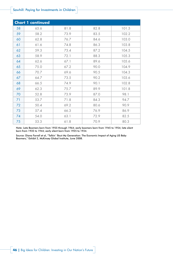# Sawhill: Paying for Investments in Children

|    | <b>Chart 1 continued</b> |      |      |       |
|----|--------------------------|------|------|-------|
| 58 | 65.6                     | 81.8 | 82.8 | 101.5 |
| 59 | 58.2                     | 73.9 | 83.5 | 102.2 |
| 60 | 62.8                     | 76.7 | 84.6 | 103.0 |
| 61 | 61.6                     | 74.8 | 86.3 | 103.8 |
| 62 | 59.3                     | 73.4 | 87.2 | 104.5 |
| 63 | 58.9                     | 72.1 | 88.3 | 105.3 |
| 64 | 62.6                     | 67.1 | 89.6 | 105.6 |
| 65 | 75.0                     | 67.2 | 90.0 | 104.9 |
| 66 | 70.7                     | 69.6 | 90.5 | 104.3 |
| 67 | 64.7                     | 73.5 | 90.2 | 103.6 |
| 68 | 66.5                     | 74.9 | 90.1 | 102.8 |
| 69 | 62.3                     | 75.7 | 89.9 | 101.8 |
| 70 | 52.8                     | 73.9 | 87.0 | 98.1  |
| 71 | 53.7                     | 71.8 | 84.3 | 94.7  |
| 72 | 50.4                     | 69.2 | 80.6 | 90.9  |
| 73 | 57.4                     | 66.3 | 76.9 | 86.9  |
| 74 | 54.0                     | 63.1 | 72.9 | 82.5  |
| 75 | 53.3                     | 61.8 | 70.9 | 80.3  |

Note: Late Boomers born from 1955 through 1964; early boomers born from 1945 to 1954; late silent born from 1935 to 1944; early silent born from 1925 to 1934.

Source: Diana Farrell et al, "Talkin' 'Bout My Generation: The Economic Impact of Aging US Baby Boomers," Exhibit 2, McKinsey Global Institute, June 2008.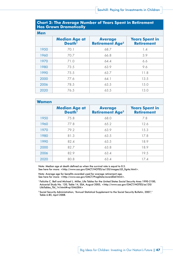# **Chart 2: The Average Number of Years Spent in Retirement Has Grown Dramatically**

| <b>Men</b> |                                            |                                                     |                                            |
|------------|--------------------------------------------|-----------------------------------------------------|--------------------------------------------|
|            | <b>Median Age at</b><br>Death <sup>1</sup> | <b>Average</b><br><b>Retirement Age<sup>2</sup></b> | <b>Years Spent in</b><br><b>Retirement</b> |
| 1950       | 70.1                                       | 68.7                                                | 1.4                                        |
| 1960       | 70.7                                       | 66.8                                                | 3.9                                        |
| 1970       | 71.0                                       | 64.4                                                | 6.6                                        |
| 1980       | 73.5                                       | 63.9                                                | 9.6                                        |
| 1990       | 75.5                                       | 63.7                                                | 11.8                                       |
| 2000       | 77.6                                       | 64.1                                                | 13.5                                       |
| 2006       | 78.5                                       | 63.5                                                | 15.0                                       |
| 2020       | 76.5                                       | 63.5                                                | 13.0                                       |

| Women |                                            |                                                     |                                            |
|-------|--------------------------------------------|-----------------------------------------------------|--------------------------------------------|
|       | <b>Median Age at</b><br>Death <sup>1</sup> | <b>Average</b><br><b>Retirement Age<sup>2</sup></b> | <b>Years Spent in</b><br><b>Retirement</b> |
| 1950  | 75.8                                       | 68.0                                                | 7.8                                        |
| 1960  | 77.8                                       | 65.2                                                | 12.6                                       |
| 1970  | 79.2                                       | 63.9                                                | 15.3                                       |
| 1980  | 81.3                                       | 63.5                                                | 17.8                                       |
| 1990  | 82.4                                       | 63.5                                                | 18.9                                       |
| 2000  | 82.7                                       | 63.8                                                | 18.9                                       |
| 2006  | 82.9                                       | 63.4                                                | 19.5                                       |
| 2020  | 80.8                                       | 63.4                                                | 17.4                                       |

Note: Median age at death defined as when the survival rate is equal to 0.5. See here for more: <http://www.ssa.gov/OACT/NOTES/as120/images/LD\_fig4a.html>.

Note: Average age for benefits awarded used for average retirement age.

See here for more: <http://www.ssa.gov/OACT/ProgData/awardDef.html>.

<sup>1</sup> Felicitie C. Bell and Michael L. Miller, Life Tables for the United States Social Security Area 1990-2100, Actuarial Study No. 120, Table 14, SSA, August 2005, <http://www.ssa.gov/OACT/NOTES/as120/ LifeTables\_Tbl\_14.html#wp1046284>

<sup>2</sup> Social Security Administration, "Annual Statistical Supplement to the Social Security Bulletin, 2007," Table 6.B5, April 2008.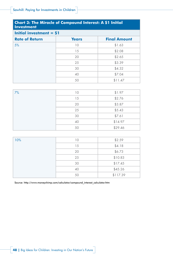| <b>Chart 3: The Miracle of Compound Interest: A \$1 Initial</b><br><b>Investment</b> |    |         |  |
|--------------------------------------------------------------------------------------|----|---------|--|
| <b>Initial investment = <math>\$1</math></b>                                         |    |         |  |
| <b>Rate of Return</b><br><b>Final Amount</b><br><b>Years</b>                         |    |         |  |
| 5%                                                                                   | 10 | \$1.63  |  |
|                                                                                      | 15 | \$2.08  |  |
|                                                                                      | 20 | \$2.65  |  |
|                                                                                      | 25 | \$3.39  |  |
|                                                                                      | 30 | \$4.32  |  |
|                                                                                      | 40 | \$7.04  |  |
|                                                                                      | 50 | \$11.47 |  |

| 7% | 10 | \$1.97  |
|----|----|---------|
|    | 15 | \$2.76  |
|    | 20 | \$3.87  |
|    | 25 | \$5.43  |
|    | 30 | \$7.61  |
|    | 40 | \$14.97 |
|    | 50 | \$29.46 |

| 10% | 10 | \$2.59   |
|-----|----|----------|
|     | 15 | \$4.18   |
|     | 20 | \$6.73   |
|     | 25 | \$10.83  |
|     | 30 | \$17.45  |
|     | 40 | \$45.26  |
|     | 50 | \$117.39 |

Source: http://www.moneychimp.com/calculator/compound\_interest\_calculator.htm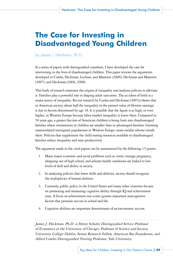# **The Case for Investing in Disadvantaged Young Children**

# by James J. Heckman, Ph.D.

In a series of papers with distinguished coauthors, I have developed the case for intervening in the lives of disadvantaged children. This paper reviews the arguments developed in Cunha, Heckman, Lochner, and Masterov (2006), Heckman and Masterov (2007), and Heckman (2000, 2008).

This body of research examines the origins of inequality and analyzes policies to alleviate it. Families play a powerful role in shaping adult outcomes. The accident of birth is a major source of inequality. Recent research by Cunha and Heckman (2007a) shows that in American society, about half the inequality in the present value of lifetime earnings is due to factors determined by age 18. It is possible that the figure is as high, or even higher, in Western Europe because labor market inequality is lower there. Compared to 50 years ago, a greater fraction of American children is being born into disadvantaged families where investments in children are smaller than in advantaged families. Growing unassimilated immigrant populations in Western Europe create similar adverse trends there. Policies that supplement the child rearing resources available to disadvantaged families reduce inequality and raise productivity.

The argument made in the cited papers can be summarized by the following 15 points:

- 1. Many major economic and social problems such as crime, teenage pregnancy, dropping out of high school, and adverse health conditions are linked to low levels of skill and ability in society.
- 2. In analyzing policies that foster skills and abilities, society should recognize the multiplicity of human abilities.
- 3. Currently, public policy in the United States and many other countries focuses on promoting and measuring cognitive ability through IQ and achievement tests. A focus on achievement test scores ignores important noncognitive factors that promote success in school and life.
- 4. Cognitive abilities are important determinants of socioeconomic success.

James J. Heckman, Ph.D. is Henry Schultz Distinguished Service Professor of Economics at the University of Chicago, Professor of Science and Society, University College Dublin, Senior Research Fellow, American Bar Foundation, and Alfred Cowles Distinguished Visiting Professor, Yale University.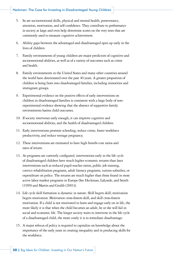#### Heckman: The Case for Investing in Disadvantaged Young Children

- 5. So are socioemotional skills, physical and mental health, perseverance, attention, motivation, and self-confidence. They contribute to performance in society at large and even help determine scores on the very tests that are commonly used to measure cognitive achievement.
- 6. Ability gaps between the advantaged and disadvantaged open up early in the lives of children.
- 7. Family environments of young children are major predictors of cognitive and socioemotional abilities, as well as of a variety of outcomes such as crime and health.
- 8. Family environments in the United States and many other countries around the world have deteriorated over the past 40 years. A greater proportion of children is being born into disadvantaged families, including minorities and immigrant groups.
- 9. Experimental evidence on the positive effects of early interventions on children in disadvantaged families is consistent with a large body of nonexperimental evidence showing that the absence of supportive family environments harms child outcomes.
- 10. If society intervenes early enough, it can improve cognitive and socioemotional abilities, and the health of disadvantaged children.
- 11. Early interventions promote schooling, reduce crime, foster workforce productivity, and reduce teenage pregnancy.
- 12. These interventions are estimated to have high benefit-cost ratios and rates of return.
- 13. As programs are currently configured, interventions early in the life cycle of disadvantaged children have much higher economic returns than later interventions such as reduced pupil-teacher ratios, public job training, convict rehabilitation programs, adult literacy programs, tuition subsidies, or expenditure on police. The returns are much higher than those found in most active labor market programs in Europe (See Heckman, LaLonde, and Smith (1999) and Martin and Grubb (2001)).
- 14. Life cycle skill formation is dynamic in nature. Skill begets skill; motivation begets motivation. Motivation cross-fosters skill, and skill cross-fosters motivation. If a child is not motivated to learn and engage early on in life, the more likely it is that when the child becomes an adult, he or she will fail in social and economic life. The longer society waits to intervene in the life cycle of a disadvantaged child, the more costly it is to remediate disadvantage.
- 15. A major refocus of policy is required to capitalize on knowledge about the importance of the early years in creating inequality and in producing skills for the workforce.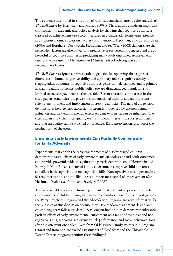The evidence assembled in this body of work substantially amends the analysis of The Bell Curve by Herrnstein and Murray (1994). Those authors made an important contribution to academic and policy analysis by showing that cognitive ability, as captured by achievement test scores measured in a child's adolescent years, predicts adult socioeconomic success on a variety of dimensions. Heckman, Stixrud, and Urzua (2006) and Borghans, Duckworth, Heckman, and ter Weel (2008) demonstrate that personality factors are also powerfully predictive of socioeconomic success and are as powerful as cognitive abilities in producing many adult outcomes. Achievement tests of the sort used by Herrnstein and Murray reflect both cognitive and noncognitive factors.

The Bell Curve assigned a primary role to genetics in explaining the origins of differences in human cognitive ability and a primary role to cognitive ability in shaping adult outcomes. If cognitive ability is genetically determined and is primary in shaping adult outcomes, public policy toward disadvantaged populations is limited to transfer payments to the less able. Recent research, summarized in the cited papers, establishes the power of socioemotional abilities and an important role for environment and intervention in creating abilities. The field of epigenetics demonstrates how genetic expression is strongly influenced by environmental influences and that environmental effects on gene expression can be inherited. The cited papers show that high quality early childhood interventions foster abilities, and that inequality can be attacked at its source. Early interventions also boost the productivity of the economy.

# **Enriching Early Environments Can Partially Compensate for Early Adversity**

Experiments that enrich the early environments of disadvantaged children demonstrate causal effects of early environments on adolescent and adult outcomes, and provide powerful evidence against the genetic determinism of Herrnstein and Murray (1994). Enhancements of family environments improve child outcomes and affect both cognitive and noncognitive skills. Noncognitive skills – personality factors, motivation, and the like – are an important channel of improvement (See Heckman, Malofeeva, Pinto, and Savelyev (2008)).

The most reliable data come from experiments that substantially enrich the early environments of children living in low-income families. Two of these investigations, the Perry Preschool Program and the Abecedarian Program, are very informative for the purposes of this discussion because they use a random assignment design and collect long-term follow-up data. These longitudinal studies demonstrate substantial positive effects of early environmental enrichment on a range of cognitive and noncognitive skills, schooling achievement, job performance, and social behaviors, long after the interventions ended. Data from Olds' Nurse Family Partnership Program (2002) and from non-controlled assessments of Head Start and the Chicago Child-Parent Centers programs confirm these findings.<sup>1</sup>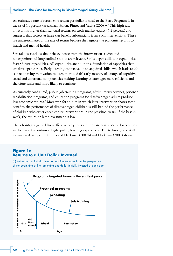An estimated rate of return (the return per dollar of cost) to the Perry Program is in excess of 14 percent (Heckman, Moon, Pinto, and Yavitz (2008)).<sup>2</sup> This high rate of return is higher than standard returns on stock market equity (7.2 percent) and suggests that society at large can benefit substantially from such interventions. These are underestimates of the rate of return because they ignore the economic returns to health and mental health.

Several observations about the evidence from the intervention studies and nonexperimental longitudinal studies are relevant. Skills beget skills and capabilities foster future capabilities. All capabilities are built on a foundation of capacities that are developed earlier. Early learning confers value on acquired skills, which leads to (a) self-reinforcing motivation to learn more and (b) early mastery of a range of cognitive, social and emotional competencies making learning at later ages more efficient, and therefore easier and more likely to continue.

As currently configured, public job training programs, adult literacy services, prisoner rehabilitation programs, and education programs for disadvantaged adults produce low economic returns.<sup>3</sup> Moreover, for studies in which later intervention shows some benefits, the performance of disadvantaged children is still behind the performance of children who experienced earlier interventions in the preschool years. If the base is weak, the return on later investment is low.

The advantages gained from effective early interventions are best sustained when they are followed by continued high quality learning experiences. The technology of skill formation developed in Cunha and Heckman (2007b) and Heckman (2007) shows

## **Figure 1a Returns to a Unit Dollar Invested**

(a) Return to a unit dollar invested at different ages from the perspective of the beginning of life, assuming one dollar initially invested at each age

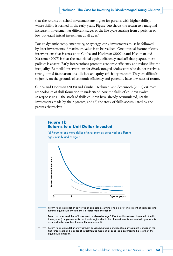#### Heckman: The Case for Investing in Disadvantaged Young Children

that the returns on school investment are higher for persons with higher ability, where ability is formed in the early years. Figure 1(a) shows the return to a marginal increase in investment at different stages of the life cycle starting from a position of low but equal initial investment at all ages.<sup>4</sup>

Due to dynamic complementarity, or synergy, early investments must be followed by later investments if maximum value is to be realized. One unusual feature of early interventions that is stressed in Cunha and Heckman (2007b) and Heckman and Masterov (2007) is that the traditional equity-efficiency tradeoff that plagues most policies is absent. Early interventions promote economic efficiency and reduce lifetime inequality. Remedial interventions for disadvantaged adolescents who do not receive a strong initial foundation of skills face an equity-efficiency tradeoff. They are difficult to justify on the grounds of economic efficiency and generally have low rates of return.

Cunha and Heckman (2008) and Cunha, Heckman, and Schennach (2007) estimate technologies of skill formation to understand how the skills of children evolve in response to (1) the stock of skills children have already accumulated, (2) the investments made by their parents, and (3) the stock of skills accumulated by the parents themselves.

#### **Figure 1b Returns to a Unit Dollar Invested**

(b) Return to one more dollar of investment as perceived at different ages initially and at age 3



Return to an extra dollar as viewed at age zero assuming one dollar of investment at each age and optimal equilibrium investment is greater than one dollar.

Return to an extra dollar of investment as viewed at age 3 if optimal investment is made in the first three years (complementarity not too strong) and a dollar of investment is made at all ages (and is assumed to be less than the equilibrium amount).

Return to an extra dollar of investment as viewed at age 3 if suboptimal investment is made in the first three years and a dollar of investment is made at all ages (as is assumed to be less than the<br>equilibrium amount).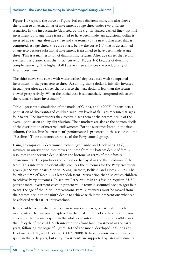#### Heckman: The Case for Investing in Disadvantaged Young Children

Figure 1(b) repeats the curve of Figure 1(a) on a different scale, and also shows the return to an extra dollar of investment at age three under two different scenarios. In the first scenario (depicted by the tightly-spaced dashed line), optimal investment up to age three is assumed to have been made. An additional dollar is invested at each age after age three and the return to the next dollar after that is computed. At age three, the curve starts below the curve 1(a) that is determined at age zero because substantial investment is assumed to have been made at age three. This is a manifestation of diminishing returns. After age three, the return eventually is greater than the initial curve for Figure 1(a) because of dynamic complementarity. The higher skill base at three enhances the productivity of later investment.<sup>5</sup>

The third curve (the curve with wider dashes) depicts a case with suboptimal investment in the years zero to three. Assuming that a dollar is initially invested in each year after age three, the return to the next dollar is less than the return viewed prospectively. When the initial base is substantially compromised, so are the returns to later investment.<sup>6</sup>

Table 1 presents a simulation of the model of Cunha, et al. (2007). It considers a population of disadvantaged children with low levels of skills as measured at ages four to six. The investments they receive place them at the bottom decile of the overall population ability distribution. Their mothers are also at the bottom decile of the distribution of maternal endowments. For the outcomes listed in the first column, the baseline (no treatment) performance is presented in the second column "Baseline." These outcomes are those of the Perry control group.

Using an empirically determined technology, Cunha and Heckman (2006) simulate an intervention that moves children from the bottom decile of family resources to the seventh decile (from the bottom) in terms of their family environments. This produces the outcomes displayed in the third column of the table. This intervention essentially produces the outcomes for the Perry treatment group (see Schweinhart, Montie, Xiang, Barnett, Belfield, and Nores, 2005). The fourth column of Table 1 is a later adolescent intervention that also causes children to achieve Perry outcomes. To achieve Perry results in this fashion requires 35-50 percent more investment costs in present value terms discounted back to ages four to six (the age of the initial intervention). Family resources must be moved from the bottom decile to the ninth decile to achieve with later interventions what can be achieved with earlier interventions.

It is possible to remediate rather than to intervene early, but it is also much more costly. The outcomes displayed in the final column of the table result from allocating the resources spent in the adolescent intervention more smoothly over the life cycle of the child. Such interventions front load investment in the early years, following the logic of Figure 1(a) and the model developed in Cunha and Heckman (2007b) and Heckman (2007, 2008). Relatively more investment is spent in the early years, but early investments are supported by later investments.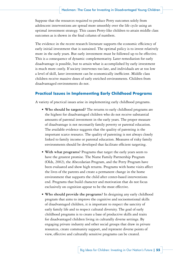Suppose that the resources required to produce Perry outcomes solely from adolescent interventions are spread more smoothly over the life cycle using an optimal investment strategy. This causes Perry-like children to attain middle class outcomes as is shown in the final column of numbers.

The evidence in the recent research literature supports the economic efficiency of early initial investment that is sustained. The optimal policy is to invest relatively more in the early years. But early investment must be followed up to be effective. This is a consequence of dynamic complementarity. Later remediation for early disadvantage is possible, but to attain what is accomplished by early investment is much more costly. If society intervenes too late, and individuals are at too low a level of skill, later investment can be economically inefficient. Middle class children receive massive doses of early enriched environments. Children from disadvantaged environments do not.

# **Practical Issues in Implementing Early Childhood Programs**

A variety of practical issues arise in implementing early childhood programs.

- • **Who should be targeted?** The returns to early childhood programs are the highest for disadvantaged children who do not receive substantial amounts of parental investment in the early years. The proper measure of disadvantage is not necessarily family poverty or parental education. The available evidence suggests that the quality of parenting is the important scarce resource. The quality of parenting is not always closely linked to family income or parental education. Measures of risky family environments should be developed that facilitate efficient targeting.
- • **With what programs?** Programs that target the early years seem to have the greatest promise. The Nurse Family Partnership Program (Olds, 2002), the Abecedarian Program, and the Perry Program have been evaluated and show high returns. Programs with home visits affect the lives of the parents and create a permanent change in the home environment that supports the child after center-based interventions end. Programs that build character and motivation that do not focus exclusively on cognition appear to be the most effective.
- Who should provide the programs? In designing any early childhood program that aims to improve the cognitive and socioemotional skills of disadvantaged children, it is important to respect the sanctity of early family life and to respect cultural diversity. The goal of early childhood programs is to create a base of productive skills and traits for disadvantaged children living in culturally diverse settings. By engaging private industry and other social groups that draw in private resources, create community support, and represent diverse points of view, effective and culturally sensitive programs can be created.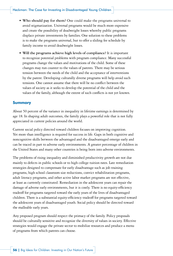- • **Who should pay for them?** One could make the programs universal to avoid stigmatization. Universal programs would be much more expensive and create the possibility of deadweight losses whereby public programs displace private investments by families. One solution to these problems is to make the programs universal, but to offer a sliding fee schedule by family income to avoid deadweight losses.
- • **Will the programs achieve high levels of compliance?** It is important to recognize potential problems with program compliance. Many successful programs change the values and motivations of the child. Some of these changes may run counter to the values of parents. There may be serious tension between the needs of the child and the acceptance of interventions by the parent. Developing culturally diverse programs will help avoid such tensions. One cannot assume that there will be no conflict between the values of society as it seeks to develop the potential of the child and the values of the family, although the extent of such conflicts is not yet known.

## **Summary**

About 50 percent of the variance in inequality in lifetime earnings is determined by age 18. In shaping adult outcomes, the family plays a powerful role that is not fully appreciated in current policies around the world.

Current social policy directed toward children focuses on improving cognition. Yet more than intelligence is required for success in life. Gaps in both cognitive and noncognitive skills between the advantaged and the disadvantaged emerge early and can be traced in part to adverse early environments. A greater percentage of children in the United States and many other countries is being born into adverse environments.

The problems of rising inequality and diminished productivity growth are not due mainly to defects in public schools or to high college tuition rates. Late remediation strategies designed to compensate for early disadvantage such as job training programs, high school classroom size reductions, convict rehabilitation programs, adult literacy programs, and other active labor market programs are not effective, at least as currently constituted. Remediation in the adolescent years can repair the damage of adverse early environments, but it is costly. There is no equity-efficiency tradeoff for programs targeted toward the early years of the lives of disadvantaged children. There is a substantial equity-efficiency tradeoff for programs targeted toward the adolescent years of disadvantaged youth. Social policy should be directed toward the malleable early years.

Any proposed program should respect the primacy of the family. Policy proposals should be culturally sensitive and recognize the diversity of values in society. Effective strategies would engage the private sector to mobilize resources and produce a menu of programs from which parents can choose.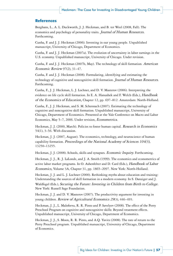# **References**

Borghans, L., A. L. Duckworth, J. J. Heckman, and B. ter Weel (2008, Fall). The economics and psychology of personality traits. Journal of Human Resources. Forthcoming.

Cunha, F. and J. J. Heckman (2006). Investing in our young people. Unpublished manuscript, University of Chicago, Department of Economics.

Cunha, F. and J. J. Heckman (2007a). The evolution of uncertainty in labor earnings in the U.S. economy. Unpublished manuscript, University of Chicago. Under revision.

Cunha, F. and J. J. Heckman (2007b, May). The technology of skill formation. American Economic Review 97(2), 31–47.

Cunha, F. and J. J. Heckman (2008). Formulating, identifying and estimating the technology of cognitive and noncognitive skill formation. Journal of Human Resources. Forthcoming.

Cunha, F., J. J. Heckman, L. J. Lochner, and D. V. Masterov (2006). Interpreting the evidence on life cycle skill formation. In E. A. Hanushek and F. Welch (Eds.), Handbook of the Economics of Education, Chapter 12, pp. 697–812. Amsterdam: North-Holland.

Cunha, F., J. J. Heckman, and S. M. Schennach (2007). Estimating the technology of cognitive and noncognitive skill formation. Unpublished manuscript, University of Chicago, Department of Economics. Presented at the Yale Conference on Macro and Labor Economics, May 5–7, 2006. Under revision, Econometrica.

Heckman, J. J. (2000, March). Policies to foster human capital. Research in Economics 54(1), 3–56. With discussion.

Heckman, J. J. (2007, August). The economics, technology, and neuroscience of human capability formation. Proceedings of the National Academy of Sciences 104(3), 13250–13255.

Heckman, J. J. (2008). Schools, skills and synapses. Economic Inquiry. Forthcoming.

Heckman, J. J., R. J. LaLonde, and J. A. Smith (1999). The economics and econometrics of active labor market programs. In O. Ashenfelter and D. Card (Eds.), Handbook of Labor Economics, Volume 3A, Chapter 31, pp. 1865–2097. New York: North-Holland.

Heckman, J. J. and L. J. Lochner (2000). Rethinking myths about education and training: Understanding the sources of skill formation in a modern economy. In S. Danziger and J. Waldfogel (Eds.), Securing the Future: Investing in Children from Birth to College. New York: Russell Sage Foundation.

Heckman, J. J. and D. V. Masterov (2007). The productivity argument for investing in young children. Review of Agricultural Economics 29(3), 446–493.

Heckman, J. J., L. Malofeeva, R. R. Pinto and P. Savelyev (2008). The effect of the Perry Preschool Program on cognitive and noncognitive skills: Beyond treatment effects. Unpublished manuscript, University of Chicago, Department of Economics.

Heckman, J. J., S. Moon, R. R. Pinto, and A.Q. Yavitz (2008). The rate of return to the Perry Preschool program. Unpublished manuscript, University of Chicago, Department of Economics.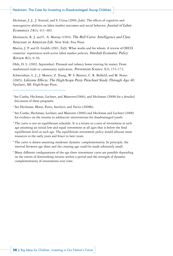#### Heckman: The Case for Investing in Disadvantaged Young Children

Heckman, J. J., J. Stixrud, and S. Urzua (2006, July). The effects of cognitive and noncognitive abilities on labor market outcomes and social behavior. Journal of Labor Economics 24(3), 411–482.

Herrnstein, R. J. and C. A. Murray (1994). The Bell Curve: Intelligence and Class Structure in American Life. New York: Free Press.

Martin, J. P. and D. Grubb (2001, Fall). What works and for whom: A review of OECD countries' experiences with active labor market policies. Swedish Economic Policy Review 8(2), 9–56.

Olds, D. L. (2002, September). Prenatal and infancy home visiting by nurses: From randomized trials to community replication. Prevention Science 3(2), 153–172.

Schweinhart, L. J., J. Montie, Z. Xiang, W. S. Barnett, C. R. Belfield, and M. Nores (2005). Lifetime Effects: The High/Scope Perry Preschool Study Through Age 40. Ypsilanti, MI: High/Scope Press.

2 See Heckman, Moon, Pinto, Savelyev, and Yavitz (2008b).

- <sup>3</sup> See Cunha, Heckman, Lochner, and Masterov (2006) and Heckman and Lochner (2000) for evidence on the returns to adolescent interventions for disadvantaged youth.
- $4$  The curve is not an equilibrium schedule. It is a return to a unit of investment at each age assuming an initial low and equal investment at all ages that is below the final equilibrium level at each age. The equilibrium investment policy would allocate more resources to the early years and fewer to later years.
- <sup>5</sup> The curve is drawn assuming moderate dynamic complementarity. In principle, the interval between age three and the crossing age could be made arbitrarily small.
- <sup>6</sup> Many different configurations of the age three investment curve are possible depending on the extent of diminishing returns within a period and the strength of dynamic complementarity of investments over time.

<sup>&</sup>lt;sup>1</sup> See Cunha, Heckman, Lochner, and Masterov(2006), and Heckman (2008) for a detailed discussion of these programs.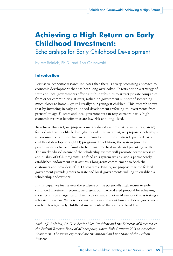# **Achieving a High Return on Early Childhood Investment:**

Scholarships for Early Childhood Development

by Art Rolnick, Ph.D. and Rob Grunewald

## **Introduction**

Persuasive economic research indicates that there is a very promising approach to economic development that has been long overlooked. It rests not on a strategy of state and local governments offering public subsidies to attract private companies from other communities. It rests, rather, on government support of something much closer to home – quite literally: our youngest children. This research shows that by investing in early childhood development (referring to investments from prenatal to age 5), state and local governments can reap extraordinarily high economic returns: benefits that are low-risk and long-lived.

To achieve this end, we propose a market-based system that is customer (parent) focused and can readily be brought to scale. In particular, we propose scholarships to low-income families that cover tuition for children to attend qualified early childhood development (ECD) programs. In addition, the system provides parent mentors to each family to help with medical needs and parenting skills. The market-based nature of the scholarship system will promote better access to and quality of ECD programs. To fund this system we envision a permanently established endowment that assures a long-term commitment to both the customers and providers of ECD programs. Finally, we propose that the federal government provide grants to state and local governments willing to establish a scholarship endowment.

In this paper, we first review the evidence on the potentially high return to early childhood investment. Second, we present our market-based proposal for achieving these returns on a large scale. Third, we examine a pilot in Minnesota that is testing a scholarship system. We conclude with a discussion about how the federal government can help leverage early childhood investments at the state and local level.

Arthur J. Rolnick, Ph.D. is Senior Vice President and the Director of Research at the Federal Reserve Bank of Minneapolis, where Rob Grunewald is an Associate Economist. The views expressed are the authors' and not those of the Federal Reserve.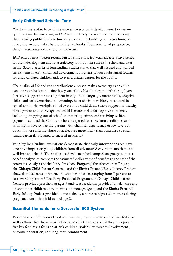# **Early Childhood Sets the Tone**

We don't pretend to have all the answers to economic development, but we are quite certain that investing in ECD is more likely to create a vibrant economy than is using public funds to lure a sports team by building a new stadium, or attracting an automaker by providing tax breaks. From a national perspective, these investments yield a zero public return.

ECD offers a much better return. First, a child's first few years are a sensitive period for brain development and set a trajectory for his or her success in school and later in life. Second, a series of longitudinal studies shows that well-focused and -funded investments in early childhood development programs produce substantial returns for disadvantaged children and, to even a greater degree, for the public.

The quality of life and the contributions a person makes to society as an adult can be traced back to the first few years of life. If a child from birth through age 5 receives support for development in cognition, language, motor skills, adaptive skills, and social/emotional functioning, he or she is more likely to succeed in school and in the workplace.<sup>1,2</sup> However, if a child doesn't have support for healthy development at an early age, the child is more at risk for negative outcomes, including dropping out of school, committing crime, and receiving welfare payments as an adult. Children who are exposed to stress from conditions such as living in poverty, having parents with chemical dependency or low levels of education, or suffering abuse or neglect are more likely than otherwise to enter kindergarten ill-prepared to succeed in school.<sup>3</sup>

Four key longitudinal evaluations demonstrate that early interventions can have a positive impact on young children from disadvantaged environments that lasts well into adulthood. The studies used well-matched comparison groups and costbenefit analysis to compare the estimated dollar value of benefits to the cost of the programs. Analyses of the Perry Preschool Program,<sup>4</sup> the Abecedarian Project,<sup>5</sup> the Chicago Child-Parent Centers,<sup>6</sup> and the Elmira Prenatal/Early Infancy Project<sup>7</sup> showed annual rates of return, adjusted for inflation, ranging from 7 percent to just over 20 percent.<sup>8</sup> The Perry Preschool Program and Chicago Child-Parent Centers provided preschool at ages 3 and 4, Abecedarian provided full-day care and education for children a few months old through age 4, and the Elmira Prenatal/ Early Infancy Project provided home visits by a nurse to high-risk mothers during pregnancy until the child turned age 2.

#### **Essential Elements for a Successful ECD System**

Based on a careful review of past and current programs – those that have failed as well as those that thrive – we believe that efforts can succeed if they incorporate five key features: a focus on at-risk children, scalability, parental involvement, outcome orientation, and long-term commitment.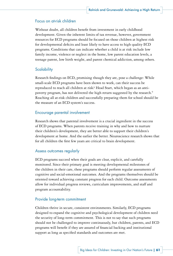# Focus on at-risk children

Without doubt, all children benefit from investment in early childhood development. Given the inherent limits of tax revenue, however, government resources for ECD programs should be focused on those children at highest risk for developmental deficits and least likely to have access to high quality ECD programs. Conditions that can indicate whether a child is at risk include low family income, violence or neglect in the home, low parent education levels, a teenage parent, low birth weight, and parent chemical addiction, among others.

## **Scalability**

Research findings on ECD, promising though they are, pose a challenge: While small-scale ECD programs have been shown to work, can their success be reproduced to reach all children at risk? Head Start, which began as an antipoverty program, has not delivered the high return suggested by the research.<sup>9</sup> Reaching all at-risk children and successfully preparing them for school should be the measure of an ECD system's success.

#### Encourage parental involvement

Research shows that parental involvement is a crucial ingredient in the success of ECD programs. When parents receive training in why and how to nurture their children's development, they are better able to support their children's development at home. And the earlier the better. Neuroscience research shows that for all children the first few years are critical to brain development.

#### Assess outcomes regularly

ECD programs succeed when their goals are clear, explicit, and carefully monitored. Since their primary goal is meeting developmental milestones of the children in their care, these programs should perform regular assessments of cognitive and social-emotional outcomes. And the programs themselves should be oriented toward achieving constant progress for each child. Outcome assessments allow for individual progress reviews, curriculum improvements, and staff and program accountability.

#### Provide long-term commitment

Children thrive in secure, consistent environments. Similarly, ECD programs designed to expand the cognitive and psychological development of children need the security of long-term commitment. This is not to say that such programs should not be challenged to improve continuously, but children, parents, and ECD programs will benefit if they are assured of financial backing and institutional support as long as specified standards and outcomes are met.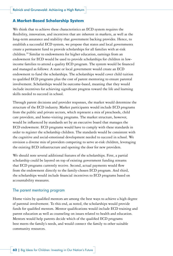#### **A Market-Based Scholarship System**

We think that to achieve these characteristics an ECD system requires the flexibility, innovation, and incentives that are inherent in markets, as well as the long-term assurance and stability that government backing provides. Hence, to establish a successful ECD system, we propose that states and local governments create a permanent fund to provide scholarships for all families with at-risk children.10 Similar to endowments for higher education, earnings from an endowment for ECD would be used to provide scholarships for children in lowincome families to attend a quality ECD program. The system would be financed and managed as follows: A state or local government would create an ECD endowment to fund the scholarships. The scholarships would cover child tuition to qualified ECD programs plus the cost of parent mentoring to ensure parental involvement. Scholarships would be outcome-based, meaning that they would include incentives for achieving significant progress toward the life and learning skills needed to succeed in school.

Through parent decisions and provider responses, the market would determine the structure of the ECD industry. Market participants would include ECD programs from the public and private sectors, which represent a mix of preschools, child care providers, and home-visiting programs. The market structure, however, would be influenced by standards set by an executive board that manages the ECD endowment. ECD programs would have to comply with these standards in order to register the scholarship children. The standards would be consistent with the cognitive and social-emotional development needed to succeed in school. We envision a diverse mix of providers competing to serve at-risk children, leveraging the existing ECD infrastructure and opening the door for new providers.

We should note several additional features of the scholarships. First, a partial scholarship could be layered on top of existing government funding streams that ECD programs currently receive. Second, actual payments would flow from the endowment directly to the family-chosen ECD program. And third, the scholarships would include financial incentives to ECD programs based on accountability measures.

#### The parent mentoring program

Home visits by qualified mentors are among the best ways to achieve a high degree of parental involvement. To this end, as noted, the scholarships would provide funds for qualified mentors. Mentor qualifications would include ECD training and parent education as well as counseling on issues related to health and education. Mentors would help parents decide which of the qualified ECD programs best meets the family's needs, and would connect the family to other suitable community resources.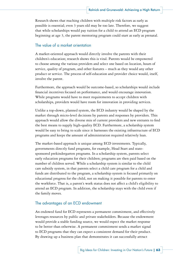Research shows that reaching children with multiple risk factors as early as possible is essential; even 3 years old may be too late. Therefore, we suggest that while scholarships would pay tuition for a child to attend an ECD program beginning at age 3, the parent mentoring program could start as early as prenatal.

## The value of a market orientation

A market-oriented approach would directly involve the parents with their children's education; research shows this is vital. Parents would be empowered to choose among the various providers and select one based on location, hours of service, quality of program, and other features – much as they would any other product or service. The process of self-education and provider choice would, itself, involve the parent.

Furthermore, the approach would be outcome-based, so scholarships would include financial incentives focused on performance, and would encourage innovation. While programs would have to meet requirements to accept children with scholarships, providers would have room for innovation in providing services.

Unlike a top-down, planned system, the ECD industry would be shaped by the market through micro-level decisions by parents and responses by providers. This approach would allow the diverse mix of current providers and new entrants to find the best means to supply high-quality ECD. Furthermore, a scholarship system would be easy to bring to scale since it harnesses the existing infrastructure of ECD programs and keeps the amount of administration required relatively lean.

The market-based approach is unique among ECD investments. Typically, governments directly fund programs, for example, Head Start and statesponsored prekindergarten programs. In a scholarship system, parents select early education programs for their children; programs are then paid based on the number of children served. While a scholarship system is similar to the child care subsidy system, in that parents select a child care program for a child and funds are distributed to the program, a scholarship system is focused primarily on educational progress for the child, not on making it possible for parents to enter the workforce. That is, a parent's work status does not affect a child's eligibility to attend an ECD program. In addition, the scholarship stays with the child even if the family moves.

# The advantages of an ECD endowment

An endowed fund for ECD represents a permanent commitment, and effectively leverages resources by public and private stakeholders. Because the endowment would provide a stable funding source, we would expect the market response to be better than otherwise. A permanent commitment sends a market signal to ECD programs that they can expect a consistent demand for their product. By drawing up a business plan that demonstrates it can successfully attract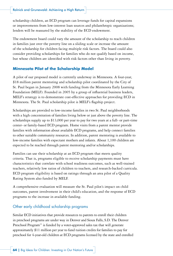scholarship children, an ECD program can leverage funds for capital expansions or improvements from low-interest loan sources and philanthropic organizations; lenders will be reassured by the stability of the ECD endowment.

The endowment board could vary the amount of the scholarship to reach children in families just over the poverty line on a sliding scale or increase the amount of the scholarship for children facing multiple risk factors. The board could also consider providing scholarships for families who do not qualify based on income, but whose children are identified with risk factors other than living in poverty.

## **Minnesota Pilot of the Scholarship Model**

A pilot of our proposed model is currently underway in Minnesota. A four-year, \$18 million parent mentoring and scholarship pilot coordinated by the City of St. Paul began in January 2008 with funding from the Minnesota Early Learning Foundation (MELF). Founded in 2005 by a group of influential business leaders, MELF's strategy is to demonstrate cost-effective approaches for providing ECD in Minnesota. The St. Paul scholarship pilot is MELF's flagship project.

Scholarships are provided to low-income families in two St. Paul neighborhoods with a high concentration of families living below or just above the poverty line. The scholarships supply up to \$13,000 per year to pay for two years at a full- or part-time center- or family-based ECD program. Home visits from a parent mentor provide families with information about available ECD programs, and help connect families to other suitable community resources. In addition, parent mentoring is available to low-income families with expectant mothers and infants. About 1,100 children are expected to be reached through parent mentoring and/or scholarships.

Families can use their scholarship at an ECD program that meets quality criteria. That is, programs eligible to receive scholarship payments must have characteristics that correlate with school readiness outcomes, such as well-trained teachers, relatively low ratios of children to teachers, and research-backed curricula. ECD program eligibility is based on ratings through an area pilot of a Quality Rating System also funded by MELF.

A comprehensive evaluation will measure the St. Paul pilot's impact on child outcomes, parent involvement in their child's education, and the response of ECD programs to the increase in available funding.

# Other early childhood scholarship programs

Similar ECD initiatives that provide resources to parents to enroll their children in preschool programs are under way in Denver and Sioux Falls, S.D. The Denver Preschool Program<sup>11</sup> is funded by a voter-approved sales tax that will generate approximately \$11 million per year to fund tuition credits for families to pay for preschool for 4-year-old children at ECD programs licensed by the state and enrolled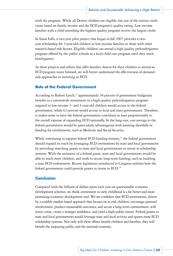with the program. While all Denver children are eligible, the size of the tuition credit varies based on family income and the ECD program's quality rating. Low-income families with a child attending the highest quality program receive the largest credit.

In Sioux Falls, a two-year pilot project that began in fall 2007 provides a twoyear scholarship for 3-year-old children in low-income families or those with other research-based risk factors. Eligible children can attend a high quality prekindergarten program offered by the public schools or a local child care program until they reach kindergarten.

As these projects and others that offer families choices for their children to attend an ECD program move forward, we will better understand the effectiveness of demandside approaches to investing in ECD.

#### **Role of the Federal Government**

According to Robert Lynch,<sup>12</sup> approximately 38 percent of government budgetary benefits to a nationwide investment in a high-quality prekindergarten program targeted to low-income 3- and 4-year-old children would accrue to the federal government, while 62 percent would accrue to local and state governments. Therefore, it makes sense to have the federal government contribute at least proportionally to the overall expense of expanding ECD nationally. In the long-run, cost savings to the federal government would be particularly advantageous with looming shortfalls in funding for entitlements, such as Medicare and Social Security.

While continuing to support federal ECD funding streams,<sup>13</sup> the federal government should expand its reach by leveraging ECD investments by state and local government by providing matching grants to state and local governments to invest in scholarship systems. With the assistance of a federal grant, state and local governments would be able to reach more children, and work to secure long-term funding, such as building a state ECD endowment. Recent legislation introduced in Congress outlines how the federal government could provide grants to invest in ECD.<sup>14</sup>

#### **Conclusion**

Compared with the billions of dollars spent each year on questionable economic development schemes, we think investment in early childhood is a far better and more promising economic development tool. We are confident that ECD investments, driven by a scalable market-based approach that focuses on at-risk children, encourage parental involvement, produce measurable outcomes, and secure a long-term commitment, will lower crime, create a stronger workforce, and yield a high public return. Federal grants to state and local governments would leverage state and local activity and spawn more ECD scholarship systems. Not only will these efforts benefit children and families, they will benefit the taxpaying public and the national economy.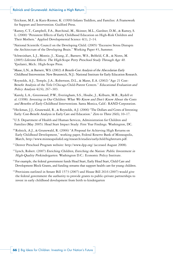- 1 Erickson, M.F., & Kurz-Riemer, K. (1999) Infants Toddlers, and Families: A Framework for Support and Intervention. Guilford Press.
- 2 Ramey, C.T., Campbell, F.A., Burchinal, M., Skinner, M.L., Gardner, D.M., & Ramey, S. L. (2000) "Persistent Effects of Early Childhood Education on High-Risk Children and Their Mothers." Applied Developmental Science 4(1), 2–14.
- <sup>3</sup> National Scientific Council on the Developing Child. (2005) "Excessive Stress Disrupts the Architecture of the Developing Brain." Working Paper #3, Summer.
- 4 Schweinhart, L.J., Montie, J., Xiang, Z., Barnett, W.S., Belfield, C.R., & Nores, M. (2005) Lifetime Effects: The High/Scope Perry Preschool Study Through Age 40. Ypsilanti, Mich.: High-Scope Press.
- <sup>5</sup> Masse, L.N., & Barnett, W.S. (2002) A Benefit-Cost Analysis of the Abecedarian Early Childhood Intervention. New Brunswick, N.J.: National Institute for Early Education Research.
- 6 Reynolds, A.J., Temple, J.A., Robertson, D.L., & Mann, E.A. (2002) "Age 21 Cost-Benefit Analysis of the Title I Chicago Child-Parent Centers." Educational Evaluation and Policy Analysis 4(24), 267-303.
- 7 Karoly, L.A., Greenwood, P.W., Everingham, S.S., Hoube, J., Kilburn, M.R., Rydell et al. (1998). Investing in Our Children: What We Know and Don't Know About the Costs and Benefits of Early Childhood Interventions. Santa Monica, Calif.: RAND Corporation.
- 8 Heckman, J.J., Grunewald, R., & Reynolds, A.J. (2006) "The Dollars and Cents of Investing Early: Cost-Benefit Analysis in Early Care and Education." Zero to Three 26(6), 10–17.
- <sup>9</sup> U.S. Department of Health and Human Services, Administration for Children and Families (May 2005). Head Start Impact Study: First Year Findings. Washington, DC.
- 10 Rolnick, A.J., & Grunewald, R. (2006) "A Proposal for Achieving High Returns on Early Childhood Development," working paper, Federal Reserve Bank of Minneapolis, March, http://www.minneapolisfed.org/research/studies/earlychild/highreturn.pdf.
- <sup>11</sup> Denver Preschool Program website: http://www.dpp.org/ (accessed August 2008).
- $12$  Lynch, Robert. (2007) Enriching Children, Enriching the Nation: Public Investment in High-Quality Prekindergarten. Washington D.C.: Economic Policy Institute.
- <sup>13</sup> For example, the federal government funds Head Start, Early Head Start, Child Care and Development Block Grants, and funding streams that support health care for young children.
- $14$  Provisions outlined in Senate Bill 1573 (2007) and House Bill 2616 (2007) would give the federal government the authority to provide grants to public-private partnerships to invest in early childhood development from birth to kindergarten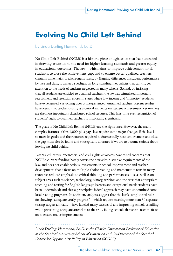# **Evolving No Child Left Behind**

by Linda Darling-Hammond, Ed.D.

No Child Left Behind (NCLB) is a historic piece of legislation that has succeeded in drawing attention to the need for higher learning standards and greater equity in educational outcomes. The law – which aims to improve achievement for all students, to close the achievement gap, and to ensure better qualified teachers – contains some major breakthroughs. First, by flagging differences in student performance by race and class, it shines a spotlight on long-standing inequalities that can trigger attention to the needs of students neglected in many schools. Second, by insisting that all students are entitled to qualified teachers, the law has stimulated important recruitment and retention efforts in states where low-income and "minority" students have experienced a revolving door of inexperienced, untrained teachers. Recent studies have found that teacher quality is a critical influence on student achievement, yet teachers are the most inequitably distributed school resource. This first-time-ever recognition of students' right to qualified teachers is historically significant.

The goals of No Child Left Behind (NCLB) are the right ones. However, the many complex features of this 1,000-plus page law require some major changes if the law is to meet its goals; and the resources required to dramatically raise achievement and close the gap must also be found and strategically allocated if we are to become serious about leaving no child behind.

Parents, educators, researchers, and civil rights advocates have raised concerns that NCLB's current funding barely covers the new administrative requirements of the law, and does not enable serious investments in school improvement and teacher development; that a focus on multiple-choice reading and mathematics tests in many states has reduced emphasis on critical thinking and performance skills, as well as on subject areas such as science, technology, history, writing, and the arts; that appropriate teaching and testing for English language learners and exceptional needs students have been undermined; and that a prescriptive federal approach may have undermined some local reading programs. In addition, analysts suggest that the law's complicated rules for showing "adequate yearly progress" – which require meeting more than 30 separate testing targets annually – have labeled many successful and improving schools as failing, while preventing adequate attention to the truly failing schools that states need to focus on to ensure major improvements.

Linda Darling-Hammond, Ed.D. is the Charles Ducommon Professor of Education at the Stanford University School of Education and Co-Director of the Stanford Center for Opportunity Policy in Education (SCOPE).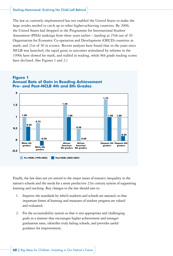#### Darling-Hammond: Evolving No Child Left Behind

The law as currently implemented has not enabled the United States to make the large strides needed to catch up to other higher-achieving countries. By 2006, the United States had dropped in the Programme for International Student Assessment (PISA) rankings from three years earlier – landing at 25th out of 30 Organisation for Economic Co-operation and Development (OECD) countries in math, and 21st of 30 in science. Recent analyses have found that in the years since NCLB was launched, the rapid gains in outcomes stimulated by reforms in the 1990s have slowed for math, and stalled in reading, while 8th grade reading scores have declined. (See Figures 1 and 2.)



Finally, the law does not yet attend to the major issues of resource inequality in the nation's schools and the needs for a more productive 21st century system of supporting learning and teaching. Key changes to the law should aim to:

- 1. Improve the standards by which students and schools are assessed, so that important forms of learning and measures of student progress are valued and evaluated;
- 2. Fix the accountability system so that it sets appropriate and challenging goals in a manner that encourages higher achievement and stronger graduation rates, identifies truly failing schools, and provides useful guidance for improvement;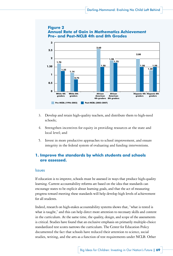

# **Figure 2**

3. Develop and retain high-quality teachers, and distribute them to high-need schools;

**African American** 

**4th graders 8th graders**

**African American** 

**Hispanic 4th Hispanic 8th** 

**graders**

**graders**

**Pre-NCBL (1996-2003) Post-NCBL (2003-2007)**

**White 8th graders**

- 4. Strengthen incentives for equity in providing resources at the state and local level; and
- 5. Invest in more productive approaches to school improvement, and ensure integrity in the federal system of evaluating and funding interventions.

#### **1. Improve the standards by which students and schools are assessed.**

#### Issues

**0.5**

**0**

**White 4th graders**

If education is to improve, schools must be assessed in ways that produce high-quality learning. Current accountability reforms are based on the idea that standards can encourage states to be explicit about learning goals, and that the act of measuring progress toward meeting these standards will help develop high levels of achievement for all students.

Indeed, research on high-stakes accountability systems shows that, "what is tested is what is taught," and this can help direct more attention to necessary skills and content in the curriculum. At the same time, the quality, design, and scope of the assessments is critical. Studies have found that an exclusive emphasis on primarily multiple-choice standardized test scores narrows the curriculum. The Center for Education Policy documented the fact that schools have reduced their attention to science, social studies, writing, and the arts as a function of test requirements under NCLB. Other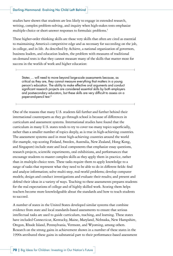studies have shown that students are less likely to engage in extended research, writing, complex problem-solving, and inquiry when high-stakes tests emphasize multiple-choice or short-answer responses to formulaic problems.<sup>1</sup>

These higher-order thinking skills are those very skills that often are cited as essential to maintaining America's competitive edge and as necessary for succeeding on the job, in college, and in life. As described by Achieve, a national organization of governors, business leaders, and education leaders, the problem with measures of traditional on-demand tests is that they cannot measure many of the skills that matter most for success in the worlds of work and higher education:

States … will need to move beyond large-scale assessments because, as critical as they are, they cannot measure everything that matters in a young person's education. The ability to make effective oral arguments and conduct significant research projects are considered essential skills by both employers and postsecondary educators, but these skills are very difficult to assess on a paper-and-pencil test.2

One of the reasons that many U.S. students fall further and further behind their international counterparts as they go through school is because of differences in curriculum and assessment systems. International studies have found that the curriculum in many U.S. states tends to try to cover too many topics superficially, rather than a smaller number of topics deeply, as is true in high-achieving countries. The assessment systems used in most high-achieving countries around the world (for example, top-scoring Finland, Sweden, Australia, New Zealand, Hong Kong, and Singapore) include state and local components that emphasize essay questions, research projects, scientific experiments, oral exhibitions, and performances that encourage students to master complex skills as they apply them in practice, rather than in multiple-choice tests. These tasks require them to apply knowledge to a range of tasks that represent what they need to be able to do in different fields: find and analyze information; solve multi-step, real-world problems; develop computer models; design and conduct investigations and evaluate their results; and present and defend their ideas in a variety of ways. Teaching to these assessments prepares students for the real expectations of college and of highly skilled work. Scoring them helps teachers become more knowledgeable about the standards and how to teach students to succeed.

A number of states in the United States developed similar systems that combine evidence from state and local standards-based assessments to ensure that serious intellectual tasks are used to guide curriculum, teaching, and learning. These states have included Connecticut, Kentucky, Maine, Maryland, Nebraska, New Hampshire, Oregon, Rhode Island, Pennsylvania, Vermont, and Wyoming, among others. Research on the strong gains in achievement shown in a number of these states in the 1990s attributed these gains in substantial part to their performance-based assessment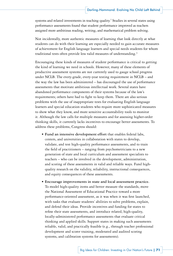systems and related investments in teaching quality.<sup>3</sup> Studies in several states using performance assessments found that student performance improved as teachers assigned more ambitious reading, writing, and mathematical problem solving.

Not incidentally, more authentic measures of learning that look directly at what students can do with their learning are especially needed to gain accurate measures of achievement for English language learners and special needs students for whom traditional tests often provide less valid measures of understanding.<sup>4</sup>

Encouraging these kinds of measures of student performance is critical to getting the kind of learning we need in schools. However, many of these elements of productive assessment systems are not currently used to gauge school progress under NCLB. The every-grade, every-year testing requirement in NCLB – and the way the law has been administered – has discouraged the use of performance assessments that motivate ambitious intellectual work. Several states have abandoned performance components of their systems because of the law's requirements; others have had to fight to keep them. There are also serious problems with the use of inappropriate tests for evaluating English language learners and special education students who require more sophisticated measures to show what they know, and more sensitive accountability tools to monitor it. Although the law calls for multiple measures and for assessing higher-order thinking skills, it currently lacks incentives to encourage better assessments. To address these problems, Congress should:

- Fund an intensive development effort that enables federal labs, centers, and universities in collaboration with states to develop, validate, and test high-quality performance assessments, and to train the field of practitioners – ranging from psychometricians to a new generation of state and local curriculum and assessment specialists to teachers – who can be involved in the development, administration, and scoring of these assessments in valid and reliable ways. Fund highquality research on the validity, reliability, instructional consequences, and equity consequences of these assessments.
- • **Encourage improvements in state and local assessment practice.** To model high-quality items and better measure the standards, move the National Assessment of Educational Practice toward a more performance-oriented assessment, as it was when it was first launched, with tasks that evaluate students' abilities to solve problems, explain, and defend their ideas. Provide incentives and funding for states to refine their state assessments, and introduce related, high-quality, locally-administered performance assessments that evaluate critical thinking and applied skills. Support states in making such assessments reliable, valid, and practically feasible (e.g., through teacher professional development and scorer training, moderated and audited scoring systems, and calibration systems for assessments).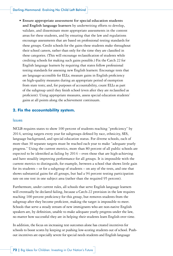• **Ensure appropriate assessment for special education students and English language learners** by underwriting efforts to develop, validate, and disseminate more appropriate assessments in the content areas for these students, and by ensuring that the law and regulations encourage assessments that are based on professional testing standards for these groups. Credit schools for the gains these students make throughout their school careers, rather than only for the time they are classified in these categories. (This will encourage reclassification of students while crediting schools for making such gains possible.) Fix the Catch 22 for English language learners by requiring that states follow professional testing standards for assessing new English learners: Encourage tests that are language-accessible for ELLs; measure gains in English proficiency on high-quality measures during an appropriate period of exemption from state tests; and, for purposes of accountability, count ELLs as part of the subgroup until they finish school (even after they are reclassified as proficient). Using appropriate measures, assess special education students' gains at all points along the achievement continuum.

#### **2. Fix the accountability system.**

#### **Issues**

NCLB requires states to show 100 percent of students reaching "proficiency" by 2014, setting targets every year for subgroups defined by race, ethnicity, SES, language background, and special education status. For diverse schools, each of more than 30 separate targets must be reached each year to make "adequate yearly progress." Using the current metrics, more than 80 percent of all public schools are expected to be identified as failing by 2014 – even those that are high-achieving and have steadily improving performance for all groups. It is impossible with the current metrics to distinguish, for example, between a school that shows little gain for its students – or for a subgroup of students – on any of the tests, and one that shows substantial gains for all groups, but had a 94 percent testing participation rate on one test in one subject area (rather than the required 95 percent).

Furthermore, under current rules, all schools that serve English language learners will eventually be declared failing, because a Catch-22 provision in the law requires reaching 100 percent proficiency for this group, but removes students from the subgroup after they become proficient, making the target is impossible to meet. Schools that serve a steady stream of new immigrants who are non-native English speakers are, by definition, unable to make adequate yearly progress under the law, no matter how successful they are in helping their students learn English over time.

In addition, the focus on increasing test outcomes alone has created incentives for schools to boost scores by keeping or pushing low-scoring students out of school. Pushout incentives are especially severe for special needs students and English language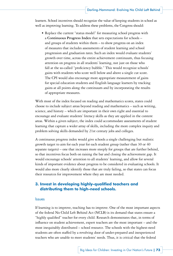learners. School incentives should recognize the value of keeping students in school as well as improving learning. To address these problems, the Congress should:

• Replace the current "status model" for measuring school progress with a **Continuous Progress Index** that sets expectations for schools – and groups of students within them – to show progress on an index of measures that includes assessments of student learning and school progression and graduation rates. Such an index would evaluate students' growth over time, across the entire achievement continuum, thus focusing attention on progress in all students' learning, not just on those who fall at the so-called "proficiency bubble." This would recognize schools' gains with students who score well below and above a single cut score. The CPI would also encourage more appropriate measurement of gains for special education students and English language learners by tracking gains at all points along the continuum and by incorporating the results of appropriate measures.

With most of the index focused on reading and mathematics scores, states could choose to include subject areas beyond reading and mathematics – such as writing, science, and history – which are important in their own right and essential to encourage and evaluate students' literacy skills as they are applied in the content areas. Within a given subject, the index could accommodate assessments of student learning that capture a wider array of skills, including the more complex inquiry and problem solving skills demanded by 21st century jobs and colleges.

A continuous progress index would give schools a single challenging but realistic growth target to aim for each year for each student group (rather than 30 or 40 separate targets) – one that increases more steeply for groups that are further behind, so that incentives focus both on raising the bar and closing the achievement gap. It would encourage schools' attention to all students' learning, and allow for several kinds of important evidence about progress to be considered in evaluating schools. It would also more clearly identify those that are truly failing, so that states can focus their resources for improvement where they are most needed.

#### **3. Invest in developing highly-qualified teachers and distributing them to high-need schools.**

#### Issues

If learning is to improve, teaching has to improve. One of the most important aspects of the federal No Child Left Behind Act (NCLB) is its demand that states ensure a "highly qualified" teacher for every child. Research demonstrates that, in terms of influence on student achievement, expert teachers are the most important – and the most inequitably distributed – school resource. The schools with the highest-need students are often staffed by a revolving door of under-prepared and inexperienced teachers who are unable to meet students' needs. Thus, it is critical that the federal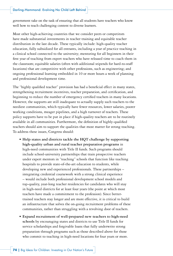government take on the task of ensuring that all students have teachers who know well how to teach challenging content to diverse learners.

Most other high-achieving countries that we consider peers or competitors have made substantial investments in teacher training and equitable teacher distribution in the last decade. These typically include: high-quality teacher education, fully subsidized for all entrants, including a year of practice teaching in a clinical school connected to the university; mentoring for all beginners in their first year of teaching from expert teachers who have released time to coach them in the classroom; equitable salaries (often with additional stipends for hard-to-staff locations) that are competitive with other professions, such as engineering; and ongoing professional learning embedded in 10 or more hours a week of planning and professional development time.

The "highly qualified teacher" provision has had a beneficial effect in many states, strengthening recruitment incentives, teacher preparation, and certification, and beginning to reduce the number of emergency certified teachers in many locations. However, the supports are still inadequate to actually supply such teachers to the neediest communities, which typically have fewer resources, lower salaries, poorer working conditions, meager pipelines, and a high turnover of teachers. These policy supports have to be put in place if high-quality teachers are to be routinely available in all communities. Furthermore, the definition of highly-qualified teachers should aim to support the qualities that most matter for strong teaching. To address these issues, Congress should:

- •  **Help states and districts tackle the HQT challenge by supporting high-quality urban and rural teacher preparation programs** in high-need communities with Title II funds. Such programs should include school-university partnerships that train prospective teachers under expert mentors in "teaching" schools that function like teaching hospitals to provide state-of-the-art education to students, while developing new and experienced professionals. These partnerships – integrating credential coursework with a strong clinical experience – would include both professional development school models and top-quality, year-long teacher residencies for candidates who will stay in high-need districts for at least four years (the point at which most teachers have made a commitment to the profession). Since bettertrained teachers stay longer and are more effective, it is critical to build an infrastructure that solves the on-going recruitment problems of these communities, rather than struggling with a revolving door of teachers.
- • **Expand recruitment of well-prepared new teachers to high-need schools** by encouraging states and districts to use Title II funds for service scholarships and forgivable loans that fully underwrite strong preparation through programs such as those described above for those who commit to teaching in high-need locations for four years or more.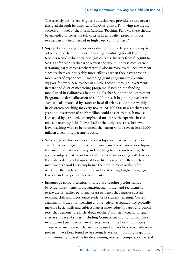The recently authorized Higher Education Act provides a start toward this goal through its important TEACH grants. Following the highly successful model of the North Carolina Teaching Fellows, these should be expanded to cover the full costs of high-quality preparation for teachers in any field needed in high-need communities.<sup>5</sup>

- • **Support mentoring for novices** during their early years when up to 30 percent of them drop out. Providing mentoring for all beginning teachers would reduce attrition (which costs districts from \$15,000 to \$20,000 for each teacher who leaves) and would increase competence. Retaining early-career teachers would also increase overall achievement, since teachers are noticeably more effective when they have three or more years of experience. A matching grant program could ensure support for every new teacher in a Title I school through investments in state and district mentoring programs. Based on the funding model used in California's Beginning Teacher Support and Assessment Program, a federal allocation of \$4,000 for each beginning teacher in such schools, matched by states or local districts, could fund weekly in-classroom coaching for every novice. At 100,000 new teachers each year,<sup>6</sup> an investment of \$400 million could ensure that each novice is coached by a trained, accomplished mentor with expertise in the relevant teaching field. If even half of the early career teachers who leave teaching were to be retained, the nation would save at least \$600 million a year in replacement costs.
- •  **Set standards for professional development investments** under Title II to encourage intensive content-focused professional development that includes sustained study and coaching focused on teaching the specific subject matter and students teachers are working with (rather than "drive-by" workshops that have little long-term effect). These investments should also emphasize the development of skills for working effectively with families and for teaching English language learners and exceptional needs students.
- • **Encourage more attention to effective teacher performance** by tying investments in preparation, mentoring, and recruitment to the use of teacher performance assessments that measure actual teaching skill and incorporate evidence of student learning. Current examinations used for licensing and for federal accountability typically measure basic skills and subject matter knowledge in paper-and-pencil tests that demonstrate little about teachers' abilities actually to teach effectively. Several states, including Connecticut and California, have incorporated such performance assessments in the licensing process. These assessments – which can also be used as data for the accreditation process – have been found to be strong levers for improving preparation and mentoring, as well as for determining teachers' competence. Federal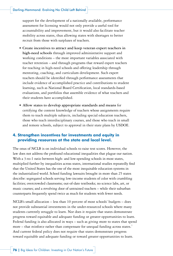support for the development of a nationally available, performance assessment for licensing would not only provide a useful tool for accountability and improvement, but it would also facilitate teacher mobility across states, thus allowing states with shortages to better recruit from those with surpluses of teachers.

- • **Create incentives to attract and keep veteran expert teachers in high-need schools** through improved administrative support and working conditions – the most important variables associated with teacher retention – and through programs that reward expert teachers for teaching in high-need schools and offering leadership through mentoring, coaching, and curriculum development. Such expert teachers should be identified through performance assessments that include evidence of accomplished practice and contributions to student learning, such as National Board Certification, local standards-based evaluations, and portfolios that assemble evidence of what teachers and their students have accomplished.
- • **Allow states to develop appropriate standards and means** for certifying the content knowledge of teachers whose assignments require them to teach multiple subjects, including special education teachers, those who teach interdisciplinary courses, and those who teach in small and remote schools, subject to approval in their state plans by USDOE.

#### **4. Strengthen incentives for investments and equity in providing resources at the state and local level.**

The onus of NCLB is on individual schools to raise test scores. However, the law does not address the profound educational inequalities that plague our nation. With a 3-to-1 ratio between high- and low-spending schools in most states, multiplied further by inequalities across states, international studies repeatedly find that the United States has the one of the most inequitable education systems in the industrialized world. School funding lawsuits brought in more than 25 states describe: segregated schools serving low-income students of color with crumbling facilities; overcrowded classrooms; out-of-date textbooks; no science labs, art, or music courses; and a revolving door of untrained teachers – while their suburban counterparts frequently spend twice as much for students with fewer needs.

NCLB's small allocation – less than 10 percent of most schools' budgets – does not provide substantial investments in the under-resourced schools where many students currently struggle to learn. Nor does it require that states demonstrate progress toward equitable and adequate funding or greater opportunities to learn. Federal funding is also allocated in ways – such as giving more to states that spend more – that reinforce rather than compensate for unequal funding across states.<sup>7</sup> And current federal policy does not require that states demonstrate progress toward equitable and adequate funding or toward greater opportunities to learn.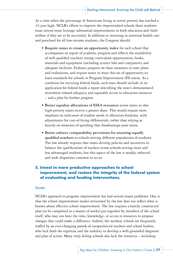At a time when the percentage of Americans living in severe poverty has reached a 32-year high, NCLB's efforts to improve the impoverished schools these students must attend must leverage substantial improvements in both education and child welfare if they are to be successful. In addition to investing in universal health care and preschool for all low-income students, the Congress should:

- •  **Require states to create an opportunity index** for each school that accompanies its report of academic progress and reflects the availability of well-qualified teachers; strong curriculum opportunities; books, materials and equipment (including science labs and computers); and adequate facilities. Evaluate progress on these measures in state plans and evaluations, and require states to meet this set of opportunity-tolearn standards for schools in Program Improvement (PI) status. As a condition for receiving federal funds, each state should include in its application for federal funds a report describing the state's demonstrated movement toward adequacy and equitable access to education resources – and a plan for further progress.
- • **Better equalize allocations of ESEA resources** across states so that high-poverty states receive a greater share. This would require more emphasis on indicators of student needs in allocation formulas, with adjustments for cost-of-living differentials, rather than relying as heavily on measures of spending that disadvantage poor states.
- • **Better enforce comparability provisions for ensuring equally qualified teachers** to schools serving different populations of students. The law already requires that states develop policies and incentives to balance the qualifications of teachers across schools serving more and less advantaged students, but this aspect of the law is weakly enforced, and wide disparities continue to occur.

#### **5. Invest in more productive approaches to school improvement, and restore the integrity of the federal system of evaluating and funding interventions.**

#### Issues

NCLB's approach to program improvement has had several major problems. One is that the school improvement model envisioned by the law does not reflect what is known about effective school improvement. The law requires a hastily constructed plan (to be completed in a matter of weeks) put together by members of the school itself, who may not have the time, knowledge, or access to resources to propose changes that could make a difference. Indeed, the neediest schools are frequently staffed by an ever-changing parade of inexperienced teachers and school leaders, who lack both the expertise and the stability to develop a well-grounded diagnosis and plan of action. Many truly failing schools also lack the resources – including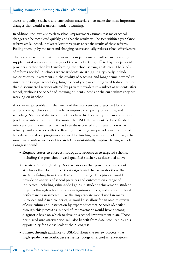access to quality teachers and curriculum materials – to make the most important changes that would transform student learning.

In addition, the law's approach to school improvement assumes that major school changes can be completed quickly, and that the results will be seen within a year. Once reforms are launched, it takes at least three years to see the results of those reforms. Pulling them up by the roots and changing course annually reduces school effectiveness.

The law also assumes that improvements in performance will occur by adding supplemental services to the edges of the school setting, offered by independent providers, rather than by transforming the school setting at its core. The kinds of reforms needed in schools where students are struggling typically include major resource investments in the quality of teaching and longer time devoted to instruction (longer school day, longer school year) in an integrated fashion, rather than disconnected services offered by private providers to a subset of students after school, without the benefit of knowing students' needs or the curriculum they are working on in school.

Another major problem is that many of the interventions prescribed for and undertaken by schools are unlikely to improve the quality of learning and schooling. States and districts sometimes have little capacity to plan and support productive interventions; furthermore, the USDOE has identified and funded interventions in a manner that has been disassociated from research on what actually works. (Issues with the Reading First program provide one example of how decisions about programs approved for funding have been made in ways that sometimes contravened solid research.) To substantially improve failing schools, Congress should:

- **Require states to correct inadequate resources** to targeted schools, including the provision of well-qualified teachers, as described above.
- • **Create a School Quality Review process** that provides a closer look at schools that do not meet their targets and that separates those that are truly failing from those that are improving. This process would provide an analysis of school practices and outcomes on a range of indicators, including value-added gains in student achievement, student progress through school, success in rigorous courses, and success on local performance assessments. Like the Inspectorate model used in many European and Asian countries, it would also allow for an on-site review of curriculum and instruction by expert educators. Schools identified through this process as in need of improvement would have a strong diagnostic basis on which to develop a school improvement plan. Those not placed into intervention will also benefit from data produced by this opportunity for a close look at their progress.
- Ensure, through guidance to USDOE about the review process, that **high quality curricula, assessments, programs, and interventions**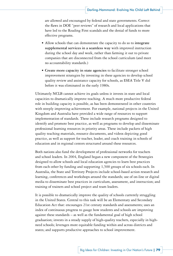are allowed and encouraged by federal and state governments. Correct the flaws in DOE "peer reviews" of research and local applications that have led to the Reading First scandals and the denial of funds to more effective programs.

- • Allow schools that can demonstrate the capacity to do so to **integrate supplemental services in a seamless way** with improved instruction during the school day and week, rather than farming it out to private companies that are disconnected from the school curriculum (and meet no accountability standards.)
- • **Create more capacity in state agencies** to facilitate stronger school improvement strategies by investing in these agencies to develop school quality review and assistance capacity for schools, as ESEA Title V did before it was eliminated in the early 1980s.

Ultimately NCLB cannot achieve its goals unless it invests in state and local capacities to dramatically improve teaching. A much more productive federal role in building capacity is possible, as has been demonstrated in other countries with steeply improving achievement. For example, national projects in the United Kingdom and Australia have provided a wide range of resources to support implementation of standards. These include research programs designed to identify and promote best practice, as well as programs to develop and disseminate professional learning resources in priority areas. These include packets of high quality teaching materials, resource documents, and videos depicting good practice, as well as support for teacher, leader, and coach training in schools of education and in regional centers structured around these resources.

Both nations also fund the development of professional networks for teachers and school leaders. In 2004, England began a new component of the Strategies designed to allow schools and local education agencies to learn best practices from each other by funding and supporting 1,500 groups of six schools each. In Australia, the State and Territory Projects include school-based action research and learning, conferences and workshops around the standards; use of on-line or digital media to disseminate best practices in curriculum, assessment, and instruction; and training of trainers and school project and team leaders.

It is possible to dramatically improve the quality of schools currently struggling in the United States. Central to this task will be an Elementary and Secondary Education Act that: encourages 21st century standards and assessments; uses an index of continuous progress to gauge how students and schools are improving against these standards – as well as the fundamental goal of high school graduation; invests in a steady supply of high-quality teachers, especially in highneed schools; leverages more equitable funding within and across districts and states; and supports productive approaches to school improvement.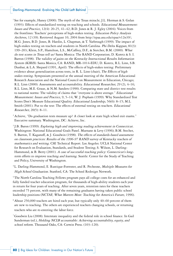<sup>1</sup> See for example, Haney (2000). The myth of the Texas miracle; J.L. Herman & S. Golan (1993). Effects of standardized testing on teaching and schools. Educational Measurement: Issues and Practice, 12(4): 20-25, 41–42; B.D. Jones & R. J. Egley (2004). Voices from the frontlines: Teachers' perceptions of high-stakes testing. Education Policy Analysis Archives, 12 (39). Retrieved August 10, 2004 from http://epaa.asu.edu/epaa/v12n39/; M.G. Jones, B.D. Jones, B. Hardin, L. Chapman, & T. Yarbrough (1999). The impact of high-stakes testing on teachers and students in North Carolina. Phi Delta Kappan, 81(3): 199–203; Klein, S.P., Hamilton, L.S., McCaffrey, D.F., & Stetcher, B.M. (2000). What do test scores in Texas tell us? Santa Monica: The RAND Corporation; D. Koretz & S. I. Barron (1998). The validity of gains on the Kentucky Instructional Results Information System (KIRIS). Santa Monica, CA: RAND, MR-1014-EDU; D. Koretz, R.L. Linn, S.B. Dunbar, & L.A. Shepard (1991, April). The effects of high-stakes testing: Preliminary evidence about generalization across tests, in R. L. Linn (chair), The Effects of high stakes testing. Symposium presented at the annual meeting of the American Educational Research Association and the National Council on Measurement in Education, Chicago; R.L. Linn (2000). Assessments and accountability. Educational Researcher, 29 (2), 4–16; R.L. Linn, M.E. Graue, & N.M. Sanders (1990). Comparing state and district test results to national norms: The validity of claims that "everyone is above average." Educational Measurement: Issues and Practice, 9, 5–14; W. J. Popham (1999). Why Standardized Test Scores Don't Measure Educational Quality. Educational Leadership, 56(6): 8–15; M.L. Smith (2001). Put to the test: The effects of external testing on teachers. Educational Researcher, 20(5): 8–11.

- <sup>2</sup> Achieve, "Do graduation tests measure up? A closer look at state high school exit exams." Executive summary. Washington, DC: Achieve, Inc.
- <sup>3</sup> J.B. Baron (1999). Exploring high and improving reading achievement in Connecticut. Washington: National Educational Goals Panel. Murnane & Levy (1996); B.M. Stecher, S. Barron, T. Kaganoff, & J. Goodwin (1998). The effects of standards-based assessment on classroom practices: Results of the 1996-97 RAND survey of Kentucky teachers of mathematics and writing. CSE Technical Report. Los Angeles: UCLA National Center for Research on Evaluation, Standards, and Student Testing; S. Wilson, L. Darling-Hammond, & B. Berry (2001). A case of successful teaching policy: Connecticut's longterm efforts to improve teaching and learning. Seattle: Center for the Study of Teaching and Policy, University of Washington.
- <sup>4</sup> L. Darling-Hammond, E. Rustique-Forrester, and R. Pecheone, *Multiple Measures for* High School Graduation. Stanford, CA: The School Redesign Network.

<sup>5</sup> The North Carolina Teaching Fellows program pays all college costs for an enhanced and fully funded teacher education program, for thousands of high-ability students each year in return for four years of teaching. After seven years, retention rates for these teachers exceeded 75 percent, with many of the remaining graduates having taken public school leadership positions (NCTAF, What Matters Most: Teaching for America's Future, 1996).

 $6$  About 250,000 teachers are hired each year, but typically only  $40-60$  percent of them are new to teaching. The others are experienced teachers changing schools, or returning teachers who are re-entering the labor force.

7 Goodwin Liu (2008). Interstate inequality and the federal role in school finance. In Gail Sunderman (ed.), Holding NCLB accountable: Achieving accountability, equity, and school reform. Thousand Oaks, CA: Corwin Press. (103–120).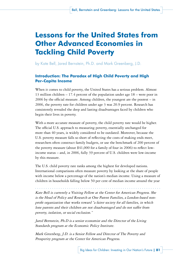### **Lessons for the United States from Other Advanced Economies in Tackling Child Poverty**

by Kate Bell, Jared Bernstein, Ph.D. and Mark Greenberg, J.D.

#### **Introduction: The Paradox of High Child Poverty and High Per-Capita Income**

When it comes to child poverty, the United States has a serious problem. Almost 13 million children – 17.4 percent of the population under age 18 – were poor in 2006 by the official measure. Among children, the youngest are the poorest – in 2006, the poverty rate for children under age 3 was 20.9 percent. Research has consistently revealed the deep and lasting disadvantages faced by children who begin their lives in poverty.

With a more accurate measure of poverty, the child poverty rate would be higher. The official U.S. approach to measuring poverty, essentially unchanged for more than 40 years, is widely considered to be outdated. Moreover, because the U.S. poverty measure falls so short of reflecting the costs of making ends meet, researchers often construct family budgets, or use the benchmark of 200 percent of the poverty measure (about \$41,000 for a family of four in 2006) to reflect lowincome status – and, in 2006, fully 39 percent of U.S. children were low-income by this measure.

The U.S. child poverty rate ranks among the highest for developed nations. International comparisons often measure poverty by looking at the share of people with income below a percentage of the nation's median income. Using a measure of children in households falling below 50 per cent of median income around the year

Kate Bell is currently a Visiting Fellow at the Center for American Progress. She is the Head of Policy and Research at One Parent Families, a London-based nonprofit organization that works toward "a fairer society for all families, in which lone parents and their children are not disadvantaged and do not suffer from poverty, isolation, or social exclusion."

Jared Bernstein, Ph.D is a senior economist and the Director of the Living Standards program at the Economic Policy Institute.

Mark Greenberg, J.D. is a Senior Fellow and Director of The Poverty and Prosperity program at the Center for American Progress.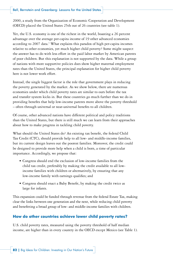2000, a study from the Organization of Economic Cooperation and Development (OECD) placed the United States 25th out of 26 countries (see table 1).

Yet, the U.S. economy is one of the richest in the world, boasting a 26 percent advantage over the average per-capita income of 19 other advanced economies according to 2007 data.<sup>1</sup> What explains this paradox of high per-capita incomes relative to other economies, yet much higher child poverty? Some might suspect the answer has to do with less effort in the paid labor market by American parents of poor children. But this explanation is not supported by the data. While a group of nations with more supportive policies does show higher maternal employment rates than the United States, the principal explanation for higher child poverty here is not lower work effort.

Instead, the single biggest factor is the role that government plays in reducing the poverty generated by the market. As we show below, there are numerous economies under which child poverty rates are similar to ours before the tax and transfer system kicks in. But these countries go much further than we do in providing benefits that help low-income parents move above the poverty threshold – often through universal or near-universal benefits to all children.

Of course, other advanced nations have different political and policy traditions than the United States, but there is still much we can learn from their approaches about how to make progress in tackling child poverty.

What should the United States do? An existing tax benefit, the federal Child Tax Credit (CTC), should provide help to all low- and middle-income families, but its current design leaves out the poorest families. Moreover, the credit could be designed to provide more help when a child is born, a time of particular importance. Accordingly, we propose that:

- Congress should end the exclusion of low-income families from the child tax credit, preferably by making the credit available to all lowincome families with children or alternatively, by ensuring that any low-income family with earnings qualifies; and
- • Congress should enact a Baby Benefit, by making the credit twice as large for infants.

This expansion could be funded through revenue from the federal Estate Tax, making clear the links between one generation and the next, while reducing child poverty and benefitting a broad group of low- and middle-income families with children.

#### **How do other countries achieve lower child poverty rates?**

U.S. child poverty rates, measured using the poverty threshold of half median income, are higher than in every country in the OECD except Mexico (see Table 1).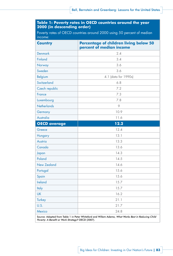#### **Table 1: Poverty rates in OECD countries around the year 2000 (in descending order)**

Poverty rates of OECD countries around 2000 using 50 percent of median income:

| <b>Country</b>      | <b>Percentage of children living below 50</b><br>percent of median income                           |  |  |
|---------------------|-----------------------------------------------------------------------------------------------------|--|--|
| <b>Denmark</b>      | 2.4                                                                                                 |  |  |
| <b>Finland</b>      | 3.4                                                                                                 |  |  |
| Norway              | 3.6                                                                                                 |  |  |
| Sweden              | 3.6                                                                                                 |  |  |
| Belgium             | 4.1 (data for 1990s)                                                                                |  |  |
| Switzerland         | 6.8                                                                                                 |  |  |
| Czech republic      | 7.2                                                                                                 |  |  |
| France              | 7.3                                                                                                 |  |  |
| Luxembourg          | 7.8                                                                                                 |  |  |
| <b>Netherlands</b>  | 9                                                                                                   |  |  |
| Germany             | 10.9                                                                                                |  |  |
| Australia           | 11.6                                                                                                |  |  |
| <b>OECD</b> average | 12.2                                                                                                |  |  |
| Greece              | 12.4                                                                                                |  |  |
| Hungary             | 13.1                                                                                                |  |  |
| Austria             | 13.3                                                                                                |  |  |
| Canada              | 13.6                                                                                                |  |  |
| Japan               | 14.3                                                                                                |  |  |
| Poland              | 14.5                                                                                                |  |  |
| <b>New Zealand</b>  | 14.6                                                                                                |  |  |
| Portugal            | 15.6                                                                                                |  |  |
| Spain               | 15.6                                                                                                |  |  |
| <b>Ireland</b>      | 15.7                                                                                                |  |  |
| <b>Italy</b>        | 15.7                                                                                                |  |  |
| <b>UK</b>           | 16.2                                                                                                |  |  |
| Turkey              | 21.1                                                                                                |  |  |
| U.S.                | 21.7                                                                                                |  |  |
| Mexico              | 24.8                                                                                                |  |  |
|                     | Source: Adapted from Table 1 in Poter Whiteford and Willom Adama, What Works Rest in Poducing Child |  |  |

Source: Adapted from Table 1 in Peter Whiteford and Willem Adema, What Works Best in Reducing Child Poverty: A Benefit or Work Strategy? OECD (2007).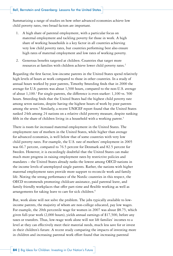Summarizing a range of studies on how other advanced economies achieve low child poverty rates, two broad factors are important.

- 1. A high share of parental employment, with a particular focus on maternal employment and tackling poverty for those in work. A high share of working households is a key factor in all countries achieving very low child poverty rates, but countries performing best also ensure high rates of maternal employment and low rates of working poverty.
- 2. Generous benefits targeted at children. Countries that target more resources at families with children achieve lower child poverty rates.<sup>2</sup>

Regarding the first factor, low-income parents in the United States spend relatively high levels of hours at work compared to those in other countries. In a study of annual hours worked by poor parents, Timothy Smeeding finds that in 2000 the average for U.S. parents was about 1,500 hours, compared to the non-U.S. average of about 1,100.<sup>3</sup> For single-parents, the difference is even starker: 1,100 vs. 500 hours. Smeeding finds that the United States had the highest child poverty rate among seven nations, despite having the highest hours of work by poor parents among the seven.<sup>4</sup> Similarly, a recent UNICEF report found that the United States ranked 24th among 24 nations on a relative child poverty measure, despite ranking fifth in the share of children living in a household with a working parent.<sup>5</sup>

There is room for increased maternal employment in the United States. The employment rate of mothers in the United States, while higher than average for advanced economies, is well below that of some countries with very low child poverty rates. For example, the U.S. rate of mothers' employment in 2005 was 66.7 percent, compared to 76.5 percent for Denmark and 82.5 percent for Sweden. However, it is exceedingly doubtful that the United States can make much more progress in raising employment rates by restrictive policies and mandates – the United States already ranks the lowest among OECD nations in the income levels of unemployed single parents. Rather, the nations with higher maternal employment rates provide more support to reconcile work and family life. Noting the strong performance of the Nordic countries in this respect, the OECD recommends promoting childcare assistance, paid parental leave, and family friendly workplaces that offer part-time and flexible working as well as arrangements for taking leave to care for sick children.<sup>6</sup>

But, work alone will not solve the problem. The jobs typically available to lowincome parents, the majority of whom are non-college educated, pay low wages. For example, the 20th percentile wage for women in 2007 was about \$8.75, which given full-year work (2,000 hours), yields annual earnings of \$17,500, before any taxes or transfers. Thus, low-wage work alone will not lift families' incomes to a level at they can effectively meet their material needs, much less save for or invest in their children's future. A recent study comparing the impacts of investing more in children and increasing parental work effort found that increasing parental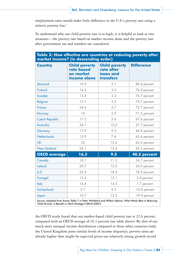employment rates would make little difference to the U.S.'s poverty rate using a relative poverty line.<sup>7</sup>

To understand why our child poverty rate is so high, it is helpful to look at two measures – the poverty rate based on market income alone and the poverty rate after government tax and transfers are considered.

| Table 2: How effective are countries at reducing poverty after<br>market income? (in descending order) |                                                                 |                                                              |                   |  |
|--------------------------------------------------------------------------------------------------------|-----------------------------------------------------------------|--------------------------------------------------------------|-------------------|--|
| <b>Country</b>                                                                                         | <b>Child poverty</b><br>rate based<br>on market<br>income alone | <b>Child poverty</b><br>rate after<br>taxes and<br>transfers | <b>Difference</b> |  |
| <b>Denmark</b>                                                                                         | 10.9                                                            | 2.1                                                          | 80.4 percent      |  |
| <b>Finland</b>                                                                                         | 14.3                                                            | 3.3                                                          | 76.8 percent      |  |
| Sweden                                                                                                 | 13.8                                                            | 3.2                                                          | 76.7 percent      |  |
| Belgium                                                                                                | 13.1                                                            | 3.3                                                          | 74.7 percent      |  |
| France                                                                                                 | 24.6                                                            | 6.7                                                          | 72.7 percent      |  |
| Norway                                                                                                 | 10                                                              | 2.9                                                          | 71.5 percent      |  |
| <b>Czech Republic</b>                                                                                  | 17.2                                                            | 5.6                                                          | 67.6 percent      |  |
| <b>Australia</b>                                                                                       | 24.1                                                            | 10.2                                                         | 57.7 percent      |  |
| Germany                                                                                                | 17.9                                                            | 9.5                                                          | 46.9 percent      |  |
| <b>Netherlands</b>                                                                                     | 13.9                                                            | 7.6                                                          | 45.6 percent      |  |
| <b>UK</b>                                                                                              | 25                                                              | 13.6                                                         | 45.6 percent      |  |
| <b>New Zealand</b>                                                                                     | 24.1                                                            | 12.4                                                         | 43.5 percent      |  |
| <b>OECD average</b>                                                                                    | 16.3                                                            | 9.2                                                          | 40.2 percent      |  |
| Canada                                                                                                 | 18.1                                                            | 11.5                                                         | 36.7 percent      |  |
| <b>Ireland</b>                                                                                         | 20.7                                                            | 13.5                                                         | 34.9 percent      |  |
| U.S.                                                                                                   | 22.6                                                            | 18.4                                                         | 18.9 percent      |  |
| Portugal                                                                                               | 13.4                                                            | 13.1                                                         | 2.8 percent       |  |
| <b>Italy</b>                                                                                           | 14.6                                                            | 14.3                                                         | 1.7 percent       |  |
| Switzerland                                                                                            | 5.7                                                             | 6.3                                                          | $-10.8$ percent   |  |
| Japan                                                                                                  | 10.7                                                            | 12.2                                                         | $-19.9$ percent   |  |
| Source: Adapted from Annoy Table 7 in Poter Whiteford and Willom Adams, What Warks Rest in Poducing    |                                                                 |                                                              |                   |  |

Source: Adapted from Annex Table 7 in Peter Whiteford and Willem Adema, What Works Best in Reducing Child Poverty: A Benefit or Work Strategy? OECD (2007).

An OECD study found that our market-based child poverty rate is 22.6 percent, compared with an OECD average of 16.3 percent (see table above). By dint of our much more unequal income distribution compared to these other countries (only the United Kingdom posts similar levels of income disparity), poverty rates are already higher than might be expected given our relatively strong growth record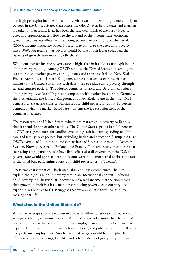and high per-capita income. So, a family with two adults working is more likely to be poor in the United States than across the OECD, even before taxes and transfers are taken into account. If, as has been the case over much of the past 30 years, growth disproportionately flows to the top end of the income scale, economic growth becomes less effective at reducing poverty. According to Mishel, et al. (2008), income inequality added 6 percentage points to the growth of poverty since 1969, suggesting that poverty would be that much lower today had the benefits of growth been more broadly shared.

While our market income poverty rate is high, that in itself does not explain our child poverty ranking. Among OECD nations, the United States does among the least to reduce market poverty through taxes and transfers. Ireland, New Zealand, France, Australia, the United Kingdom, all have market-based rates that are similar to the United States, but each does more to reduce child poverty through tax and transfer policies. The Nordic countries, France, and Belgium all reduce child poverty by at least 70 percent compared with market-based rates; Germany, the Netherlands, the United Kingdom, and New Zealand are in the mid-40s. In contrast, U.S. tax and transfer policies reduce child poverty by about 19 percent compared with the market-based rate – among the lowest reductions of the countries measured.

The reason why the United States reduces pre-market child poverty so little is that it spends less than other nations. The United States spends just 0.7 percent of GDP on expenditures for families (including cash benefits, spending on child care and family leave polices, but excluding health and education)<sup>8</sup> compared to an OECD average of 2.1 percent, and expenditure of 3 percent or more in Denmark, Sweden, Norway, Australia, Finland, and France.<sup>9</sup> The same study that found that increasing employment would have little effect also discovered that the U.S. child poverty rate would approach zero if income were to be transferred at the same rate as the third best performing country in child poverty terms (Sweden).<sup>10</sup>

These two characteristics – high inequality and low expenditures – help to explain the high U.S. child poverty rate in an international context. Reducing child poverty is a "heavier lift" because our skewed income distribution means that growth in itself is a less-effect force reducing poverty. And our very low expenditures relative to GDP suggest that we apply little fiscal "muscle" to making that lift.

#### **What should the United States do?**

A number of steps should be taken in an overall effort to reduce child poverty and strengthen family economic security. As noted, there is far more that the United States should do to help promote parental employment through policies such as expanded child care, sick and family leave policies, and policies to promote flexible and part-time employment. Another set of strategies would focus explicitly on efforts to improve earnings, benefits, and other features of job quality for low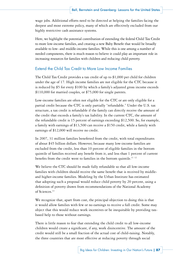wage jobs. Additional efforts need to be directed at helping the families facing the deepest and most extreme policy, many of which are effectively excluded from our highly restrictive cash assistance systems.

Here, we highlight the potential contribution of extending the federal Child Tax Credit to more low-income families, and creating a new Baby Benefit that would be broadly available to low- and middle-income families. While this is one among a number of needed components, there is much reason to believe it could play an important role in increasing resources for families with children and reducing child poverty.

#### Extend the Child Tax Credit to More Low Income Families

The Child Tax Credit provides a tax credit of up to \$1,000 per child for children under the age of 17. High income families are not eligible for the CTC because it is reduced by \$5 for every \$100 by which a family's adjusted gross income exceeds \$110,000 for married couples, or \$75,000 for single parents.

Low-income families are often not eligible for the CTC or are only eligible for a partial credit because the CTC is only partially "refundable." Under the U.S. tax structure, a tax credit is refundable if the family can directly receive the amount of the credit that exceeds a family's tax liability. In the current CTC, the amount of the refundable credit is 15 percent of earnings exceeding \$12,500. So, for example, a family with earnings of \$13,500 can receive a \$150 credit, while a family with earnings of \$12,000 will receive no credit.

In 2007, 31 million families benefitted from the credit, with total expenditures of about \$45 billion dollars. However, because many low-income families are excluded from the credit, less than 10 percent of eligible families in the bottom quintile of families received any benefit from it, and less than 1 percent of current benefits from the credit went to families in the bottom quintile.<sup>11 12</sup>

We believe the CTC should be made fully refundable so that all low-income families with children should receive the same benefit that is received by middleand higher-income families. Modeling by the Urban Institute has estimated that adopting such a proposal would reduce child poverty by 20 percent, using a definition of poverty drawn from recommendations of the National Academy of Sciences.<sup>13</sup>

We recognize that, apart from cost, the principal objection to doing this is that it would allow families with few or no earnings to receive a full credit. Some may object that this would reduce work incentives or be inequitable by providing taxbased help to those without earnings.

There is little reason to fear that extending the child credit to all low-income children would create a significant, if any, work disincentive. The amount of the credit would still be a small fraction of the actual cost of child-raising. Notably, the three countries that are most effective at reducing poverty through social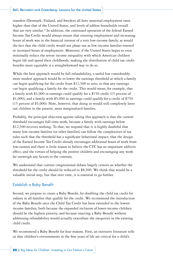transfers (Denmark, Finland, and Sweden) all have maternal employment rates higher than that of the United States, and levels of jobless households overall that are very similar.14 In addition, the continued operation of the federal Earned Income Tax Credit would always ensure that entering employment and increasing hours of work was in the financial interest of a very low-income family, as would the fact that the child credit would not phase out as low-income families entered or increased hours of employment. Moreover, if the United States hopes to even minimally reduce the severe income inequality with which American children begin life and spend their childhoods, making the distribution of child tax credit benefits more equitable is a straightforward way to do so.

While the best approach would be full refundability, a useful but considerably more modest approach would be to lower the earnings threshold at which a family can begin qualifying for the credit from \$12,500 to zero, so that any earnings can begin qualifying a family for the credit. This would mean, for example, that a family with \$1,000 in earnings could qualify for a \$150 credit (15 percent of \$1,000), and a family with \$5,000 in earnings could qualify for a credit of \$750 (15 percent of \$5,000). Note, however, that doing so would still completely leave out children in the poorest, most marginalized families.

Probably, the principal objection against taking this approach is that the current threshold encourages full-time work, because a family with earnings below \$12,500 receives nothing. To that, we respond that it is highly doubtful that many low-income families (or other families) can follow the complexities of tax rules such that the threshold has a significant behavioral impact; that the design of the Earned Income Tax Credit already encourages additional hours of work from low-earners and there is little reason to believe the CTC has an important additive effect, and the virtues of helping the poorest children and encouraging any work far outweigh any factors to the contrary.

We understand that current congressional debate largely centers on whether the threshold for the credit should be reduced to \$8,500. We think that would be a valuable initial step, but that over time, it is essential to go further.

#### Establish a Baby Benefit

Second, we propose to create a Baby Benefit, by doubling the child tax credit for infants in all families that qualify for the credit. We recommend the introduction of the Baby Benefit once the Child Tax Credit has been extended to the lowest income families, both because the expanded inclusion of lower-income children should be the highest priority, and because enacting a Baby Benefit without addressing refundability would actually exacerbate the inequities in the existing child credit.

We recommend a Baby Benefit for four reasons. First, an extensive literature tells us that children's environments in the first years of life are critical for a child's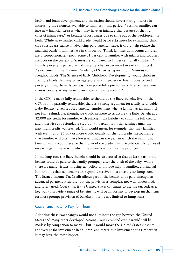health and brain development, and the nation should have a strong interest in increasing the resources available to families in this period.<sup>15</sup> Second, families can face new financial stresses when they have an infant, either because of the high costs of infant care,<sup>16</sup> or because of lost wages due to time out of the workforce,<sup>17</sup> or both. While an expanded child credit would be no substitute for expanding child care subsidy assistance or advancing paid parental leave, it could help reduce the financial burdens families face in this period. Third, families with young children are disproportionately poor. Some 21 per cent of families with infants and toddlers are poor on the current U.S. measure, compared to  $17$  per cent of all children.<sup>18</sup> Finally, poverty is particularly damaging when experienced in early childhood. As explained in the National Academy of Sciences report, From Neurons to Neighborhoods: The Science of Early Childhood Development, "young children are more likely than any other age group in this society to live in poverty, and poverty during the early years is more powerfully predictive of later achievement than is poverty at any subsequent stage of development."19

If the CTC is made fully refundable, so should be the Baby Benefit. Even if the CTC is only partially refundable, there is a strong argument for a fully refundable Baby Benefit, given reduced parental employment when a family has an infant. If not fully refundable, though, we would propose to structure the Baby Benefit as a \$2,000 tax credit for families with sufficient tax liability to claim the full credit, and otherwise as a refundable credit of 30 percent of initial earnings until the maximum credit was reached. This would mean, for example, that only families with earnings of \$6,667 or more would qualify for the full credit. Recognizing that families will often have lower earnings in the year in which the infant was born, a family would receive the higher of the credit that it would qualify for based on earnings in the year in which the infant was born, or the prior year.

In the long run, the Baby Benefit should be structured so that at least part of the benefit could be paid to the family promptly after the birth of the baby. While there are many virtues in using tax policy to provide help to families, a principal limitation is that tax benefits are typically received in a once-a-year lump sum. The Earned Income Tax Credit allows part of the benefit to be paid through an advanced payment structure, but the provision is complex, not well understood, and rarely used. Over time, if the United States continues to use the tax code as a key way to provide a range of benefits, it will be important to develop mechanisms for more prompt provision of benefits in forms not limited to lump sums.

#### Costs, and How to Pay for Them

Adopting these two changes would not eliminate the gap between the United States and many other developed nations – our expanded credit would still be modest by comparison to many – but it would move the United States closer to the average for investment in children, and target this investment at a time when it may have the most impact.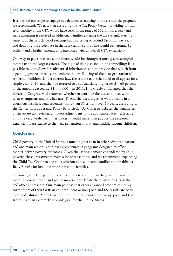It is beyond our scope to engage in a detailed accounting of the costs of the program we recommend. We note that according to the Tax Policy Center, providing for full refundability of the CTC would have costs in the range of \$12 billion a year (and more assuming it resulted in additional families entering the tax system); starting benefits at the first dollar of earnings has a price tag of around \$9 billion per year, and doubling the credit rate in the first year of a child's life would cost around \$2 billion (and a higher amount as it interacted with an overall CTC expansion).

One way to pay these costs, and more, would be through restoring a meaningful estate tax on the largest estates. The logic of doing so should be compelling: It is possible to both allow for substantial inheritances and to provide that wealth from a passing generation is used to enhance the well-being of the next generation of American children. Under current law, the estate tax is scheduled to disappear for a single year, 2010, and then be restored to a substantially higher level – 60 percent of the amount exceeding \$1,000,000 – in 2011. It is widely anticipated that the debate in Congress will center on whether to continue the tax, and if so, with what exemptions and at what rate. To end the tax altogether would result in an enormous loss in federal revenues (more than \$1 trillion over 10 years, according to the Center on Budget and Policy Priorities).<sup>20</sup> As Congress debates the parameters of the estate tax revision, a modest adjustment to the applicable rates – affecting only the very wealthiest inheritances – would more than pay for the proposed expansion of assistance to the next generation of low- and middle-income children.

#### **Conclusion**

Child poverty in the United States is much higher than in other advanced nations, and one main reason is our low expenditures in programs designed to offset market-driven poverty outcomes. Given the lasting damage engendered by child poverty, these investments make a lot of sense to us, and we recommend expanding the Child Tax Credit to end the exclusion of low-income families and establish a Baby Benefit for low- and middle-income families.

Of course, a CTC expansion is but one way to accomplish the goal of investing more in poor children, and policy makers may debate the relative merits of this and other approaches. Our main point is that other advanced economies simply invest more of their GDP in children, poor or non-poor, and the results are both clear and salutary. Many fewer children in these countries grow up poor, and that strikes us as an extremely laudable goal for the United States.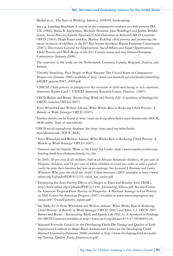<sup>1</sup> Mishel et al., *The State of Working America*, 2008/09, forthcoming.

- <sup>2</sup> See e.g. Jonathan Bradshaw A review of the comparative evidence on child poverty JRF, UK (2006); Sheila B. Kamerman, Michelle Neuman, Jane Waldfogel and Jeanne Brooks-Gunn, Social Policies, Family Types and Child Outcomes in Selected OECD Countries OECD (2003); Hugh Frazer and Eric Marlier Tackling child poverty and promoting the social inclusion of children in the EU Key lessons Synthesis Report European Commission (2007); Directorate-General for Employment, Social Affairs and Equal Opportunities Child Poverty and Well-Being in the EU; Current status and way forward European Commission (January 2008).
- $3$  The countries in the study are the Netherlands, Germany, Canada, Belgium, Austria, and Ireland.
- <sup>4</sup> Timothy Smeeding, Poor People in Rich Nations: The United States in Comparative Perspective (January 2006) available at http://www-cpr.maxwell.syr.edu/faculty/smeeding/ pdf/JEP percent20V5\_2006.pdf
- <sup>5</sup> UNICEF, Child poverty in perspective: An overview of child well-being in rich countries, Innocenti Report Card 7, UNICEF Innocenti Research Centre, Florence. (2007).
- 6 OECD Babies and Bosses: Reconciling Work and Family Life: A synthesis of findings for OECD countries OECD (2007).
- <sup>7</sup> Peter Whiteford and Willem Adema, What Works Best in Reducing Child Poverty: A Benefit or Work Strategy? OECD (2007).
- 8 Further details can be found at http://stats.oecd.org/wbos/Index.aspx?datasetcode=SOCX\_ AGG under 'Type of expenditure'.
- 9 OECD social expenditure database. See http://stats.oecd.org/wbos/Index. aspx?datasetcode=SOCX\_AGG
- <sup>10</sup> Peter Whiteford and Willem Adema, What Works Best in Reducing Child Poverty: A Benefit or Work Strategy? OECD (2007).
- <sup>11</sup> Taxation and the Family: What is the Child Tax Credit, http://www.taxpolicycenter.org/ briefing-book/key-elements/family/ctc.cfm
- <sup>12</sup> In 2005, 28 per cent of all children, half of all African-American children, 46 per cent of Hispanic children, and 18 per cent of white children received no credit or only a partial credit because their families had low or no earnings. See Leonard E Burman and Laura Wheaton Who gets the child tax credit? Urban Institute (2005) available at http://www. urban.org/UploadedPDF/411232\_child\_tax\_credit.pdf
- <sup>13</sup> Estimating the Anti-Poverty Effects of Changes in Taxes and Benefits with TRIM3, http://www.urban.org/UploadedPDF/411450\_Estimating\_Effects.pdf. See also Center for American Progress From Poverty to Prosperity: A National Strategy to Cut Poverty in Half, Center for American Progress (2007) available at www.americanprogress.org/ issues/2007/04/pdf/poverty\_report.pdf
- $14$  See Table A2 in Peter Whiteford and Willem Adema, What Works Best in Reducing Child Poverty: A Benefit or Work Strategy? OECD (2007) and Table 3.2. OECD 2007 Babies and Bosses – Reconciling Work and Family Life (Vol. 5): A Synthesis of Findings for OECD Countries available at http://www.oecd.org/dataoecd/15/47/39680843.xls
- <sup>15</sup> National Scientific Council on the Developing Child *The Timing and Quality of Early* Experiences Combine to Shape Brain Architecture Centre on the Developing Child Harvard University (February 2008) available at http://www.developingchild.net/pubs/ wp/Timing\_Quality\_Early\_Experiences.pdf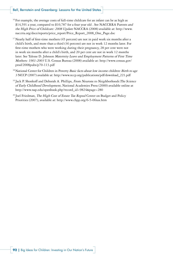#### Bell, Bernstein and Greenberg: Lessons for the United States

- $16$  For example, the average costs of full-time childcare for an infant can be as high as \$14,591 a year, compared to \$10,787 for a four year old . See NACCRRA Parents and the High Price of Childcare: 2008 Update NACCRA (2008) available at: http://www. naccrra.org/docs/reports/price\_report/Price\_Report\_2008\_One\_Page.doc
- $17$  Nearly half of first-time mothers (45 percent) are not in paid work six months after a child's birth, and more than a third (36 percent) are not in work 12 months later. For first-time mothers who were working during their pregnancy, 28 per cent were not in work six months after a child's birth, and 20 per cent are not in work 12 months later. See Talesse D. Johnson Maternity Leave and Employment Patterns of First Time Mothers: 1961-2003 U.S. Census Bureau (2008) available at: http://www.census.gov/ prod/2008pubs/p70-113.pdf
- <sup>18</sup> National Center for Children in Poverty Basic facts about low income children: Birth to age <sup>3</sup> NCCP (2007) available at: http://www.nccp.org/publications/pdf/download\_221.pdf
- <sup>19</sup> Jack P. Shonkoff and Deborah A. Phillips, From Neurons to Neighborhoods: The Science of Early Childhood Development, National Academies Press (2000) available online at http://www.nap.edu/openbook.php?record\_id=9824&page=280
- $^{20}$  Joel Friedman, The High Cost of Estate Tax Repeal Center on Budget and Policy Priorities (2007), available at: http://www.cbpp.org/6-5-06tax.htm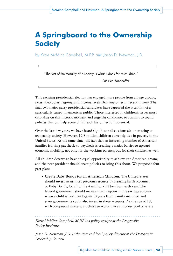### **A Springboard to the Ownership Society**

by Katie McMinn Campbell, M.P.P. and Jason D. Newman, J.D.

"The test of the morality of a society is what it does for its children."

– Dietrich Bonhoeffer

This exciting presidential election has engaged more people from all age groups, races, ideologies, regions, and income levels than any other in recent history. The final two major-party presidential candidates have captured the attention of a particularly tuned-in American public. Those interested in children's issues must capitalize on this historic moment and urge the candidates to commit to sound policies that can help every child reach his or her full potential.

Over the last few years, we have heard significant discussions about creating an ownership society. However, 12.8 million children currently live in poverty in the United States. At the same time, the fact that an increasing number of American families is living paycheck-to-paycheck is creating a major barrier to upward economic mobility, not only for the working parents, but for their children as well.

All children deserve to have an equal opportunity to achieve the American dream, and the next president should enact policies to bring this about. We propose a four part plan:

• **Create Baby Bonds for all American Children.** The United States should invest in its most precious resource by creating birth accounts, or Baby Bonds, for all of the 4 million children born each year. The federal government should make a small deposit in the savings account when a child is born, and again 10 years later. Family members and state governments could also invest in these accounts. At the age of 18, with compound interest, all children would have a modest pool of assets

Katie McMinn Campbell, M.P.P is a policy analyst at the Progressive Policy Institute.

Jason D. Newman, J.D. is the state and local policy director at the Democratic Leadership Council.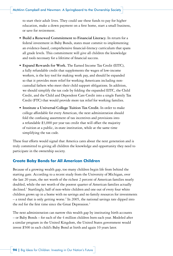to start their adult lives. They could use these funds to pay for higher education, make a down payment on a first home, start a small business, or save for retirement.

- • **Build a Renewed Commitment to Financial Literacy.** In return for a federal investment in Baby Bonds, states must commit to implementing an evidence-based, comprehensive financial-literacy curriculum that spans all grade levels. This commitment will give all children the knowledge and tools necessary for a lifetime of financial success.
- • **Expand Rewards for Work.** The Earned Income Tax Credit (EITC), a fully refundable credit that supplements the wages of low-income workers, is the key tool for making work pay, and should be expanded so that it provides more relief for working Americans including noncustodial fathers who meet their child support obligations. In addition, we should simplify the tax code by folding the expanded EITC, the Child Credit, and the Child and Dependent Care Credit into a single Family Tax Credit (FTC) that would provide more tax relief for working families.
- •  **Institute a Universal College Tuition Tax Credit.** In order to make college affordable for every American, the next administration should fold the confusing assortment of tax incentives and provisions into a refundable \$3,000 per year tax credit that will offset the majority of tuition at a public, in-state institution, while at the same time simplifying the tax code.

These four efforts would signal that America cares about the next generation and is truly committed to giving all children the knowledge and opportunity they need to participate in the ownership society.

#### **Create Baby Bonds for All American Children**

Because of a growing wealth gap, too many children begin life from behind the starting gate. According to a recent study from the University of Michigan, over the last 20 years, the net worth of the richest 2 percent of American families nearly doubled, while the net worth of the poorest quarter of American families actually declined.<sup>1</sup> Startlingly, half of non-white children and one out of every four white children grows up in a home with no savings and no family resources for investments - a trend that is only getting worse.<sup>2</sup> In 2005, the national savings rate dipped into the red for the first time since the Great Depression.<sup>3</sup>

The next administration can narrow this wealth gap by instituting birth accounts – or Baby Bonds – for each of the 4 million children born each year. Modeled after a similar program in the United Kingdom, the United States government would invest \$500 in each child's Baby Bond at birth and again 10 years later.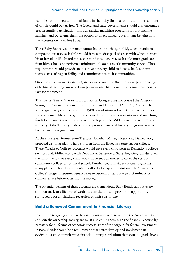#### McMinn Campbell and Newman: A Springboard to the Ownership Society

Families could invest additional funds in the Baby Bond accounts, a limited amount of which would be tax-free. The federal and state governments should also encourage greater family participation through partial-matching programs for low-income families, and by giving them the option to direct annual government benefits into the accounts on a tax-free basis.

These Baby Bonds would remain untouchable until the age of 18, when, thanks to compound interest, each child would have a modest pool of assets with which to start his or her adult life. In order to access the funds, however, each child must graduate from high school and perform a minimum of 100 hours of community service. These requirements would provide an incentive for every child to finish school, and instill in them a sense of responsibility and commitment to their communities.

Once these requirements are met, individuals could use that money to pay for college or technical training, make a down payment on a first home, start a small business, or save for retirement.

This idea isn't new. A bipartisan coalition in Congress has introduced the America Saving for Personal Investment, Retirement and Education (ASPIRE) Act, which would give every child a minimum \$500 contribution at birth. Children from lowincome households would get supplemental government contributions and matching funds for amounts saved in the account each year. The ASPIRE Act also requires the secretary of the Treasury to develop and promote financial literacy programs to account holders and their guardians.

At the state level, former State Treasurer Jonathan Miller, a Kentucky Democratic, proposed a similar plan to help children from the Bluegrass State pay for college. These "Cradle to College" accounts would give every child born in Kentucky a college savings fund. Miller, along with Republican Secretary of State Trey Grayson, designed the initiative so that every child would have enough money to cover the costs of community college or technical school. Families could make additional payments to supplement these funds in order to afford a four-year institution. The "Cradle to College" program requires beneficiaries to perform at least one year of military or civilian service before accessing the money.

The potential benefits of these accounts are tremendous. Baby Bonds can put every child on track to a lifetime of wealth accumulation, and provide an opportunity springboard for all children, regardless of their start in life.

#### **Build a Renewed Commitment to Financial Literacy**

In addition to giving children the asset boost necessary to achieve the American Dream and join the ownership society, we must also equip them with the financial knowledge necessary for a lifetime of economic success. Part of the bargain for federal investment in Baby Bonds should be a requirement that states develop and implement an evidence-based, comprehensive financial-literacy curriculum that spans all grade levels.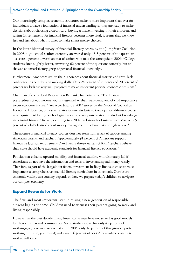Our increasingly complex economic structures make it more important than ever for individuals to have a foundation of financial understanding so they are ready to make decisions about choosing a credit card, buying a home, investing in their children, and saving for retirement. As financial literacy becomes more vital, it seems that we know less and less about what it takes to make smart money choices.

In the latest biennial survey of financial literacy scores by the JumpStart Coalition, in 2008 high-school seniors correctly answered only 48.3 percent of the questions – a score 4 percent lower than that of seniors who took the same quiz in 2006.<sup>4</sup> College students fared slightly better, answering 62 percent of the questions correctly, but still showed an unsatisfactory grasp of personal financial knowledge.

Furthermore, Americans realize their ignorance about financial matters and thus, lack confidence in their decision making skills. Only 24 percent of students and 20 percent of parents say kids are very well prepared to make important personal economic decisions.<sup>5</sup>

Chairman of the Federal Reserve Ben Bernanke has noted that "The financial preparedness of our nation's youth is essential to their well-being and of vital importance to our economic future."<sup>6</sup> Yet according to a 2007 survey by the National Council on Economic Education, only seven states require students to take a personal-finance course as a requirement for high-school graduation, and only nine states test student knowledge in personal finance.<sup>7</sup> In fact, according to a 2007 back-to-school survey from Visa, only 5 percent of adults learned about money management in elementary or high school.<sup>8</sup>

The absence of financial-literacy courses does not stem from a lack of support among American parents and teachers. Approximately 91 percent of Americans support financial education requirements,<sup>9</sup> and nearly three-quarters of K-12 teachers believe their state should have academic standards for financial-literacy education.<sup>10</sup>

Policies that enhance upward mobility and financial stability will ultimately fail if Americans do not have the information and tools to invest and spend money wisely. Therefore, as part of the bargain for federal investment in Baby Bonds, each state must implement a comprehensive financial literacy curriculum in its schools. Our future economic vitality as a country depends on how we prepare today's children to navigate our complex economy.

#### **Expand Rewards for Work**

The first, and most important, step in raising a new generation of responsible citizens begins at home. Children need to witness their parents going to work and living responsibly.

However, in the past decade, many low-income men have not served as good models for their children and communities. Some studies show that only 42 percent of working-age, poor men worked at all in 2005; only 16 percent of this group reported working full time, year round; and a mere 6 percent of poor African-American men worked full time.<sup>11</sup>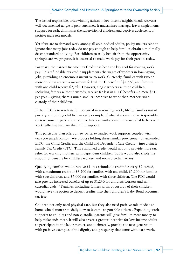#### McMinn Campbell and Newman: A Springboard to the Ownership Society

The lack of responsible, breadwinning fathers in low-income neighborhoods weaves a well-documented tangle of poor outcomes. It undermines marriage, leaves single moms strapped for cash, diminishes the supervision of children, and deprives adolescents of positive male role models.

Yet if we are to demand work among all able-bodied adults, policy makers cannot ignore that many jobs today do not pay enough to help families obtain a minimally decent standard of living. For children to truly benefit from the opportunity springboard we propose, it is essential to make work pay for their parents today.

For years, the Earned Income Tax Credit has been the key tool for making work pay. This refundable tax credit supplements the wages of workers in low-paying jobs, providing an enormous incentive to work. Currently, families with two or more children receive a maximum federal EITC benefit of \$4,536, and families with one child receive \$2,747. However, single workers with no children, including fathers without custody, receive far less in EITC benefits – a mere \$412 per year – giving them a much smaller incentive to work than mothers with custody of their children.

If the EITC is to reach its full potential in rewarding work, lifting families out of poverty, and giving children an early example of what it means to live responsibly, then we must expand the credit to childless workers and non-custodial fathers who work full-time and pay their child support.

This particular plan offers a new twist: expanded work supports coupled with tax-code simplification. We propose folding three similar provisions – an expanded EITC, the Child Credit, and the Child and Dependent Care Credit – into a single Family Tax Credit (FTC). This combined credit would not only provide more tax relief for working mothers with dependent children, but it would also triple the amount of benefits for childless workers and non-custodial fathers.

Qualifying families would receive \$1 in a refundable credit for every \$2 earned, with a maximum credit of \$3,500 for families with one child, \$5,200 for families with two children, and \$7,000 for families with three children. The FTC would also provide increased benefits of up to \$1,236 for childless workers and noncustodial dads.12 Families, including fathers without custody of their children, would have the option to deposit credits into their children's Baby Bond accounts, tax-free.

Children not only need physical care, but they also need positive role models at home who demonstrate daily how to become responsible citizens. Expanding work supports to childless and non-custodial parents will give families more money to help make ends meet. It will also create a greater incentive for low-income adults to participate in the labor market, and ultimately, provide the next generation with positive examples of the dignity and prosperity that come with hard work.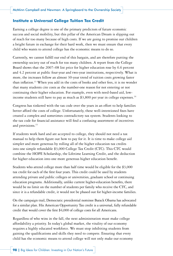#### **Institute a Universal College Tuition Tax Credit**

Earning a college degree is one of the primary predictors of future economic success and social mobility, but this pillar of the American Dream is slipping out of reach for too many because of high costs. If we are going to promise our children a bright future in exchange for their hard work, then we must ensure that every child who wants to attend college has the economic means to do so.

Currently, we cannot fulfill our end of this bargain, and are therefore putting the ownership society out of reach for too many children. A report from the College Board shows that the 2007–08 list price for higher education rose by 6.6 percent and 4.2 percent at public four-year and two-year institutions, respectively. What is more, the increases follow an almost 30-year trend of tuition costs growing faster than inflation.<sup>13</sup> When you add in the costs of books and other fees, it is no wonder that many students cite costs as the number-one reason for not entering or not continuing their higher education. For example, even with need-based aid, lowincome students still have to pay as much as \$3,800 per year in college expenses.<sup>14</sup>

Congress has tinkered with the tax code over the years in an effort to help families better afford the costs of college. Unfortunately, these well-intentioned fixes have created a complex and sometimes contradictory tax system. Students looking to the tax code for financial assistance will find a confusing assortment of incentives and provisions.<sup>15</sup>

If students work hard and are accepted to college, they should not need a tax manual to help them figure out how to pay for it. It is time to make college aid simpler and more generous by rolling all of the higher education tax credits into one simple refundable \$3,000 College Tax Credit (CTC). This CTC would combine the HOPE Scholarship, the Lifetime Learning Credit, and the deduction for higher education into one more generous higher education benefit.

Students who attend college more than half time would be eligible for the \$3,000 tax credit for each of the first four years. This credit could be used by students attending private and public colleges or universities, graduate school or continuing education programs. Additionally, unlike current higher-education benefits, there would be no limit on the number of students per family who receive the CTC, and since it is a refundable credit, it would not be phased out for higher-income families.

On the campaign trail, Democratic presidential nominee Barack Obama has advocated for a similar plan. His American Opportunity Tax credit is a universal, fully refundable credit that would cover the first \$4,000 of college costs for all Americans.

Regardless of who wins in the fall, the next administration must make college affordability a priority. In today's global market, the vitality of our economy requires a highly educated workforce. We must stop inhibiting students from gaining the qualifications and skills they need to compete. Ensuring that every child has the economic means to attend college will not only make our economy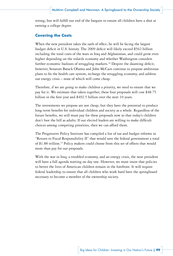strong, but will fulfill our end of the bargain to ensure all children have a shot at earning a college degree.

#### **Covering the Costs**

When the new president takes the oath of office, he will be facing the largest budget deficit in U.S. history. The 2009 deficit will likely exceed \$562 billion including the total costs of the wars in Iraq and Afghanistan, and could grow even higher depending on the volatile economy and whether Washington considers further economic bailouts of struggling markets.<sup>16</sup> Despite the daunting deficit, however, Senators Barack Obama and John McCain continue to propose ambitious plans to fix the health care system, recharge the struggling economy, and address our energy crisis – none of which will come cheap.

Therefore, if we are going to make children a priority, we need to ensure that we pay for it. We estimate that taken together, these four proposals will cost \$48.75 billion in the first year and \$492.5 billion over the next 10 years.

The investments we propose are not cheap, but they have the potential to produce long-term benefits for individual children and society as a whole. Regardless of the future benefits, we still must pay for these proposals now so that today's children don't foot the bill as adults. If our elected leaders are willing to make difficult choices among competing priorities, then we can afford them.

The Progressive Policy Institute has compiled a list of tax and budget reforms in "Return to Fiscal Responsibility II" that would save the federal government a total of \$1.88 trillion.19 Policy makers could choose from this set of offsets that would more than pay for our proposals.

With the war in Iraq, a troubled economy, and an energy crisis, the next president will have a full agenda starting on day one. However, we must insist that policies to better the lives of American children remain in the forefront. It will require federal leadership to ensure that all children who work hard have the springboard necessary to become a member of the ownership society.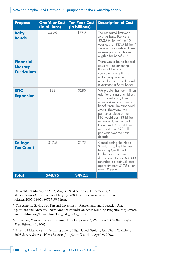| <b>Proposal</b>                                   | <b>One Year Cost</b><br>(in billions) | <b>Ten Year Cost</b><br>(in billions) | <b>Description of Cost</b>                                                                                                                                                                                                                                                                                                                                     |
|---------------------------------------------------|---------------------------------------|---------------------------------------|----------------------------------------------------------------------------------------------------------------------------------------------------------------------------------------------------------------------------------------------------------------------------------------------------------------------------------------------------------------|
| <b>Baby</b><br><b>Bonds</b>                       | \$3.25                                | \$37.5                                | The estimated first-year<br>cost for Baby Bonds is<br>\$3.25 billion with a 10-<br>year cost of \$37.5 billion <sup>17</sup><br>since annual costs will rise<br>as new participants are<br>eligible for benefits. <sup>18</sup>                                                                                                                                |
| <b>Financial</b><br>Literacy<br><b>Curriculum</b> |                                       |                                       | There would be no federal<br>costs for implementing<br>financial literacy<br>curriculum since this is<br>a state requirement in<br>return for the large federal<br>investment in Baby Bonds.                                                                                                                                                                   |
| <b>EITC</b><br><b>Expansion</b>                   | \$28                                  | \$280                                 | We predict that four million<br>additional single, childless<br>or non-custodial, low-<br>income Americans would<br>benefit from the expanded<br>credit. Therefore, this<br>particular piece of the<br>FTC would cost \$3 billion<br>annually. Taken in total,<br>the entire FTC would cost<br>an additional \$28 billion<br>per year over the next<br>decade. |
| <b>College</b><br><b>Tax Credit</b>               | \$17.5                                | \$175                                 | Consolidating the Hope<br>Scholarship, the Lifetime<br>Learning Credit and<br>the higher education<br>deduction into one \$3,000<br>refundable credit will cost<br>approximately \$175 billon<br>over 10 years.                                                                                                                                                |
| <b>Total</b>                                      | \$48.75                               | \$492.5                               |                                                                                                                                                                                                                                                                                                                                                                |

<sup>1</sup> University of Michigan (2007, August 9). Wealth Gap Is Increasing, Study Shows. ScienceDaily. Retrieved July 13, 2008, http://www.sciencedaily.com / releases/2007/08/070807171936.htm.

- <sup>2</sup> "The America Saving For Personal Investment, Retirement, and Education Act: Questions and Answers." New America Foundation Asset Building Program. http://www. assetbuilding.org/files/archive/Doc\_File\_1247\_1.pdf
- <sup>3</sup> Crutsinger, Martin. "Personal Savings Rate Drops to a 73-Year Low." The Washington Post. February 1, 2007.
- 4 "Financial Literacy Still Declining among High School Seniors, JumpStart Coalition's 2008 Survey Shows," News Release, JumpStart Coalition, April 9, 2008.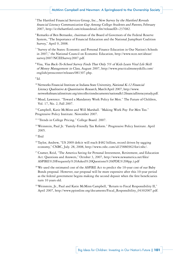#### McMinn Campbell and Newman: A Springboard to the Ownership Societ

- <sup>5</sup> The Hartford Financial Services Group, Inc., New Survey by the Hartford Reveals financial Literacy Communication Gap Among College Students and Parents, February 2007, http://ir.thehartford.com/releasedetail.cfm?releaseID=237682.
- $6$  Remarks of Ben Bernanke, chairman of the Board of Governors of the Federal Reserve System, "The Importance of Financial Education and the National JumpStart Coalition Survey," April 9, 2008.
- 7 "Survey of the States: Economic and Personal Finance Education in Our Nation's Schools in 2007," the National Council on Economic Education, http://www.ncee.net/about/ survey2007/NCEESurvey2007.pdf.
- <sup>8</sup> Visa, Visa Back-To-School Survey Finds That Only 5% of Kids Learn Vital Life Skill of Money Management in Class, August 2007, http://www.practicalmoneyskills.com/ english/presscenter/releases/081307.php.

 $9$  Id.

- $10$  Networks Financial Institute at Indiana State University, National K-12 Financial Literacy Qualitative & Quantitative Research, March/April 2007, http://www. networksfinancialinstitute.org/sitecollectiondocuments/nationalk12financialliteracystudy.pdf.
- <sup>11</sup> Mead, Lawrence. "Toward a Mandatory Work Policy for Men." The Future of Children, Vol. 17, No. 2, Fall 2007.

<sup>12</sup> Campbell, Katie McMinn and Will Marshall. "Making Work Pay: For Men Too." Progressive Policy Institute. November 2007.

- <sup>13</sup> "Trends in College Pricing." College Board. 2007.
- <sup>14</sup> Weinstein, Paul Jr. "Family-Friendly Tax Reform." Progressive Policy Institute. April 2005.
- <sup>15</sup> Ibid
- <sup>16</sup> Taylor, Andrew, "US 2009 deficit will reach \$482 billion, record driven by sagging economy," CNBC, July. 28, 2008, http://www.cnbc.com/id/25886962/for/cnbc/.
- <sup>17</sup> Cramer, Reid, "The America Saving for Personal Investment, Retirement, and Education Act: Questions and Answers," October 3, 2007, http://www.newamerica.net/files/ ASPIRE%20Frequently%20Asked%20Questions%20(PDF,%208pp.).pdf
- <sup>18</sup> We used the estimated cost of the ASPIRE Act to predict the 10-year cost of our Baby Bonds proposal. However, our proposal will be more expensive after this 10-year period as the federal government begins making the second deposit when the first beneficiaries turn 10 years old.
- <sup>19</sup> Weinstein, Jr., Paul and Katie McMinn Campbell, "Return to Fiscal Responsibility II," April 2007, http://www.ppionline.org/documents/Fiscal\_Responsibility\_04302007.pdf.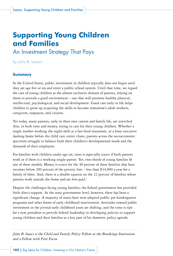## **Supporting Young Children and Families**

### An Investment Strategy That Pays

by Julia B. Isaacs

#### **Summary**

In the United States, public investment in children typically does not begin until they are age five or six and enter a public school system. Until that time, we regard the care of young children as the almost exclusive domain of parents, relying on them to provide a good environment – one that will promote healthy physical, intellectual, psychological, and social development. Good care early in life helps children to grow up acquiring the skills to become tomorrow's adult workers, caregivers, taxpayers, and citizens.

Yet today, many parents, early in their own careers and family life, are stretched thin, in both time and money, trying to care for their young children. Whether a single mother working the night-shift at a fast-food restaurant, or a busy executive dashing home before the child care center closes, parents across the socioeconomic spectrum struggle to balance both their children's developmental needs and the demands of their employers.

For families with children under age six, time is especially scarce if both parents work or if there is a working single-parent. Yet, two-thirds of young families fit one of these models. Money is scarce for the 40 percent of these families that have incomes below 200 percent of the poverty line – less than \$34,000 a year for a family of three. And, there is a double squeeze on the 22 percent of families where parents work outside the home and are low-paid.<sup>1</sup>

Despite the challenges facing young families, the federal government has provided little direct support. At the state government level, however, there has been a significant change. A majority of states have now adopted public pre-kindergarten programs and other forms of early childhood intervention. Attitudes toward public investment in the pivotal early childhood years are shifting, and the time is ripe for a new president to provide federal leadership in developing policies to support young children and their families as a key part of his domestic policy agenda.

Julia B. Isaacs is the Child and Family Policy Fellow at the Brookings Institution and a Fellow with First Focus.

102 | Big Ideas for Children: Investing in Our Nation's Future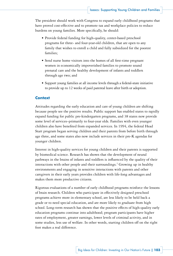The president should work with Congress to expand early childhood programs that have proved cost-effective and to promote tax and workplace policies to reduce burdens on young families. More specifically, he should:

- Provide federal funding for high-quality, center-based preschool programs for three- and four-year-old children, that are open to any family that wishes to enroll a child and fully subsidized for the poorest families;
- Send nurse home visitors into the homes of all first-time pregnant women in economically impoverished families to promote sound prenatal care and the healthy development of infants and toddlers through age two; and
- Support young families at all income levels through a federal-state initiative to provide up to 12 weeks of paid parental leave after birth or adoption.

#### **Context**

Attitudes regarding the early education and care of young children are shifting because people see the positive results. Public support has enabled states to rapidly expand funding for public pre-kindergarten programs, and 38 states now provide some level of services–primarily to four-year olds. Families with even younger children also have benefited from expanded services. In 1994, the federal Head Start program began serving children and their parents from before birth through age three, and some states also now include services in their pre-K agendas for younger children.

Interest in high-quality services for young children and their parents is supported by biomedical science. Research has shown that the development of neural pathways in the brains of infants and toddlers is influenced by the quality of their interactions with other people and their surroundings.<sup>2</sup> Growing up in healthy environments and engaging in sensitive interactions with parents and other caregivers in their early years provides children with life-long advantages and makes them more productive citizens.

Rigorous evaluations of a number of early childhood programs reinforce the lessons of brain research. Children who participate in effectively designed preschool programs achieve more in elementary school, are less likely to be held back a grade or to need special education, and are more likely to graduate from high school. Long-term research has shown that the positive effects of high-quality early education programs continue into adulthood; program participants have higher rates of employment, greater earnings, lower levels of criminal activity, and in some studies, less use of welfare. In other words, starting children off on the right foot makes a real difference.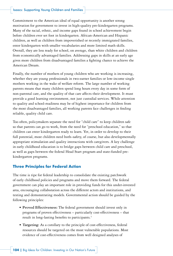#### Isaacs: Supporting Young Children and Families

Commitment to the American ideal of equal opportunity is another strong motivation for government to invest in high-quality pre-kindergarten programs. Many of the racial, ethnic, and income gaps found in school achievement begin before children ever set foot in kindergarten. African-American and Hispanic children, as well as children from impoverished or recently immigrated families, enter kindergarten with smaller vocabularies and more limited math skills. Overall, they are less ready for school, on average, than white children and children from economically advantaged families. Addressing gaps in skills at an early age gives more children from disadvantaged families a fighting chance to achieve the American Dream.

Finally, the number of mothers of young children who are working is increasing, whether they are young professionals in two-earner families or low-income single mothers working in the wake of welfare reform. The large number of working parents means that many children spend long hours every day in some form of non-parental care, and the quality of that care affects their development. It must provide a good learning environment, not just custodial services. While attention to quality and school-readiness may be of highest importance for children from the most disadvantaged families, all working parents face challenges in finding reliable, quality child care.

Too often, policymakers separate the need for "child care" to keep children safe so that parents can go to work, from the need for "preschool education," so that children can enter kindergarten ready to learn. Yet, in order to develop to their full potential, most children need both–safety, of course, but also developmentally appropriate stimulation and quality interactions with caregivers. A key challenge in early childhood education is to bridge gaps between child care and preschool, as well as gaps between the federal Head Start program and state-funded prekindergarten programs.

# **Three Principles for Federal Action**

The time is ripe for federal leadership to consolidate the existing patchwork of early childhood policies and programs and move them forward. The federal government can play an important role in providing funds for this under-invested area, encouraging collaboration across the different actors and institutions, and testing and demonstrating models. Governmental action should be guided by the following principles:

- • **Proved Effectiveness:** The federal government should invest only in programs of proven effectiveness – particularly cost-effectiveness – that result in long-lasting benefits to participants.<sup>3</sup>
- • **Targeting:** As a corollary to the principle of cost-effectiveness, federal resources should be targeted on the most vulnerable populations. Most evidence of cost-effectiveness comes from well designed analyses of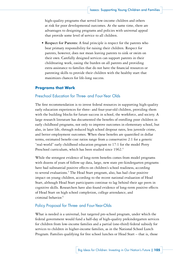high-quality programs that served low-income children and others at risk for poor developmental outcomes. At the same time, there are advantages to designing programs and policies with universal appeal that provide some level of service to all children.

•  **Respect for Parents:** A final principle is respect for the parents who bear primary responsibility for raising their children. Respect for parents, however, does not mean leaving parents to sink or swim on their own. Carefully designed services can support parents in their childrearing work, easing the burden on all parents and providing extra assistance to families that do not have the financial resources or parenting skills to provide their children with the healthy start that maximizes chances for life-long success.

#### **Programs that Work**

# Preschool Education for Three- and Four-Year Olds

The first recommendation is to invest federal resources in supporting high-quality early education experiences for three- and four-year-old children, providing them with the building blocks for future success in school, the workforce, and society. A large research literature has documented the benefits of enrolling poor children in early childhood programs, not only to improve outcomes in elementary school, but also, in later life, through reduced high school dropout rates, less juvenile crime, and better employment outcomes. When these benefits are quantified in dollar terms, estimated benefit-cost ratios range from a conservative 2:1 for a generic "real-world" early childhood education program to 17:1 for the model Perry Preschool curriculum, which has been studied since 1962.<sup>4</sup>

While the strongest evidence of long-term benefits comes from model programs with dozens of years of follow-up data, large, new state pre-kindergarten programs have had substantial positive effects on children's school readiness, according to several evaluations.<sup>5</sup> The Head Start program, also, has had clear positive impact on young children, according to the recent national evaluation of Head Start, although Head Start participants continue to lag behind their age peers in cognitive skills. Researchers have also found evidence of long-term positive effects of Head Start on high school completion, college attendance, and criminal behavior.6

#### Policy Proposal for Three- and Four-Year-Olds

What is needed is a universal, but targeted pre-school program, under which the federal government would fund a half-day of high-quality prekindergarten services for children from low-income families and a partial (one-third) federal subsidy for services to children in higher-income families, as in the National School Lunch Program. Families qualifying for free school lunches or Head Start – that is, those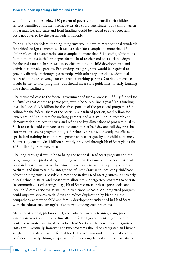with family incomes below 130 percent of poverty–could enroll their children at no cost. Families at higher income levels also could participate, but a combination of parental fees and state and local funding would be needed to cover program costs not covered by the partial federal subsidy.

To be eligible for federal funding, programs would have to meet national standards for critical design elements, such as: class size (for example, no more than 16 children), child-to-staff ratios (for example, no more than 8:1), staff qualifications (a minimum of a bachelor's degree for the head teacher and an associate's degree for the assistant teacher, as well as specific training in child development), and activities to involve parents. Pre-kindergarten programs would be required to provide, directly or through partnerships with other organizations, additional hours of child care coverage for children of working parents. Curriculum choices would be left to local programs, but should meet state guidelines for early learning and school readiness.

The estimated cost to the federal government of such a proposal, if fully funded for all families that choose to participate, would be \$18 billion a year.<sup>7</sup> This funding level includes \$13.3 billion for the "free" portion of the preschool program, \$8.6 billion for the federal share of the partially subsidized portion, \$2.4 billion for "wrap-around" child care for working parents, and \$20 million in research and demonstration projects to study and refine the key dimensions of program quality. Such research could compare costs and outcomes of half-day and full-day preschool interventions, assess program designs for three-year-olds, and study the effects of specialized training in child development on teacher quality and child outcomes. Subtracting out the \$6.5 billion currently provided through Head Start yields the \$18 billion figure in new costs.

The long-term goal would be to bring the national Head Start program and the burgeoning state pre-kindergarten programs together into an expanded national pre-kindergarten initiative that provides comprehensive, high-quality services to three- and four-year-olds. Integration of Head Start with local early childhood education programs is possible; almost one in five Head Start grantees is currently a local school district, and most states allow pre-kindergarten programs to operate in community-based settings (e.g., Head Start centers, private preschools, and local child care agencies), as well as in traditional schools. An integrated program could improve services to children and reduce duplication by blending the comprehensive view of child and family development embedded in Head Start with the educational strengths of state pre-kindergarten programs.

Many institutional, philosophical, and political barriers to integrating prekindergarten services remain. Initially, the federal government might have to continue separate funding streams for Head Start and the new pre-kindergarten initiative. Eventually, however, the two programs should be integrated and have a single funding stream at the federal level. The wrap-around child care also could be funded initially through expansion of the existing federal child care assistance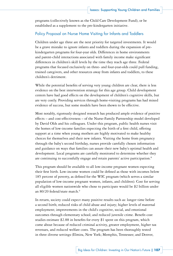programs (collectively known as the Child Care Development Fund), or be established as a supplement to the pre-kindergarten initiative.

#### Policy Proposal on Nurse Home Visiting for Infants and Toddlers

Children under age three are the next priority for targeted investments. It would be a grave mistake to ignore infants and toddlers during the expansion of prekindergarten programs for four-year olds. Differences in home environments and parent-child interactions associated with family income make significant differences in children's skill levels by the time they reach age three. Federal programs that focused exclusively on three- and four-year-olds could pull funding, trained caregivers, and other resources away from infants and toddlers, to these children's detriment.

While the potential benefits of serving very young children are clear, there is less evidence on the best intervention strategy for this age group. Child development centers have had good effects on the development of children's cognitive skills, but are very costly. Providing services through home-visiting programs has had mixed evidence of success, but some models have been shown to be effective.

Most notably, rigorously designed research has produced ample evidence of positive effects – and cost-effectiveness – of the Nurse-Family Partnership model developed by David Olds and his colleagues. Under this program, public health nurses visit the homes of low-income families expecting the birth of a first child, offering support at a time when young mothers are highly motivated to make healthy choices for themselves and their new infants. Visiting the home from pregnancy through the baby's second birthday, nurses provide carefully chosen information and guidance on ways that families can assure their new baby's optimal health and development. Local programs are carefully monitored to determine whether they are continuing to successfully engage and retain parents' active participation.<sup>8</sup>

This program should be available to all low-income pregnant women expecting their first birth. Low-income women could be defined as those with incomes below 185 percent of poverty, as defined for the WIC program (which serves a similar population of low-income pregnant women, infants, and children). Cost for serving all eligible women nationwide who chose to participate would be \$2 billion under an 80/20 federal/state match.<sup>9</sup>

In return, society could expect many positive results such as: longer time before a second birth; reduced risks of child abuse and injury; higher levels of maternal employment; improvements in the child's cognitive, social, and emotional outcomes through elementary school; and reduced juvenile crime. Benefit-cost studies estimate \$2.88 in benefits for every \$1 spent on this program, which come about because of reduced criminal activity, greater employment, higher tax revenues, and reduced welfare costs. The program has been thoroughly tested in three diverse settings (Elmira, New York; Memphis, Tennessee; and Denver,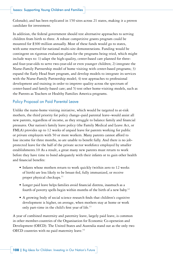Colorado), and has been replicated in 150 sites across 21 states, making it a proven candidate for investment.

In addition, the federal government should test alternative approaches to serving children from birth to three. A robust competitive grants program could be mounted for \$300 million annually. Most of these funds would go to states, with some reserved for national multi-site demonstrations. Funding would be contingent on rigorous evaluation plans for the programs being tried, which might include ways to: 1) adapt the high-quality, center-based care planned for threeand four-year-olds to serve two-year-old or even younger children; 2) integrate the Nurse-Family Partnership model of home visiting with center-based programs; 3) expand the Early Head Start program, and develop models to integrate its services with the Nurse-Family Partnership model; 4) test approaches to professional development and training in order to improve quality across the spectrum of center-based and family-based care; and 5) test other home-visiting models, such as the Parents as Teachers or Healthy Families America programs.

# Policy Proposal on Paid Parental Leave

Unlike the nurse-home visiting initiative, which would be targeted to at-risk mothers, the third priority for policy change–paid parental leave–would assist all new parents, regardless of income, as they struggle to balance family and financial pressures. Our nation's family leave policy (the Family Medical and Leave Act, or FMLA) provides up to 12 weeks of unpaid leave for parents working for public or private employers with 50 or more workers. Many parents cannot afford to lose income for three months, so are unable to benefit fully. And there is no jobprotected leave for the half of the private sector workforce employed by smaller establishments.10 As a result, a great many new parents must return to work before they have time to bond adequately with their infants or to gain other health and financial benefits:

- Infants whose mothers return to work quickly (within zero to 12 weeks of birth) are less likely to be breast-fed, fully immunized, or receive proper physical checkups.<sup>11</sup>
- • Longer paid leave helps families avoid financial distress, inasmuch as a fourth of poverty spells begin within months of the birth of a new baby.12
- A growing body of social science research finds that children's cognitive development is higher, on average, when mothers stay at home or work only part-time in the child's first year of life.<sup>13</sup>

A year of combined maternity and paternity leave, largely paid leave, is common in other member-countries of the Organisation for Economic Co-operation and Development (OECD). The United States and Australia stand out as the only two OECD countries with no paid maternity leave.<sup>14</sup>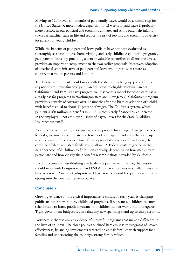Moving to 12, or even six, months of paid family leave, would be a radical step for the United States. A more modest expansion to 12 weeks of paid leave is probably more possible in our political and economic climate, and still would help infants toward a healthier start in life and reduce the risk of job loss and economic adversity for parents of young children.

While the benefits of paid parental leave policies have not been evaluated as thoroughly as those of nurse home visiting and early childhood education programs, paid parental leave, by providing a benefit valuable to families of all income levels, provides an important complement to the two earlier proposals. Moreover, adoption of a national-state initiative of paid parental leave would put us on record as a country that values parents and families.

The federal government should work with the states on setting up pooled funds to provide employee-financed paid parental leave to eligible working parents. California's Paid Family Leave program could serve as a model for other states (as it already has for programs in Washington state and New Jersey). California's program provides six weeks of coverage over 12 months after the birth or adoption of a child, with benefits equal to about 55 percent of wages. The California system, which paid out \$368 million in benefits in 2006, is completely financed by an increase in the employee – not employer – share of payroll taxes for the State Disability Insurance system.15

As an incentive for state participation, and to provide for a longer leave period, the federal government could match each week of coverage provided by the state, up to a maximum of six weeks. Thus, if states provided six weeks of paid leave, the combined federal and state funds would allow 12. Federal costs might be in the neighborhood of \$1 billion to \$3 billion annually, depending on how many states participate and how closely their benefits resemble those provided by California.

In conjunction with establishing a federal-state paid leave initiative, the president should work with Congress to amend FMLA so that employees in smaller firms also have access to 12 weeks of job-protected leave – which would be paid leave in states opting into the new paid leave initiative.

#### **Conclusion**

Growing evidence on the critical importance of children's early years is changing public attitudes toward early childhood programs. If we want all children to enter school ready to learn, public investment in children cannot wait until kindergarten. Tight government budgets require that any new spending stand up to sharp scrutiny.

Fortunately, there is ample evidence of successful programs that make a difference in the lives of children. The three policies outlined here emphasize programs of proven effectiveness, balancing investments targeted on at-risk families with support for all families and underscoring the country's strong family values.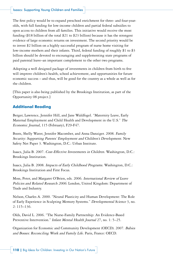#### Isaacs: Supporting Young Children and Families

The first policy would be to expand preschool enrichment for three- and four-yearolds, with full funding for low-income children and partial federal subsidies to open access to children from all families. This initiative would receive the most funding (\$18 billion of the total \$21 to \$23 billion) because it has the strongest evidence of large economic returns on investment. The second priority would be to invest \$2 billion on a highly successful program of nurse home visiting for low-income mothers and their infants. Third, federal funding of roughly \$1 to \$3 billion should be devoted to encouraging and supplementing state programs of paid parental leave–an important complement to the other two programs.

Adopting a well designed package of investments in children from birth to five will improve children's health, school achievement, and opportunities for future economic success – and thus, will be good for the country as a whole as well as for the children.

[This paper is also being published by the Brookings Institution, as part of the Opportunity 08 project.]

# **Additional Reading**

Berger, Lawrence, Jennifer Hill, and Jane Waldfogel. "Maternity Leave, Early Maternal Employment and Child Health and Development in the U.S." The Economic Journal, 115 (February), F29-F47.

Boots, Shelly Water, Jennifer Macomber, and Anna Danziger. 2008. Family Security: Supporting Parents' Employment and Children's Development. New Safety Net Paper 3. Washington, D.C.: Urban Institute.

Isaacs, Julia B. 2007. Cost-Effective Investments in Children. Washington, D.C.: Brookings Institution.

Isaacs, Julia B. 2008. Impacts of Early Childhood Programs. Washington, D.C.: Brookings Institution and First Focus.

Moss, Peter, and Margaret O'Brien, eds. 2006. International Review of Leave Policies and Related Research 2006. London, United Kingdom: Department of Trade and Industry.

Nelson, Charles A. 2000. "Neural Plasticity and Human Development: The Role of Early Experience in Sculpting Memory Systems." Developmental Science 3, no. 2: 115–136.

Olds, David L. 2006. "The Nurse-Family Partnership: An Evidence-Based Preventive Intervention." Infant Mental Health Journal 27, no. 1: 5–25.

Organization for Economic and Community Development (OECD). 2007. Babies and Bosses: Reconciling Work and Family Life. Paris, France: OECD.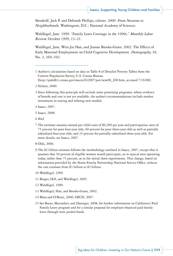Shonkoff, Jack P. and Deborah Phillips, editors. 2000. From Neurons to Neighborhoods. Washington, D.C.: National Academy of Sciences.

Waldfogel, Jane. 1999. "Family Leave Coverage in the 1990s." Monthly Labor Review. October 1999, 13–21.

Waldfogel, Jane, Wen-Jui Han, and Jeanne Brooks-Gunn. 2002. The Effects of Early Maternal Employment on Child Cognitive Development. Demography, 39, No. 2, 369–392.

- 1 Author's calculations based on data in Table 8 of Detailed Poverty Tables from the Current Population Survey, U.S. Census Bureau. [http://pubdb3.census.gov/macro/032007/pov/new08\_200.htm, accessed 7/16/08].
- 2 Nelson, 2000.
- 3 Since following this principle will exclude some promising programs, where evidence of benefit and cost is not yet available, the author's recommendations include modest investment in testing and refining new models.
- 4 Isaacs, 2007.
- 5 Isaacs, 2008.
- 6 Ibid.
- 7 The estimate assumes annual per child costs of \$9,200 per year and participation rates of 75 percent for poor four-year olds, 60 percent for poor three-year olds as well as partially subsidized four-year olds, and 35 percent for partially subsidized three-year olds. For more details, see Isaacs, 2007.
- 8 Olds, 2006.
- 9 The \$2 billion estimate follows the methodology outlined in Isaacs, 2007, except that it assumes that 50 percent of eligible women would participate, as in typical sites operating today, rather than 75 percent, as in the initial three experiments. This change, based on information provided by the Nurse-Family Partnership National Service Office, reduces the cost estimate from \$3 billion to \$2 billion.
- 10 Waldfogel, 1999.
- 11 Berger, Hill, and Waldfogel, 2005.
- 12 Waldfogel, 1999.
- 13 Waldfogel, Han, and Brooks-Gunn, 2002.
- 14 Moss and O'Brien, 2006; OECD, 2007.
- 15 See Boots, Macomber, and Danziger, 2008, for further information on California's Paid Family Leave program and for a similar proposal for employee-financed paid family leave through state pooled funds.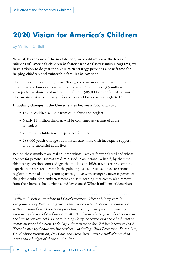# **2020 Vision for America's Children**

# by William C. Bell

**What if, by the end of the next decade, we could improve the lives of millions of America's children in foster care? At Casey Family Programs, we have a vision to do just that. Our 2020 strategy provides a new frame for helping children and vulnerable families in America.**

The numbers tell a troubling story. Today, there are more than a half million children in the foster care system. Each year, in America over 3.5 million children are reported as abused and neglected. Of those, 905,000 are confirmed victims.<sup>1</sup> That means that at least every 36 seconds a child is abused or neglected.<sup>2</sup>

#### **If nothing changes in the United States between 2008 and 2020:**

- 16,800 children will die from child abuse and neglect.
- Nearly 11 million children will be confirmed as victims of abuse or neglect.
- 7.2 million children will experience foster care.
- 288,000 youth will age out of foster care, most with inadequate support to build successful adult lives.

Behind these numbers are real children whose lives are forever altered and whose chances for personal success are diminished in an instant. What if, by the time this next generation comes of age, the millions of children who are projected to experience foster care never felt the pain of physical or sexual abuse or serious neglect, never had siblings torn apart to go live with strangers, never experienced the grief, doubt, fear, embarrassment and self-loathing that comes with removal from their home, school, friends, and loved ones? What if millions of American

William C. Bell is President and Chief Executive Officer of Casey Family Programs. Casey Family Programs is the nation's largest operating foundation with a mission focused solely on providing and improving – and ultimately preventing the need for – foster care. Mr. Bell has nearly 30 years of experience in the human services field. Prior to joining Casey, he served two and a half years as commissioner of the New York City Administration for Children's Services (ACS). There he managed child welfare services – including Child Protection, Foster Care, Child Abuse Prevention, Day Care, and Head Start – with a staff of more than 7,000 and a budget of about \$2.4 billion.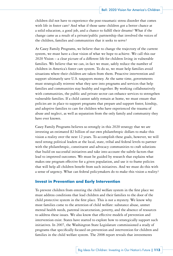children did not have to experience the post-traumatic stress disorder that comes with life in foster care? And what if those same children got a better chance at a solid education, a good job, and a chance to fulfill their dreams? What if the change came as a result of a private/public partnership that involved the voices of the children, families and communities that it seeks to serve?

At Casey Family Programs, we believe that to change the trajectory of the current system, we must have a clear vision of what we hope to achieve. We call this our 2020 Vision – a clear picture of a different life for children living in vulnerable families. We believe that we can, in fact we must, safely reduce the number of children in America's foster care system. To do so, we must help families avoid situations where their children are taken from them. Proactive intervention and support ultimately save U.S. taxpayers money. At the same time, governments must strategically reinvest what they save into programs and services that help families and communities stay healthy and together. By working collaboratively with communities, the public and private sector can enhance services to strengthen vulnerable families. If a child cannot safely remain at home, we must ensure that policies are in place to support programs that prepare and support foster, kinship, and adoptive families to care for children who have experienced the trauma of abuse and neglect, as well as separation from the only family and community they have ever known.

Casey Family Programs believes so strongly in this 2020 strategy that we are investing an estimated \$2 billion of our own philanthropic dollars to make this vision a reality over the next 12 years. To accomplish these goals, however, we will need strong political leaders at the local, state, tribal and federal levels to partner with the philanthropic, constituent and advocacy communities to craft solutions that build on successful initiatives and take into account the subtle factors that lead to improved outcomes. We must be guided by research that explains what makes one program effective for a given population, and use it to frame policies that will help all children benefit from such initiatives. And we must do this with a sense of urgency. What can federal policymakers do to make this vision a reality?

#### **Invest in Prevention and Early Intervention**

To prevent children from entering the child welfare system in the first place we must address conditions that lead children and their families to the door of the child protective system in the first place. This is not a mystery. We know why most families come to the attention of child welfare: substance abuse, unmet mental health needs, parental incarceration, poverty, and the absence of resources to address these issues. We also know that effective models of prevention and intervention exist. States have started to explore how to strategically support such initiatives. In 2007, the Washington State Legislature commissioned a study of programs that specifically focused on prevention and intervention for children and families in the child welfare system. The 2008 report reveals that investments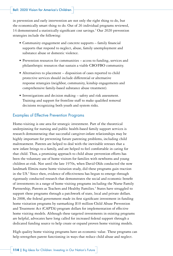in prevention and early intervention are not only the right thing to do, but the economically smart thing to do. Out of 26 individual programs reviewed, 14 demonstrated a statistically significant cost savings.<sup>3</sup> Our 2020 prevention strategies include the following:

- Community engagement and concrete supports family financial supports that respond to neglect, abuse, family unemployment and substance abuse or domestic violence.
- Prevention resources for communities access to funding, services and philanthropic resources that sustain a viable CBO/FBO community.
- Alternatives to placement disposition of cases reported to child protective services should include differential or alternative response strategies (neighbor, community, kinship engagements and comprehensive family-based substance abuse treatment).
- Investigations and decision making safety and risk assessment. Training and support for frontline staff to make qualified removal decisions recognizing both youth and system risks.

#### Examples of Effective Prevention Programs

Home-visiting is one area for strategic investment. Part of the theoretical underpinning for nursing and public health-based family support services is research demonstrating that successful caregiver-infant relationships may be highly important for preventing future parenting problems, including child maltreatment. Parents are helped to deal with the inevitable stresses that a new infant brings to a family, and are helped to feel comfortable in caring for that child. Thus, a promising approach to child abuse prevention efforts has been the voluntary use of home visitors for families with newborns and young children at-risk. Not until the late 1970s, when David Olds conducted the now landmark Elmira nurse home visitation study, did these programs gain traction in the US. $4$  Since then, evidence of effectiveness has begun to emerge through rigorously conducted research that demonstrates the social and economic benefit of investments in a range of home visiting programs including the Nurse Family Partnership, Parents as Teachers and Healthy Families.<sup>5</sup> States have struggled to support these programs through a patchwork of state, local and private dollars. In 2008, the federal government made its first significant investment in funding home visitation programs by earmarking \$10 million Child Abuse Prevention and Treatment Act (CAPTA) program dollars for implementation of effective home visiting models. Although these targeted investments in existing programs are helpful, advocates have long called for increased federal support through a dedicated funding source to help create or expand proven home visiting models.

High quality home visiting programs have an economic value. These programs can help strengthen parent functioning in ways that reduce child abuse and neglect.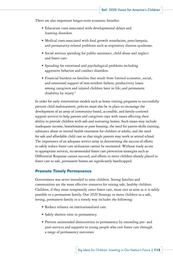There are also important longer-term economic benefits:

- • Education costs associated with developmental delays and learning disorders.
- Medical costs associated with fetal growth retardation, preeclampsia, and prematurity-related problems such as respiratory distress syndrome.
- Social services spending for public assistance, child abuse and neglect and foster care.
- Spending for emotional and psychological problems including aggressive behavior and conduct disorders.
- Financial burdens on families that result from limited economic, social, and emotional support of non-resident fathers; productivity losses among caregivers and injured children later in life; and permanent disability by injury.<sup>6</sup>

In order for early intervention models such as home visiting programs to successfully prevent child maltreatment, policies must also be in place to encourage the development of an array of community-based, accessible, and family-centered support services to help parents and caregivers cope with issues affecting their ability to provide children with safe and nurturing homes. Such issues may include inadequate income, homelessness or poor housing, the need for parent-skills training, substance abuse or mental health treatment for children or adults, and the need for safe and affordable child care so that single parents may work or attend school. The importance of an adequate service array in determining the success of efforts to safely reduce foster care utilization cannot be overstated. Without ready access to appropriate services, recommended foster care prevention strategies such as Differential Response cannot succeed, and efforts to move children already placed in foster care to safe, permanent homes are significantly handicapped.

#### **Promote Timely Permanence**

Government was never intended to raise children. Strong families and communities are the most effective resources for raising safe, healthy children. Children, if they must temporarily enter foster care, must exit as soon as it is safely possible to a permanent family. Our 2020 Strategy to move children to a safe, loving, permanent family in a timely way includes the following:

- Reduce reliance on institutionalized care.
- Safely shorten time to permanency.
- Prevent unintended disincentives to permanency by extending pre- and post-services and supports to young people who exit foster care through a range of permanency outcomes.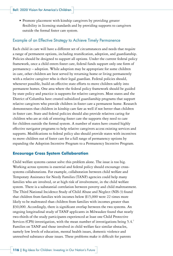• Promote placement with kinship caregivers by providing greater flexibility in licensing standards and by providing supports to caregivers outside the formal foster care system.

#### Example of an Effective Strategy to Achieve Timely Permanence

Each child in care will have a different set of circumstances and needs that require a range of permanent options, including reunification, adoption, and guardianship. Policies should be designed to support all options. Under the current federal policy framework, once a child enters foster care, federal funds support only one form of permanency – adoption. While adoption may be appropriate for some children in care, other children are best served by returning home or living permanently with a relative caregiver who is their legal guardian. Federal policies should, whenever possible, build on effective state efforts to move children safely into permanent homes. One area where the federal policy framework should be guided by state policy and practice is supports for relative caregivers. Most states and the District of Columbia have created subsidized guardianship programs that support relative caregivers who provide children in foster care a permanent home. Research demonstrates that children in kinship care fare as well if not better than children in foster care. State and federal policies should also provide relatives caring for children who are at risk of entering foster care the supports they need to care for children outside the formal system. A number of states have created highly effective navigator programs to help relative caregivers access existing services and supports. Modifications to federal policy also should provide states with incentives to move children out of foster care for a full range of permanency options by expanding the Adoption Incentive Program to a Permanency Incentive Program.

#### **Encourage Cross System Collaboration**

Child welfare systems cannot solve this problem alone. The issue is too big. Working across systems is essential and federal policy should encourage crosssystems collaborations. For example, collaboration between child welfare and Temporary Assistance for Needy Families (TANF) agencies could help many families who are involved, or at high risk of involvement, in the child welfare system. There is a substantial correlation between poverty and child maltreatment. The Third National Incidence Study of Child Abuse and Neglect (NIS-3) found that children from families with incomes below \$15,000 were 22 times more likely to be maltreated than children from families with incomes greater than \$30,000. Accordingly, there is significant overlap between the two systems. An ongoing longitudinal study of TANF applicants in Milwaukee found that nearly two-thirds of the study participants experienced at least one Child Protective Services (CPS) investigation, with the mean number of investigations being 5.4.<sup>7</sup> Families on TANF and those involved in child welfare face similar obstacles, namely low levels of education, mental health issues, domestic violence and unresolved substance abuse issues. These problems make it difficult for parents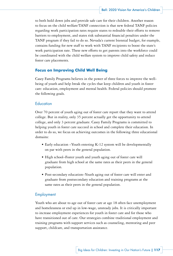to both hold down jobs and provide safe care for their children. Another reason to focus on the child welfare/TANF connection is that new federal TANF policies regarding work participation rates require states to redouble their efforts to remove barriers to employment, and states risk substantial financial penalties under the TANF program if they fail to do so. Nevada's current biennial budget, for example, contains funding for new staff to work with TANF recipients to boost the state's work participation rate. These new efforts to get parents into the workforce could be coordinated with the child welfare system to improve child safety and reduce foster care placements.

# **Focus on Improving Child Well Being**

Casey Family Programs believes in the power of three forces to improve the wellbeing of youth and help break the cycles that keep children and youth in foster care: education, employment and mental health. Federal policies should promote the following goals.

#### **Education**

Over 70 percent of youth aging out of foster care report that they want to attend college. But in reality, only 35 percent actually get the opportunity to attend college, and only 3 percent graduate. Casey Family Programs is committed to helping youth in foster care succeed in school and complete their education. In order to do so, we focus on achieving outcomes in the following three educational domains:

- Early education –Youth entering K-12 system will be developmentally on par with peers in the general population.
- High school–Foster youth and youth aging out of foster care will graduate from high school at the same rates as their peers in the general population.
- Post-secondary education–Youth aging out of foster care will enter and graduate from postsecondary education and training programs at the same rates as their peers in the general population.

#### Employment

Youth who are about to age out of foster care at age 18 often face unemployment and homelessness or end up in low-wage, unsteady jobs. It is critically important to increase employment experiences for youth in foster care and for those who have transitioned out of care. Our strategies combine traditional employment and training programs with support services such as counseling, mentoring and peer support, childcare, and transportation assistance.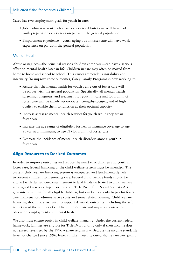#### Bell: 2020 Vision for America's Children

Casey has two employment goals for youth in care:

- Job readiness Youth who have experienced foster care will have had work preparation experiences on par with the general population.
- Employment experience youth aging out of foster care will have work experience on par with the general population.

#### Mental Health

Abuse or neglect—the principal reasons children enter care—can have a serious effect on mental health later in life. Children in care may often be moved from home to home and school to school. This causes tremendous instability and insecurity. To improve these outcomes, Casey Family Programs is now working to:

- Assure that the mental health for youth aging out of foster care will be on par with the general population. Specifically, all mental health screening, diagnosis, and treatment for youth in care and for alumni of foster care will be timely, appropriate, strengths-focused, and of high quality to enable them to function at their optimal capacity.
- Increase access to mental health services for youth while they are in foster care.
- Increase the age range of eligibility for health insurance coverage to age 25 (or, at a minimum, to age 21) for alumni of foster care.
- Decrease the incidence of mental health disorders among youth in foster care.

#### **Align Resources to Desired Outcomes**

In order to improve outcomes and reduce the number of children and youth in foster care, federal financing of the child welfare system must be amended. The current child welfare financing system is antiquated and fundamentally fails to prevent children from entering care. Federal child welfare funds should be aligned with desired outcomes. Current federal funds dedicated to child welfare are aligned by service type. For instance, Title IV-E of the Social Security Act guarantees funding for all eligible children, but can be used only to pay for foster care maintenance, administrative costs and some related training. Child welfare financing should be structured to support desirable outcomes, including the safe reduction of the number of children in foster care and improved outcomes in education, employment and mental health.

We also must ensure equity in child welfare financing. Under the current federal framework, families are eligible for Title IV-E funding only if their income does not exceed levels set by the 1996 welfare reform law. Because the income standards have not changed since 1996, fewer children needing out-of-home care can qualify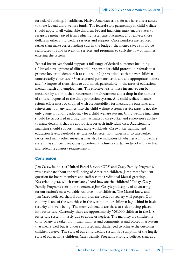for federal funding. In addition, Native American tribes do not have direct access to these federal child welfare funds. The federal/state partnership in child welfare should apply to all vulnerable children. Federal financing must enable states to recapture money saved from reducing foster care placement and reinvest those dollars in other child welfare services and support. Once numbers are reduced, rather than make corresponding cuts in the budget, the money saved should be reallocated to fund prevention services and programs to curb the flow of families entering the system.

Federal incentives should support a full range of desired outcomes including: (1) broad development of differential responses for child protection referrals that present low or moderate risk to children; (2) prevention, so that fewer children unnecessarily enter care; (3) accelerated permanence in safe and appropriate homes; and (4) improved transitions to adulthood, particularly in the areas of education, mental health and employment. The effectiveness of these incentives can be measured by a diminished recurrence of maltreatment and a drop in the number of children reported to the child protection system. Any child welfare finance reform effort must be coupled with accountability for measurable outcomes and reinvestment of any savings into the child welfare system. Service array is not the only gauge of funding adequacy for a child welfare system. Child welfare financing should be structured in a way that facilitates a caseworker and supervisor's ability to make decisions that are appropriate for each individual case. Additionally, financing should support manageable workloads. Caseworker training and education levels, caseload size, caseworker retention, supervisor to caseworker ratios, and many other measures may also be indicators of whether a child welfare system has sufficient resources to perform the functions demanded of it under law and federal regulatory requirements.

#### **Conclusion**

Jim Casey, founder of United Parcel Service (UPS) and Casey Family Programs, was passionate about the well-being of America's children. Jim's most frequent question for board members and staff was the traditional Maasai greeting, Kasserian ingera, which translates, "And how are the children?" Today, Casey Family Programs continues to embrace Jim Casey's philosophy of advocating for our nation's most valuable resource—our children. The Maasai know and Jim Casey believed that, if our children are well, our society will prosper. Our country is one of the wealthiest in the world but our children lag behind in basic security and well-being. The most vulnerable are those at risk of being placed into foster care. Currently, there are approximately 508,000 children in the U.S. foster care system, mostly due to abuse or neglect. The majority are children of color. Many are taken from their families and communities and placed in a system that means well but is under-supported and challenged to achieve the outcomes children deserve. The state of our child welfare system is a symptom of the fragile state of our nation's children. Casey Family Programs strongly believes that, as a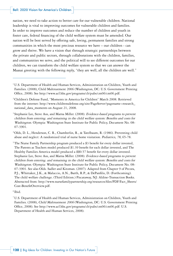#### Bell: 2020 Vision for America's Children

nation, we need to take action to better care for our vulnerable children. National leadership is vital to improving outcomes for vulnerable children and families. In order to improve outcomes and reduce the number of children and youth in foster care, federal financing of the child welfare system must be amended. Our nation will be best served by offering safe, loving, permanent families and strong communities in which the most precious resource we have – our children - can grow and thrive. We have a vision that through strategic partnerships between the private and public sectors, through collaborations with the children, families, and communities we serve, and the political will to see different outcomes for our children, we can transform the child welfare system so that we can answer the Maasai greeting with the following reply, "they are well, all the children are well."

4 Olds, D. L., Henderson, C. R., Chamberlin, R., & Tatelbaum, R. (1986). Preventing child abuse and neglect: A randomized trial of nurse home visitation. Pediatrics, 78, 65-78.

<sup>5</sup> The Nurse Family Partnership program produced a \$3 benefit for every dollar invested, The Parents as Teachers model produced \$1.39 benefit for each dollar invested, and The Healthy Families America model produced a \$\$0.57 benefit for every dollar invested. Stephanie Lee, Steve Aos, and Marna Miller. (2008). Evidence-based programs to prevent children from entering. and remaining in the child welfare system: Benefits and costs for Washington. Olympia: Washington State Institute for Public Policy, Document No. 08- 07-3901. See also Olds. Sadler and Kitzman. (2007). Adapted from Chapter 9 of Pecora, P.J., Whittaker, J.K., & Maluccio, A.N., Barth, R.P., & DePanfilis, D. (Forthcoming). The child welfare challenge. (Third Edition.) Piscataway, NJ: Aldine-Transaction Books. Abstracted from: http://www.nursefamilypartnership.org/resources/files/PDF/Fact\_Sheets/ Cost-BenefitOverview.pdf.

6 Ibid.

<sup>&</sup>lt;sup>1</sup>U.S. Department of Health and Human Services, Administration on Children, Youth and Families. (2008), Child Maltreatment 2006 (Washington, DC: U.S. Government Printing Office, 2008). See http://www.acf.hhs.gov/programs/cb/pubs/cm06/cm06.pdf.

<sup>2</sup> Children's Defense Fund, "Moments in America for Children" March 2008. Retrieved from the internet: http://www.childrensdefense.org/site/PageServer?pagename=research\_ national\_data\_moments on August 21, 2008.

 $3$  Stephanie Lee, Steve Aos, and Marna Miller. (2008). *Evidence-based programs to prevent* children from entering. and remaining in the child welfare system: Benefits and costs for Washington. Olympia: Washington State Institute for Public Policy, Document No. 08- 07-3901.

<sup>7</sup> U.S. Department of Health and Human Services, Administration on Children, Youth and Families. (2008), Child Maltreatment 2006 (Washington, DC: U.S. Government Printing Office, 2008). See http://www.acf.hhs.gov/programs/cb/pubs/cm06/cm06.pdf. U.S. Department of Health and Human Services, 2008).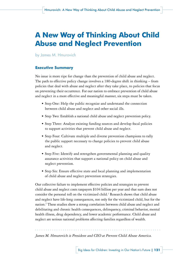# **A New Way of Thinking About Child Abuse and Neglect Prevention**

by James M. Hmurovich

# **Executive Summary**

No issue is more ripe for change than the prevention of child abuse and neglect. The path to effective policy change involves a 180-degree shift in thinking – from policies that deal with abuse and neglect after they take place, to policies that focus on preventing their occurrence. For our nation to embrace prevention of child abuse and neglect in a more effective and meaningful manner, six steps must be taken.

- Step One: Help the public recognize and understand the connection between child abuse and neglect and other social ills.
- Step Two: Establish a national child abuse and neglect prevention policy.
- Step Three: Analyze existing funding sources and develop fiscal policies to support activities that prevent child abuse and neglect.
- Step Four: Cultivate multiple and diverse prevention champions to rally the public support necessary to change policies to prevent child abuse and neglect.
- Step Five: Identify and strengthen governmental planning and quality assurance activities that support a national policy on child abuse and neglect prevention.
- Step Six: Ensure effective state and local planning and implementation of child abuse and neglect prevention strategies.

Our collective failure to implement effective policies and strategies to prevent child abuse and neglect costs taxpayers \$104 billion per year and that sum does not consider the personal toll on the victimized child.<sup>1</sup> Research shows that child abuse and neglect have life-long consequences, not only for the victimized child, but for the nation.2 These studies show a strong correlation between child abuse and neglect and debilitating and chronic health consequences, delinquency, criminal behavior, mental health illness, drug dependency, and lower academic performance. Child abuse and neglect are serious national problems affecting families regardless of wealth.

James M. Hmurovich is President and CEO at Prevent Child Abuse America.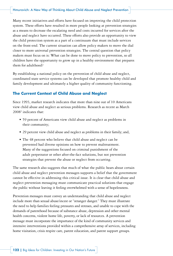Many recent initiatives and efforts have focused on improving the child protection system. These efforts have resulted in more people looking at prevention strategies as a means to decrease the escalating need and costs incurred for services after the abuse and neglect have occurred. These efforts also provide an opportunity to view the child protection system as a part of a continuum that must include services on the front-end. The current situation can allow policy makers to move the dial closer to more universal prevention strategies. The central question that policy makers must focus on is: What can be done to move policy to prevention, so all children have the opportunity to grow up in a healthy environment that prepares them for adulthood?

By establishing a national policy on the prevention of child abuse and neglect, coordinated state service systems can be developed that promote healthy child and family development and ultimately a higher quality of community functioning.

# **The Current Context of Child Abuse and Neglect**

Since 1993, market research indicates that more than nine out of 10 Americans view child abuse and neglect as serious problems. Research as recent as March 20083 indicates that:

- 59 percent of Americans view child abuse and neglect as problems in their community;
- • 29 percent view child abuse and neglect as problems in their family; and,
- The 48 percent who believe that child abuse and neglect can be prevented had diverse opinions on how to prevent maltreatment. Many of the suggestions focused on criminal punishment of the adult perpetrator or other after-the-fact solutions, but not prevention strategies that prevent the abuse or neglect from occurring.

The same research also suggests that much of what the public hears about certain child abuse and neglect prevention messages supports a belief that the government cannot be effective in addressing this critical issue. It is clear that child abuse and neglect prevention messaging must communicate practical solutions that engage the public without leaving it feeling overwhelmed with a sense of hopelessness.

Prevention messages must convey an understanding that child abuse and neglect include more than sexual abuse/incest or "stranger danger." They must illustrate the need to help families feeling pressures and stresses, and unable to cope with the demands of parenthood because of substance abuse, depression and other mental health concerns, violent home life, poverty, or lack of resources. A prevention message must incorporate the importance of the kind of community services and intensive interventions provided within a comprehensive array of services, including home visitation, crisis respite care, parent education, and parent support groups.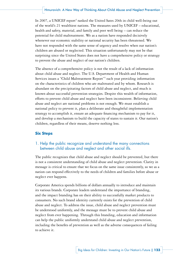In 2007, a UNICEF report<sup>4</sup> ranked the United Sates 20th in child well-being out of the world's 21 wealthiest nations. The measures used by UNICEF – educational, health and safety, material, and family and peer well being – can reduce the potential for child maltreatment. We as a nation have responded decisively whenever our economic stability or national security has been threatened. We have not responded with the same sense of urgency and resolve when our nation's children are abused or neglected. This situation unfortunately may not be that surprising since the United States does not have a comprehensive policy or strategy to prevent the abuse and neglect of our nation's children.

The absence of a comprehensive policy is not the result of a lack of information about child abuse and neglect. The U.S. Department of Health and Human Services issues a "Child Maltreatment Report"<sup>5</sup> each year providing information on the characteristics of children who are maltreated and by whom. Research is abundant on the precipitating factors of child abuse and neglect, and much is known about successful prevention strategies. Despite this wealth of information, efforts to prevent child abuse and neglect have been inconsistent. Believing child abuse and neglect are national problems is not enough. We must establish a national policy to prevent it, plan a deliberate and thoughtful implementation strategy to accomplish it, ensure an adequate financing mechanism to pay for it, and develop a mechanism to build the capacity of states to sustain it. Our nation's children, regardless of their means, deserve nothing less.

# **Six Steps**

# 1. Help the public recognize and understand the many connections between child abuse and neglect and other social ills.

The public recognizes that child abuse and neglect should be prevented, but there is not a consistent understanding of child abuse and neglect prevention. Clarity in message is critical to ensure that we focus on the same issue consistently, so we as a nation can respond effectively to the needs of children and families before abuse or neglect ever happens.

Corporate America spends billions of dollars annually to introduce and maintain its various brands. Corporate leaders understand the importance of branding, and the impact branding has on their ability to successfully market products to consumers. No such brand identity currently exists for the prevention of child abuse and neglect. To address the issue, child abuse and neglect prevention must be understood uniformly, and the message must be to prevent child abuse and neglect from ever happening. Through this branding, education and information can help the public uniformly understand child abuse and neglect prevention, including the benefits of prevention as well as the adverse consequences of failing to achieve it.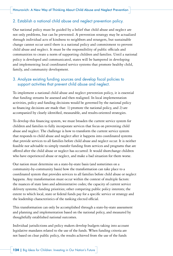## 2. Establish a national child abuse and neglect prevention policy.

Our national policy must be guided by a belief that child abuse and neglect are not only problems, but can be prevented. A prevention strategy may be actualized through individual acts of kindness to neighbors and strangers, but sustainable change cannot occur until there is a national policy and commitment to prevent child abuse and neglect. It must be the responsibility of public officials and communities to create a norm of supporting children and families. Until a national policy is developed and communicated, states will be hampered in developing and implementing local coordinated service systems that promote healthy child, family, and community development.

# 3. Analyze existing funding sources and develop fiscal policies to support activities that prevent child abuse and neglect.

To implement a national child abuse and neglect prevention policy, it is essential that funding streams be assessed and then realigned. In local implementation activities, policy and funding decisions would be governed by the national policy so financing decisions are made that: 1) promote the national policy, and 2) are accompanied by clearly identified, measurable, and results-oriented strategies.

To develop this financing system, we must broaden the current service system for children and families to fully incorporate services that focus on preventing child abuse and neglect. The challenge is how to transform the current service system that responds to child abuse and neglect after it happens into coordinated systems that provide services to all families before child abuse and neglect occur. It is neither feasible nor advisable to simply transfer funding from services and programs that are offered after the child abuse or neglect has occurred. It would shortchange children who have experienced abuse or neglect, and make a bad situation for them worse.

Our nation must determine on a state-by-state basis (and sometimes on a community-by-community basis) how the transformation can take place to a coordinated system that provides services to all families before child abuse or neglect happens. Any transformation must occur within the context of multiple factors: the nuances of state laws and administrative codes; the capacity of current service delivery systems; funding priorities; other competing public policy interests; the extent to which local, state or federal funds pay for a specific service or strategy and the leadership characteristics of the ranking elected official.

This transformation can only be accomplished through a state-by-state assessment and planning and implementation based on the national policy, and measured by thoughtfully established national outcomes.

Individual jurisdictions and policy makers develop budgets taking into account legislative mandates related to the use of the funds. When funding criteria are not based on clear public policy, the results achieved from the use of the funds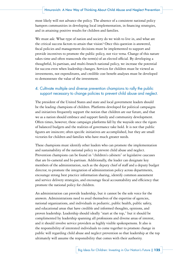most likely will not advance the policy. The absence of a consistent national policy hampers communities in developing local implementation, in financing strategies, and in attaining positive results for children and families.

We must ask: What type of nation and society do we wish to live in, and what are the critical success factors to attain that vision? Once this question is answered, fiscal policies and management decisions must be implemented to support and provide incentives to promote the public policy, not vice versa. Change of this nature takes time and often transcends the term(s) of an elected official. By developing a thoughtful, bi-partisan, and multi-branch national policy, we increase the potential for success even when leadership changes. Services for children must be viewed as investments, not expenditures, and credible cost benefit analyses must be developed to demonstrate the value of the investment.

# 4. Cultivate multiple and diverse prevention champions to rally the public support necessary to change policies to prevent child abuse and neglect.

The president of the United States and state and local government leaders should be the leading champions of children. Platforms developed for political campaigns and initiatives frequently support the notion that children are our future, and that we as a nation should embrace and support family and community development. Often times, however, these campaign platforms fall by the wayside once the rigors of balanced budgets and the realities of governance take hold. It is not that public figures are insincere; often specific initiatives are accomplished, but they are small victories for children and families who have much greater needs.

These champions must identify other leaders who can promote the implementation and sustainability of the national policy to prevent child abuse and neglect. Prevention champions can be found in "children's cabinets" or legislative caucuses that are bi-cameral and bi-partisan. Additionally, the leader can designate key members of the administration, such as the deputy chief of staff and a deputy budget director, to promote the integration of administration policy across departments, encourage strong best practice information sharing, identify common assessment and service delivery strategies, and encourage fiscal accountability and efficiency that promote the national policy for children.

An administration can provide leadership, but it cannot be the sole voice for the answers. Administrations need to avail themselves of the expertise of agencies, national organizations, and individuals in pediatric, public health, public safety, and educational areas that have credible and informed thoughts, opinions, and proven leadership. Leadership should ideally "start at the top," but it should be complimented by leadership spanning all professions and diverse areas of interest, and it should involve service providers as highly visible spokespersons. It also is the responsibility of interested individuals to come together to promote change in public will regarding child abuse and neglect prevention so that leadership at the top ultimately will assume the responsibility that comes with their authority.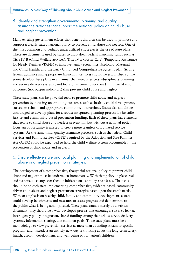# 5. Identify and strengthen governmental planning and quality assurance activities that support the national policy on child abuse and neglect prevention.

Many existing government efforts that benefit children can be used to promote and support a clearly stated national policy to prevent child abuse and neglect. One of the most common and perhaps underutilized strategies is the use of state plans. These are documents used by states to draw down federal matching funds such as Title IV-B (Child Welfare Services), Title IV-E (Foster Care), Temporary Assistance for Needy Families (TANF) to improve family economics, Medicaid, Maternal and Child Health, and the Early Childhood Comprehensive Systems plan. Strong federal guidance and appropriate financial incentives should be established so that states develop these plans in a manner that integrates cross-disciplinary planning and service delivery systems, and focus on nationally approved child well-being outcomes (not output indicators) that prevent child abuse and neglect.

These state plans can be powerful tools to promote child abuse and neglect prevention by focusing on attaining outcomes such as healthy child development, success in school, and appropriate community interactions. States also should be encouraged to develop plans for a robust integrated planning process for juvenile justice and community-based prevention funding. Each of these plans has elements that relate to child abuse and neglect prevention, but without a national policy focus, an opportunity is missed to create more seamless coordinated service systems. At the same time, quality assurance processes such as the federal Child Services and Family Review (CSFR) required by the Adoption and Safe Families Act (ASFA) could be expanded to hold the child welfare system accountable in the prevention of child abuse and neglect.

# 6. Ensure effective state and local planning and implementation of child abuse and neglect prevention strategies.

The development of a comprehensive, thoughtful national policy to prevent child abuse and neglect must be undertaken immediately. With that policy in place, real and sustainable change can then be initiated on a state-by-state basis. The focus should be on each state implementing comprehensive, evidence-based, communitydriven child abuse and neglect prevention strategies based upon the state's needs. With an emphasis on healthy child, family and community development, a state could develop benchmarks and measures to assess progress and demonstrate to the public what is being accomplished. These plans cannot merely be a written document, they should be a well-developed process that encourages states to look at inter-agency policy integration, shared funding among the various service delivery systems, information sharing, and common goals. These state plans must be a methodology to view prevention services as more than a funding stream or specific program, and instead, as an entirely new way of thinking about the long-term safety, health, growth, development, and well-being of our nation's children.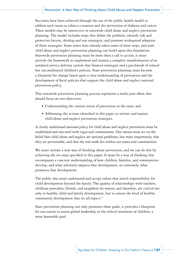# Hmurovich: A New Way of Thinking About Child Abuse and Neglect Prevention

Successes have been achieved through the use of the public health model to address such issues as tobacco cessation and the prevention of diabetes and cancer. These models may be instructive in statewide child abuse and neglect prevention planning. The model includes steps that define the problem, identify risk and protective factors, develop and test strategies, and promote widespread adoption of those strategies. Some states have already taken some of these steps, and state child abuse and neglect prevention planning can build upon this foundation. Statewide prevention planning must be more than a call to action; it must provide the framework to implement and sustain a complete transformation of an outdated service delivery system that finances strategies and a patchwork of related but uncoordinated children's policies. State prevention planning must become a blueprint for change based upon a clear understanding of prevention and the development of fiscal policies that support the child abuse and neglect national prevention policy.

This statewide prevention planning process represents a multi-year effort that should focus on two objectives:

- • Understanding the current status of prevention in the state; and
- Addressing the actions identified in this paper to initiate and sustain child abuse and neglect prevention strategies.

A clearly understood national policy for child abuse and neglect prevention must be established and executed with vigor and commitment. Our nation must act on the belief that child abuse and neglect are national problems, but more importantly, that they are preventable, and that the real work lies within our states and communities.

We must initiate a new way of thinking about prevention, and we can do this by achieving the six steps specified in this paper. It must be a way of thinking that encompasses a concrete understanding of how children, families, and communities develop, and what adversely impacts that development, or conversely, what promotes that development.

The public also must understand and accept values that attach responsibility for child development beyond the family. The quality of relationships with teachers, childcare providers, friends, and neighbors do matter, and therefore, are critical not only to healthy child and family development, but to ensure the kind of healthy community development that we all expect.<sup>6</sup>

State prevention planning not only promotes these goals, it provides a blueprint for our nation to attain global leadership in the ethical treatment of children; a most honorable goal.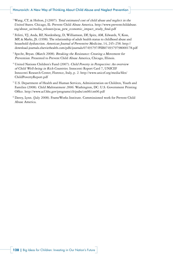# Hmurovich: A New Way of Thinking About Child Abuse and Neglect Prevention

- <sup>1</sup> Wang, CT, & Holton, J (2007). Total estimated cost of child abuse and neglect in the United States. Chicago, IL: Prevent Child Abuse America. http://www.preventchildabuse. org/about\_us/media\_releases/pcaa\_pew\_economic\_impact\_study\_final.pdf
- <sup>2</sup> Felitti, VJ, Anda, RF, Nordenberg, D, Williamson, DF, Spitz, AM, Edwards, V, Koss, MP, & Marks, JS. (1998). The relationship of adult health status to childhood abuse and household dysfunction. American Journal of Preventive Medicine, 14, 245–258. http:// download.journals.elsevierhealth.com/pdfs/journals/07493797/PIIS0749379798000178.pdf
- $3$  Specht, Bryan. (March 2008). Breaking the Resistance: Creating a Movement for Prevention. Presented to Prevent Child Abuse America, Chicago, Illinois.
- <sup>4</sup> United Nations Children's Fund (2007). Child Poverty in Perspective: An overview of Child Well-being in Rich Countries. Innocenti Report Card 7, UNICEF Innocenti Research Center, Florence, Italy, p. 2. http://www.unicef.org/media/files/ ChildPovertyReport.pdf
- 5 U.S. Department of Health and Human Services, Administration on Children, Youth and Families (2008). Child Maltreatment 2006. Washington, DC: U.S. Government Printing Office. http://www.acf.hhs.gov/programs/cb/pubs/cm06/cm06.pdf
- <sup>6</sup> Davey, Lynn. (July 2008). FrameWorks Institute. Commissioned work for Prevent Child Abuse America.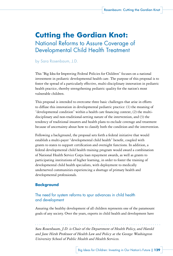# **Cutting the Gordian Knot:**

National Reforms to Assure Coverage of Developmental Child Health Treatment

by Sara Rosenbaum, J.D.

This "Big Idea for Improving Federal Policies for Children" focuses on a national investment in pediatric developmental health care. The purpose of this proposal is to foster the spread of a particularly effective, multi-disciplinary innovation in pediatric health practice, thereby strengthening pediatric quality for the nation's most vulnerable children.

This proposal is intended to overcome three basic challenges that arise in efforts to diffuse this innovation in developmental pediatric practice: (1) the meaning of "developmental condition" within a health care financing context, (2) the multidisciplinary and non-traditional-setting nature of the intervention, and (3) the tendency of traditional insurers and health plans to exclude coverage and treatment because of uncertainty about how to classify both the condition and the intervention.

Following a background, the proposal sets forth a federal initiative that would establish a multi-payer "developmental child health" benefit, coupled with grants to states to support certification and oversight functions. In addition, a federal developmental child health training program would award a combination of National Health Service Corps loan repayment awards, as well as grants to participating institutions of higher learning, in order to foster the training of developmental child health specialists, with deployment to medically underserved communities experiencing a shortage of primary health and developmental professionals.

# **Background**

# The need for system reforms to spur advances in child health and development

Assuring the healthy development of all children represents one of the paramount goals of any society. Over the years, experts in child health and development have

Sara Rosenbaum, J.D. is Chair of the Department of Health Policy, and Harold and Jane Hirsh Professor of Health Law and Policy at the George Washington University School of Public Health and Health Services.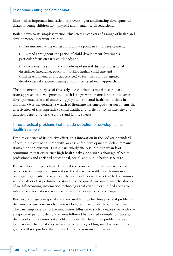identified an important innovation for preventing or ameliorating developmental delays in young children with physical and mental health conditions.

Boiled down to its simplest version, this strategy consists of a range of health and developmental interventions that:

(i) Are initiated at the earliest appropriate point in child development;

(ii) Extend throughout the period of child development, but with a particular focus on early childhood; and

(iii) Combine the skills and capabilities of several distinct professional disciplines (medicine, education, public health, child care and child development, and social services) to furnish a fully integrated developmental treatment using a family-centered team approach.

The fundamental purpose of this early and continuous multi-disciplinary team approach to developmental health is to prevent or ameliorate the adverse developmental effects of underlying physical or mental health conditions in children. Over the decades, a wealth of literature has emerged that documents the effectiveness of this approach to child health, and its flexibility in intensity and duration depending on the child's and family's needs.<sup>1</sup>

# Three practical problems that impede adoption of developmental health treatment

Despite evidence of its positive effect, this innovation in the pediatric standard of care in the case of children with, or at risk for, developmental delays remains stymied or non-existent. This is particularly the case in the thousands of communities that experience high health risks along with a shortage of health professionals and enriched educational, social, and public health services.2

Pediatric health experts have described the broad, conceptual, and structural barriers to this important innovation: the absence of stable health insurance coverage, fragmented programs at the state and federal levels that lack a common set of goals or clear performance standards and quality measures, and the absence of well-functioning information technology that can support unified access to integrated information across disciplinary sectors and service settings.<sup>3</sup>

But beyond these conceptual and structural failings lie three practical problems that interact with one another in ways long familiar to health policy reform. Their net impact is to hobble innovation diffusion to such a degree that, with the exception of periodic demonstrations followed by isolated examples of success, the model simply cannot take hold and flourish. These three problems are so foundational that until they are addressed, simply adding small new stimulus grants will not produce the intended effect of systemic innovation.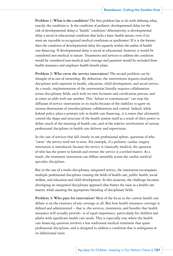**Problem 1: What is the condition?** The first problem has to do with defining what, exactly, the condition is. Is the condition of pediatric developmental delay (or the risk of developmental delay) a "health" condition? Alternatively, is developmental delay a social or educational condition that lacks a basic health nature, even if its roots are traceable to recognized medical conditions or syndromes? If it is the former, then the condition of developmental delay fits squarely within the ambit of health care financing. If developmental delay is social or educational, however, it would be considered non-medical in nature. Treatments and services to address the condition would be considered non-medical and coverage and payment would be excluded from health insurance and employee health benefit plans.

**Problem 2: Who owns the service innovation?** The second problem can be thought of as one of ownership. By definition, the intervention requires multiple disciplines with expertise in health, education, child development, and social service. As a result, implementation of the intervention literally requires collaboration across disciplinary fields, each with its own licensure and certification process, and at times at odds with one another. This "failure to communicate" can stop the diffusion of service innovations in its tracks because of the inability to agree on various dimensions of interdisciplinary collaboration and control. Indeed, while federal policy plays a primary role in health care financing, it is states that ultimately control the shape and structure of the health system itself as a result of their power to define much of the meaning of health care, and of the relative involvement of various professional disciplines in health care delivery and supervision.

In the case of services that fall cleanly in one professional sphere, questions of who "owns" the service tend not to arise. For example, if a pediatric cardiac surgery innovation is introduced, because the service is classically medical, the question of who has the power to furnish and oversee the service is a settled matter. As a result, the treatment innovation can diffuse smoothly across the cardiac medical specialty disciplines.

But in the case of a multi-disciplinary, integrated service, the innovation encompasses multiple professional disciplines crossing the fields of health care, public health, social welfare, and education and child development. In this situation, the challenge becomes developing an integrated disciplinary approach that frames the issue as a health care matter, while assuring the appropriate blending of disciplinary fields.

**Problem 3: Who pays for innovation?** Most of the focus in the current health care debate is on the existence of any coverage at all. But how health insurance coverage is defined and administered – that is, the services, treatments, and benefits that health insurance will actually provide– is of equal importance, particularly for children and adults with significant health care needs. This is especially true where the health care financing question involves a less traditional medical treatment that spans professional disciplines, and is designed to address a condition that is ambiguous at its definitional roots.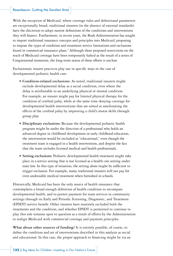With the exception of Medicaid, where coverage rules and definitional parameters are exceptionally broad, traditional insurers (in the absence of external standards) have the discretion to adopt narrow definitions of the conditions and interventions they will finance. Furthermore, in recent years, the Bush Administration has sought to import traditional insurance concepts and principles into Medicaid, proposing to impose the types of condition and treatment service limitations and exclusions found in commercial insurance plans.<sup>4</sup> Although these proposed restrictions on the reach of Medicaid coverage have been temporarily halted as the result of a series of Congressional moratoria, the long-term status of these efforts is unclear.

Exclusionary insurer practices play out in specific ways in the case of developmental pediatric health care:

- • **Condition-related exclusions:** As noted, traditional insurers might exclude developmental delay as a social condition, even where the delay is attributable to an underlying physical or mental condition. For example, an insurer might pay for limited physical therapy for the condition of cerebral palsy, while at the same time denying coverage for developmental health interventions that are aimed at ameliorating the effects of the cerebral palsy by improving a child's motor skills through group play.
- • **Disciplinary exclusions:** Because the developmental pediatric health program might be under the direction of a professional who holds an advanced degree in childhood development or early childhood education, the intervention would be excluded as "educational," even though the treatment team is engaged in a health intervention, and despite the fact that the team includes licensed medical and health professionals.
- • **Setting exclusions:** Pediatric developmental health treatment might take place in a service setting that is not licensed as a health care setting under state law. In this type of situation, the setting alone might be sufficient to trigger exclusion. For example, many traditional insurers will not pay for even undeniable medical treatment when furnished in schools.

Historically, Medicaid has been the only source of health insurance that contemplates a broad enough definition of health condition to encompass developmental health, and to permit payment for team services in community settings through its Early and Periodic Screening, Diagnostic, and Treatment (EPSDT) service benefit. Other insurers have routinely excluded both the treatments and the condition, and whether EPSDT is permitted to continue to play this role remains open to question as a result of efforts by the Administration to realign Medicaid with commercial coverage and payment principles.

**What about other sources of funding?** It is entirely possible, of course, to define the condition and set of interventions described in this analysis as social and educational. In this case, the proper approach to financing might be via an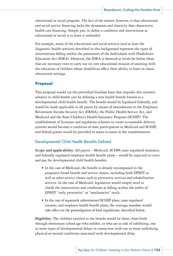educational or social program. The fact of the matter, however, is that educational and social service financing lacks the dynamism and elasticity that characterize health care financing. Simply put, to define a condition and intervention as educational or social is to leave it unfunded.

For example, many of the educational and social services (and at least the diagnostic health services) described in this background represent the types of interventions falling within the parameters of the Individuals with Disabilities Education Act (IDEA). However, the IDEA is financed at levels far below those that are necessary even to carry out its core educational mission of assisting with the education of children whose disabilities affect their ability to learn in classic educational settings.

#### **Proposal**

This proposal would cut the proverbial Gordian knot that impedes this systemic advance in child health care by defining a new health benefit known as a developmental child health benefit. The benefit would be legislated federally, and would be made applicable to all payers by means of amendments to the Employee Retirement Income Security Act (ERISA), the Public Health Service Act, and Medicaid and the State Children's Health Insurance Program (SCHIP). The establishment of licensure and regulatory schemes to create accountable delivery systems would become a condition of state participation in Medicaid and SCHIP, and federal grants would be provided to states to assist in the transformation.

#### Developmental Child Health Benefits Defined

**Scope and applicability.** All payers – Medicaid, SCHIP, state regulated insurance, and federally regulated employee health benefit plans – would be expected to cover and pay for developmental child health benefits.

- In the case of Medicaid, the benefit is already encompassed in the program's broad benefit and service classes, including both EPSDT as well as other service classes such as preventive services and rehabilitation services. In the case of Medicaid, legislation would simply need to clarify the intervention and conditions as falling within the ambit of EPSDT "early preventive" or "ameliorative" reach.
- In the case of separately administered SCHIP plans, state regulated insurers, and employee health benefit plans, the coverage mandate would take effect on the promulgation of final regulations, described below.

**Eligibility.** The children entitled to the benefit would be those, from birth through elementary school age who exhibit, or who are at risk of exhibiting, one or more types of developmental delays in connection with one or more underlying physical or mental conditions associated with developmental delay.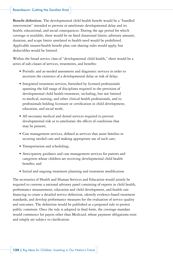**Benefit definition.** The developmental child health benefit would be a "bundled intervention" intended to prevent or ameliorate developmental delay and its health, educational, and social consequences. During the age period for which coverage is available, there would be no fixed durational limits; arbitrary amount, duration, and scope limits unrelated to health need would be prohibited. Applicable insurer/health benefit plan cost sharing rules would apply, but deductibles would be limited.

Within the broad service class of "developmental child health," there would be a series of sub-classes of services, treatments, and benefits:

- Periodic and as-needed assessment and diagnostic services in order to ascertain the existence of a developmental delay or risk of delay;
- Integrated treatment services, furnished by licensed professionals spanning the full range of disciplines required in the provision of developmental child health treatment, including, but not limited to medical, nursing, and other clinical health professionals, and to professionals holding licensure or certification in child development, education, and social work;
- All necessary medical and dental services required to prevent developmental risk or to ameliorate the effects of conditions that may be present;
- • Case management services, defined as services that assist families in securing needed care and making appropriate use of such care;
- Transportation and scheduling;
- Anticipatory guidance and case management services for parents and caregivers whose children are receiving developmental child health benefits; and
- • Initial and ongoing treatment planning and treatment modification.

The secretaries of Health and Human Services and Education would jointly be required to convene a national advisory panel consisting of experts in child health, performance measurement, education and child development, and health care financing to create a detailed service definition, identify evidence-based treatment standards, and develop performance measures for the evaluation of service quality and outcomes. The definition would be published as a proposed rule to permit public comment. Once the rule is adopted in final form, the coverage mandate would commence for payers other than Medicaid, whose payment obligations exist and simply are subject to clarification.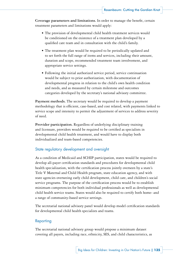**Coverage parameters and limitations.** In order to manage the benefit, certain treatment parameters and limitations would apply:

- The provision of developmental child health treatment services would be conditioned on the existence of a treatment plan developed by a qualified care team and in consultation with the child's family.
- The treatment plan would be required to be periodically updated and to set forth the full range of items and services, including their amount, duration and scope, recommended treatment team involvement, and appropriate service settings.
- • Following the initial authorized service period, service continuation would be subject to prior authorization, with documentation of developmental progress in relation to the child's own health condition and needs, and as measured by certain milestone and outcomes categories developed by the secretary's national advisory committee.

**Payment methods.** The secretary would be required to develop a payment methodology that is efficient, case-based, and cost related, with payments linked to service scope and intensity to permit the adjustment of services to address severity of need.

**Provider participation.** Regardless of underlying disciplinary training and licensure, providers would be required to be certified as specialists in developmental child health treatment, and would have to display both individualized and team-based competencies.

# State regulatory development and oversight

As a condition of Medicaid and SCHIP participation, states would be required to develop all-payer certification standards and procedures for developmental child health specialization, with the certification process jointly overseen by a state's Title V Maternal and Child Health program, state education agency, and with state agencies overseeing early child development, child care, and children's social service programs. The purpose of the certification process would be to establish minimum competencies for both individual professionals as well as developmental child health service teams. States would also be required to certify both home- and a range of community-based service settings.

The secretarial national advisory panel would develop model certification standards for developmental child health specialists and teams.

#### **Reporting**

The secretarial national advisory group would propose a minimum dataset covering all payers, including race, ethnicity, SES, and child characteristics, as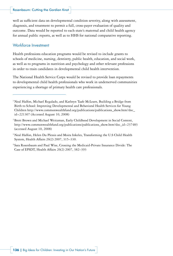well as sufficient data on developmental condition severity, along with assessment, diagnosis, and treatment to permit a full, cross-payer evaluation of quality and outcome. Data would be reported to each state's maternal and child health agency for annual public reports, as well as to HHS for national comparative reporting.

#### Workforce Investment

Health professions education programs would be revised to include grants to schools of medicine, nursing, dentistry, public health, education, and social work, as well as to programs in nutrition and psychology and other relevant professions in order to train candidates in developmental child health intervention.

The National Health Service Corps would be revised to provide loan repayments to developmental child health professionals who work in underserved communities experiencing a shortage of primary health care professionals.

<sup>&</sup>lt;sup>1</sup> Neal Halfon, Michael Regalado, and Kathryn Taafe McLearn, Building a Bridge from Birth to School: Improving Developmental and Behavioral Health Services for Young Children http://www.commonwealthfund.org/publications/publications\_show.htm?doc\_ id=221307 (Accessed August 10, 2008)

 $2$  Brett Brown and Michael Weitzman, Early Childhood Development in Social Context, http://www.commonwealthfund.org/publications/publications\_show.htm?doc\_id=237483 (accessed August 10, 2008)

<sup>&</sup>lt;sup>3</sup> Neal Halfon, Helen Du Plessis and Moira Inkeles, Transforming the U.S Child Health System, Health Affairs 26(2) 2007, 315–330.

<sup>&</sup>lt;sup>4</sup> Sara Rosenbaum and Paul Wise, Crossing the Medicaid-Private Insurance Divide: The Case of EPSDT, Health Affairs 26(2) 2007, 382–393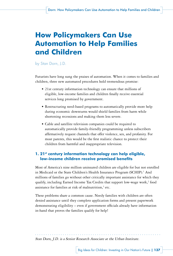# **How Policymakers Can Use Automation to Help Families and Children**

# by Stan Dorn, J.D.

Futurists have long sung the praises of automation. When it comes to families and children, three new automated procedures hold tremendous promise:

- 21st century information technology can ensure that millions of eligible, low-income families and children finally receive essential services long promised by government.
- Restructuring need-based programs to automatically provide more help during economic downturns would shield families from harm while shortening recessions and making them less severe.
- Cable and satellite television companies could be required to automatically provide family-friendly programming unless subscribers affirmatively request channels that offer violence, sex, and profanity. For most parents, this would be the first realistic chance to protect their children from harmful and inappropriate television.

# **1. 21st century information technology can help eligible, low-income children receive promised benefits**

Most of America's nine million uninsured children are eligible for but not enrolled in Medicaid or the State Children's Health Insurance Program (SCHIP).<sup>1</sup> And millions of families go without other critically important assistance for which they qualify, including Earned Income Tax Credits that support low-wage work,<sup>2</sup> food assistance for families at risk of malnutrition,<sup>3</sup> etc.

These problems share a common cause. Needy families with children are often denied assistance until they complete application forms and present paperwork demonstrating eligibility – even if government officials already have information in-hand that proves the families qualify for help!

Stan Dorn, J.D. is a Senior Research Associate at the Urban Institute.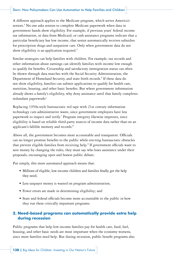A different approach applies to the Medicare program, which serves America's seniors.<sup>4</sup> No one asks seniors to complete Medicare paperwork when data in government hands show eligibility. For example, if previous years' federal income tax information, or data from Medicaid, or cash assistance programs indicate that a particular beneficiary has low income, that senior automatically receives subsidies for prescription drugs and outpatient care. Only when government data do not show eligibility is an application required.<sup>5</sup>

Similar strategies can help families with children. For example, tax records and other information about earnings can identify families with income low enough to qualify for benefits. Citizenship and satisfactory immigration status can often be shown through data matches with the Social Security Administration, the Department of Homeland Security, and state birth records.<sup>6</sup> If these data do not show eligibility, families can submit applications to qualify for health care, nutrition, housing, and other basic benefits. But where government information already shows a family's eligibility, why deny assistance until that family completes redundant paperwork?

Replacing 1950s-style bureaucratic red tape with 21st century information technology cuts administrative waste, since government employees have less paperwork to inspect and verify.<sup>7</sup> Program integrity likewise improves, since eligibility is based on reliable third-party sources of income data rather than on an applicant's fallible memory and records.8

Above all, the government becomes more accountable and transparent. Officials can no longer promise benefits to the public while erecting bureaucratic obstacles that prevent eligible families from receiving help.9 If government officials want to save money by changing the rules, they must say who loses assistance under their proposals, encouraging open and honest public debate.

Put simply, this more automated approach means that:

- Millions of eligible, low-income children and families finally get the help they need;
- Less taxpayer money is wasted on program administration;
- • Fewer errors are made in determining eligibility; and
- State and federal officials become more accountable to the public in how they run these critically important programs.

# **2. Need-based programs can automatically provide extra help during recession**

Public programs that help low-income families pay for health care, food, fuel, housing, and other basic needs are most important when the economy worsens, since more families need help. But during recession, public benefit programs also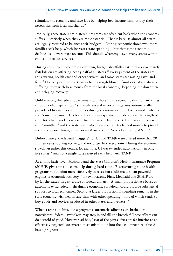stimulate the economy and save jobs by helping low-income families buy their necessities from local merchants.10

Ironically, these state-administered programs are often cut back when the economy suffers – precisely when they are most essential! That is because almost all states are legally required to balance their budgets.<sup>11</sup> During economic slowdown, more families seek help, which increases state spending – but that same economic decline also lowers state revenue. This double-whammy leaves many states with no choice but to cut services.

During the current economic slowdown, budget shortfalls that total approximately \$50 billion are affecting nearly half of all states.<sup>12</sup> Forty percent of the states are thus cutting health care and other services, and some states are raising taxes and fees.13 Not only can these actions deliver a tough blow to families that are already suffering, they withdraw money from the local economy, deepening the downturn and delaying recovery.

Unlike states, the federal government can shore up the economy during hard times through deficit spending. As a result, several national programs automatically provide additional federal resources during economic decline. For example, when a state's unemployment levels rise by amounts specified in federal law, the length of time for which workers receive Unemployment Insurance (UI) increases from six to 12 months;<sup>14</sup> and the state automatically receives extra federal money to provide income support through Temporary Assistance to Needy Families (TANF).<sup>15</sup>

Unfortunately, the federal "triggers" for UI and TANF were crafted more than 20 and ten years ago, respectively, and no longer fit the economy. During the economic slowdown earlier this decade, for example, UI was extended automatically in only five states,<sup>16</sup> and not a single state received extra help with  $TANF$ <sup>17</sup>

At a more basic level, Medicaid and the State Children's Health Insurance Program (SCHIP) give states no extra help during hard times. Restructuring these health programs to function more effectively in recession could make them powerful engines of economic recovery,<sup>18</sup> for two reasons. First, Medicaid and SCHIP are by far the states' largest source of federal dollars.<sup>19</sup> A small proportionate boost of automatic extra federal help during economic slowdown could provide substantial support to local economies. Second, a larger proportion of spending remains in the state economy with health care than with other spending, more of which tends to buy goods and services produced in other states and overseas.<sup>20</sup>

When a recession hits, and a program's automatic adjusters are broken or nonexistent, federal lawmakers may step in and fill the breach.<sup>21</sup> These efforts can do a world of good. However, ad hoc, "seat of the pants" fixes are far inferior to an effectively targeted, automated mechanism built into the basic structure of needbased programs.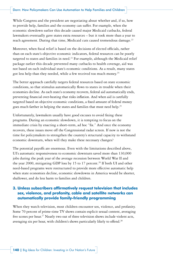While Congress and the president are negotiating about whether and, if so, how to provide help, families and the economy can suffer. For example, when the economic slowdown earlier this decade caused major Medicaid cutbacks, federal lawmakers eventually gave states extra resources – but it took more than a year to reach agreement. During that time, Medicaid cuts caused tremendous damage.<sup>22</sup>

Moreover, when fiscal relief is based on the decisions of elected officials, rather than on each state's objective economic indicators, federal resources can be poorly targeted to states and families in need.<sup>23</sup> For example, although the Medicaid relief package earlier this decade prevented many cutbacks to health coverage, aid was not based on each individual state's economic conditions. As a result, many states got less help than they needed, while a few received too much money. $^{24}$ 

The better approach carefully targets federal resources based on state economic conditions, so that stimulus automatically flows to states in trouble when their economies decline. As each state's economy recovers, federal aid automatically ends, preventing financial over-heating that risks inflation. And when aid is carefully targeted based on objective economic conditions, a fixed amount of federal money goes much farther in helping the states and families that most need help.<sup>25</sup>

Unfortunately, lawmakers usually have good excuses to avoid fixing these programs. During an economic slowdown, it is tempting to focus on the immediate crisis by enacting a short-term, ad hoc "fix." And once the economy recovers, these issues move off the Congressional radar screen. If now is not the time for policymakers to strengthen the country's structural capacity to withstand economic downturn, when will they make these necessary changes?

The potential payoffs are enormous. Even with the limitations described above, UI's automatic responsiveness to economic downturn saved more than 130,000 jobs during the peak year of the average recession between World War II and the year 2000, mitigating GDP loss by 15 to 17 percent.<sup>26</sup> If both UI and other need-based programs were restructured to provide more effective automatic help when state economies decline, economic slowdowns in America would be shorter, shallower, and do less harm to families and children.

# **3. Unless subscribers affirmatively request television that includes sex, violence, and profanity, cable and satellite networks can automatically provide family-friendly programming**

When they watch television, most children encounter sex, violence, and profanity. Some 70 percent of prime-time TV shows contain explicit sexual content, averaging five scenes per hour.<sup>27</sup> Nearly two out of three television shows include violent acts, averaging six per hour, with children's shows particularly likely to offend.<sup>28</sup>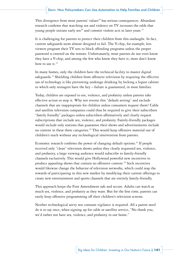This divergence from most parents' values<sup>29</sup> has serious consequences. Abundant research confirms that watching sex and violence on TV increases the odds that young people initiate early  $sex^{30}$  and commit violent acts in later years.<sup>31</sup>

It is challenging for parents to protect their children from this onslaught. In fact, current safeguards seem almost designed to fail. The V-chip, for example, lets viewers program their TV sets to block offending programs unless the proper password is entered on the remote. Unfortunately, most parents do not even know they have a V-chip, and among the few who know they have it, most don't know how to use it. $32$ 

In many homes, only the children have the technical facility to master digital safeguards.<sup>33</sup> Shielding children from offensive television by requiring the effective use of technology is like preventing underage drinking by locking a liquor cabinet to which only teenagers have the key – failure is guaranteed, in most families.

Today, children are exposed to sex, violence, and profanity unless parents take effective action to stop it. Why not reverse this "default setting" and exclude channels that are inappropriate for children unless consumers request them? Cable and satellite television companies could thus be required to give their subscribers "family friendly" packages unless subscribers affirmatively and clearly request subscriptions that include sex, violence, and profanity. Family-friendly packages would include only stations that guarantee their shows and advertisements include no content in these three categories.<sup>34</sup> This would keep offensive material out of children's reach without any technological intervention from parents.

Economic research confirms the power of changing default options.<sup>35</sup> If people received only "clean" television shows unless they clearly requested sex, violence, and profanity, a large viewing audience would subscribe to family-friendly channels exclusively. This would give Hollywood powerful new incentives to produce appealing shows that contain no offensive content.<sup>36</sup> Such incentives would likewise change the behavior of television networks, which could reap the rewards of participating in this new market by modifying their current offerings to create new entertainment and sports channels that are entirely family-friendly.

This approach keeps the First Amendment safe and secure. Adults can watch as much sex, violence, and profanity as they want. But for the first time, parents can easily keep offensive programming off their children's television screens.

Neither technological savvy nor constant vigilance is required. All a parent need do is to say once, when signing up for cable or satellite service, "No thank you, we'd rather not have sex, violence, and profanity in our home."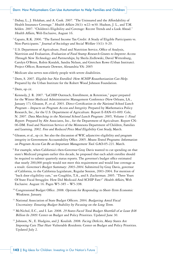- <sup>1</sup> Dubay, L., J. Holahan, and A. Cook. 2007. "The Uninsured and the Affordability of Health Insurance Coverage." Health Affairs 26(1): w22–w30. Hudson, J. L., and T.M. Selden. 2007. "Children's Eligibility and Coverage: Recent Trends and a Look Ahead." Health Affairs, Web Exclusive, August 16.
- <sup>2</sup> Caputo, R.K. 2006. "The Earned Income Tax Credit: A Study of Eligible Participants vs. Non-Participants." Journal of Sociology and Social Welfare 33(1): 9-29.
- <sup>3</sup> U.S. Department of Agriculture, Food and Nutrition Service, Office of Analysis, Nutrition and Evaluation, Evaluation of Food Stamp Research Grants to Improve Access Through New Technology and Partnerships, by Sheila Zedlewski, David Wittenburg, Carolyn O'Brien, Robin Koralek, Sandra Nelson, and Gretchen Rowe (Urban Institute). Project Officer, Rosemarie Downer, Alexandria VA: 2005
- <sup>4</sup> Medicare also serves non-elderly people with severe disabilities.
- <sup>5</sup> Dorn, S. 2007. Eligible but Not Enrolled: How SCHIP Reauthorization Can Help. Prepared by the Urban Institute for the Robert Wood Johnson Foundation.
- 6 Dorn, op cit.
- <sup>7</sup> Kennedy, J. R. 2007. "LaCHIP Outreach, Enrollment, & Retention," paper prepared for the Winter Medicaid Administrative Management Conference (New Orleans, LA., January 17). Gleason, P., et al. 2003. Direct Certification in the National School Lunch Program – Impacts on Program Access and Integrity. Prepared by Mathematica Policy Research, Inc., for the U.S. Department of Agriculture. Report E-FAN-03-009. Cole, N. 2007. Data Matching in the National School Lunch Program: 2005, Volume 1: Final Report. Prepared by Abt Associates, Inc., for the Department of Agriculture. Report CN-06-DM. Food and Nutrition Service of the Minnesota Department of Children, Families and Learning. 2002. Free and Reduced Price Meal Eligibility Cost Study, March.
- <sup>8</sup> Gleason, et al., op cit. See also the discussion of WIC adjunctive eligibility and program integrity in Government Accountability Office. 2005. Means-Tested Programs: Information on Program Access Can Be an Important Management Tool. GAO-05-221. March.
- <sup>9</sup> For example, when California's then-Governor Gray Davis wanted to cut spending on that state's Medicaid program earlier this decade, he proposed that each adult enrollee should be required to submit quarterly status reports. The governor's budget office estimated that nearly 200,000 people would not meet this requirement and would lose coverage as a result. Governor's Budget Summary: 2003-2004. Submitted by Gray Davis, governor of California, to the California Legislature, Regular Session, 2003-2004. For mention of "back door eligibility cuts," see Coughlin, T.A., and S. Zuckerman. 2005. "Three Years Of State Fiscal Struggles: How Did Medicaid And SCHIP Fare?" Health Affairs, Web Exclusive. August 16. Pages W5-385 – W5-398.
- $10$  Congressional Budget Office. 2008. Options for Responding to Short-Term Economic Weakness. January.
- <sup>11</sup> National Association of State Budget Officers. 2004. Budgeting Amid Fiscal Uncertainty: Ensuring Budget Stability by Focusing on the Long Term.
- <sup>12</sup> McNichol, E.C., and I. Lav. 2008. 29 States Faced Total Budget Shortfall of at Least \$48 Billion In 2009. Center on Budget and Policy Priorities. Updated June 30.
- <sup>13</sup> Johnson, N., E. Hudgins, and J. Koulish. 2008. Facing Deficits, Many States Are Imposing Cuts That Hurt Vulnerable Residents. Center on Budget and Policy Priorities. Updated July 2.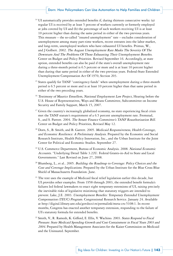#### Dorn: How Policymakers Can Use Automation to Help Families and Children

- $14$  UI automatically provides extended benefits if, during thirteen consecutive weeks: (a) regular UI is received by at least 5 percent of workers currently or formerly employed at jobs covered by UI and (b) the percentage of such workers receiving UI is at least 10 percent higher than during the same period in either of the two previous years. This measure – the so-called "insured unemployment" rate – excludes consideration of unemployment among many part-time workers, recent entrants into the labor market, and long-term, unemployed workers who have exhausted UI benefits. Primus, W., and J Golbert. 2002. The August Unemployment Rate Masks The Severity Of The Downturn And The Problems Of Those Exhausting Their Unemployment Benefits. Center on Budget and Policy Priorities. Revised September 16. Accordingly, at state option, extended benefits can also be paid if the state's overall unemployment rate during a three-month period is 6.5 percent or more and is at least 10 percent higher than during that same period in either of the two previous years. Federal-State Extended Unemployment Compensation Act Of 1970, Section 203.
- <sup>15</sup> States qualify for TANF "contingency funds" when unemployment during a three-month period is 6.5 percent or more and is at least 10 percent higher than that same period in either of the two preceding years.
- $16$  Testimony of Maurice Emsellem, National Employment Law Project, Hearing before the U.S. House of Representatives, Ways and Means Committee, Subcommittee on Income Security and Family Support, March 15, 2007.
- <sup>17</sup> Given the country's increasingly globalized economy, no state experiencing fiscal crisis met the TANF statute's requirement of a 6.5 percent unemployment rate. Fremstad, S., and S. Parrott. 2004. The Senate Finance Committee's TANF Reauthorization Bill. Center on Budget and Policy Priorities, Revised May 12.
- <sup>18</sup> Dorn, S., B. Smith, and B. Garrett. 2005. Medicaid Responsiveness, Health Coverage, and Economic Resilience: A Preliminary Analysis. Prepared by the Economic and Social Research Institute, Health Policy Innovation, Inc., and the Urban Institute for the Joint Center for Political and Economic Studies. September 27.
- <sup>19</sup> U.S. Commerce Department, Bureau of Economic Analysis. 2008. National Economic Accounts. "Underlying Detail Table 3.22U. Federal Grants-in-Aid to State and Local Governments." Last Revised on June 27, 2008.
- <sup>20</sup> Blumberg, L., et al.. 2005. Building the Roadmap to Coverage: Policy Choices and the Cost and Coverage Implications. Prepared by the Urban Institute for the Blue Cross Blue Shield of Massachusetts Foundation. June.
- <sup>21</sup> The text uses the example of Medicaid fiscal relief legislation earlier this decade, but UI provides other examples. From 1958 through 2003, the extended benefit formula's failures led federal lawmakers to enact eight temporary extensions of UI, raising precisely the inevitable risks of legislative mistiming that statutory triggers are intended to prevent. Lake, J.E. 2003. Unemployment Benefits: Temporary Extended Unemployment Compensation (TEUC) Program. Congressional Research Service. January 24. Available at http://digital.library.unt.edu/govdocs/crs/permalink/meta-crs-5108:1. In recent months, Congress has enacted another temporary extension, responding to the failure of UI's statutory formula for extended benefits.
- <sup>22</sup> Smith, V., R. Ramesh, K. Gifford, E. Ellis, V. Wachino. 2003. States Respond to Fiscal Pressure: State Medicaid Spending Growth and Cost Containment in Fiscal Years 2003 and 2004. Prepared by Health Management Associates for the Kaiser Commission on Medicaid and the Uninsured. September.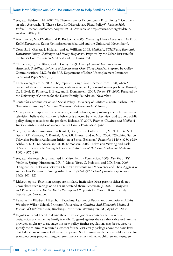- <sup>23</sup> See, e.g., Feldstein, M. 2002. "Is There a Role for Discretionary Fiscal Policy?" Comment on Alan Auerbach, "Is There a Role for Discretionary Fiscal Policy?" Jackson Hole Federal Reserve Conference. August 29-31. Available at http://www.nber.org/feldstein/ auerbach2002.pdf.
- $24$  Wachino, V., M. O'Malley, and R. Rudowitz. 2005. Financing Health Coverage: The Fiscal Relief Experience. Kaiser Commission on Medicaid and the Uninsured. November 9.
- <sup>25</sup> Dorn, S., B. Garrett, J. Holahan, and A. Williams 2008. Medicaid, SCHIP and Economic Downturn: Policy Challenges and Policy Responses. Prepared by the Urban Institute for the Kaiser Commission on Medicaid and the Uninsured.
- <sup>26</sup> Chimerine, L., T.S. Black, and L. Coffey. 1999. *Unemployment Insurance as an* Automatic Stabilizer: Evidence of Effectiveness Over Three Decades. Prepared by Coffey Communications, LLC, for the U.S. Department of Labor. Unemployment Insurance Occasional Paper 99-8. July.
- <sup>27</sup> These averages are for 2005. They represent a significant increase from 1998, when 56 percent of shows had sexual content, with an average of 3.2 sexual scenes per hour. Kunkel, D., L. Eyal, K. Finnerty, E. Biely, and E. Donnerstein. 2005. Sex on TV: 2005. Prepared by the University of Arizona for the Kaiser Family Foundation. November.
- <sup>28</sup> Center for Communication and Social Policy, University of California, Santa Barbara. 1998. "Executive Summary." National Television Violence Study, Volume 3.
- <sup>29</sup> Most parents disapprove of the violence, sexual behavior, and profanity their children see on television, believe that children's behavior is affected by what they view, and support public policy changes to address the problem. Rideout, V. 2007. Parents, Children and Media: A Kaiser Family Foundation Survey. Kaiser Family Foundation. June.
- $30$  See, e.g., studies summarized in Kunkel, et al., op cit. Collins, R. L., M. N. Elliott, S.H. Berry, D.E. Kanouse, D. Kunkel, Dale, S.B. Hunter, and A. Miu. 2004. "Watching Sex on Television Predicts Adolescent Initiation of Sexual Behavior." Pediatrics 114(3): e280-e289. Ashby, S. L., C. M. Arcari, and M. B. Edmonson. 2006. "Television Viewing and Risk of Sexual Initiation by Young Adolescents." Archives of Pediatric Adolescent Medicine 160(4): 375-380.
- $31$  See, e.g., the research summarized in Kaiser Family Foundation. 2003. Key Facts: TV Violence. Spring. Huesmann, L.R., J. Moise-Titus, C. Podolski, and L.D. Eron. 2003. "Longitudinal Relations Between Children's Exposure to TV Violence and Their Aggressive and Violent Behavior in Young Adulthood: 1977–1992." Developmental Psychology 39(2): 201–221.
- $32$  Rideout, op cit. Television ratings are similarly ineffective. Most parents either do not know about such ratings or do not understand them. Federman, J. 2002. Rating Sex and Violence in the Media: Media Ratings and Proposals for Reform. Kaiser Family Foundation. November.
- <sup>33</sup> Remarks By Elisabeth Hirschhorn Donahue, Lecturer of Public and International Affairs, Woodrow Wilson School, Princeton University, at Children And Electronic Media: A Future Of Children Event, Brookings Institution, Washington, DC, April 23, 2008.
- <sup>34</sup> Regulation would need to define these three categories of content that prevent a designation of channels as family friendly. To guard against the risk that cable and satellite providers might try to sabotage this new policy, further regulations may be required to specify the minimum required elements for the least costly package above the basic level that federal law requires of all cable companies. Such minimum elements could include, for example, sports programming, entertainment channels aimed at children and teens, etc.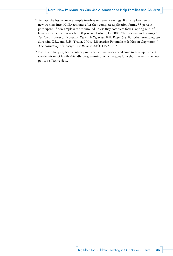#### Dorn: How Policymakers Can Use Automation to Help Families and Children

- <sup>35</sup> Perhaps the best-known example involves retirement savings. If an employer enrolls new workers into 401(k) accounts after they complete application forms, 33 percent participate. If new employees are enrolled unless they complete forms "opting out" of benefits, participation reaches 90 percent. Laibson, D. 2005. "Impatience and Savings." National Bureau of Economic Research Reporter. Fall. Pages 6-8. For other examples, see Sunstein, C.R., and R.H. Thaler. 2003. "Libertarian Paternalism Is Not an Oxymoron." The University of Chicago Law Review 70(4): 1159-1202.
- <sup>36</sup> For this to happen, both content producers and networks need time to gear up to meet the definition of family-friendly programming, which argues for a short delay in the new policy's effective date.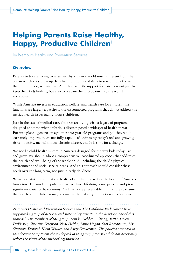# **Helping Parents Raise Healthy, Happy, Productive Children1**

by Nemours Health and Prevention Services

# **Overview**

Parents today are trying to raise healthy kids in a world much different from the one in which they grew up. It is hard for moms and dads to stay on top of what their children do, see, and eat. And there is little support for parents – not just to keep their kids healthy, but also to prepare them to go out into the world and succeed.

While America invests in education, welfare, and health care for children, the functions are largely a patchwork of disconnected programs that do not address the myriad health issues facing today's children.

Just in the case of medical care, children are living with a legacy of programs designed at a time when infectious diseases posed a widespread health threat. Put into place a generation ago, these 40-year-old programs and policies, while extremely important, are not fully capable of addressing today's real and growing risks – obesity, mental illness, chronic disease, etc. It is time for a change.

We need a child health system in America designed for the way kids today live and grow. We should adopt a comprehensive, coordinated approach that addresses the health and well-being of the whole child, including the child's physical environment and social service needs. And this approach should consider these needs over the long term, not just in early childhood.

What is at stake is not just the health of children today, but the health of America tomorrow. The modern epidemics we face have life-long consequences, and present significant costs to the economy. And many are preventable. Our failure to ensure the health of our children may jeopardize their ability to function effectively as

Nemours Health and Prevention Services and The California Endowment have supported a group of national and state policy experts in the development of this proposal. The members of this group include: Debbie I. Chang, MPH, Helen DuPlessis, Christine Ferguson, Neal Halfon, Laura Hogan, Sara Rosenbaum, Lisa Simpson, Deborah Klein Walker, and Barry Zuckerman. The policies proposed in this document represent those adopted in this group process and do not necessarily reflect the views of the authors' organizations.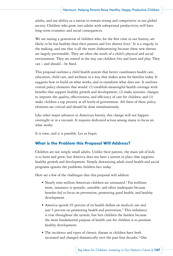adults, and our ability as a nation to remain strong and competitive in our global society. Children who grow into adults with suboptimal productivity will have long-term economic and social consequences.

We are raising a generation of children who, for the first time in our history, are likely to be less healthy than their parents and live shorter lives.<sup>2</sup> It is a tragedy in the making, and one that is all the more disheartening because these new threats are largely preventable. They are often the result of a child's physical and social environment. They are rooted in the way our children live and learn and play. They can – and should – be fixed.

This proposal outlines a child health system that better coordinates health care, education, child care, and wellness in a way that makes sense for families today. It suggests how to build on what works, and to transform what does not. It outlines central policy elements that would: (1) establish meaningful health coverage with benefits that support healthy growth and development; (2) make systemic changes to improve the quality, effectiveness, and efficiency of care for children; and (3) make children a top priority at all levels of government. All three of these policy elements are critical and should be done simultaneously.

Like other major advances in American history, this change will not happen overnight or in a vacuum. It requires dedicated action among many to focus on what works.

It is time, and it is possible. Let us begin.

# **What is the Problem this Proposal Will Address?**

Children are not simply small adults. Unlike their parents, the main job of kids is to learn and grow, but America does not have a system in place that supports healthy growth and development. Simply downsizing adult-sized health and social programs ignores the problems children face today.

Here are a few of the challenges that this proposal will address:

- Nearly nine million American children are uninsured.<sup>3</sup> For millions more, insurance is sporadic, unstable, and often inadequate because benefits fail to focus on prevention, promoting good health, and healthy development.
- America spends 95 percent of its health dollars on medical care and just 5 percent on promoting health and prevention.<sup>4</sup> This imbalance is true throughout the system, but hits children the hardest because the most fundamental purpose of health care for children is to promote healthy development.
- The incidence and types of chronic disease in children have both increased and changed dramatically over the past four decades.<sup>5</sup> One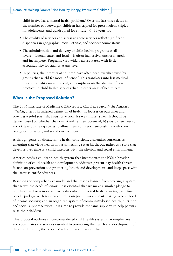child in five has a mental health problem.<sup>6</sup> Over the last three decades, the number of overweight children has tripled for preschoolers, tripled for adolescents, and quadrupled for children 6–11 years old.<sup>7</sup>

- The quality of services and access to these services reflect significant disparities in geographic, racial, ethnic, and socioeconomic status.
- The administration and delivery of child health programs at all levels – federal, state, and local – is often ineffective, uncoordinated, and incomplete. Programs vary widely across states, with little accountability for quality at any level.
- In politics, the interests of children have often been overshadowed by groups that wield far more influence.<sup>8</sup> This translates into less medical research, quality measurement, and emphasis on the sharing of best practices in child health services than in other areas of health care.

# **What is the Proposed Solution?**

The 2004 Institute of Medicine (IOM) report, Children's Health the Nation's Wealth, offers a broadened definition of health. It focuses on outcomes and provides a solid scientific basis for action. It says children's health should be defined based on whether they can a) realize their potential; b) satisfy their needs; and c) develop the capacities to allow them to interact successfully with their biological, physical, and social environment.

Although genes do dictate some health conditions, a scientific consensus is emerging that views health not as something set at birth, but rather as a state that develops over time as a child interacts with the physical and social environment.

America needs a children's health system that incorporates the IOM's broader definition of child health and development, addresses present-day health threats, focuses on prevention and promoting health and development, and keeps pace with the latest scientific advances.

Based on the comprehensive model and the lessons learned from creating a system that serves the needs of seniors, it is essential that we make a similar pledge to our children. For seniors we have established: universal health coverage; a defined benefit package with reasonable limits on premiums and cost sharing; a basic level of income security; and an organized system of community-based health, nutrition, and social support services. It is time to provide the same supports to help parents raise their children.

This proposal outlines an outcomes-based child health system that emphasizes and coordinates the services essential to promoting the health and development of children. In short, the proposed solution would assure that: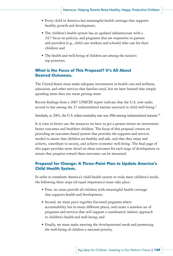- Every child in America has meaningful health coverage that supports healthy growth and development;
- The children's health system has an updated infrastructure with a 24/7 focus on policies, and programs that are responsive to parents and providers (e.g., child care workers and schools) who care for their children; and
- The health and well-being of children are among the nation's top priorities.

# **What is the Focus of This Proposal? It's All About Desired Outcomes.**

The United States must make adequate investments in health care and wellness, education, and other services that families need, but we have learned that simply spending more does not mean getting more.

Recent findings from a 2007 UNICEF report indicate that the U.S. now ranks second to last among the 21 industrialized nations surveyed in child well-being.<sup>9</sup>

Similarly, in 2003, the U.S. infant mortality rate was 28th among industrialized nations.<sup>10</sup>

It is time to better use the resources we have to get a greater return on investment: better outcomes and healthier children. The focus of this proposal centers on providing an outcomes-based system that provides the supports and services needed to assure that children are healthy and safe, and that they enjoy and achieve, contribute to society, and achieve economic well-being. The final page of this paper provides more detail on these outcomes for each stage of development to ensure that progress toward these outcomes can be measured.

# **Proposal for Change: A Three-Point Plan to Update America's Child Health System.**

In order to transform America's child health system to truly meet children's needs, the following three steps (of equal importance) must take place:

- First, we must provide all children with meaningful health coverage that supports health and development;
- Second, we must piece together fractured programs where accountability lies in many different places, and create a seamless set of programs and services that will support a coordinated, holistic approach to children's health and well-being; and
- Finally, we must make meeting the developmental needs and promoting the well-being of children a national priority.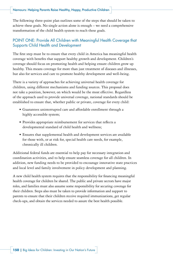The following three-point plan outlines some of the steps that should be taken to achieve these goals. No single action alone is enough – we need a comprehensive transformation of the child health system to reach these goals.

# POINT ONE: Provide All Children with Meaningful Health Coverage that Supports Child Health and Development

The first step must be to ensure that every child in America has meaningful health coverage with benefits that support healthy growth and development. Children's coverage should focus on promoting health and helping ensure children grow up healthy. This means coverage for more than just treatment of diseases and illnesses, but also for services and care to promote healthy development and well-being.

There is a variety of approaches for achieving universal health coverage for children, using different mechanisms and funding sources. This proposal does not take a position, however, on which would be the most effective. Regardless of the approach used to provide universal coverage, national standards should be established to ensure that, whether public or private, coverage for every child:

- • Guarantees uninterrupted care and affordable enrollment through a highly accessible system;
- Provides appropriate reimbursement for services that reflects a developmental standard of child health and wellness;
- Ensures that supplemental health and development services are available for those with, or at risk for, special health care needs, for example, chronically ill children.

Additional federal funds are essential to help pay for necessary integration and coordination activities, and to help ensure seamless coverage for all children. In addition, new funding needs to be provided to encourage innovative state practices and local level and family involvement in policy development and planning.

A new child health system requires that the responsibility for financing meaningful health coverage for children be shared. The public and private sectors have major roles, and families must also assume some responsibility for securing coverage for their children. Steps also must be taken to provide information and support to parents to ensure that their children receive required immunizations, get regular check-ups, and obtain the services needed to assure the best health possible.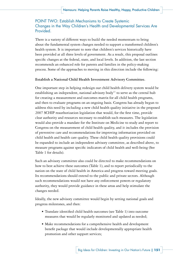# POINT TWO: Establish Mechanisms to Create Systemic Changes in the Way Children's Health and Developmental Services Are **Provided**

There is a variety of different ways to build the needed momentum to bring about the fundamental system changes needed to support a transformed children's health system. It is important to note that children's services historically have been provided at all three levels of government. As a result, this proposal outlines specific changes at the federal, state, and local levels. In addition, the last section recommends an enhanced role for parents and families in the policy-making process. Some of the approaches to moving in this direction include the following:

#### **Establish a National Child Health Investment Advisory Committee.**

One important step in helping redesign our child health delivery system would be establishing an independent, national advisory body<sup>11</sup> to serve as the central hub for creating a measurement and outcomes matrix for all child health programs, and then to evaluate programs on an ongoing basis. Congress has already begun to address this need by including a new child health quality initiative in the proposed 2007 SCHIP reauthorization legislation that would, for the first time, provide clear authority and resources necessary to establish such measures. The legislation would also provide a mandate for the Institute on Medicine to study and report to Congress on the measurement of child health quality, and it includes the provision of preventive care and recommendations for improving information provided on child health and health care quality. These child health quality provisions could be expanded to include an independent advisory committee, as described above, to measure programs against specific indicators of child health and well-being (See Table 1 for details).

Such an advisory committee also could be directed to make recommendations on how to best achieve these outcomes (Table 1), and to report periodically to the nation on the state of child health in America and progress toward meeting goals. Its recommendations should extend to the public and private sectors. Although such recommendations would not have any enforcement powers or regulatory authority, they would provide guidance in these areas and help stimulate the changes needed.

Ideally, the new advisory committee would begin by setting national goals and progress milestones, and then:

- Translate identified child health outcomes (see Table 1) into outcome measures that would be regularly monitored and updated as needed;
- Make recommendations for a comprehensive health and development benefit package that would include developmentally appropriate health promotion and other support services;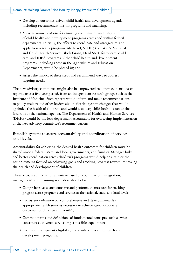- Develop an outcomes-driven child health and development agenda, including recommendations for programs and financing;
- Make recommendations for ensuring coordination and integration of child health and development programs across and within federal departments. Initially, the efforts to coordinate and integrate might apply to seven key programs: Medicaid, SCHIP, the Title V Maternal and Child Health Services Block Grant, Head Start, foster care, child care, and IDEA programs. Other child health and development programs, including those in the Agriculture and Education Departments, would be phased in; and
- Assess the impact of these steps and recommend ways to address ongoing needs.

The new advisory committee might also be empowered to obtain evidence-based reports, over a five-year period, from an independent research group, such as the Institute of Medicine. Such reports would inform and make recommendations to policy-makers and other leaders about effective system changes that would optimize the health of children, and would also keep child health issues at the forefront of the national agenda. The Department of Health and Human Services (DHHS) would be the lead department accountable for overseeing implementation of the new advisory committee's recommendations.

# **Establish systems to assure accountability and coordination of services at all levels.**

Accountability for achieving the desired health outcomes for children must be shared among federal, state, and local governments, and families. Stronger links and better coordination across children's programs would help ensure that the nation remains focused on achieving goals and tracking progress toward improving the health and development of children.

These accountability requirements – based on coordination, integration, management, and planning – are described below:

- Comprehensive, shared outcome and performance measures for tracking progress across programs and services at the national, state, and local levels;
- • Consistent definition of "comprehensive and developmentallyappropriate health services necessary to achieve age-appropriate outcomes for children and youth";
- • Common terms and definitions of fundamental concepts, such as what constitutes a covered service or permissible expenditure;
- Common, transparent eligibility standards across child health and development programs;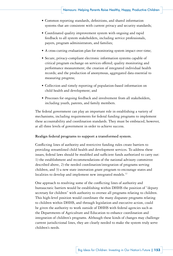- • Common reporting standards, definitions, and shared information systems that are consistent with current privacy and security standards;
- Coordinated quality improvement system with ongoing and rapid feedback to all system stakeholders, including service professionals, payers, program administrators, and families;
- A cross-cutting evaluation plan for monitoring system impact over time;
- • Secure, privacy-compliant electronic information systems capable of critical program exchange on services offered; quality monitoring and performance measurement; the creation of integrated individual health records; and the production of anonymous, aggregated data essential to measuring progress;
- • Collection and timely reporting of population-based information on child health and development; and
- Processes for ongoing feedback and involvement from all stakeholders, including youth, parents, and family members.

The federal government can play an important role in establishing a variety of mechanisms, including requirements for federal funding programs to implement these accountability and coordination standards. They must be embraced, however, at all three levels of government in order to achieve success.

#### **Realign federal programs to support a transformed system.**

Conflicting lines of authority and restrictive funding rules create barriers to providing streamlined child health and development services. To address these issues, federal laws should be modified and sufficient funds authorized to carry out: 1) the establishment and recommendations of the national advisory committee described above, 2) the needed coordination/integration of programs serving children, and 3) a new state innovation grant program to encourage states and localities to develop and implement new integrated models.<sup>12</sup>

One approach to resolving some of the conflicting lines of authority and bureaucratic barriers would be establishing within DHHS the position of "deputy secretary for children" with authority to oversee all programs relating to children. This high-level position would coordinate the many disparate programs relating to children within DHHS, and through legislation and executive action, could be given the authority to work outside of DHHS with federal agencies such as the Departments of Agriculture and Education to enhance coordination and integration of children's programs. Although these kinds of changes may challenge current jurisdictional lines, they are clearly needed to make the system truly serve children's needs.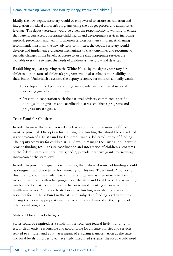Ideally, the new deputy secretary would be empowered to ensure coordination and integration of federal children's programs using the budget process and authority as leverage. The deputy secretary would be given the responsibility of working to ensure that parents can access appropriate child health and development services, including medical, prevention, and health promotion services for their children. And, using recommendations from the new advisory committee, the deputy secretary would develop and implement evaluation mechanisms to track outcomes and recommend periodic changes in the benefit structure to assure that appropriate services are available over time to meet the needs of children as they grow and develop.

Establishing regular reporting to the White House by the deputy secretary for children on the status of children's programs would also enhance the visibility of these issues. Under such a system, the deputy secretary for children annually would:

- Develop a unified policy and program agenda with estimated national spending goals for children; and
- Present, in cooperation with the national advisory committee, specific findings of integration and coordination across children's programs and progress toward goals.

# **Trust Fund for Children.**

In order to make the progress needed, clearly significant new sources of funds must be provided. One option for securing new funding that should be considered is the creation of a Trust Fund for Children<sup>13</sup> with a dedicated source of funding. The deputy secretary for children at HHS would manage the Trust Fund. It would provide funding to: 1) ensure coordination and integration of children's programs at the federal, state, and local levels; and 2) provide incentive grants to encourage innovation at the state level.

In order to provide adequate new resources, the dedicated source of funding should be designed to provide \$2 billion annually for this new Trust Fund. A portion of this funding could be available to children's programs as they were restructuring to better integrate with other programs at the state and local levels. The remaining funds could be distributed to states that were implementing innovative child health initiatives. A new, dedicated source of funding is needed to provide resources for the Trust Fund so that it is not subject to funding level variations during the federal appropriations process, and is not financed at the expense of other social programs.

## **State and local level changes.**

States could be required, as a condition for receiving federal health funding, to establish an entity responsible and accountable for all state policies and services related to children and youth as a means of ensuring transformation at the state and local levels. In order to achieve truly integrated systems, the focus would need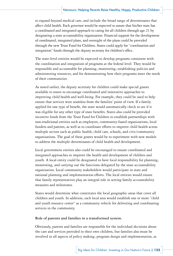#### Nemours: Helping Parents Raise Healthy, Happy, Productive Children

to expand beyond medical care, and include the broad range of determinants that affect child health. Each governor would be expected to assure that his/her state has a coordinated and integrated approach to caring for all children through age 21 by designating a state accountability organization. Financial support for the development of coordinated, integrated plans, and oversight of the plans could be provided through the new Trust Fund for Children. States could apply for "coordination and integration" funds through the deputy secretary for children's office.

The state-level entities would be expected to develop programs consistent with the coordination and integration of programs at the federal level. They would be responsible and accountable for planning, monitoring, establishing policies and administering resources, and for demonstrating how their programs meet the needs of their communities.

As noted earlier, the deputy secretary for children could make special grants available to states to encourage coordinated and innovative approaches to improving child health and well-being. For example, they could be used to help ensure that services were seamless from the families' point of view. If a family applied for one type of benefit, the state would automatically check to see if it was eligible for any other type of state benefits. States also could be provided incentive funds from the Trust Fund for Children to establish partnerships with non-traditional entities such as employers, community-based organizations, local funders and parents, as well as to coordinate efforts to improve child health across multiple sectors such as public health, child care, schools, and civic/community organizations. The goal of these grants would be to experiment with new models to address the multiple determinants of child health and development.

Local government entities also could be encouraged to ensure coordinated and integrated approaches to improve the health and development of children and youth. A local entity could be designated to have local responsibility for planning, monitoring, and carrying out the functions delegated by the state accountability organization. Local community stakeholders would participate in state and national planning and implementation efforts. The local entities would ensure that family representatives play an integral role in setting family accountability measures and milestones.

States would determine what constitutes the local geographic areas that cover all children and youth. In addition, each local area would establish one or more "child and youth resource center" as a community vehicle for delivering and coordinating services in the community.

#### **Role of parents and families in a transformed system.**

Obviously, parents and families are responsible for the individual decisions about the care and services provided to their own children, but families also must be involved in all aspects of policy making, program design and implementation, as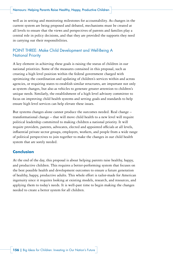well as in setting and monitoring milestones for accountability. As changes in the current system are being proposed and debated, mechanisms must be created at all levels to ensure that the views and perspectives of parents and families play a central role in policy decisions, and that they are provided the supports they need in carrying out their responsibilities.

# POINT THREE: Make Child Development and Well-Being A National Priority

A key element in achieving these goals is raising the status of children in our national priorities. Some of the measures contained in this proposal, such as creating a high level position within the federal government charged with optimizing the coordination and updating of children's services within and across agencies, or requiring states to establish similar structures, are important not only as system changes, but also as vehicles to generate greater attention to children's unique needs. Similarly, the establishment of a high level advisory committee to focus on improving child health systems and setting goals and standards to help ensure high level services can help elevate these issues.

But systems changes alone cannot produce the outcomes needed. Real change – transformational change – that will move child health to a new level will require political leadership committed to making children a national priority. It will require providers, parents, advocates, elected and appointed officials at all levels, influential private sector groups, employers, workers, and people from a wide range of political perspectives to join together to make the changes in our child health system that are sorely needed.

## **Conclusion**

At the end of the day, this proposal is about helping parents raise healthy, happy, and productive children. This requires a better-performing system that focuses on the best possible health and development outcomes to ensure a future generation of healthy, happy, productive adults. This whole effort is tailor-made for American ingenuity since it requires looking at existing models, research, and resources, and applying them to today's needs. It is well-past time to begin making the changes needed to create a better system for all children.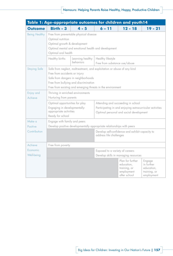| Table 1: Age-appropriate outcomes for children and youth14 |                                                                                                                                                                                                                                                      |                                                                            |                                                                                                                                           |                                                                              |                                                                  |
|------------------------------------------------------------|------------------------------------------------------------------------------------------------------------------------------------------------------------------------------------------------------------------------------------------------------|----------------------------------------------------------------------------|-------------------------------------------------------------------------------------------------------------------------------------------|------------------------------------------------------------------------------|------------------------------------------------------------------|
| <b>Outcome</b>                                             | $Birth - 3$                                                                                                                                                                                                                                          | $4 - 5$                                                                    | $6 - 11$                                                                                                                                  | $12 - 18$                                                                    | $19 - 21$                                                        |
| <b>Being Healthy</b>                                       | Free from preventable physical disease<br>Optimal nutrition<br>Optimal growth & development<br>Optimal mental and emotional health and development<br>Optimal oral health                                                                            |                                                                            |                                                                                                                                           |                                                                              |                                                                  |
|                                                            | Healthy births                                                                                                                                                                                                                                       | Learning healthy<br>behaviors                                              | Healthy lifestyle<br>Free from substance use/abuse                                                                                        |                                                                              |                                                                  |
| <b>Staying Safe</b>                                        | Safe from neglect, maltreatment, and exploitation or abuse of any kind<br>Free from accidents or injury<br>Safe from dangers in neighborhoods<br>Free from bullying and discrimination<br>Free from existing and emerging threats in the environment |                                                                            |                                                                                                                                           |                                                                              |                                                                  |
| Enjoy and<br>Achieve                                       | Thriving in enriched environments<br>Nurturing from parents                                                                                                                                                                                          |                                                                            |                                                                                                                                           |                                                                              |                                                                  |
|                                                            | Optimal opportunities for play<br>Engaging in developmentally-<br>appropriate activities<br>Ready for school                                                                                                                                         |                                                                            | Attending and succeeding in school<br>Participating in and enjoying extracurricular activities<br>Optimal personal and social development |                                                                              |                                                                  |
| Make a<br><b>Positive</b>                                  | Engage with family and peers<br>Develop positive developmentally appropriate relationships with peers                                                                                                                                                |                                                                            |                                                                                                                                           |                                                                              |                                                                  |
| Contribution                                               |                                                                                                                                                                                                                                                      | Develop self-confidence and exhibit capacity to<br>address life challenges |                                                                                                                                           |                                                                              |                                                                  |
| Achieve                                                    | Free from poverty                                                                                                                                                                                                                                    |                                                                            |                                                                                                                                           |                                                                              |                                                                  |
| Economic<br><b>Well-being</b>                              | Exposed to a variety of careers<br>Develop skills in managing resources                                                                                                                                                                              |                                                                            |                                                                                                                                           |                                                                              |                                                                  |
|                                                            |                                                                                                                                                                                                                                                      |                                                                            |                                                                                                                                           | Plan for further<br>education.<br>training, or<br>employment<br>after school | Engage<br>in further<br>education,<br>training, or<br>employment |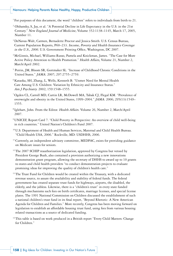#### Nemours: Helping Parents Raise Healthy, Happy, Productive Children

1 For purposes of this document, the word "children" refers to individuals from birth to 21.

- 2 Olshansky, S, Jay, et al. "A Potential Decline in Life Expectancy in the U.S. in the 21st Century." New England Journal of Medicine, Volume 352:1138–1145, March 17, 2005, Number 11.
- <sup>3</sup> DeNavas-Walt, Carmen, Bernadette Proctor and Jessica Smith. U.S. Census Bureau, Current Population Reports, P60–233. Income, Poverty and Health Insurance Coverage in the U.S., 2006. U.S. Government Printing Office, Washington, DC 2007.
- $^4$ McGinnis, Michael, Williams-Russo, Pamela and Knickman, James. "The Case for More Active Policy Attention to Health Promotion." Health Affairs, Volume 21, Number 2, March/April 2002.
- <sup>5</sup> Perrin, JM, Bloom SR, Gortmaker SL. "Increase of Childhood Chronic Conditions in the United States." JAMA. 2007; 297:2755–2759.
- 6 Kataoka, SH, Zhang, L, Wells, Kenneth B. "Unmet Need for Mental Health Care Among U.S. Children: Variation by Ethnicity and Insurance Status." Am J Psychiatry. 2002; 159:1548-1555.
- 7 Ogden CL, Carroll MD, Curtin LR, McDowell MA, Tabak CJ, Flegal KM. "Prevalence of overweight and obesity in the United States, 1999–2004." JAMA. 2006; 295(13):1549– 1555.
- <sup>8</sup> Iglehart, John. From the Editor. Health Affairs. Volume 26, Number 2, March/April 2007.
- 9 UNICEF, Report Card 7. "Child Poverty in Perspective: An overview of child well-being in rich countries." United Nation's Children's Fund 2007.
- <sup>10</sup> U.S. Department of Health and Human Services, Maternal and Child Health Bureau. "Child Health USA, 2006." Rockville, MD: USDHHS, 2006.
- <sup>11</sup> Currently, an independent advisory committee, MEDPAC, exists for providing guidance on Medicare issues for seniors.
- $12$  The 2007 SCHIP reauthorization legislation, approved by Congress but vetoed by President George Bush, also contained a provision authorizing a new innovations demonstration grant program, allowing the secretary of DHHS to award up to 10 grants to states and child health providers "to conduct demonstration projects to evaluate promising ideas for improving the quality of children's health care."
- <sup>13</sup> The Trust Fund for Children would be created within the Treasury, with a dedicated revenue source, to assure the availability and stability of federal funds. The federal government has created separate trust funds for highways, airports, the disabled, the elderly, and the jobless. Likewise, there is a "children's trust" in every state funded through mechanisms such fees on birth certificates, marriage licenses, and special license plates. The 1991 National Commission on Children discussed the establishment of such a national children's trust fund in its final report, "Beyond Rhetoric: A New American Agenda for Children and Families." More recently, Congress has been moving forward on legislation to establish an affordable housing trust fund, using fees from various housing related transactions as a source of dedicated funding.
- <sup>14</sup> This table is based on work produced in a British report "Every Child Matters: Change for Children."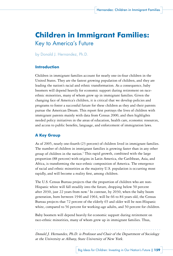# **Children in Immigrant Families:** Key to America's Future

by Donald J. Hernandez, Ph.D.

# **Introduction**

Children in immigrant families account for nearly one-in-four children in the United States. They are the fastest growing population of children, and they are leading the nation's racial and ethnic transformation. As a consequence, baby boomers will depend heavily for economic support during retirement on raceethnic minorities, many of whom grew up in immigrant families. Given the changing face of America's children, it is critical that we develop policies and programs to foster a successful future for these children as they and their parents pursue the American Dream. This report first portrays the lives of children with immigrant parents mainly with data from Census 2000, and then highlights needed policy initiatives in the areas of education, health care, economic resources, and access to public benefits, language, and enforcement of immigration laws.

# **A Key Group**

As of 2005, nearly one-fourth (23 percent) of children lived in immigrant families. The number of children in immigrant families is growing faster than in any other group of children in the nation.<sup>1</sup> This rapid growth, combined with the large proportion (88 percent) with origins in Latin America, the Caribbean, Asia, and Africa, is transforming the race-ethnic composition of America. The emergence of racial and ethnic minorities as the majority U.S. population is occurring most rapidly, and will become a reality first, among children.

The U.S. Census Bureau projects that the proportion of children who are non-Hispanic white will fall steadily into the future, dropping below 50 percent after 2030, just 22 years from now.<sup>2</sup> In contrast, by 2030, when the baby boom generation, born between 1946 and 1964, will be 66 to 84 years old, the Census Bureau projects that 72 percent of the elderly 65 and older will be non-Hispanic white, compared to 56 percent for working-age adults, and 50 percent for children.

Baby boomers will depend heavily for economic support during retirement on race-ethnic minorities, many of whom grew up in immigrant families. Thus,

Donald J. Hernandez, Ph.D. is Professor and Chair of the Department of Sociology at the University at Albany, State University of New York.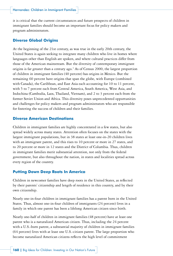it is critical that the current circumstances and future prospects of children in immigrant families should become an important focus for policy makers and program administrators.

#### **Diverse Global Origins**

At the beginning of the 21st century, as was true in the early 20th century, the United States is again seeking to integrate many children who live in homes where languages other than English are spoken, and where cultural practices differ from those of the American mainstream. But the diversity of contemporary immigrant origins is far greater than a century ago.<sup>3</sup> As of Census 2000, the largest proportion of children in immigrant families (40 percent) has origins in Mexico. But the remaining 60 percent have origins that span the globe, with Europe (combined with Canada), the Caribbean, and East Asia each accounting for 10 to 11 percent, with 5 to 7 percent each from Central America, South America, West Asia, and Indochina (Cambodia, Laos, Thailand, Vietnam), and 2 to 3 percent each from the former Soviet Union and Africa. This diversity poses unprecedented opportunities and challenges for policy makers and program administrators who are responsible for fostering the success of children and their families.

# **Diverse American Destinations**

Children in immigrant families are highly concentrated in a few states, but also spread widely across many states. Attention often focuses on the states with the largest immigrant populations, but in 38 states at least one-in-20 children lives with an immigrant parent, and this rises to 10 percent or more in 27 states, and to 20 percent or more in 12 states and the District of Columbia. Thus, children in immigrant families merit substantial attention, not only from the federal government, but also throughout the nation, in states and localities spread across every region of the country.

## **Putting Down Deep Roots In America**

Children in newcomer families have deep roots in the United States, as reflected by their parents' citizenship and length of residence in this country, and by their own citizenship.

Nearly one-in-four children in immigrant families has a parent born in the United States. Thus, almost one-in-four children of immigrants (24 percent) lives in a family in which one parent has been a lifelong American citizen since birth.

Nearly one-half of children in immigrant families (48 percent) have at least one parent who is a naturalized American citizen. Thus, including the 24 percent with a U.S.-born parent, a substantial majority of children in immigrant families (64 percent) lives with at least one U.S.-citizen parent. The large proportion who become naturalized American citizens reflects the high level of commitment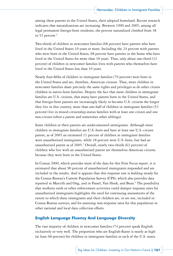among these parents to the United States, their adopted homeland. Recent research indicates that naturalizations are increasing. Between 1990 and 2005, among all legal permanent foreign-born residents, the percent naturalized climbed from 38 to 52 percent. $4$ 

Two-thirds of children in newcomer families (68 percent) have parents who have lived in the United States 10 years or more. Including the 24 percent with parents who were born in the United States, 68 percent have parents in the home who have lived in the United States for more than 10 years. Thus, only about one-third (32 percent) of children in newcomer families lives with parents who themselves have lived in the United States less than 10 years.

Nearly four-fifths of children in immigrant families (79 percent) were born in the United States and are, therefore, American citizens. Thus, most children in newcomer families share precisely the same rights and privileges as do other citizen children in native-born families. Despite the fact that most children in immigrant families are U.S. citizens, that many have parents born in the United States, and that foreign-born parents are increasingly likely to become U.S. citizens the longer they live in this country, more than one-half of children in immigrant families (53 percent) live in mixed-citizenship-status families with at least one citizen and one non-citizen (often a parent and sometimes other siblings).

Some children or their parents are undocumented immigrants. Although most children in immigrant families are U.S.-born and have at least one U.S.-citizen parent, as of 2005 an estimated 11 percent of children in immigrant families were unauthorized immigrants, while 18 percent were U.S.-born, but had an unauthorized parent as of 2005.<sup>5</sup> Overall, nearly two-thirds (63 percent) of children who live with an unauthorized parent are themselves American citizens because they were born in the United States.

In Census 2000, which provides most of the data for this First Focus report, it is estimated that about 90 percent of unauthorized immigrants responded and are included in the results. And it appears that this response rate is holding steady for the Census Bureau's Current Population Survey (CPS), which also provides data reported in Marcelli and Ong, and in Passel, Van Hook, and Bean.<sup>6</sup> The possibility that worksite raids or other enforcement activities could damper response rates for unauthorized immigrants highlights the need for continuing assessments of the extent to which these immigrants and their children are, or are not, included in Census Bureau surveys, and for assessing non-response rates for this population in other national and local data collection efforts.

#### **English Language Fluency And Language Diversity**

The vast majority of children in newcomer families (74 percent) speak English exclusively or very well. The proportion who are English-fluent is nearly as high (at least 68 percent) for children in immigrant families in each of the U.S. states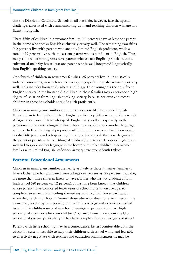and the District of Columbia. Schools in all states do, however, face the special challenges associated with communicating with and teaching children who are not fluent in English.

Three-fifths of children in newcomer families (60 percent) have at least one parent in the home who speaks English exclusively or very well. The remaining two-fifths (40 percent) live with parents who are only limited English proficient, while a total of 59 percent live with at least one parent who is not fluent in English. Thus, many children of immigrants have parents who are not English proficient, but a substantial majority has at least one parent who is well integrated linguistically into English-speaking society.

One-fourth of children in newcomer families (26 percent) live in linguistically isolated households, in which no one over age 13 speaks English exclusively or very well. This includes households where a child age 13 or younger is the only fluent English speaker in the household. Children in these families may experience a high degree of isolation from English-speaking society, because not even adolescent children in these households speak English proficiently.

Children in immigrant families are three times more likely to speak English fluently than to be limited in their English proficiency (74 percent vs. 26 percent). A large proportion of those who speak English very well are especially wellpositioned to become bilingually fluent because they also speak another language at home. In fact, the largest proportion of children in newcomer families – nearly one-half (46 percent) – both speak English very well and speak the native language of the parent or parents at home. Bilingual children (those reported to speak English very well and to speak another language in the home) outnumber children in newcomer families with limited English proficiency in every state except South Dakota.

# **Parental Educational Attainments**

Children in immigrant families are nearly as likely as those in native families to have a father who has graduated from college (24 percent vs. 28 percent). But they are more than three times as likely to have a father who has not graduated from high school (40 percent vs. 12 percent). It has long been known that children whose parents have completed fewer years of schooling tend, on average, to complete fewer years of schooling themselves, and to obtain lower paying jobs when they reach adulthood.<sup>7</sup> Parents whose education does not extend beyond the elementary level may be especially limited in knowledge and experience needed to help their children succeed in school. Immigrant parents often have high educational aspirations for their children,<sup>8</sup> but may know little about the U.S. educational system, particularly if they have completed only a few years of school.

Parents with little schooling may, as a consequence, be less comfortable with the education system, less able to help their children with school work, and less able to effectively negotiate with teachers and education administrators. It may be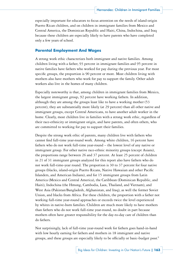especially important for educators to focus attention on the needs of island-origin Puerto Rican children, and on children in immigrant families from Mexico and Central America, the Dominican Republic and Haiti, China, Indochina, and Iraq because these children are especially likely to have parents who have completed only a few years of school.

#### **Parental Employment And Wages**

A strong work ethic characterizes both immigrant and native families. Among children living with a father, 93 percent in immigrant families and 95 percent in native families have fathers who worked for pay during the previous year. For most specific groups, the proportion is 90 percent or more. Most children living with mothers also have mothers who work for pay to support the family. Other adult workers also live in the homes of many children.

Especially noteworthy is that, among children in immigrant families from Mexico, the largest immigrant group, 92 percent have working fathers. In addition, although they are among the groups least like to have a working mother (53 percent), they are substantially more likely (at 29 percent) than all other native and immigrant groups, except Central Americans, to have another adult worker in the home. Clearly, most children live in families with a strong work ethic, regardless of their race-ethnicity or immigrant origin, and have parents, and often others, who are committed to working for pay to support their families.

Despite the strong work ethic of parents, many children live with fathers who cannot find full-time year-round work. Among white children, 16 percent have fathers who do not work full-time year-round – the lowest level of any native or immigrant group. For other native race-ethnic minority groups (except Asians), the proportions range between 26 and 37 percent. At least 25 percent of children in 21 of 31 immigrant groups analyzed for this report also have fathers who do not work full-time-year round. The proportion is 30 to 37 percent for four native groups (blacks, island-origin Puerto Ricans, Native Hawaiian and other Pacific Islanders, and American Indians), and for 15 immigrant groups from Latin America (Mexico and Central America), the Caribbean (Dominican Republic, and Haiti), Indochina (the Hmong, Cambodia, Laos, Thailand, and Vietnam), and West Asia (Pakistan/Bangladesh, Afghanistan, and Iraq), as well the former Soviet Union, and blacks from Africa. For these children, the proportion with a father not working full-time year-round approaches or exceeds twice the level experienced by whites in native-born families. Children are much more likely to have mothers than fathers who do not work full-time year-round, no doubt in part because mothers often have greater responsibility for the day-to-day care of children than do fathers.

Not surprisingly, lack of full-time year-round work for fathers goes hand-in-hand with low hourly earning for fathers and mothers in 18 immigrant and native groups, and these groups are especially likely to be officially or basic-budget poor.<sup>9</sup>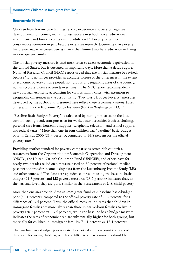#### **Economic Need**

Children from low-income families tend to experience a variety of negative developmental outcomes, including less success in school, lower educational attainments, and lower incomes during adulthood.10 Poverty rates merit considerable attention in part because extensive research documents that poverty has greater negative consequences than either limited mother's education or living in a one-parent family.<sup>11</sup>

The official poverty measure is used most often to assess economic deprivation in the United States, but is outdated in important ways. More than a decade ago, a National Research Council (NRC) report urged that the official measure be revised, because "…it no longer provides an accurate picture of the differences in the extent of economic poverty among population groups or geographic areas of the country, nor an accurate picture of trends over time.<sup>12</sup> The NRC report recommended a new approach explicitly accounting for various family costs, with attention to geographic differences in the cost of living. Two "Basic Budget Poverty" measures developed by the author and presented here reflect these recommendations, based on research by the Economic Policy Institute (EPI) in Washington, D.C.13

"Baseline Basic Budget Poverty" is calculated by taking into account the local cost of housing, food, transportation for work, other necessities (such as clothing, personal care items, household supplies, telephone, television, and school supplies), and federal taxes.14 More than one-in-four children was "baseline" basic-budget poor in Census 2000 (21.3 percent), compared to 14.8 percent for the official poverty rate.15

Providing another standard for poverty comparisons across rich countries, researchers from the Organization for Economic Cooperation and Development (OECD), the United Nation's Children's Fund (UNICEF), and others have for nearly two decades relied on a measure based on 50 percent of national median post-tax and transfer income using data from the Luxembourg Income Study (LIS) and other sources.16 The close correspondence of results using the baseline basic budget (21.3 percent) and LIS poverty measures (23.5 percent) indicates that, at the national level, they are quite similar in their assessment of U.S. child poverty.

More than one-in-three children in immigrant families is baseline basic-budget poor (34.1 percent), compared to the official poverty rate of 20.7 percent, for a difference of 13.4 percent. Thus, the official measure indicates that children in immigrant families are more likely than those in native-born families to live in poverty (20.7 percent vs. 13.4 percent), while the baseline basic budget measure indicates the rates of economic need are substantially higher for both groups, but especially for children in immigrant families (34.1 percent vs. 18.1 percent)

The baseline basic-budget poverty rate does not take into account the costs of child care for young children, which the NRC report recommends should be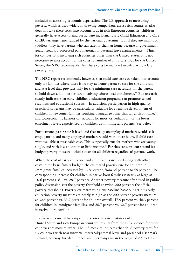included in assessing economic deprivation. The LIS approach to measuring poverty, which is used widely in drawing comparisons across rich countries, also does not take these costs into account. But in rich European countries, children generally have access to, and participate in, formal Early Child Education and Care (ECEC) arrangements funded by the national government, or if they are infants or toddlers, they have parents who can care for them at home because of governmentguaranteed, job-protected paid maternal or paternal leave arrangements.<sup>17</sup> Thus, for comparisons involving rich countries other than the United States, it is not necessary to take account of the costs to families of child care. But for the United States, the NRC recommends that these costs be included in calculating a U.S. poverty rate.

The NRC report recommends, however, that child care costs be taken into account only for families where there is no stay-at-home parent to care for the children, and at a level that provides only for the minimum care necessary for the parent to hold down a job, not for care involving educational enrichment.<sup>18</sup> But research clearly indicates that early childhood education programs can promote school readiness and educational success.<sup>19</sup> In addition, participation in high quality preschool programs may be particularly valuable for cognitive development of children in newcomer families speaking a language other than English at home,<sup>20</sup> and socioeconomic barriers can account for most, or perhaps all, of the lower enrollment levels experienced by children with immigrant parents (See below).<sup>21</sup>

Furthermore, past research has found that many unemployed mothers would seek employment, and many employed mothers would work more hours, if child care were available at reasonable cost. This is especially true for mothers who are young, single, and with low education or little income.<sup>22</sup> For these reasons, our second basic budget poverty measure includes costs for all children regardless of parental work.

When the cost of early education and child care is included along with other costs in the basic family budget, the estimated poverty rate for children in immigrant families increases by 13.8 percent, from 34 percent to 48 percent. The corresponding increase for children in native-born families is nearly as large at 10.6 percent (18.1 vs. 28.7 percent). Another poverty measure often used in public policy discussion sets the poverty threshold at twice (200 percent) the official poverty thresholds. Poverty estimates using our baseline basic budget plus early education poverty measure are nearly as high as the 200 percent poverty measure, at 32.4 percent vs. 35.7 percent for children overall, 47.9 percent vs. 48.3 percent for children in immigrant families, and 28.7 percent vs. 32.7 percent for children in native-born families.

Insofar as it is useful to compare the economic circumstances of children in the United States and rich European countries, results from the LIS approach for other countries are most relevant. The LIS measure indicates that child poverty rates for six countries with near universal maternal/paternal leave and preschool (Denmark, Finland, Norway, Sweden, France, and Germany) are in the range of 2.4 to 10.2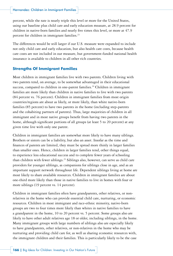percent, while the rate is nearly triple this level or more for the United States, using our baseline plus child care and early education measure, at 28.9 percent for children in native-born families and nearly five times this level, or more at 47.9 percent for children in immigrant families.<sup>23</sup>

The differences would be still larger if our U.S. measure were expanded to include not only child care and early education, but also health care costs, because health care costs are not included in our measure, but government-funded national health insurance is available to children in all other rich countries.

#### **Strengths Of Immigrant Families**

Most children in immigrant families live with two parents. Children living with two parents tend, on average, to be somewhat advantaged in their educational success, compared to children in one-parent families.<sup>24</sup> Children in immigrant families are more likely than children in native families to live with two parents (84 percent vs. 76 percent). Children in immigrant families from most origin countries/regions are about as likely, or more likely, than white native-born families (85 percent) to have two parents in the home (including step-parents and the cohabiting partners of parents). Thus, large majorities of children in all immigrant and in most native groups benefit from having two parents in the home, although significant portions of all groups (at least 5 to 20 percent) at any given time live with only one parent.

Children in immigrant families are somewhat more likely to have many siblings. Brothers or sisters can be a liability, but also an asset. Insofar as the time and finances of parents are limited, they must be spread more thinly in larger families than smaller ones. Hence, children in larger families tend, other things equal, to experience less educational success and to complete fewer years of schooling than children with fewer siblings.25 Siblings also, however, can serve as child care providers for younger siblings, as companions for siblings close in age, and as an important support network throughout life. Dependent siblings living at home are most likely to share available resources. Children in immigrant families are about one-third more likely than those in native families to live in homes with four or more siblings (19 percent vs. 14 percent).

Children in immigrant families often have grandparents, other relatives, or nonrelatives in the home who can provide essential child care, nurturing, or economic resources. Children in most immigrant and race-ethnic minority, native-born groups are two to four times more likely than whites in native families to have a grandparent in the home, 10 to 20 percent vs. 5 percent. Some groups also are likely to have other adult relatives age 18 or older, including siblings, in the home. Many immigrant groups with large numbers of siblings also are especially likely to have grandparents, other relatives, or non-relatives in the home who may be nurturing and providing child care for, as well as sharing economic resources with, the immigrant children and their families. This is particularly likely to be the case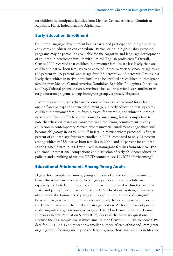for children in immigrant families from Mexico, Central America, Dominican Republic, Haiti, Indochina, and Afghanistan.

#### **Early Education Enrollment**

Children's language development begins early, and participation in high-quality early care and education can contribute. Participation in high-quality preschool programs may be particularly valuable for the cognitive and language development of children in newcomer families with limited English proficiency.<sup>26</sup> Overall, Census 2000 recorded that children in newcomer families are less likely than are children in native-born families to be enrolled in pre-K/nursery school at age three (32 percent vs. 39 percent) and at age four (55 percent vs. 63 percent). Groups less likely than whites in native-born families to be enrolled are children in immigrant families from Mexico, Central America, Dominican Republic, Philippines, Indochina, and Iraq. Cultural preferences are sometimes cited as a reason for lower enrollment in early education programs among immigrant groups, especially Hispanics.

Recent research indicates that socioeconomic barriers can account for at least one-half and perhaps the entire enrollment gap in early education that separates children in newcomer families from Mexico, for example, and white children in native-born families.<sup>27</sup> These results may be surprising, but it is important to note that these estimates are consistent with the strong commitment to early education in contemporary Mexico, where universal enrollment at age three will become obligatory in 2008–2009.<sup>28</sup> In fact, in Mexico where preschool is free, 81 percent of children age four were enrolled in 2005, compared to only 71 percent among whites in U.S. native-born families in 2004, and 55 percent for children in the United States in 2004 who lived in immigrant families from Mexico. (For additional international comparisons and discussion of early childhood education policies and a ranking of various OECD countries, see UNICEF (forthcoming)).

#### **Educational Attainments Among Young Adults**

High school completion among young adults is a key indicator for measuring basic educational success across diverse groups. Because young adults are especially likely to be immigrants, and to have immigrated within the past few years, and perhaps not to have entered the U.S. educational system, an analysis of educational attainments of young adults ages 20 to 24 should distinguish between first generation immigrants born abroad, the second generation born in the United States, and the third and later generation. Although it is not possible to distinguish the generation groups ages 20 to 24 in Census 2000, the Census Bureau's Current Population Survey (CPS) does ask the necessary questions. Because the CPS sample size is much smaller than Census 2000, we combine CPS data for 2001–2005 and report on a smaller number of race-ethnic and immigrant origin groups, focusing mainly on the largest group, those with origins in Mexico.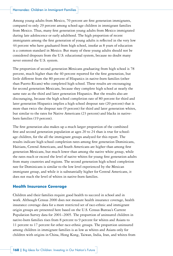Among young adults from Mexico, 70 percent are first generation immigrants, compared to only 29 percent among school-age children in immigrant families from Mexico. Thus, many first generation young adults from Mexico immigrated during late adolescence or early adulthood. The high proportion of recent immigrants among the first generation of young adults is reflected in the very low 44 percent who have graduated from high school, insofar as 8 years of education is a common standard in Mexico. But many of these young adults should not be considered dropouts from the U.S. educational system, because no doubt many never entered the U.S. system.

The proportion of second generation Mexicans graduating from high school is 78 percent, much higher than the 40 percent reported for the first generation, but little different from the 80 percent of Hispanics in native-born families (other than Puerto Ricans) who completed high school. These results are encouraging for second generation Mexicans, because they complete high school at nearly the same rate as the third and later generation Hispanics. But the results also are discouraging, because the high school completion rate of 80 percent for third and later generation Hispanics implies a high school dropout rate (20 percent) that is more than twice the dropout rate (9 percent) for third and later generation whites, but similar to the rates for Native Americans (23 percent) and blacks in nativeborn families (19 percent).

The first generation also makes up a much larger proportion of the combined first and second generation population at ages 20 to 24 than is true for schoolage children, for the all the immigrant groups analyzed for this report. The results indicate high school completion rates among first generation Dominicans, Haitians, Central Americans, and South Americans are higher than among first generation Mexicans, but much lower than among the native white group, while the rates reach or exceed the level of native whites for young first generation adults from many countries and regions. The second generation high school completion rate for Dominicans is similar to the low level experienced by the Mexican immigrant group, and while it is substantially higher for Central Americans, it does not reach the level of whites in native-born families.

#### **Health Insurance Coverage**

Children and their families require good health to succeed in school and in work. Although Census 2000 does not measure health insurance coverage, health insurance coverage data for a more restricted set of race-ethnic and immigrant origin groups are presented here based on the U.S. Census Bureau's Current Population Survey data for 2001–2005. The proportion of uninsured children in native-born families rises from 8 percent to 9 percent for whites and Asians to 11 percent to 17 percent for other race-ethnic groups. The proportion uninsured among children in immigrant families is as low as whites and Asians only for children with origins in China, Hong Kong, Taiwan, India, Iran, and whites from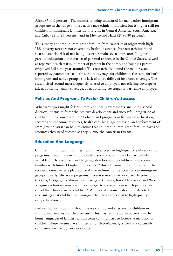Africa (7 to 9 percent). The chances of being uninsured for many other immigrant groups are in the range of most native race-ethnic minorities, but is higher still for children in immigrant families with origins in Central America, South America, and Cuba (22 to 25 percent), and in Mexico and Haiti (29 to 30 percent).

Thus, many children in immigrant families from countries of origin with high U.S. poverty rates are not covered by health insurance. Past research has found that substantial risk of not being insured remains even after controlling for parental education and duration of parental residence in the United States, as well as reported health status, number of parents in the home, and having a parent employed full-time year-around.<sup>29</sup> This research also found the main reason reported by parents for lack of insurance coverage for children is the same for both immigrant and native groups: the lack of affordability of insurance coverage. The reason cited second most frequently related to employers not offering coverage at all, not offering family coverage, or not offering coverage for part-time employees.

#### **Policies And Programs To Foster Children's Success**

What strategies might federal, state, and local governments (including school districts) pursue to foster the positive development and successful integration of children in newcomer families? Policies and programs in five arenas (education, income and economic resources, health care, language outreach, and enforcement of immigration laws) can help to ensure that children in immigrant families have the resources they need succeed as they pursue the American Dream.

#### **Education And Language**

Children in immigrant families should have access to high-quality early education programs. Recent research indicates that such programs may be particularly valuable for the cognitive and language development of children in newcomer families with limited English proficiency.<sup>30</sup> But additional research indicates that socioeconomic barriers play a critical role in limiting the access of key immigrant groups to early education programs.<sup>31</sup> Seven states are either currently providing (Florida, Georgia, Oklahoma), or phasing in (Illinois, Iowa, New York, and West Virginia) voluntary universal pre-kindergarten programs in which parents can enroll their four-year-old children.<sup>32</sup> Additional resources should be devoted to ensuring that children in immigrant families have access to high quality early education.

Early education programs should be welcoming and effective for children in immigrant families and their parents. This may require active outreach in the home languages of families within some communities to foster the inclusion of children whose parents have limited English proficiency, as well as a culturally competent early education workforce.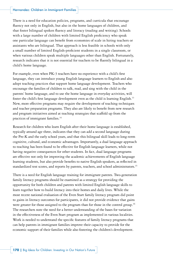#### Hernandez: Children in Immigrant Families

There is a need for education policies, programs, and curricula that encourage fluency not only in English, but also in the home languages of children, and that foster bilingual spoken fluency and literacy (reading and writing). Schools with a large number of children with limited English proficiency who speak one particular language can benefit from economies of scale in hiring teachers or assistants who are bilingual. That approach is less feasible in schools with only a small number of limited English-proficient students in a single classroom, or when various children speak multiple languages other than English. Fortunately, research indicates that it is not essential for teachers to be fluently bilingual in a child's home language.

For example, even when PK-3 teachers have no experience with a child's first language, they can introduce young English language learners to English and also adopt teaching practices that support home language development. Teachers who encourage the families of children to talk, read, and sing with the child in the parents' home language, and to use the home language in everyday activities, will foster the child's first language development even as the child is learning English.<sup>33</sup> New, more effective programs may require the development of teaching techniques and teacher preparation programs. They also are likely to benefit from new research and program initiatives aimed at teaching strategies that scaffold up from the practices of immigrant families.<sup>34</sup>

Research for children who learn English after their home language is established, typically around age three, indicates that they can add a second language during the Pre-K and the early school years, and that this bilingual skill leads to long-term cognitive, cultural, and economic advantages. Importantly, a dual language approach to teaching has been found to be effective for English language learners, while not having negative consequences for other students. In fact, dual language programs are effective not only for improving the academic achievements of English language learning students, but also provide benefits to native English speakers, as reflected in standardized test scores, and reports by parents, teachers, and school administrators.<sup>35</sup>

There is a need for English language training for immigrant parents. Two-generation family literacy programs should be examined as a strategy for providing the opportunity for both children and parents with limited English language skills to learn together how to build literacy into their homes and daily lives. While the most recent national evaluation of the Even Start family literacy program did point to gains in literacy outcomes for participants, it did not provide evidence that gains were greater for those assigned to the program than for those in the control group.<sup>36</sup> The researchers note the need for a better understanding of the bases for variation in the effectiveness of the Even Start program as implemented in various localities. Work is needed to understand the specific features of family literacy programs that can help parents in immigrant families improve their capacity to provide for the economic support of their families while also fostering the children's development.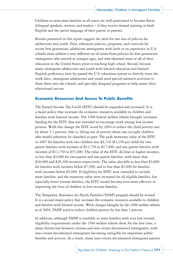Children in newcomer families in all states are well-positioned to become fluent bilingual speakers, writers, and readers – if they receive formal training in both English and the native language of their parent or parents.

Results presented in this report suggest the need for two sets of policies for adolescents and youth. First, education policies, programs, and curricula for recent first generation, adolescent immigrants with little or no experience in U.S. schools must address a very different set of issues from policies for first generation immigrants who arrived at younger ages, and who obtained most or all of their education in the United States prior to reaching high school. Second, because many immigrant adolescents and youth with limited education and limited English proficiency have by-passed the U.S. education system to directly enter the work force, immigrant adolescents and youth need special outreach activities to draw them into the schools, and specially designed programs to help assure their educational success.

# **Economic Resources And Access To Public Benefits**

The Earned Income Tax Credit (EITC) should be expanded and increased. It is a major policy that increases the economic resources available to children and families with limited income. The 1996 federal welfare reform brought increased funding for the EITC that was intended to encourage work among low income persons. With this change the EITC acted by 2004 to reduce the child poverty rate by about 2.3 percent, that is, lifting out of poverty about one-in-eight children who would otherwise be classified as poor. The peak monetary value of the EITC in 2007 for families with two children was \$4,716 (\$2,358 per child) for twoparent families with incomes of \$11,750 to \$17,400, and one-parent families with incomes of \$11,750 to \$15,400. The value of the EITC declines at higher incomes, to less than \$2,000 for two-parent and one-parent families, with more than \$30,000 and \$28,300 incomes respectively. The value also falls to less than \$3,000 for families with incomes below \$7,500, and to less than \$2,000 for families with incomes below \$5,000. If eligibility for EITC were extended to include more families, and the monetary value were increased for all eligible families, but especially lower income families, the EITC would become even more effective in improving the lives of children in low-income families.

The Temporary Assistance for Needy Families (TANF) program should be revised. It is a second major policy that increases the economic resources available to children and families with limited income. With changes brought by the 1996 welfare reform as of 2004, TANF acted to reduce children poverty by less than 1 percent.

In addition, although TANF is available to some families with very low income, eligibility requirements under the 1996 welfare reform drew, for the first time, a sharp distinction between citizens and non-citizen documented immigrants, with non-citizen documented immigrants becoming ineligible for important public benefits and services. As a result, many non-citizen documented immigrant parents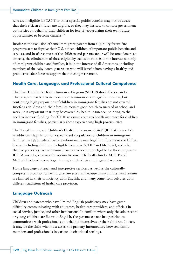who are ineligible for TANF or other specific public benefits may not be aware that their citizen children are eligible, or they may hesitate to contact government authorities on behalf of their children for fear of jeopardizing their own future opportunities to become citizens.37

Insofar as the exclusion of some immigrant parents from eligibility for welfare programs acts to deprive their U.S. citizen children of important public benefits and services, and insofar as most of the children and parents are or will become American citizens, the elimination of these eligibility exclusion rules is in the interest not only of immigrant children and families, it is in the interest of all Americans, including members of the baby boom generation who will benefit from having a healthy and productive labor force to support them during retirement.

# **Health Care, Language, and Professional Cultural Competence**

The State Children's Health Insurance Program (SCHIP) should be expanded. The program has led to increased health insurance coverage for children, but continuing high proportions of children in immigrant families are not covered. Insofar as children and their families require good health to succeed in school and work, it is important that they be covered by health insurance, pointing to the need to increase funding for SCHIP to assure access to health insurance for children in immigrant families, particularly those experiencing high poverty rates.

The "Legal Immigrant Children's Health Improvement Act" (ICHIA) is needed, as additional legislation for a specific sub-population of children in immigrant families. In 1996, federal welfare reform made new legal immigrants to the United States, including children, ineligible to receive SCHIP and Medicaid, and after the five years they face additional barriers to becoming eligible for these programs. ICHIA would give states the option to provide federally funded SCHIP and Medicaid to low-income legal immigrant children and pregnant women.

Home language outreach and interpretive services, as well as the culturally competent provision of health care, are essential because many children and parents are limited in their proficiency with English, and many come from cultures with different traditions of health care provision.

## **Language Outreach**

Children and parents who have limited English proficiency may have great difficulty communicating with educators, health care providers, and officials in social service, justice, and other institutions. In families where only the adolescents or young children are fluent in English, the parents are not in a position to communicate with professionals on behalf of themselves or their children. In fact, it may be the child who must act as the primary intermediary between family members and professionals in various institutional settings.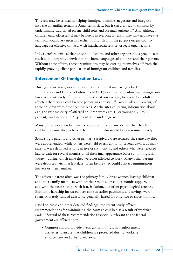This role may be critical in helping immigrant families negotiate and integrate into the unfamiliar terrain of American society, but it can also lead to conflicts by undermining traditional parent-child roles and parental authority.<sup>38</sup> Also, although children (and adolescents) may be fluent in everyday English, they may not have the technical vocabulary necessary either in English or in the parent's origin-country language for effective contacts with health, social service, or legal organizations.

It is, therefore, critical that education, health, and other organizations provide outreach and interpretive services in the home languages of children and their parents. Without these efforts, these organizations may be cutting themselves off from the rapidly growing client population of immigrant children and families.

#### **Enforcement Of Immigration Laws**

During recent years, worksite raids have been used increasingly by U.S. Immigration and Customs Enforcement (ICE) as a means of enforcing immigration laws. A recent study of three sites found that, on average, for every two adults affected there was a child whose parent was arrested.<sup>39</sup> Two-thirds (66 percent) of these children were American citizens. At the sites collecting information about age, the vast majority of affected children were ages 10 or younger (79 to 88 percent), and in one site 71 percent were under age six.

Many of the apprehended parents were afraid to tell authorities that they had children because they believed their children also would be taken into custody.

Some single parents and other primary caregivers were released the same day they were apprehended, while others were held overnight or for several days. But many parents were detained as long as five or six months, and others who were released had to wait for several months until their final appearance before an immigration judge – during which time they were not allowed to work. Many other parents were deported within a few days, often before they could contact immigration lawyers or their families.

The affected parent often was the primary family breadwinner, leaving children and other family members without their main source of economic support, and with the need to cope with fear, isolation, and other psychological stresses. Economic hardship increased over time as earlier paychecks and savings were spent. Privately funded assistance generally lasted for only two or three months.

Based on these and other detailed findings, the recent study offered recommendations for minimizing the harm to children as a result of worksite raids.40 Several of these recommendations especially relevant to the federal government are offered here:

• Congress should provide oversight of immigration enforcement activities to assure that children are protected during worksite enforcement and other operations.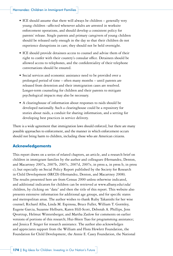- ICE should assume that there will always be children  $-$  generally very young children –affected whenever adults are arrested in worksite enforcement operations, and should develop a consistent policy for parents' release. Single parents and primary caregivers of young children should be released early enough in the day so that their children do not experience disruptions in care; they should not be held overnight.
- ICE should provide detainees access to counsel and advise them of their right to confer with their country's consular office. Detainees should be allowed access to telephones, and the confidentiality of their telephone conversations should be ensured.
- • Social services and economic assistance need to be provided over a prolonged period of time – often many months – until parents are released from detention and their immigration cases are resolved. Longer-term counseling for children and their parents to mitigate psychological impacts may also be necessary.
- A clearinghouse of information about responses to raids should be developed nationally. Such a clearinghouse could be a repository for stories about raids, a conduit for sharing information, and a setting for developing best practices in service delivery.

There is a wide agreement that immigration laws should enforced, but there are many possible approaches to enforcement, and the manner in which enforcement occurs should not bring harm to children, including those who are American citizens.

# **Acknowledgements**

This report draws on a series of related chapters, an article, and a research brief on children in immigrant families by the author and colleagues (Hernandez, Denton, and Macartney 2007a, 2007b, 2007c, 2007d, 2007e, in press a, in press b, in press c), but especially on Social Policy Report published by the Society for Research in Child Development (SRCD) (Hernandez, Denton, and Macartney 2008). The results presented here are from Census 2000 unless otherwise indicated, and additional indicators for children can be retrieved at www.albany.edu/csda/ children, by clicking on "data" and then the title of this report. This website also presents extensive information for additional age groups, and for specific states and metropolitan areas. The author wishes to thank Ruby Takanishi for her wise counsel; Richard Alba, Linda M. Espinosa, Bruce Fuller, William T. Gormley, Eugene Garcia, Suzanne Helburn, Karen Hill-Scott, Deborah A. Phillips, Jens Qvortrup, Helmut Wintersberger, and Martha Zaslow for comments on earlier versions of portions of this research; Hui-Shien Tsao for programming assistance; and Jessica F. Singer for research assistance. The author also acknowledges and appreciates support from the William and Flora Hewlett Foundation, the Foundation for Child Development, the Annie E. Casey Foundation, the National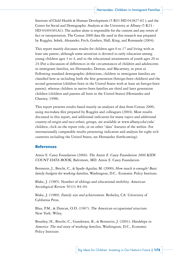Institute of Child Health & Human Development (5 R03 HD 043827-02 ), and the Center for Social and Demographic Analysis at the University at Albany (5 R24 - HD 04494301A1). The author alone is responsible for the content and any errors of fact or interpretation. The Census 2000 data file used in this research was prepared by Ruggles, Sobek, Alexander, Fitch, Goeken, Hall, King, and Ronnande (2004).

This report mainly discusses results for children ages 0 to 17 and living with at least one parent, although some attention is devoted to early education among young children ages 3 to 4, and to the educational attainments of youth ages 20 to 24 (For a discussion of differences in the circumstances of children and adolescents in immigrant families, see Hernandez, Denton, and Macartney, in press a). Following standard demographic definitions, children in immigrant families are classified here as including both the first generation (foreign-born children) and the second generation (children born in the United States with at least on foreign-born parent), whereas children in native-born families are third and later generation children (children and parents all born in the United States) (Hernandez and Charney, 1998).

This report presents results based mainly on analyses of data from Census 2000, using microdata files prepared by Ruggles and colleagues (2004). Most results discussed in this report, and additional indicators for many topics and additional country-of-origin and race-ethnic groups, are available at www.albany.edu/csda/ children, click on the report title, or on other "data" features of the webite. For internationally comparable results presenting indicators and analysis for eight rich countries including the United States, see Hernandez (forthcoming).

#### **References**

Annie E. Casey Foundation (2006). The Annie E. Casey Foundation 2006 KIDS COUNT DATA BOOK, Baltimore, MD: Annie E. Casey Foundation.

Bernstein, J., Brocht, C., & Spade-Aguilar, M. (2000), How much is enough? Basic family budgets for working families, Washington, D.C.: Economic Policy Institute.

Blake, J. (1985). Number of siblings and educational mobility. American Sociological Review 50 (1): 84–94.

Blake, J. (1989). Family size and achievement. Berkeley, CA: University of California Press.

Blau, P.M., & Duncan, O.D. (1967). The American occupational structure. New York: Wiley.

Boushey, H., Brocht, C., Gundersen, B., & Bernstein, J. (2001). Hardships in America: The real story of working families, Washington, D.C., Economic Policy Institute.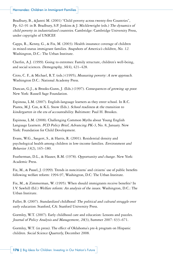Bradbury, B., &Jantti M. (2001) "Child poverty across twenty-five Countries", Pp. 62–91 in B. Bradbury, S.P. Jenkins & J. Micklewright (eds.) The dynamics of child poverty in industrialized countries. Cambridge: Cambridge University Press, under copyright of UNICEF.

Capps, R., Kenny, G., & Fix, M. (2003). Health insurance coverage of children in mixed-status immigrant families. Snapshots of America's children, No. 12. Washington, D.C.: The Urban Institute.

Cherlin, A.J. (1999). Going to extremes: Family structure, children's well-being, and social sciences. Demography, 36(4), 421–428.

Citro, C. F., & Michael, R.T. (eds.) (1995), Measuring poverty: A new approach. Washington D.C.: National Academy Press.

Duncan, G.J., & Brooks-Gunn, J. (Eds.) (1997). Consequences of growing up poor. New York: Russell Sage Foundation.

Espinosa, L.M. (2007). English-language learners as they enter school. In R.C. Pianta, M.J. Cox, & K.L. Snow (Eds.). School readiness & the transition to kindergarten in the era of accountability. Baltimore: Paul H. Brookes.

Espinosa, L.M. (2008). Challenging Common Myths about Young English Language Learners. FCD Policy Brief, Advancing PK-3, No. 8, January. New York: Foundation for Child Development.

Evans, W.G., Saegert, S., & Harris, R. (2001). Residential density and psychological health among children in low-income families. Environment and Behavior 33(2), 165–180.

Featherman, D.L., & Hauser, R.M. (1978). Opportunity and change. New York: Academic Press.

Fix, M., & Passel, J. (1999). Trends in noncitizens' and citizens' use of public benefits following welfare reform: 1994-97, Washington, D.C: The Urban Institute.

Fix, M., & Zimmerman, W. (1995). When should immigrants receive benefits? In I.V. Sawhill (Ed.) Welfare reform: An analysis of the issues. Washington, D.C.: The Urban Institute.

Fuller, B. (2007). Standardized childhood: The political and cultural struggle over early education. Stanford, CA: Stanford University Press.

Gormley, W.T. (2007). Early childhood care and education: Lessons and puzzles. Journal of Policy Analysis and Management, 26(3), Summer 2007: 633–671.

Gormley, W.T. (in press). The effect of Oklahoma's pre-k program on Hispanic children. Social Science Quarterly, December 2008.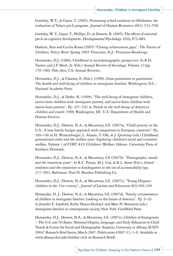Gormley, W.T., & Gayer, T. (2005). Promoting school readiness in Oklahoma: An evaluation of Tulsa's pre-k program. Journal of Human Resources 40(3): 533–558.

Gormley, W. T., Gayer, T., Phillips, D., & Dawson, B. (2005). The effects of universal pre-k on cognitive development. Developmental Psychology 41(6), 872–884.

Haskins, Ron and Cecilia Rouse (2005) "Closing achievement gaps". The Future of Children, Policy Brief, Spring 2005. Princeton, N.J.: Princeton-Brookings.

Hernandez, D.J. (1986). Childhood in sociodemographic perspective. In R.H. Turner, and J.F. Short, Jr. (Eds.) Annual Review of Sociology, Volume 12 (pp. 159–180). Palo Alto, CA: Annual Reviews.

Hernandez, D.J., & Charney, E. (Eds.). (1998). From generation to generation: The health and well-being of children in immigrant families. Washington, D.C.: National Academy Press.

Hernandez, D.J., & Darke, K. (1999), "The well-being of immigrant children, native-born children with immigrant parents, and native-born children with native-born parents". Pp. 421–543 in Trends in the well-being of America's children and youth: 1998, Washington, DC: U.S. Department of Health and Human Services.

Hernandez, D.J., Denton, N.A., & Macartney, S.E. (2007a), "Child poverty in the U.S.: A new family budget approach with comparison to European countries". Pp. 109–140 in H. Wintersberger, L. Alanen, T. Olk, & J. Qvortrup (eds.) Childhood, generational order and the welfare state: Exploring children's social and economic welfare, Volume 1 of COST A19: Children's Welfare, Odense: University Press of Southern Denmark.

Hernandez, D.J., Denton, N.A., & Macartney, S.E (2007b). "Demographic trends and the transition years". In R.C. Pianta, M.J. Cox, & K.L. Snow (Eds.), School readiness and the transition to kindergarten in the era of accountability (pp. 217–381). Baltimore: Paul H. Brookes Publishing Co.

Hernandez, D.J., Denton, N.A., & Macartney, S.E. (2007c), "Young Hispanic children in the 21st century", Journal of Latinos and Education 6(3):209–228

Hernandez, D. J., Denton, N.A., & Macartney, S.E. (2007d), "Family circumstances of children in immigrant families: Looking to the future of America". Pp. 9–29 in Jennifer E. Lansford, Kirby Deater-Deckard, and Marc H. Bornstein (eds.) Immigrant families in contemporary society, New York: Guildford Press.

Hernandez, D.J., Denton, N.A., & Macartney, S.E. (2007e), Children of Immigrants – The U.S. and 50 States: National Origins, Language, and Early Education in Child Trends & Center for Social and Demographic Analysis, University at Albany, SUNY: 20047 Research Brief Series, March 2007: Publication #2007-11, 1–9. Available at www.albany.edu/csda/children click on Research Briefs.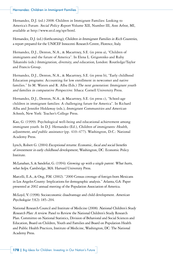Hernandez, D.J. (ed.) 2008. Children in Immigrant Families: Looking to America's Future. Social Policy Report Volume XII, Number III, Ann Arbor, MI, available at http://www.srcd.org/spr/html.

Hernandez, D.J. (ed.) (forthcoming), Children in Immigrant Families in Rich Countries, a report prepared for the UNICEF Innocenti Research Centre, Florence, Italy.

Hernandez, D.J., Denton, N.A., & Macartney, S.E. (in press a), "Children of immigrants and the future of America". In Elena L. Grigorenko and Ruby Takanishi (eds.) Immigration, diversity, and education, London: Routledge/Taylor and Francis Group.

Hernandez, D.J., Denton, N.A., & Macartney, S.E. (in press b), "Early childhood Education programs: Accounting for low enrollment in newcomer and native families." In M. Waters and R. Alba (Eds.) The next generation: Immigrant youth and families in comparative Perspective. Ithaca: Cornell University Press.

Hernandez, D.J., Denton, N.A., & Macartney, S.E. (in press c), "School-age children in immigrant families: A challenging future for America". In Richard Alba and Jennifer Holdaway (eds.), Immigrant Communities and American Schools, New York: Teacher's College Press.

Kao, G. (1999). Psychological well-being and educational achievement among immigrant youth. In D.J. Hernandez (Ed.), Children of immigrants: Health, adjustment, and public assistance (pp. 410–477). Washington, D.C.: National Academy Press.

Lynch, Robert G. (2004) Exceptional returns: Economic, fiscal and social benefits of investment in early childhood development, Washington, DC: Economic Policy Institute.

McLanahan, S, & Sandefur, G. (1994). Growing up with a single parent: What hurts, what helps. Cambridge, MA: Harvard University Press.

Marcelli, E.A., & Ong, P.M. (2002). "2000 Census coverage of foreign-born Mexicans in Los Angeles County: Implications for demographic analysis." Atlanta, GA: Paper presented at 2002 annual meeting of the Population Association of America.

McLoyd, V. (1998). Socioeconomic disadvantage and child development. American Psychologist 53(2): 185–204.

National Research Council and Institute of Medicine (2008). National Children's Study Research Plan: A review. Panel to Review the National Children's Study Research Plan. Committee on National Statistics, Division of Behavioral and Social Sciences and Education, Board on Children, Youth and Families and Board on Population Health and Public Health Practices, Institute of Medicine, Washington, DC: The National Academy Press.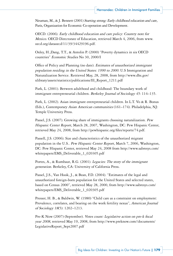Neuman, M., & J. Bennett (2001) Starting strong: Early childhood education and care, Paris, Organization for Economic Co-operation and Development.

OECD. (2006). Early childhood education and care policy: Country note for Mexico. OECD Directorate of Education, retrieved March 4, 2006, from www. oecd.org/dataoecd/11/39/34429196.pdf.

Oxley, H.,Dang, T.T., & Antolin P. (2000) "Poverty dynamics in six OECD countries" Economic Studies No 30, 2000/I

Office of Policy and Planning (no date). Estimates of unauthorized immigrant population residing in the United States: 1990 to 2000. U.S Immigration and Naturalization Service. Retrieved May, 28, 2008, from http://www.dhs.gov/ xlibrary/assets/statistics/publications/Ill\_Report\_1211.pdf

Park, L. (2001). Between adulthood and childhood: The boundary work of immigrant entrepreneurial children. Berkeley Journal of Sociology 45: 114–135.

Park, L. (2002). Asian immigrant entrepreneurial children. In L.T. Vo & R. Bonus (Eds.), Contemporary Asian American communities (161–174). Philadelphia, NJ: Temple University Press.

Passel, J.S. (2007). Growing share of immigrants choosing naturalization. Pew Hispanic Center Report, March 28, 2007, Washington, DC: Pew Hispanic Center, retrieved May 24, 2008, from http://pewhispanic.org/files/reports/74.pdf.

Passell, J.S. (2006). Size and characteristics of the unauthorized migrant population in the U.S.. Pew Hispanic Center Report, March 7, 2006, Washington, DC: Pew Hispanic Center, retrieved May 24, 2008 from http://www.sabresys.com/ whitepapers/EMS\_Deliverable\_1\_020305.pdf

Portes, A., & Rumbaut, R.G. (2001). Legacies: The story of the immigrant generation. Berkeley, CA: University of California Press.

Passel, J.S., Van Hook, J., & Bean, F.D. (2004). "Estimates of the legal and unauthorized foreign-born population for the United States and selected states, based on Census 2000", retrieved May 28, 2000, from http://www.sabresys.com/ whitepapers/EMS\_Deliverable\_1\_020305.pdf

Presser, H. B., & Baldwin, W. (1980) "Child care as a constraint on employment: Prevalence, correlates, and bearing on the work fertility nexus", American Journal of Sociology 18(5): 1202–1213.

Pre-K Now (2007) (September). Votes count: Legislative action on pre-k fiscal year 2008, retrieved May 19, 2008, from http://www.preknow.com//documents/ LegislativeReport\_Sept2007.pdf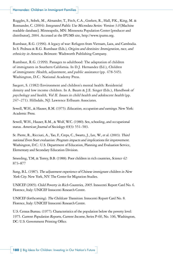Hernandez: Children in Immigrant Families

Ruggles, S., Sobek, M., Alexander, T., Fitch, C.A., Goeken, R., Hall, P.K., King, M. & Ronnander, C. (2004): Integrated Public Use Microdata Series: Version 3.0 [Machine readable database]. Minneapolis, MN: Minnesota Population Center [producer and distributor], 2004. Accessed at the IPUMS site, http://www.ipums.org.

Rumbaut, R.G. (1996). A legacy of war: Refugees from Vietnam, Laos, and Cambodia. In S. Pedraza & R.G. Rumbaut (Eds.), Origins and destinies: Immigration, race, and ethnicity in America. Belmont: Wadsworth Publishing Company.

Rumbaut, R.G. (1999). Passages to adulthood: The adaptation of children of immigrants in Southern California. In D.J. Hernandez (Ed.), Children of immigrants: Health, adjustment, and public assistance (pp. 478-545). Washington, D.C.: National Academy Press.

Saegert, S. (1982) Environment and children's mental health: Residential density and low income children. In A. Baum & J.E. Singer (Eds.), Handbook of psychology and health, Vol II. Issues in child health and adolescent health (pp. 247–271). Hillsdale, NJ: Lawrence Erlbaum Associates.

Sewell, W.H., & Hauser, R.M. (1975). Education, occupation and earnings. New York: Academic Press.

Sewell, W.H., Hauser, R.M., & Wolf, W.C. (1980). Sex, schooling, and occupational status. American Journal of Sociology 83(3): 551–583.

St. Pierre, R., Ricciuti, A., Tao, F., Creps, C., Swartz, J., Lee, W., et al. (2003). Third national Even Start evaluation: Program impacts and implications for improvement. Washington, D.C.: U.S. Department of Education, Planning and Evaluation Service, Elementary and Secondary Education Division.

Smeeding, T.M, & Torrey, B.B. (1988). Poor children in rich countries, *Science 42:* 873–877

Sung, B.L. (1987). The adjustment experience of Chinese immigrant children in New York City. New York, NY: The Center for Migration Studies.

UNICEF (2005). Child Poverty in Rich Countries, 2005. Innocenti Report Card No. 6. Florence, Italy: UNICEF Innocenti Research Centre.

UNICEF (forthcoming). The Childcare Transition. Innocenti Report Card No. 8. Florence, Italy: UNICEF Innocenti Research Centre.

U.S. Census Bureau. (1977). Characteristics of the population below the poverty level: 1975. Current Population Reports, Current Income, Series P-60, No. 106, Washington, DC: U.S. Government Printing Office.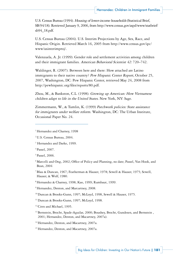U.S. Census Bureau (1994). Housing of lower-income households (Statistical Brief, SB/94/18). Retrieved January 9, 2006, from http://www.census.gov/aspd/www/statbrief/ sb94\_18.pdf.

U.S. Census Bureau (2004). U.S. Interim Projections by Age, Sex, Race, and Hispanic Origin. Retrieved March 16, 2005 from http://www.census.gov/ipc/ www/usinterimproj/.

Valenzuela, A. Jr. (1999). Gender role and settlement activities among children and their immigrant families. American Behavioral Scientist 42: 720–742.

Waldinger, R. (2007). Between here and there: How attached are Latino immigrants to their native country? Pew Hispanic Center Report, October 25, 2007, Washington, DC: Pew Hispanic Center, retrieved May 24, 2008 from http://pewhispanic.org/files/reports/80.pdf.

Zhou, M., & Bankston, C.L. (1998). Growing up American: How Vietnamese children adapt to life in the United States. New York, NY: Sage.

Zimmermann, W., & Tumlin, K. (1999) Patchwork policies: State assistance for immigrants under welfare reform. Washington, DC: The Urban Institute, Occasional Paper No. 24.

 $4$  Passel, 2007.

<sup>6</sup> Marcelli and Ong, 2002; Office of Policy and Planning, no date; Passel, Van Hook, and Bean, 2004

7 Blau & Duncan, 1967; Featherman & Hauser, 1978; Sewell & Hauser, 1975; Sewell, Hauser, & Wolf, 1980.

- 8 Hernandez & Charney, 1998; Kao, 1999; Rumbaut, 1999.
- <sup>9</sup> Hernandez, Denton, and Marcartney, 2008.

<sup>10</sup> Duncan & Brooks-Gunn, 1997; McLoyd, 1998, Sewell & Hauser, 1975.

<sup>11</sup> Duncan & Brooks-Gunn, 1997; McLoyd, 1998.

<sup>12</sup> Citro and Michael, 1995.

<sup>13</sup> Bernstein, Brocht, Spade-Aguilar, 2000; Boushey, Brocht, Gundesen, and Bernstein, 2001; Hernandez, Denton, and Macartney, 2007a).

<sup>14</sup> Hernandez, Denton, and Macartney, 2007a.

<sup>15</sup> Hernandez, Denton, and Macartney, 2007a.

<sup>&</sup>lt;sup>1</sup> Hernandez and Charney, 1998

<sup>2</sup> U.S. Census Bureau, 2004.

<sup>&</sup>lt;sup>3</sup> Hernandez and Darke, 1999.

<sup>5</sup> Passel, 2006.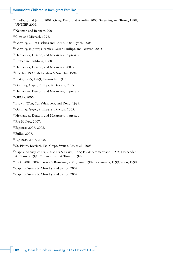- <sup>16</sup> Bradbury and Jantii, 2001; Oxley, Dang, and Antolin, 2000; Smeeding and Torrey, 1988; UNICEF, 2005.
- <sup>17</sup> Neuman and Bennett, 2001.
- <sup>18</sup> Citro and Michael, 1995.
- 19 Gormley, 2007; Haskins and Rouse, 2005; Lynch, 2004.
- <sup>20</sup> Gormley, in press; Gormley, Gayer, Phillips, and Dawson, 2005.
- <sup>21</sup> Hernandez, Denton, and Macartney, in press b.
- <sup>22</sup> Presser and Baldwin, 1980.
- <sup>23</sup> Hernandez, Denton, and Macartney, 2007a.
- 24 Cherlin, 1999; McLanahan & Sandefur, 1994.
- 25 Blake, 1985, 1989; Hernandez, 1986.
- <sup>26</sup> Gormley, Gayer, Phillips, & Dawson, 2005.
- <sup>27</sup> Hernandez, Denton, and Macartney, in press b.
- 28 OECD, 2006.
- 29 Brown, Wyn, Yu, Valenzuela, and Dong, 1999.
- 30 Gormley, Gayer, Phillips, & Dawson, 2005.
- <sup>31</sup> Hernandez, Denton, and Macartney, in press, b.
- <sup>32</sup> Pre-K Now, 2007.
- 33 Espinosa 2007, 2008.
- <sup>34</sup> Fuller, 2007.
- 35 Espinosa, 2007, 2008.
- 36 St. Pierre, Ricciuti, Tao, Creps, Swartz, Lee, et al., 2003.
- 37 Capps, Kenney, & Fix, 2003; Fix & Passel, 1999; Fix & Zimmermann, 1995; Hernandez & Charney, 1998; Zimmermann & Tumlin, 1999.
- 38 Park, 2001, 2002; Portes & Rumbaut, 2001; Sung, 1987; Valenzuela, 1999; Zhou, 1998.
- 39 Capps, Castaneda, Chaudry, and Santos, 2007.
- 40 Capps, Castaneda, Chaudry, and Santos, 2007.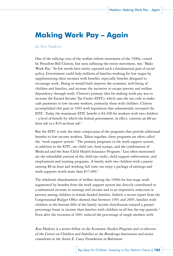# **Making Work Pay – Again**

#### by Ron Haskins

One of the rallying cries of the welfare reform movement of the 1990s, coined by President Bill Clinton, but soon suffusing the entire movement, was "Make Work Pay." So few words have rarely captured such a fundamental goal of social policy. Government could help millions of families working for low wages by supplementing their incomes with benefits, especially benefits designed to encourage work. Doing so would both improve the economic well-being of children and families, and increase the incentive to escape poverty and welfare dependency through work. Clinton's primary idea for making work pay was to increase the Earned Income Tax Credit (EITC), which uses the tax code to make cash payments to low-income workers, primarily those with children. Clinton accomplished this goal in 1993 with legislation that substantially increased the EITC. Today the maximum EITC benefit is \$4,500 for workers with two children – a level of benefit by which the federal government, in effect, converts an \$8-anhour job to a  $$10$ -an-hour job.<sup>1</sup>

But the EITC is only the most conspicuous of the programs that provide additional benefits to low-income workers. Taken together, these programs are often called the "work support system." The primary programs in the work support system, in addition to the EITC, are child care, food stamps, and the combination of Medicaid and the State Child Health Insurance Program.<sup>2</sup> Less often mentioned are the refundable portion of the child tax credit, child support enforcement, and employment and training programs. A family with two children with a parent earning \$8 an hour and working full time can enjoy a package of earnings and work supports worth more than \$37,000.<sup>3</sup>

The wholesale abandonment of welfare during the 1990s for low-wage work augmented by benefits from the work support system has directly contributed to a substantial increase in earnings and income and to an impressive reduction in poverty among children in female-headed families. Indeed, a recent report from the Congressional Budget Office showed that between 1991 and 2005, families with children in the bottom fifth of the family income distribution enjoyed a greater percentage boost in income than families with children in all but the top quintile.4 Even after the recession of 2001 reduced the percentage of single mothers with

Ron Haskins is a senior fellow in the Economic Studies Program and co-director of the Center on Children and Families at the Brookings Institution and senior consultant at the Annie E. Casey Foundation in Baltimore.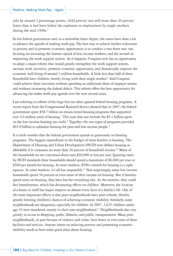jobs by around 2 percentage points, child poverty was still more than 20 percent lower than it had been before the explosion in employment by single mothers during the mid-1990s.<sup>5</sup>

So the federal government and, to a somewhat lesser degree, the states have done a lot to advance the agenda of making work pay. The best way to achieve further reductions in poverty and to promote economic opportunity is to conduct a two-front war: one focusing on increasing the human capital of low-income workers, and the second on improving the work support system. As it happens, Congress now has an opportunity to adopt a major reform that would greatly strengthen the work support system, increase work incentive, promote economic opportunity, and dramatically improve the economic well-being of around 3 million households. A little less than half of these households have children, mostly living with their single mother.<sup>6</sup> And Congress could achieve these outcomes without spending an additional dime of taxpayer money and without increasing the federal deficit. This reform offers the best opportunity for advancing the make-work-pay agenda over the next several years.

I am referring to reform of the huge but too often ignored federal housing programs. A recent report from the Congressional Research Service showed that in 2007, the federal government spent \$58.7 billion on means-tested housing programs that supported over 4.6 million units of housing.<sup>7</sup> This sum does not include the \$5.1 billion spent on the low-income housing tax credit.<sup>8</sup> Together, the two types of programs provided \$63.8 billion to subsidize housing for poor and low-income people.<sup>9</sup>

It is little wonder that the federal government spends so generously on housing programs. The biggest expenditure in the budget of most families is housing. The Department of Housing and Urban Development (HUD) now defines housing as affordable if it consumes no more than 30 percent of household income.10 Many of the households we are concerned about earn \$20,000 or less per year. Ignoring taxes, by HUD standards these households should spend a maximum of \$6,000 per year or \$500 per month for housing. In most markets, \$500 a month for housing is a tight squeeze. In some markets, it's all but impossible.<sup>11</sup> Not surprisingly, some low-income households spend 50 percent or even more of their income on housing. But if families spend more on housing, they have less for everything else. At the extreme, they could face homelessness, which has devastating effects on children. Moreover, the location of a house in itself has major impacts on almost every facet of a family's life. One of the most important effects is that poor neighborhoods have poor schools, thereby greatly limiting children's chances of achieving economic mobility. Similarly, some neighborhoods are dangerous, especially for children. In 2007, 1,625 children under age 19 were murdered, mostly in their own neighborhood.<sup>12</sup> Neighborhoods also vary greatly in access to shopping, parks, libraries, and public transportation. Many poor neighborhoods, in part because of violence and crime, have fewer or even none of these facilities and services. Anyone intent on reducing poverty and promoting economic mobility needs to have some good ideas about housing.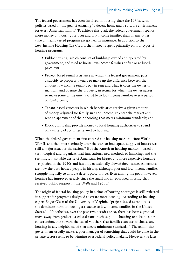The federal government has been involved in housing since the 1930s, with policies based on the goal of ensuring "a decent home and a suitable environment for every American family." To achieve this goal, the federal government spends more money on housing for poor and low-income families than on any other type of means-tested program except health insurance. In addition to the Low-Income Housing Tax Credit, the money is spent primarily on four types of housing programs:

- Public housing, which consists of buildings owned and operated by government, and used to house low-income families at free or reducedprice rent;
- Project-based rental assistance in which the federal government pays a subsidy to property owners to make up the difference between the amount low-income tenants pay in rent and what it costs the owner to maintain and operate the property, in return for which the owner agrees to make some of the units available to low-income families over a period of 20–40 years;
- Tenant-based vouchers in which beneficiaries receive a given amount of money, adjusted for family size and income, to enter the market and rent an apartment of their choosing that meets minimum standards; and
- Block grants that provide money to local housing authorities to spend on a variety of activities related to housing.

When the federal government first entered the housing market before World War II, and then more seriously after the war, an inadequate supply of houses was still a major issue for the nation.<sup>13</sup> But the American housing market – based on technological and organizational innovations, new methods of financing, and the seemingly insatiable desire of Americans for bigger and more expensive housing – exploded in the 1950s and has only occasionally slowed down since. Americans are now the best-housed people in history, although poor and low-income families struggle mightily to afford a decent place to live. Even among the poor, however, housing has improved greatly since the small and ill-equipped housing that received public support in the  $1940s$  and  $1950s$ .<sup>14</sup>

The origin of federal housing policy in a time of housing shortages is still reflected in support for programs designed to create more housing. According to housing expert Edgar Olsen of the University of Virginia, "project-based assistance is the dominant form of housing assistance to low-income families in the United States."<sup>15</sup> Nonetheless, over the past two decades or so, there has been a gradual move away from project-based assistance such as public housing or subsidies for construction, and toward the use of vouchers that families can use to choose any housing in any neighborhood that meets minimum standards.<sup>16</sup> The axiom that government usually makes a poor manager of something that could be done in the private sector seems to be winning over federal policy makers. However, the facts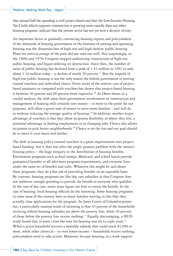that around half the spending is still project-based and that the Low-Income Housing Tax Credit which supports construction is growing more rapidly than any other housing program, indicate that the private sector has not yet won a decisive victory.

An important factor in gradually convincing housing experts and policymakers of the downside of keeping government in the business of owning and operating housing was the disastrous fate of high-rise and high-density public housing. Plans for vertical storage of the poor did not turn out well. Not surprisingly, in the 1960s and 1970s Congress stopped authorizing construction of high-rise public housing, and began ordering its destruction. Since then, the number of units of public housing has declined from a peak of 1.41 million in 1991 to only about 1.16 million today – a decline of nearly 20 percent.<sup>17</sup> But the tragedy of high-rise public housing is not the only reason the federal government is moving toward vouchers and individual choice. Every study of the relative cost of projectbased assistance as compared with vouchers has shown that project-based housing is between 30 percent and 90 percent more expensive.<sup>18</sup> As Olsen shows in a careful analysis, the shift away from government involvement in construction and management of housing will certainly save money – or more to the point for our purposes, will allow a given sum of money to serve more families – and will do so without reducing the average quality of housing.<sup>19</sup> In addition, another major advantage of vouchers is that they allow recipients flexibility in where they live, a potential advantage in finding employment or in changing jobs. Choice also allows recipients to pick better neighborhoods.<sup>20</sup> Choice is on the rise and our goal should be to move it even faster and further.

The shift in housing policy toward vouchers is a great improvement over projectbased funding, but it does not solve the single greatest problem with the nation's housing policy – the huge inequity in the distribution of housing benefits. Entitlement programs such as food stamps, Medicaid, and school lunch provide guaranteed benefits to all who meet program requirements, and everyone lives under the same set of benefits and rules. Whatever else might be said about these programs, they do a fine job of providing benefits on an equitable basis. By contrast, housing programs are like day care subsidies in that Congress does not authorize enough spending to provide the benefit to everyone who qualifies. In the case of day care, states must figure out how to ration the benefit. In the case of housing, local housing officials do the rationing. Some housing programs in some areas of the country have so many families waiting in line that they actually close applications for the program. As Janet Currie of Columbia points out, a particularly noxious result of rationing is that 43 percent of the households receiving federal housing subsidies are above the poverty line, while 30 percent of those below the poverty line receive nothing.21 Equally discouraging, a HUD study found that in some cities the wait for housing was six to eight years.<sup>22</sup> When a given household receives a monthly subsidy that could reach \$1,000 or more, while other identical – or even lower-income – households receive nothing, policymakers need to take action. Moreover, because housing, as a work support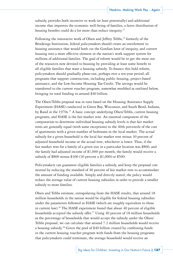subsidy, provides both incentive to work (at least potentially) and additional income that improves the economic well-being of families, a fairer distribution of housing benefits could do a lot more than reduce inequity.<sup>23</sup>

Following the innovative work of Olsen and Jeffrey Tebbs,<sup>24</sup> formerly of the Brookings Institution, federal policymakers should create an entitlement to housing assistance that would both cut the Gordian knot of inequity, and convert housing into a more effective element in the nation's work support system for millions of additional families. The goal of reform would be to get the most out of the resources now devoted to housing by providing at least some benefit to all eligible families that want a housing subsidy. To finance this bold reform, policymakers should gradually phase-out, perhaps over a ten-year period, all programs that support construction, including public housing, project-based assistance, and the Low-Income Housing Tax Credit. The savings would be transferred to the current voucher program, somewhat modified as outlined below, bringing its total funding to around \$40 billion.

The Olsen/Tebbs proposal was in turn based on the Housing Assistance Supply Experiment (HASE) conducted in Green Bay, Wisconsin, and South Bend, Indiana, by Rand in the 1970s.<sup>25</sup> A basic concept underlying Olsen/Tebbs, current housing programs, and HASE is the fair market rent. An essential component of the computation to determine individual housing subsidy levels is that fair market rents are generally equal (with some exceptions) to the 40th percentile of the cost of apartments with a given number of bedrooms in the local market. The actual subsidy for a given household is the local fair market rent minus 30 percent of adjusted household income or the actual rent, whichever is lower. Thus, if the fair market rent for a family of a given size in a particular location was \$800, and the family had adjusted income of \$1,000 per month, the family would receive a subsidy of \$800 minus \$300 (30 percent x \$1,000) or \$500.

Policymakers can guarantee eligible families a subsidy, and keep the proposal cost neutral by reducing the standard of 40 percent of fair market rent to accommodate the amount of funding available. Simply and directly stated, the policy would reduce the average value of current housing subsidies in order to provide a smaller subsidy to more families.

Olsen and Tebbs estimate, extrapolating from the HASE results, that around 18 million households in the nation would be eligible for federal housing subsidies under the parameters followed in HASE (which are roughly equivalent to those in current law).<sup>26</sup> The HASE experiment found that about 40 percent of eligible households accepted the subsidy offer.<sup>27</sup> Using  $40$  percent of 18 million households as the percentage of households that would accept the subsidy under the Olsen/ Tebbs proposal, we can calculate that around 7.2 million households would receive a housing subsidy.<sup>28</sup> Given the pool of  $$40$  billion created by combining funds in the current housing voucher program with funds from the housing programs that policymakers could terminate, the average household would receive an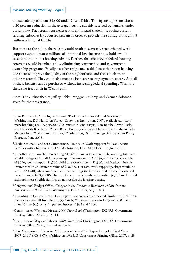annual subsidy of about \$5,600 under Olsen/Tebbs. This figure represents about a 20 percent reduction in the average housing subsidy received by families under current law. The reform represents a straightforward tradeoff: reducing current housing subsidies by about 20 percent in order to provide the subsidy to roughly 3 million additional families.

But more to the point, the reform would result in a greatly strengthened work support system because millions of additional low-income households would be able to count on a housing subsidy. Further, the efficiency of federal housing programs would be enhanced by eliminating construction and government ownership programs. Finally, voucher recipients could choose their own housing and thereby improve the quality of the neighborhood and the schools their children attend. They could also move to be nearer to employment centers. And all of these benefits can be purchased without increasing federal spending. Who said there's no free lunch in Washington?

Note: The author thanks Jeffrey Tebbs, Maggie McCarty, and Carmen Solomon-Fears for their assistance.

2 Sheila Zedlewski and Seth Zimmerman, "Trends in Work Supports for Low-Income Families with Children" (Brief 4). Washington, DC: Urban Institute, June 2007.

 $3A$  mother with two children earning \$16,640 from an \$8 an hour job, working full time, would be eligible for (all figures are approximate) an EITC of \$4,450, a child tax credit of \$690, food stamps of \$1,500, child care worth around \$2,900, and Medicaid health insurance with an insurance value of \$10,900. Her total work support package would be worth \$20,440; when combined with her earnings the family's total income in cash and benefits would be \$37,080. Housing benefits could easily add another \$6,000 to this total although most eligible families do not receive the housing benefit.

 $4$ Congressional Budget Office, Changes in the Economic Resources of Low-Income Households with Children (Washington, DC: Author, May 2007).

<sup>5</sup> According to Census Bureau data on poverty among female-headed families with children, the poverty rate fell from 46.1 to 33.6 or by 27 percent between 1993 and 2001, and from 46.1 to 36.5 or by 21 percent between 1993 and 2006.

6 Committee on Ways and Means, 2008 Green Book (Washington, DC: U.S. Government Printing Office, 2008), p. 15–14.

<sup>7</sup> Committee on Ways and Means, 2008 Green Book (Washington, DC: U.S. Government Printing Office, 2008), pp. 15-1 to 15–22.

<sup>&</sup>lt;sup>1</sup> John Karl Scholz, "Employment-Based Tax Credits for Low-Skilled Workers," Washington, DC: Hamilton Project, Brookings Institution, 2007; available at: http:// www.brookings.edu/papers/2007/12\_taxcredit\_scholz.aspx; Alan Berube, David Park, and Elizabeth Kneebone, "Metro Raise: Boosting the Earned Income Tax Credit to Help Metropolitan Workers and Families," Washington, DC: Brookings, Metropolitan Policy Program, June 2008.

<sup>8</sup> Joint Committee on Taxation, "Estimates of Federal Tax Expenditures for Fiscal Years 2007–2011" (JCS-3-07), Washington, DC: U.S. Government Printing Office, 2007, p. 28.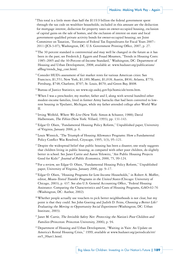- $9$ This total is a little more than half the \$119.9 billion the federal government spent through the tax code on wealthier households; included in this amount are the deduction for mortgage interest, deduction for property taxes on owner-occupied housing, exclusion of capital gains on the sale of homes, and the exclusion of interest on state and local government-qualified private activity bonds for owner-occupied housing; see Joint Committee on Taxation, "Estimates of Federal Tax Expenditures for Fiscal Years 2007– 2011 (JCS-3-07), Washington, DC: U.S. Government Printing Office, 2007, p. 27.
- $10$  The 30 percent standard is controversial and may well be changed in the future as it has been in the past; see Frederick J. Eggers and Fouad Moumen, "Trends in Housing Costs: 1985–2005 and the 30-Percent-of-Income Standard," Washington, DC: Department of Housing and Urban Development, 2008; available at: www.huduser.org/publications/ affhsg/trends hsg\_cost.html.
- <sup>11</sup> Consider HUD's assessment of fair market rents for various American cities: San Francisco, \$1,551; New York, \$1,189; Miami, \$1,018; Austin, \$836; Atlanta, \$779; Pittsburg, \$748; Charlotte, \$707; St. Louis, \$670; and Green Bay, \$608.
- 12 Bureau of Justice Statistics; see www.ojp.usdoj.gov/bjs/homicide/teens.htm.
- $13$  When I was a preschooler, my mother, father and I, along with several hundred other modest-income families, lived in former Army barracks that had been converted to lowrent housing in Ypsilanti, Michigan, while my father attended college after World War II.
- <sup>14</sup> Irving Welfeld, Where We Live (New York: Simon & Schuster, 1988); David Halberstam, The Fifties (New York: Villard, 1993), pp. 131-143.
- <sup>15</sup> Edgar O. Olsen, "Fundamental Housing Policy Reform," Unpublished paper, University of Virginia, January 2006, p. 6.
- <sup>16</sup> Louis Winnick, "The Triumph of Housing Allowance Programs: How a Fundamental Policy Conflict Was Resolved, Cityscape, 1995, 1(3), 95–121.
- <sup>17</sup> Despite the widespread belief that public housing has been a disaster, one study suggests that children living in public housing, as compared with other poor children, do slightly better in school. See Janet Currie and Aaron Yelowitz, "Are Public Housing Projects Good for Kids?" Journal of Public Economics, 2000, 75, 99-124.
- <sup>18</sup> For a review, see Edgar O. Olsen, "Fundamental Housing Policy Reform," Unpublished paper, University of Virginia, January 2006, pp. 9–17.
- $19$  Edgar O. Olsen, "Housing Programs for Low-Income Households," in Robert A. Moffitt, editor, Means-Tested Transfer Programs in the United States (Chicago: University of Chicago, 2003), p. 437. See also U.S. General Accounting Office, "Federal Housing Assistance: Comparing the Characteristics and Costs of Housing Programs, GAO-02-76 (Washington, DC: Author, 2002).
- $20$  Whether people actually use vouchers to pick better neighborhoods is not clear, but my point is that they could. See John Goering and Judith D. Feins, Choosing a Better Life? Evaluating the Moving to Opportunity Social Experiment (Washington, DC: Urban Institute, 2003).
- $21$  Janet M. Currie, The Invisible Safety Net: Protecting the Nation's Poor Children and Families (Princeton: Princeton University, 2006), p. 94.
- <sup>22</sup> Department of Housing and Urban Development, "Waiting in Vain: An Update on America's Rental Housing Crisis," 1999; available at www.huduser.org/periodicals/rrr/ rrr5\_99art1.html.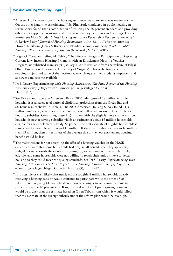- $^{23}$  A recent HUD paper argues that housing assistance has no major effects on employment. On the other hand, the experimental Jobs Plus study conducted in public housing in several cities found that a combination of reducing the 30 percent standard and providing other work supports has substantial impacts on employment rates and earnings. For the former, see Mark Shroder, "Does Housing Assistance Perversely Affect Self-Sufficiency? A Review Essay," Journal of Housing Economics, 11(4), 381–417; for the latter, see Howard S. Bloom, James A Riccio, and Nandita Verma, Promoting Work in Public Housing: The Effectiveness of Jobs-Plus (New York, MDRC, 2005).
- $^{24}$  Edgar O. Olsen and Jeffrey M. Tebbs, "The Effect on Program Participation of Replacing Current Low-Income Housing Programs with an Entitlement Housing Voucher Program, unpublished manuscript, January 4, 2006 (available from the website of Edgar Olsen, Professor of Economics, University of Virginia). This is the first paper of an ongoing project and some of their estimates may change as their model is improved, and as newer data become available.
- $25$  Ira S. Lowry, Experimenting with Housing Allowances: The Final Report of the Housing Assistance Supply Experiment (Cambridge: Oelgeschlager, Gunn & Hain, 1983).
- <sup>26</sup> See Table 4 and page 8 in Olsen and Tebbs, 2006. My figure of 18 million eligible households is an average of national eligibility projections from the Green Bay and St. Louis results shown in Table 4. The 2005 American Housing Survey found 11.5 million unassisted, very low-income renters, nearly all of whom would be eligible for housing subsidies. Combining these 11.5 million with the slightly more than 4 million households now receiving subsidies yields an estimate of about 16 million households eligible for the entitlement subsidy. So perhaps the best estimate of eligible households is somewhere between 16 million and 18 million. If the true number is closer to 16 million than 18 million, then my estimate of the average size of the new entitlement housing benefit would be low.
- $27$  The major reasons for not accepting the offer of a housing voucher in the HASE experiment were that some households had only small benefits that they apparently judged not to be worth the trouble of signing up, some households were only briefly eligible, and some households were not willing to repair their unit or move to better housing so they could meet the quality standards. See Ira S. Lowry, Experimenting with Housing Allowances: The Final Report of the Housing Assistance Supply Experiment (Cambridge: Oelgeschlager, Gunn & Hain, 1983), pp. 11–17.
- $^{28}$  It is possible or even likely that nearly all the roughly 4 million households already receiving a housing subsidy would continue to participate while the other 13 or 14 million newly-eligible households not now receiving a subsidy would choose to participate at the 40 percent rate. If so, the total number of participating households would be higher than the estimate based on Olsen/Tebbs, from which it would follow that my estimate of the average subsidy under the reform plan would be too high.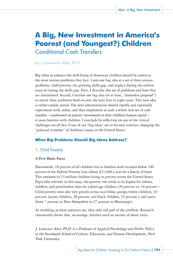# **A Big, New Investment in America's Poorest (and Youngest?) Children** Conditional Cash Transfers

by J. Lawrence Aber, Ph.D.

Big ideas to enhance the well-being of American children should be aimed at the most serious problems they face. I aim one big idea at a set of three serious problems: child poverty, the growing skills gap, and neglect during the earliest years of closing the skills gap. First, I describe this set of problems and how they are interrelated. Second, I outline one big idea (or at least, "immodest proposal") to attack these problems head on over the next four to eight years. This new idea is rather simply stated: The next administration should rapidly and rigorously experiment with, refine, and then implement at scale a whole new set of cash transfers – conditioned on parents' investments in their children's human capital – to poor families with children. I conclude by reflecting on one of the critical challenges we all face if any of our "big ideas" are to become realities: changing the "political economy" of children's issues in the United States.

## **What Big Problems Should Big Ideas Address?**

### 1. Child Poverty

#### **A Few Basic Facts**

Nationwide, 18 percent of all children live in families with incomes below 100 percent of the Federal Poverty Line (about \$21,000 a year for a family of four). This amounts to 13 million children living in poverty across the United States. Especially relevant to this essay, the poverty rate tends to be higher for infants, toddlers, and preschoolers than for school-age children (20 percent vs. 16 percent ). Child poverty rates also vary greatly across race/ethnic groups (white children, 10 percent; Latino children, 28 percent; and black children, 35 percent ), and states (from 7 percent in New Hampshire to 27 percent in Mississippi).

As troubling as these statistics are, they only tell part of the problem. Research consistently shows that, on average, families need an income of about twice

J. Lawrence Aber, Ph.D. is a Professor of Applied Psychology and Public Policy at the Steinhardt School of Culture, Education, and Human Development, New York University.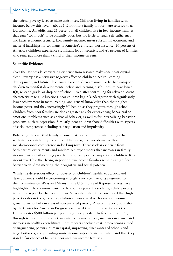the federal poverty level to make ends meet. Children living in families with incomes below this level – about \$42,000 for a family of four – are referred to as low income. An additional 21 percent of all children live in low-income families that earn "too much" to be officially poor, but too little to reach self-sufficiency and basic economic security. Low family incomes mean substantial economic and material hardships for too many of America's children. For instance, 16 percent of America's children experience significant food insecurity, and 41 percent of families who rent, pay more than a third of their income on rent.

#### **Scientific Evidence**

Over the last decade, converging evidence from research makes one point crystal clear: Poverty has a pervasive negative effect on children's health, learning, development, and future life chances. Poor children are more likely than non-poor children to manifest developmental delays and learning disabilities, to have lower IQs, repeat a grade, or drop out of school. Even after controlling for relevant parent characteristics (e.g., education), poor children begin kindergarten with significantly lower achievement in math, reading, and general knowledge than their higher income peers, and they increasingly fall behind as they progress through school. Children from poor families are also at greater risk for experiencing behavioral or emotional problems such as antisocial behavior, as well as for internalizing behavior problems, such as depression. Similarly, poor children show difficulties with aspects of social competence including self-regulation and impulsivity.

Bolstering the case that family income matters for children are findings that with increases in family income, children's cognitive-academic skills and social-emotional competence indeed improve. There is clear evidence from both natural experiments and randomized experiments that increases in family income, particularly among poor families, have positive impacts on children. It is incontrovertible that living in poor or low-income families remains a significant barrier to children meeting their cognitive and social potential.

While the deleterious effects of poverty on children's health, education, and development should be concerning enough, two recent reports presented to the Committee on Ways and Means in the U.S. House of Representatives have highlighted the economic costs to the country posed by such high child poverty rates. One report by the Government Accountability Office concluded that higher poverty rates in the general population are associated with slower economic growth, particularly in areas of concentrated poverty. A second report, published by the Center for American Progress, estimated that child poverty costs the United States \$500 billion per year, roughly equivalent to 4 percent of GDP, through reductions in productivity and economic output, increases in crime, and increases in health expenditures. Both reports conclude that interventions aimed at augmenting parents' human capital, improving disadvantaged schools and neighborhoods, and providing more income supports are indicated, and that they stand a fair chance of helping poor and low income families.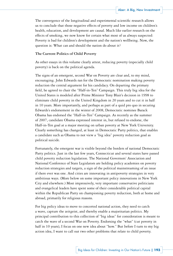The convergence of the longitudinal and experimental scientific research allows us to conclude that those negative effects of poverty and low income on children's health, education, and development are causal. Much like earlier research on the effects of smoking, we now know for certain what most of us always suspected: Poverty is bad for children's development and the nation's wellbeing. Now, the question is: What can and should the nation do about it?

#### **The Current Politics of Child Poverty**

As other essays in this volume clearly attest, reducing poverty (especially child poverty) is back on the political agenda.

The signs of an emergent, second War on Poverty are clear and, to my mind, encouraging. John Edwards ran for the Democratic nomination making poverty reduction the central argument for his candidacy. On departing the primary field, he agreed to chair the "Half-in-Ten" Campaign. This truly big idea for the United States is modeled after Prime Minister Tony Blair's decision in 1998 to eliminate child poverty in the United Kingdom in 20 years and to cut it in half in 10 years. More importantly, and perhaps as part of a quid pro quo in securing Edwards's endorsement in the winter of 2008, Democratic nominee Barack Obama has endorsed the "Half-in-Ten" Campaign. As recently as the summer of 2007, candidate Obama expressed interest in, but refused to endorse, the Half-in-Ten goal at a major meeting on urban poverty at New York University. Clearly something has changed, at least in Democratic Party politics, that enables a candidate such as Obama to not view a "big idea" poverty reduction goal as political suicide.

Fortunately, the emergent war is visible beyond the borders of national Democratic Party politics. Just in the last few years, Connecticut and several states have passed child poverty reduction legislation. The National Governors' Association and National Conference of State Legislators are holding policy academies on poverty reduction strategies and targets, a sign of the political mainstreaming of an issue if there ever was one. And cities are innovating in antipoverty strategies in very ambitious ways. (More below on some important policy innovations in New York City and elsewhere.) Most impressively, very important conservative politicians and evangelical leaders have spent some of their considerable political capital within the Republican Party on championing poverty reduction, both at home and abroad, primarily for religious reasons.

For big policy ideas to move to concerted national action, they need to catch a wave, capture the zeitgeist, and thereby enable a majoritarian politics. My principal contribution to this collection of "big ideas" for consideration is meant to catch the wave of a second War on Poverty. Endorsing the "what" (cut poverty in half in 10 years), I focus on one new idea about "how." But before I turn to my big action idea, I want to call out two other problems that relate to child poverty.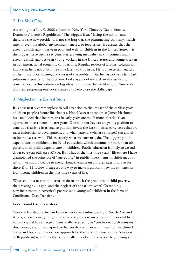## 2. The Skills Gap.

According to a July 9, 2008 column in New York Times by David Brooks, Democrats' favorite Republican, "The Biggest Issue" facing the nation, and therefore the new president, is not the Iraq war, the plummeting economy, health care, or even the global environment, energy, or food crises. He argues that the growing skills gap – between poor and well-off children in the United States – is the biggest issue because it generates growing inequality in this country and a growing skills gap between young workers in the United States and young workers in our international economic competitors. Regular readers of Brooks' column will know that he is not a Johnnie come lately to this issue. He is an excellent analyst of the importance, nature, and causes of the problem. But he has not yet identified solutions adequate to the problem. I take as part of my task in this essay, my contribution to this volume on big ideas to improve the well-being of America's children, proposing one novel strategy to help close the skills gaps.

### 3. Neglect of the Earliest Years.

It is now nearly commonplace to call attention to the impact of the earliest years of life on people's future life chances. Nobel laureate economist James Heckman has concluded that investments in early years are much more effective than equivalent investments in later years. One does not have to adopt his position to conclude that it is irrational to publicly invest the least in those early years that are most influential to development, and when parents (who are younger) can afford to invest least as well. This is exactly what we currently do. The biggest public expenditure on children is for K-12 education, which accounts for more than 60 percent of all public expenditure on children. Public education is likely to extend down to 4 year olds (pre-K) too. But what of the first three years? Elsewhere I have championed the principle of "age-equity" in public investments in children; as a nation, we should decide to spend about the same on children ages 0 to 3 as for those K to 12. Below, I suggest one way to make significant new investments in low-income children in the first three years of life.

What should a new administration do to attack the problems of child poverty, the growing skills gap, and the neglect of the earliest years? Create a big, new investment in America's poorest (and youngest?) children in the form of Conditional Cash Transfers.

#### **Conditional Cash Transfers**

Over the last decade, first in Latin America and subsequently in South Asia and Africa, a new strategy to fight poverty and promote investment in poor children's human capital has emerged. Generically referred to as "conditional cash transfers," this strategy could be adapted to the specific conditions and needs of the United States and become a major new approach for the next administration (Democrat or Republican) to address the triple challenges of child poverty, the growing skills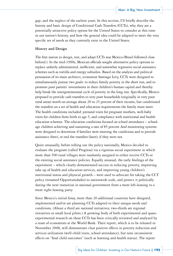gap, and the neglect of the earliest years. In this section, I'll briefly describe the history and basic design of Conditional Cash Transfers (CCTs), why they are a potentially attractive policy option for the United States to consider at this time in our nation's history, and how the general idea could be adapted to meet the very specific set of needs as they currently exist in the United States.

#### **History and Design**

The first nation to design, test, and adopt CCTs was Mexico (Brazil followed close behind.). In the mid-1990s, Mexican officials sought alternative policy options to replace unfairly administered, inefficient, and somewhat regressive social assistance schemes such as tortilla and energy subsidies. Based on the analysis and political persuasion of its main architect, economist Santiago Levy, CCTs were designed to simultaneously pursue two goals: to reduce family poverty in the short run, and to promote poor parents' investments in their children's human capital and thereby help break the intergenerational cycle of poverty in the long run. Specifically, Mexico proposed to provide cash transfers to very poor households (originally in very poor rural areas) worth on average about 20 to 25 percent of their income, but conditioned the transfers on a set of health and education requirements the family must meet. The health conditions included: prenatal visits for pregnant mothers, well-baby visits for children from birth to age 5, and compliance with nutritional and health education schemes. The education conditions focused on school attendance – schoolage children achieving and sustaining a rate of 85 percent And monitoring systems were designed to determine if families were meeting the conditions and to provide assistance (first), or end the transfers (later), if they were not.

Quite unusually, before rolling out the policy nationally, Mexico decided to evaluate the program (called Progresa) via a rigorous social experiment in which more than 500 rural villages were randomly assigned to either receive CCTs or the existing social assistance policies. Equally unusual, the early findings of the experiment – which clearly demonstrated success in reducing poverty, improving take up of health and education services, and improving young children's nutritional status and physical growth – were used to advocate for taking the CCT policy (renamed Opportunidades) to nationwide scale, and protect it politically during the next transition in national government from a more left-leaning to a more right-leaning party.

Since Mexico's initial foray, more than 20 additional countries have designed, implemented and/or are planning CCTs adapted to their unique needs and conditions. (About a third are national initiatives; two-thirds are regional initiatives or small local pilots.) A growing body of both experimental and quasiexperimental research on these CCTs has been critically reviewed and analyzed by a team of economists at the World Bank. Their report, which is to be released in November 2008, will demonstrate clear positive effects in poverty reduction and services utilization (well-child visits, school attendance), but note inconsistent effects on "final child outcomes" (such as learning and health status). The report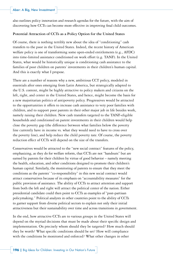also outlines policy innovation and research agendas for the future, with the aim of discovering how CCTs can become more effective in improving final child outcomes.

#### **Potential Attraction of CCTs as a Policy Option for the United States**

Of course, there is nothing terribly new about the idea of "conditioning" cash transfers to the poor in the United States. Indeed, the recent history of American welfare policy is one of transforming some open-ended entitlements (e.g., AFDC) into time-limited assistance conditioned on work effort (e.g. TANF). In the United States, what would be historically unique is conditioning cash assistance to the families of poor children on parents' investments in their children's human capital. And this is exactly what I propose.

There are a number of reasons why a new, ambitious CCT policy, modeled in essentials after ones emerging from Latin America, but strategically adapted to the U.S. context, might be highly attractive to policy makers and citizens on the left, right, and center in the United States, and hence, might become the basis for a new majoritarian politics of antipoverty policy. Progressives would be attracted to the opportunities it offers to increase cash assistance to very poor families with children, and to support poor parents in their other major job in life besides work, namely raising their children. New cash transfers targeted to the TANF-eligible households and conditioned on parent investments in their children would help close the poverty gap (the difference between what families below the poverty line currently have in income vs. what they would need to have to cross over the poverty line), and help reduce the child poverty rate. Of course, the poverty reduction effect of CCTs will depend on the size of the transfers.

Conservatives would be attracted to the "new social contract" features of the policy, emphasizing, as they do for welfare reform, that CCTs are not "handouts" but are earned by parents for their children by virtue of good behavior – namely meeting the health, education, and other conditions designed to promote their children's human capital. Similarly, the monitoring of parents to ensure that they meet the conditions as the parents' "co-responsibility" in this new social contract would attract conservatives because of its emphasis on "accountability measures" for the public provision of assistance. The ability of CCTs to attract attention and support from both the left and right will attract the political center of the nation. Either presidential candidate could then point to CCTs as examples of "post-partisan policymaking." Political analysts in other countries point to the ability of CCTs to garner support from diverse political sectors to explain not only their initial attractiveness but their sustainability over time and across transitions in government.

In the end, how attractive CCTs are to various groups in the United States will depend on the myriad decisions that must be made about their specific design and implementation. On precisely whom should they be targeted? How much should they be worth? What specific conditions should be set? How will compliance with the conditions be monitored and enforced? What other changes in other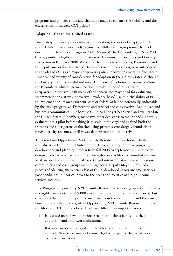programs and policies could and should be made to enhance the viability and the effectiveness of the new CCT policy?

#### **Adapting CCTs to the United States**

Fortunately for a new presidential administration, the work of adapting CCTs to the United States has already begun. To fulfill a campaign promise he made during his reelection campaign in 2005, Mayor Michael Bloomberg of New York City appointed a high-level Commission on Economic Opportunity and Poverty Reduction in February 2006. As part of that deliberative process, Bloomberg and his deputy mayor for Health and Human Services, Linda Gibbs, were introduced to the idea of CCTs as a major antipoverty policy innovation emerging from Latin America, and worthy of consideration for adoption in the United States. Although the Poverty Commission did not make CCTs one of its formal recommendations, the Bloomberg administration decided to make it one of its signature antipoverty initiatives. It fit many of the criteria the mayor had for evaluating recommendations: It was innovative, "evidence-based," within the ability of NYC to implement on its own (without state or federal aid), and potentially endorsable by the city's progressive (Democratic and service) and conservative (Republican and business) communities! But because CCTs had not yet been tried and evaluated in the United States, Bloomberg made two other decisions: to mount and rigorously evaluate it as a pilot before taking it to scale in the city; and to fund both the transfers and the rigorous evaluation using private sector (largely foundation) funds, not city revenues, until it was demonstrated to be effective.

Thus was born Opportunity NYC: Family Rewards, the first holistic health and education CCT in the United States. Through a very intensive program development and planning process from fall 2006 to September 2007, the city designed a set of new cash transfers. Through visits to Mexico, consultations with local, national, and international experts, and intensive bargaining with various communities and civic groups and city agencies, Deputy Mayor Gibbs led a process of adapting the central ideas of CCTs, developed in low-income, servicespoor conditions in poor countries to the needs and realities of a high-income, services-rich city.

Like Progresa, Opportunity NYC: Family Rewards provides big, new cash transfers to eligible families (up to \$ 5,000 a year if families fully meet all conditions), but conditions the funding on parents' investments in their children's (and their own) human capital. While the goals of Opportunity NYC: Family Rewards resemble the Mexican CCT, several of the details are different in important ways.

- 1. It is based on not two, but three sets of conditions: family health, child education, and adult work/education.
- 2. Rather than become eligible for the whole transfer if all the conditions are met, New York families become eligible for part of the transfers as each condition is met.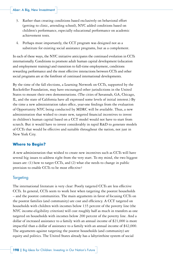- Aber: A Big, New Investment
	- 3. Rather than creating conditions based exclusively on behavioral effort (getting to clinic, attending school), NYC added conditions based on children's performance, especially educational performance on academic achievement tests.
	- 4. Perhaps most importantly, the CCT program was designed not as a substitute for existing social assistance programs, but as a complement.

In each of these ways, the NYC initiative anticipates the continued evolution in CCTs internationally. Conditions to promote adult human capital development (education and employment training) and transition to full-time employment, conditions rewarding performance and the most effective interactions between CCTs and other social programs are at the forefront of continued international developments.

By the time of the fall elections, a Learning Network on CCTs, supported by the Rockefeller Foundation, may have encouraged other jurisdictions in the United States to mount their own demonstrations. (The cities of Savannah, GA, Chicago, IL, and the state of California have all expressed some levels of initial interest.) By the time a new administration takes office, year-one findings from the evaluation of Opportunity NYC being conducted by MDRC will be available. Thus, a new administration that wished to create new, targeted financial incentives to invest in children's human capital based on a CCT model would not have to start from scratch. But it would have to invest considerably in rapid R&D to generate models of CCTs that would be effective and suitable throughout the nation, not just in New York City.

### **Where to Begin?**

A new administration that wished to create new incentives such as CCTs will have several big issues to address right from the very start. To my mind, the two biggest issues are: (1) how to target CCTs, and (2) what else needs to change in public provision to enable CCTs to be most effective?

### **Targeting**

The international literature is very clear: Poorly targeted CCTs are less effective CCTs. In general, CCTs seem to work best when targeting the poorest households – and the poorest communities. The main arguments in favor of focusing CCTs on the poorest families (and community) are cost and efficiency. A CCT targeted on households with children with incomes below 135 percent of the poverty line (the NYC income-eligibility criterion) will cost roughly half as much in transfers as one targeted on households with incomes below 200 percent of the poverty line. And a dollar of increased assistance to a family with an annual income of \$21,000 is more impactful than a dollar of assistance to a family with an annual income of \$42,000. The arguments against targeting the poorest households (and community) are equity and politics. The United States already has a labyrinthine system of social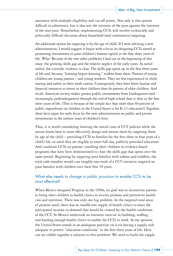assistance with multiple eligibility and cut-off points. Not only is this system difficult to administer, but it also sets the interests of the poor against the interests of the near poor. Nonetheless, implementing CCTs will involve technically and politically difficult decisions about household (and community) targeting.

An additional option for targeting is by the age of child. If I were advising a new administration, I would suggest it begin with a focus on designing CCTs aimed at promoting investments in poor children's human capital in the first three years of life. Why? Because of the two other problems I laid out at the beginning of this essay: the growing skills gap and the relative neglect of the early years. As noted earlier, the scientific evidence is clear. The skills gap opens up in the first three years of life and, because "learning begets learning," widens from there. Parents of young children are young parents – and young workers. They are less experienced in childrearing and earlier in their work careers. Consequently, they have fewer human and financial resources to invest in their children than do parents of older children. And recall, American society makes greater public investments from kindergarten (and increasingly, prekindergarten) through the end of high school than it does in the first three years of life. (This is because of the simple fact that more than 60 percent of public expenditure on children in the United States is for K-12 education!) Together, these facts argue for early focus by the new administration on public and private investments in the earliest years of children's lives.

Thus, it is worth considering limiting the initial costs of CCT policies while the nation learns how to most effectively design and mount them by targeting them by age of the child – providing CCTs to families for the first three or four years of a child's life, or until they are eligible to enter full-day, publicly-provided education. And condition CCTs on parents' enrolling their children in evidence-based programs that have been demonstrated to close the skills gap that opens over the same period. Beginning by targeting poor families with infants and toddlers, the total cash transfers would cost roughly one-sixth of a CCT initiative targeted on poor families with children over their first 18 years.

## What else needs to change in public provision to enable CCTs to be most effective?

When Mexico designed Progresa in the 1990s, its goal was to incentivize parents to bring their children to health clinics to receive primary and preventive health care and nutrition. There was only one big problem. In the targeted rural areas of greatest need, there was an insufficient supply of health clinics to meet the anticipated increase in demand that would be created by the health conditions of the CCT. So Mexico undertook an intensive exercise in building, staffing, and funding enough health clinics to enable the CCTs to work. In my opinion, the United States stands in an analogous position vis-à-vis having a supply-side adequate to permit "education conditions" in the first three years of life. How can we cobble together a solution to this problem? We need to build the supply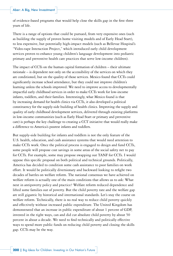of evidence-based programs that would help close the skills gap in the first three years of life.

There is a range of options that could be pursued, from very expensive ones (such as building the supply of proven home visiting models and of Early Head Start), to less expensive, but potentially high-impact models (such as Bellevue Hospital's "Video-tape Interaction Project," which introduced early child development services proven to enhance young children's language development into pediatric primary and preventive health care practices that serve low-income children).

The impact of CCTs on the human capital formation of children – their ultimate rationale – is dependent not only on the accessibility of the services on which they are conditioned, but on the quality of those services. Mexico found that CCTs could significantly increase school attendance, but they could not improve children's learning unless the schools improved. We need to improve access to developmentally impactful early childhood services in order to make CCTs work for low-income infants, toddlers, and their families. Interestingly, what Mexico found is that by increasing demand for health clinics via CCTs, it also developed a political constituency for the supply-side building of health clinics. Improving the supply and quality of early childhood development services, delivered through existing platforms in low-income communities (such as Early Head Start or primary and preventive care) is perhaps the key challenge to creating a CCT initiative that would really make a difference to America's poorest infants and toddlers.

But supply-side building for infants and toddlers is not the only feature of the U.S. health, education, and cash assistance systems that would need attention to make CCTs work. Once the political process is engaged to design and fund CCTs, some people will propose cost savings in some areas of the social safety net to pay for CCTs. For example, some may propose swapping out TANF for CCTs. I would oppose this specific proposal on both political and technical grounds. Politically, America has decided to condition some cash assistance to poor families on work effort. It would be politically diversionary and backward looking to refight two decades of battles on welfare reform. The national consensus we have achieved on welfare reform is actually one of the main conditions that allows us to ask: What next in antipoverty policy and practice? Welfare reform reduced dependence and lifted some families out of poverty. But the child poverty rate and the welfare gap are still gigantic by historical and international standards. Let's stay the course on welfare reform. Technically, there is no real way to reduce child poverty quickly and effectively without increased public expenditure. The United Kingdom has demonstrated that an increase in public expenditure of about 1 percent of GDP, invested in the right ways, can and did cut absolute child poverty by about 50 percent in about a decade. We need to find technically and politically effective ways to spend more public funds on reducing child poverty and closing the skills gap. CCTs may be the way.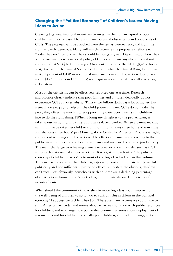# **Changing the "Political Economy" of Children's Issues: Moving Ideas to Action**

Creating big, new financial incentives to invest in the human capital of poor children will not be easy. There are many potential obstacles to and opponents of CCTs. The proposal will be attacked from the left as paternalistic, and from the right as overly generous. Many will mischaracterize the proposals as efforts to "bribe the poor" to do what they should be doing anyway. Depending on how they were structured, a new national policy of CCTs could cost anywhere from about the cost of TANF (\$16 billion a year) to about the cost of the EITC (\$32 billion a year). So even if the United States decides to do what the United Kingdom did – make 1 percent of GDP in additional investments in child poverty reduction (or about \$125 billion a in U.S. terms) – a major new cash transfer is still a very big ticket item.

Most of the criticisms can be effectively rebutted one at a time. Research and practice clearly indicate that poor families and children decidedly do not experience CCTs as paternalistic. Thirty-two billion dollars is a lot of money, but a small price to pay to help cut the child poverty in rate. CCTs do not bribe the poor; they offset the much higher opportunity costs poor parents and children face to do the right thing. (When I bring my daughter to the pediatrician, it takes about an hour of my time, and I'm a salaried worker. When a parent making minimum wage takes her child to a public clinic, it takes three hours of wait time and she loses three hours' pay.) Finally, if the Center for American Progress is right, the costs of reducing child poverty will be offset over time by the savings to the public in reduced crime and health care costs and increased economic productivity. The main challenge to achieving a smart new national cash transfer such as CCT is not each criticism taken one at a time. Rather, it is how hostile "the political economy of children's issues" is to most of the big ideas laid out in this volume. The essential problem is that children, especially poor children, are not powerful politically and not sufficiently protected ethically. To state the obvious, children can't vote. Less obviously, households with children are a declining percentage of all American households. Nonetheless, children are almost 100 percent of the nation's future.

What should the community that wishes to move big ideas about improving the well-being of children to action do to confront this problem in the political economy? I suggest we tackle it head on. There are many actions we could take to shift American attitudes and norms about what we should do with public resources for children, and to change how political-economic decisions about deployment of resources to and for children, especially poor children, are made. I'll suggest two.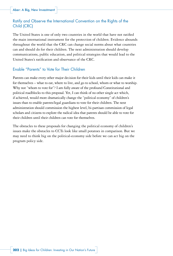# Ratify and Observe the International Convention on the Rights of the Child (CRC)

The United States is one of only two countries in the world that have not ratified the main international instrument for the protection of children. Evidence abounds throughout the world that the CRC can change social norms about what countries can and should do for their children. The next administration should develop communications, public education, and political strategies that would lead to the United States's ratification and observance of the CRC.

# Enable "Parents" to Vote for Their Children

Parents can make every other major decision for their kids until their kids can make it for themselves – what to eat, where to live, and go to school, whom or what to worship. Why not "whom to vote for"? I am fully aware of the profound Constitutional and political roadblocks to this proposal. Yet, I can think of no other single act which, if achieved, would more dramatically change the "political economy" of children's issues than to enable parents/legal guardians to vote for their children. The next administration should commission the highest level, bi-partisan commission of legal scholars and citizens to explore the radical idea that parents should be able to vote for their children until their children can vote for themselves.

The obstacles to these proposals for changing the political economy of children's issues make the obstacles to CCTs look like small potatoes in comparison. But we may need to think big on the political-economy side before we can act big on the program policy side.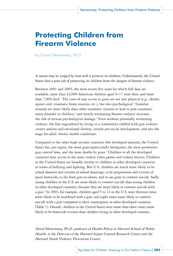# **Protecting Children from Firearm Violence**

by David Hemenway, Ph.D.

A nation may be judged by how well it protects its children. Unfortunately, the United States does a poor job of protecting its children from the dangers of firearm violence.

Between 2001 and 2005, the most recent five years for which full data are available, more than 42,000 American children aged 0–17 were shot, and more than 7,000 died.<sup>1</sup> The costs of easy access to guns are not just physical (e.g., deaths, spinal cord, traumatic brain injuries, etc.), but also psychological.<sup>2</sup> Gunshot wounds are more likely than other traumatic injuries to lead to post-traumatic stress disorder in children,<sup>3</sup> and merely witnessing firearm violence increases the risk of serious psychological damage.<sup>4</sup> Even without personally witnessing violence, the fear engendered by living in a community riddled with gun violence creates anxiety and emotional distress, retards pro-social development, and sets the stage for adult chronic health conditions.

Compared to the other high-income countries (the developed nations), the United States has, per capita, the most guns (particularly handguns), the most permissive gun control laws, and the most deaths by guns.<sup>5</sup> Children in all the developed countries have access to the same violent video games and violent movies. Children in the United States are broadly similar to children in other developed countries in terms of bullying and fighting. But U.S. children are much more likely to be school shooters and victims of school shootings, to be perpetrators and victims of (gun) homicide, to die from gun accidents, and to use guns to commit suicide. Sadly, young children in the U.S. are more likely to commit suicide than young children in other developed countries, because they are more likely to commit suicide with a gun.<sup>6</sup> In 2003, for example, children aged 5 to 14 in the U.S. were thirteen times more likely to be murdered with a gun, and eight times more likely to commit suicide with a gun compared to their counterparts in other developed countries (Table 1). Overall, children in the United States were more than three times more likely to be homicide victims than children living in other developed counties.

David Hemenway, Ph.D. professor of Health Policy at Harvard School of Public Health, is the Director of the Harvard Injury Control Research Center and the Harvard Youth Violence Prevention Center.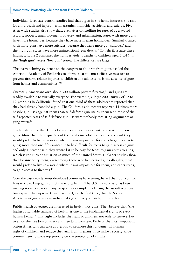Individual-level case-control studies find that a gun in the home increases the risk for child death and injury – from assaults, homicide, accidents and suicide. Five Area-wide studies also show that, even after controlling for rates of aggravated assault, robbery, unemployment, poverty, and urbanization, states with more guns have more homicides, because they have more firearm homicides.<sup>7</sup> Similarly, states with more guns have more suicides, because they have more gun suicides;<sup>8</sup> and the high gun states have more unintentional gun deaths.<sup>9</sup> To help illustrate these findings, Table 2 compares the number violent deaths to children aged 5 to14 in the "high gun" versus "low gun" states. The differences are large.

The overwhelming evidence on the dangers to children from guns has led the American Academy of Pediatrics to affirm "that the most effective measure to prevent firearm-related injuries to children and adolescents is the absence of guns from homes and communities."10

Currently Americans own about 300 million private firearms, $11$  and guns are readily available to virtually everyone. For example, a large 2001 survey of 12 to 17 year olds in California, found that one third of these adolescents reported that they had already handled a gun. The California adolescents reported 11 times more hostile gun uses against them than self-defense gun use by them (and most of the self-reported cases of self-defense gun use were probably escalating arguments or gang wars). $^{12}$ 

Studies also show that U.S. adolescents are not pleased with the status quo on guns. More than three quarters of the California adolescents surveyed said they would prefer to live in a world where it was impossible for teens to gain access to guns; more than one fifth wanted it to be difficult for teens to gain access to guns; and only 1 percent said they wanted it to be easy for teens to gain access to guns, which is the current situation in much of the United States.12 Other studies show that for inner-city teens, even among those who had carried guns illegally, most would prefer to live in a world where it was impossible for them, and other teens, to gain access to firearms.<sup>13</sup>

Over the past decade, most developed countries have strengthened their gun control laws to try to keep guns out of the wrong hands. The U.S., by contrast, has been making it easier to obtain any weapon, for example, by letting the assault weapons ban expire. The Supreme Court has ruled, for the first time, that the Second Amendment guarantees an individual right to keep a handgun in the home.

Public health advocates are interested in health, not guns. They believe that "the highest attainable standard of health" is one of the fundamental rights of every human being.<sup>14</sup> This right includes the right of children, not only to survive, but to enjoy the freedom of safety and freedom from fear. Perhaps the most important action Americans can take as a group to promote this fundamental human right of children, and reduce the harm from firearms, is to make a society-wide commitment to place top priority on the protection of children.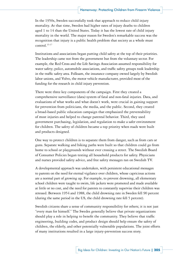In the 1950s, Sweden successfully took that approach to reduce child injury mortality. At that time, Sweden had higher rates of injury deaths to children aged 1 to 14 than the United States. Today it has the lowest rate of child injury mortality in the world. The major reason for Sweden's remarkable success was the recognition that injury is a public health problem that society as a whole must  $control<sup>15-17</sup>$ 

Institutions and associations began putting child safety at the top of their priorities. The leadership came not from the government but from the voluntary sector. For example, the Red Cross and the Life Savings Association assumed responsibility for water safety; police, automobile associations, and traffic safety groups took leadership in the traffic safety area. Folksam, the insurance company owned largely by Swedish labor unions, and Volvo, the motor vehicle manufacturer, provided most of the funding for the research in child injury prevention.

There were three key components of the campaign. First they created a comprehensive surveillance (data) system of fatal and non-fatal injuries. Data, and evaluations of what works and what doesn't work, were crucial in gaining support for prevention from politicians, the media, and the public. Second, they created a broad-based public education campaign that emphasized the preventability of most injuries and helped to change parental behavior. Third, they used government purchasing, legislation, and regulation to make a safer environment for children. The safety of children became a top priority when roads were built and products designed.

One way to protect children is to separate them from danger, such as from cars or guns. Separate walking and biking paths were built so that children could go from home to school or playgrounds without ever crossing a street. The Swedish Board of Consumer Policies began testing all household products for safety. Physicians and nurses provided safety advice, and free safety messages ran on Swedish TV.

A developmental approach was undertaken, with persistent educational messages to parents on the need for eternal vigilance over children, whose capricious actions are a normal part of growing up. For example, to prevent drowning, all elementary school children were taught to swim, life jackets were promoted and made available at little or no cost, and the need for parents to constantly supervise their children was stressed. Between 1954 and 1988, the child drowning rate in Sweden fell 90 percent (during the same period in the US, the child drowning rate fell 5 percent).

Swedish citizens share a sense of community responsibility for others; it is not just "every man for himself." The Swedes generally believe that private organizations should play a role in helping to benefit the community. They believe that traffic engineering, building codes, and product design should help ensure the safety of children, the elderly, and other potentially vulnerable populations. The joint efforts of many institutions resulted in a large injury-prevention success story.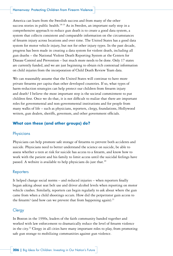America can learn from the Swedish success and from many of the other success stories in public health.<sup>18-19</sup> As in Sweden, an important early step in a comprehensive approach to reduce gun death is to create a good data system, a system that collects consistent and comparable information on the circumstances of firearm injury across locations and over time. The United States has a good data system for motor vehicle injury, but not for other injury types. In the past decade, progress has been made in creating a data system for violent death, including all gun deaths – the National Violent Death Reporting System at the Centers for Disease Control and Prevention – but much more needs to be done. Only 17 states are currently funded, and we are just beginning to obtain rich contextual information on child injuries from the incorporation of Child Death Review Team data.

We can reasonably assume that the United States will continue to have more private firearms per capita than other developed countries. If so, what types of harm-reduction strategies can help protect our children from firearm injury and death? I believe the most important step is the societal commitment to put children first. Once we do that, it is not difficult to realize that there are important roles for governmental and non-governmental institutions and for people from many walks of life – such as physicians, reporters, clergy, foundations, Hollywood writers, gun dealers, sheriffs, governors, and other government officials.

# **What can these (and other groups) do?**

## **Physicians**

Physicians can help promote safe storage of firearms to prevent both accidents and suicide. Physicians need to better understand the science on suicide, be able to assess whether a teen at risk for suicide has access to a firearm, and know how to work with the patient and his family to limit access until the suicidal feelings have passed. A website is available to help physicians do just that.<sup>20</sup>

## **Reporters**

It helped change social norms – and reduced injuries – when reporters finally began asking about seat belt use and driver alcohol levels when reporting on motor vehicle crashes. Similarly, reporters can begin regularly to ask about where the gun came from when a child shootings occurs. How did the perpetrator gain access to the firearm? (and how can we prevent that from happening again). $21$ 

## **Clergy**

In Boston in the 1990s, leaders of the faith community banded together and worked with law enforcement to dramatically reduce the level of firearm violence in the city.<sup>22</sup> Clergy in all cities have many important roles to play, from promoting safe gun storage to mobilizing communities against gun violence.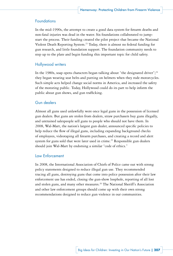### Foundations

In the mid-1990s, the attempt to create a good data system for firearm deaths and non-fatal injuries was dead in the water. Six foundations collaborated to jumpstart the process. Their funding created the pilot project that became the National Violent Death Reporting System.23 Today, there is almost no federal funding for gun research, and little foundation support. The foundation community needs to step up to the plate and begin funding this important topic for child safety.

### Hollywood writers

In the 1980s, soap opera characters began talking about "the designated driver";<sup>24</sup> they began wearing seat belts and putting on helmets when they rode motorcycles. Such simple acts helped change social norms in America, and increased the safety of the motoring public. Today, Hollywood could do its part to help inform the public about gun shows, and gun trafficking.

### Gun dealers

Almost all guns used unlawfully were once legal guns in the possession of licensed gun dealers. But guns are stolen from dealers, straw purchasers buy guns illegally, and untrained salespeople sell guns to people who should not have them. In 2008, Wal-Mart, the nation's largest gun dealer, announced specific policies to help reduce the flow of illegal guns, including expanding background checks of employees, videotaping all firearm purchases, and creating a record and alert system for guns sold that were later used in crime.<sup>25</sup> Responsible gun dealers should join Wal-Mart by endorsing a similar "code of ethics."

### Law Enforcement

In 2008, the International Association of Chiefs of Police came out with strong policy statements designed to reduce illegal gun use. They recommended tracing all guns, destroying guns that come into police possession after their law enforcement use has ended, closing the gun-show loophole, reporting of all lost and stolen guns, and many other measures.<sup>26</sup> The National Sheriff's Association and other law enforcement groups should come up with their own strong recommendations designed to reduce gun violence in our communities.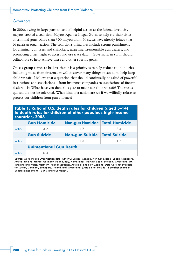## **Governors**

In 2006, owing in large part to lack of helpful action at the federal level, city mayors created a coalition, Mayors Against Illegal Guns, to help rid their cities of criminal guns. More than 300 mayors from 40 states have already joined that bi-partisan organization. The coalition's principles include strong punishment for criminal gun users and traffickers, targeting irresponsible gun dealers, and promoting cities' right to access and use trace data.<sup>27</sup> Governors, in turn, should collaborate to help achieve these and other specific goals.

Once a group comes to believe that it is a priority is to help reduce child injuries including those from firearms, it will discover many things it can do to help keep children safe. I believe that a question that should continually be asked of powerful institutions and associations – from insurance companies to associations of firearm dealers – is: What have you done this year to make our children safe? The status quo should not be tolerated. What kind of a nation are we if we willfully refuse to protect our children from gun violence?

| Table 1: Ratio of U.S. death rates for children (aged 5-14)<br>to death rates for children of other populous high-income<br>countries, 2003 |                                |                                        |     |  |  |  |  |
|---------------------------------------------------------------------------------------------------------------------------------------------|--------------------------------|----------------------------------------|-----|--|--|--|--|
|                                                                                                                                             | <b>Gun Homicide</b>            | Non-gun Homicide   Total Homicide      |     |  |  |  |  |
| Ratio                                                                                                                                       | 13.2                           | 17                                     | 3.4 |  |  |  |  |
|                                                                                                                                             | <b>Gun Suicide</b>             | <b>Non-gun Suicide   Total Suicide</b> |     |  |  |  |  |
| Ratio                                                                                                                                       | 7.8                            | 1.3                                    | 17  |  |  |  |  |
|                                                                                                                                             | <b>Unintentional Gun Death</b> |                                        |     |  |  |  |  |
| Ratio                                                                                                                                       | 10.3                           |                                        |     |  |  |  |  |

Source: World Health Organization data. Other Countries: Canada, Hon Kong, Israel, Japan, Singapore, Austria, Finland, France, Germany, Ireland, Italy, Netherlands, Norway, Spain, Sweden, Switzerland, UK (England and Wales; Northern Ireland; Scotland), Australia, and New Zealand. Data were not available for Kuwait, Denmark, Singapore, Ireland, and Switzerland. (Data do not include 16 gunshot deaths of undetermined intent, 12 U.S. and four French).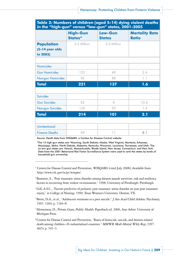| Table 2: Numbers of children (aged 5–14) dying violent deaths |  |
|---------------------------------------------------------------|--|
| in the "high-gun" versus "low-gun" states, 2001-2005          |  |

|                                                  | <b>High-Gun</b><br>States* | Low-Gun<br><b>States</b> | <b>Mortality Rate</b><br><b>Ratio</b> |
|--------------------------------------------------|----------------------------|--------------------------|---------------------------------------|
| <b>Population</b><br>(5-14 year olds<br>in 2003) | 5.5 Million                | 5.5 Million              |                                       |
|                                                  |                            |                          |                                       |
| Homicides                                        |                            |                          |                                       |
| <b>Gun Homicides</b>                             | 125                        | 49                       | 2.6                                   |
| Non-gun Homicides                                | 96                         | 88                       | 1.1                                   |
| <b>Total</b>                                     | 221                        | 137                      | 1.6                                   |
|                                                  |                            |                          |                                       |
| <b>Suicides</b>                                  |                            |                          |                                       |
| <b>Gun Suicides</b>                              | 85                         | 8                        | 10.6                                  |
| Non-gun Suicides                                 | 129                        | 93                       | 1.4                                   |
| <b>Total</b>                                     | 214                        | 101                      | 2.1                                   |
|                                                  |                            |                          |                                       |
| Unintentional                                    |                            |                          |                                       |
| <b>Firearm Deaths</b>                            | 89                         | 11                       | 8.1                                   |

Source: Death data from WISQARS, a Centers for Disease Control website.

\*The 15 high-gun states are: Wyoming, South Dakota, Alaska, West Virginia, Montana, Arkansas, Mississippi, Idaho, North Dakota, Alabama, Kentucky, Wisconsin, Louisiana, Tennessee, and Utah. The six low-gun states are: Hawaii, Massachusetts, Rhode Island, New Jersey, Connecticut, and New York. Data from the 2001 Behavioral Risk Factor Surveillance System were used to rank the states by levels of household gun ownership.

<sup>1</sup> Centers for Disease Control and Prevention, *WISQARS*. (cited July 2008); Available from: http://www.cdc.gov/ncipc/wisqars/.

- <sup>2</sup> Burnette, S., "Post traumatic stress disorder among firearm assault survivors: risk and resiliency factors in recovering from violent victimization." 1998, University of Pittsburgh: Pittsburgh.
- <sup>3</sup> Gill, A.S.C., "Factors predictive of pediatric post traumatic stress disorder on year post traumatic injury," in College of Nursing. 1999, Texas Women's University: Denton, TX.
- $4$  Brent, D.A., et al., "Adolescent witnesses to a peer suicide." *J Am Acad Child Adolesc Psychiatry,* 1993. 32(6): p. 1184–8.
- <sup>5</sup> Hemenway, D., Private Guns, Public Health. Paperback ed. 2006, Ann Arbor: University of Michigan Press.
- 6 Centers for Disease Control and Prevention, "Rates of homicide, suicide, and firearm-related death among children–26 industrialized countries." MMWR Morb Mortal Wkly Rep, 1997. 46(5): p. 101–5.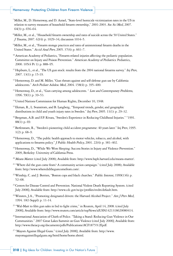- 7 Miller, M., D. Hemenway, and D. Azrael, "State-level homicide victimization rates in the US in relation to survey measures of household firearm ownership," 2001-2003. Soc Sci Med, 2007. 64(3): p. 656–64.
- 8 Miller, M., et al., "Household firearm ownership and rates of suicide across the 50 United States." J Trauma, 2007. 62(4): p. 1029–34; discussion 1034–5.
- <sup>9</sup> Miller, M., et al., "Firearm storage practices and rates of unintentional firearm deaths in the United States." Accid Anal Prev, 2005. 37(4): p. 661–7.
- <sup>10</sup> American Academy of Pediatrics, "Firearm-related injuries affecting the pediatric population. Committee on Injury and Poison Prevention." American Academy of Pediatrics. Pediatrics, 2000. 105(4 Pt 1): p. 888–95.
- <sup>11</sup> Hepburn, L., et al., "The US gun stock: results from the 2004 national firearms survey." Inj Prev, 2007. 13(1): p. 15-19.
- <sup>12</sup> Hemenway, D. and M. Miller, "Gun threats against and self-defense gun use by California adolescents." Arch Pediatr Adolesc Med, 2004. 158(4): p. 395–400.
- $13$  Hemenway, D., et al., "Gun carrying among adolescents. " Law and Contemporary Problems, 1996. 59(1): p. 39–53.
- <sup>14</sup> United Nations Commission for Human Rights, December 10, 1948.
- <sup>15</sup> Ekman, R., L. Svanstrom, and B. Langberg, "Temporal trends, gender, and geographic distributions in child and youth injury rates in Sweden." *Inj Prev*, 2005. 11(1): p. 29–32.
- <sup>16</sup> Bergman, A.B. and F.P. Rivara, "Sweden's Experience in Reducing Childhood Injuries." "1991. 88(1): p. 69.
- <sup>17</sup> Berfenstam, R., "Sweden's pioneering child accident programme: 40 years later." Inj Prev, 1995. 1(2): p. 68–9.
- <sup>18</sup> Hemenway, D., "The public health approach to motor vehicles, tobacco, and alcohol, with applications to firearms policy." J Public Health Policy, 2001. 22(4): p. 381–402.
- <sup>19</sup> Hemenway, D., "While We Were Sleeping: Success Stories in Injury and Violence Prevention." 2009, Berkeley: University of California Press.
- <sup>20</sup> Means Matter. (cited July 2008); Available from: http://www.hsph.harvard.edu/means-matter/.
- <sup>21</sup> "Where did the gun come from? A community action campaign." (cited July 2008); Available from: http://www.wheredidtheguncomefrom.com/.
- <sup>22</sup> Winship, C. and J. Berrien, "Boston cops and black churches." Public Interest, 1999(136): p. 52–68.
- <sup>23</sup> Centers for Disease Control and Prevention. National Violent Death Reporting System. (cited July 2008]; Available from: http://www.cdc.gov/ncipc/profiles/nvdrs/default.htm.
- <sup>24</sup> Winsten, J.A., "Promoting designated drivers: the Harvard Alcohol Project." Am J Prev Med, 1994. 10(3 Suppl): p. 11-14.
- <sup>25</sup> "Wal-Mart to film gun sales in bid to fight crime," in Reuters, April 14, 2008. (cited July 2008]; Available from: http://www.reuters.com/article/topNews/idUSN1421318620080414.
- <sup>26</sup> International Association of Chiefs of Police. "Taking a Stand: Reducing Gun Violence in Our Communities." 2007 Great Lakes Summit on Gun Violence (cited July 2008]; Available from: http://www.theiacp.org/documents/pdfs/Publications/ACF1875%2Epdf.
- 27 "Mayors Against Illegal Guns." (cited July 2008]; Available from: http://www. mayorsagainstillegalguns.org/html/home/home.shtml.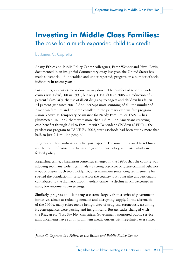# **Investing in Middle Class Families:** The case for a much expanded child tax credit.

# by James C. Capretta

As my Ethics and Public Policy Center colleagues, Peter Wehner and Yuval Levin, documented in an insightful Commentary essay last year, the United States has made substantial, if unheralded and under-reported, progress on a number of social indicators in recent years.<sup>1</sup>

For starters, violent crime is down – way down. The number of reported violent crimes was 1,656,100 in 1991, but only 1,190,600 in 2005 – a reduction of 28 percent.<sup>2</sup> Similarly, the use of illicit drugs by teenagers and children has fallen 24 percent just since 2001.<sup>3</sup> And, perhaps most stunning of all, the number of American families and children enrolled in the primary cash welfare program – now known as Temporary Assistance for Needy Families, or TANF – has plummeted. In 1996, there were more than 4.6 million Americans receiving cash benefits through Aid to Families with Dependent Children (AFDC) – the predecessor program to TANF. By 2002, state caseloads had been cut by more than half, to just 2.1 million people. $4$ 

Progress on these indicators didn't just happen. The much improved trend lines are the result of conscious changes in government policy, and particularly in federal policy.

Regarding crime, a bipartisan consensus emerged in the 1980s that the country was allowing too many violent criminals – a strong predictor of future criminal behavior – out of prison much too quickly. Tougher minimum sentencing requirements has swelled the population in prisons across the country, but it has also unquestionably contributed to the dramatic drop in violent crime – a decline much welcomed in many low-income, urban settings.

Similarly, progress on illicit drug use stems largely from a series of government initiatives aimed at reducing demand and disrupting supply. In the aftermath of the 1960s, many elites took a benign view of drug use, erroneously assuming its consequences were passing and insignificant. But attitudes changed with the Reagan era "Just Say No" campaign. Government-sponsored public service announcements have run in prominent media outlets with regularity ever since,

James C. Capretta is a Fellow at the Ethics and Public Policy Center.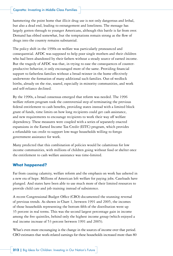#### Capretta: Investing in Middle Class Families

hammering the point home that illicit drug use is not only dangerous and lethal, but also a dead end, leading to estrangement and loneliness. The message has largely gotten through to younger Americans, although this battle is far from over. Demand has ebbed somewhat, but the temptations remain strong as the flow of drugs into the country remains substantial.

The policy shift in the 1990s on welfare was particularly pronounced and consequential. AFDC was supposed to help poor single mothers and their children who had been abandoned by their fathers without a steady source of earned income. But the tragedy of AFDC was that, in trying to ease the consequences of counterproductive behavior, it only encouraged more of the same. Providing financial support to fatherless families without a bread-winner in the home effectively underwrote the formation of many additional such families. Out-of-wedlock births, already on the rise, soared, especially in minority communities, and work and self-reliance declined.

By the 1990s, a broad consensus emerged that reform was needed. The 1996 welfare reform program took the controversial step of terminating the previous federal entitlement to cash benefits, providing states instead with a limited block grant of funds, time limits on how long recipients could get cash assistance, and new requirements to encourage recipients to work their way off welfare dependency. These measures were coupled with a series of separately enacted expansions in the Earned Income Tax Credit (EITC) program, which provides a refundable tax credit to support low-wage households willing to forego government assistance for work.

Many predicted that this combination of policies would be calamitous for low income communities, with millions of children going without food or shelter once the entitlement to cash welfare assistance was time-limited.

# **What happened?**

Far from causing calamity, welfare reform and the emphasis on work has ushered in a new era of hope. Millions of American left welfare for paying jobs. Caseloads have plunged. And states have been able to use much more of their limited resources to provide child care and job training instead of subsistence.

A recent Congressional Budget Office (CBO) documented the stunning reversal of previous trends. As shown in Chart 1, between 1991 and 2005, the incomes of those households representing the bottom fifth of the distribution went up 35 percent in real terms. This was the second largest percentage gain in income among the five quintiles, behind only the highest income group (which enjoyed a real income increase of 53 percent between 1991 and 2005).

What's even more encouraging is the change in the sources of income over that period. CBO estimates that work-related earnings for these households increased more than 80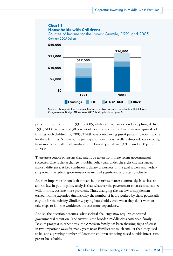#### **Chart 1 Households with Children:**

Sources of Income for the Lowest Quintile, 1991 and 2005 Constant 2005 Dollars



Source: Changes in the Economic Resources of Low-Income Households with Children, Congressional Budget Office, May 2007 (backup table to figure 3)

percent in real terms from 1991 to 2005, while cash welfare dependency plunged. In 1991, AFDC represented 30 percent of total income for the lowest income quintile of families with children. By 2005, TANF was contributing just 4 percent to total income for these families. Similarly, the participation rate in cash welfare dropped precipitously, from more than half of all families in the lowest quintile in 1991 to under 20 percent in 2005.

There are a couple of lessons that might be taken from these recent governmental successes. One is that a change in public policy can, under the right circumstances, make a difference. A key condition is clarity of purpose. If the goal is clear and widely supported, the federal government can marshal significant resources to achieve it.

Another important lesson is that financial incentives matter enormously. It is close to an iron law in public policy analysis that whatever the government chooses to subsidize will, in time, become more prevalent. Thus, changing the tax law to supplement earned income expanded dramatically the number of hours worked by those potentially eligible for the subsidy. Similarly, paying households, even when they don't work or take steps to join the workforce, induces more dependency.

And so, the question becomes, what societal challenge now requires concerted governmental attention? The answer is the broader, middle class American family. Despite progress in other areas, the American family has been showing signs of stress in two important ways for many years now: Families are much smaller than they used to be, and a growing number of American children are being raised outside intact, twoparent households.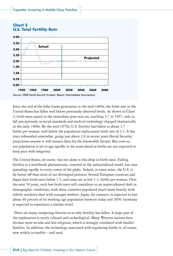# **Chart 2 U.S. Total Fertility Rate**



Since the end of the baby boom generation in the mid-1960s, the birth rate in the United States has fallen well below previously observed levels. As shown in Chart 2, birth rates soared in the immediate post-war era, reaching 3.7 in 1957, only to fall precipitously as social standards and medical technology changed dramatically in the early 1960s. By the mid-1970s, U.S. fertility had fallen to about 1.7 births per woman, well below the population replacement birth rate of 2.1. It has since rebounded somewhat, going just above 2.0 in recent years (Social Security projections assume it will remain there for the foreseeable future). But even so, our population is set to age rapidly in the years ahead as births are not expected to keep pace with longevity.

The United States, of course, was not alone is this drop in birth rates. Falling fertility is a worldwide phenomenon, centered in the industrialized world, but now spreading rapidly to every corner of the globe. Indeed, in some sense, the U.S. is far better off than most of our developed partners. Several European countries and Japan have birth rates below 1.5, and some are as low 1.3, births per woman. Over the next 50 years, such low birth rates will contribute to an unprecedented shift in demographic conditions, with these countries populated much more heavily with elderly residents than with younger workers. Japan, for instance, is expected to lose about 40 percent of its working age population between today and 2050. Germany is expected to experience a similar trend.

 There are many competing theories as to why fertility has fallen. A large part of the explanation is surely cultural and technological. Many Western nations have become more secular and less religious, which is strongly correlated with smaller families. In addition, the technology associated with regulating births is, of course, now widely accessible – and used.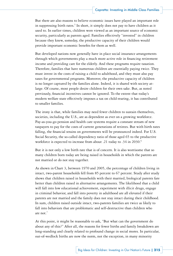But there are also reasons to believe economic issues have played an important role in suppressing birth rates.<sup>5</sup> In short, it simply does not pay to have children as it used to. In earlier times, children were viewed as an important source of economic security, particularly as parents aged. Families effectively "invested" in children because they knew, someday, the productive capacity of their children would provide important economic benefits for them as well.

But developed nations now generally have in place social insurance arrangements through which governments play a much more active role in financing retirement income and providing care for the elderly. And these programs require taxation. Therefore, families that have numerous children are essentially paying twice. They must invest in the costs of raising a child to adulthood, and they must also pay taxes for governmental programs. Moreover, the productive capacity of children is no longer captured by the families alone. Indeed, it is shared with society atlarge. Of course, most people desire children for their own sake. But, as noted previously, financial incentives cannot be ignored. To the extent that today's modern welfare state effectively imposes a tax on child-rearing, it has contributed to smaller families.

The irony is that, while families may need fewer children to sustain themselves, societies, including the U.S., are as dependent as ever on a growing workforce. Pay-as-you-go pension and health care systems require a constant stream of new taxpayers to pay for the costs of current generations of retirees. But with birth rates falling, the financial strains on governments will be pronounced indeed. For U.S. Social Security, the so-called dependency ratio of those aged 65 to the productive workforce is expected to increase from about .21 today to .34 in 2030.<sup>6</sup>

But it is not only a low birth rate that is of concern. It is also worrisome that so many children born today are being raised in households in which the parents are not married or do not stay together.

As shown in Chart 3, between 1970 and 2005, the percentage of children living in intact, two-parent households fell from 85 percent to 67 percent. Study after study shows that children raised in households with their married, biological parents fare better than children raised in alternative arrangements. The likelihood that a child will fall into low educational achievement, experiment with illicit drugs, engage in criminal behavior, and fall into poverty in adulthood are all elevated if their parents are not married and the family does not stay intact during their childhood. In sum, children raised outside intact, two-parents families are twice as likely to fall into behaviors that are problematic and self-destructive than children who are not.<sup>7</sup>

At this point, it might be reasonable to ask, "But what can the government do about any of this?" After all, the reasons for fewer births and family breakdown are long-standing and clearly related to profound change in social mores. In particular, out-of-wedlock births are now the norm, not the exception, in many minority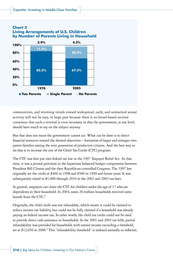# **Chart 3 Living Arrangements of U.S. Children by Number of Parents Living in Household**



communities, and reversing trends toward widespread, early, and unmarried sexual activity will not be easy, in large part because there is no broad-based societal consensus that such a reversal is even necessary, or that the government, at any level, should have much to say on the subject anyway.

But that does not mean the government cannot act. What can be done is to direct financial resources toward the desired objectives – formation of larger and stronger twoparent families raising the next generation of productive citizens. And the best way to do that is to increase the size of the Child Tax Credit (CTC) program.

The CTC was first put into federal tax law in the 1997 Taxpayer Relief Act. At that time, it was a pivotal provision in the bipartisan balanced budget compromise between President Bill Clinton and the then Republican-controlled Congress. The 1997 law originally set the credit at \$400 in 1998 and \$500 in 1999 and future years. It was subsequently raised to \$1,000 through 2010 in the 2001 and 2003 tax laws.

In general, taxpayers can claim the CTC for children under the age of 17 who are dependents in their household. In 2004, some 26 million households received some benefit from the CTC.8

Originally, the child credit was not refundable, which meant it could be claimed to reduce income tax liability, but could not be fully claimed if a household was already paying no federal income tax. In other words, the child tax credit could not be used to provide direct cash assistance to households. In the 2001 and 2003 tax bills, partial refundability was provided for households with earned income exceeding a threshold, set at \$12,050 in 2008.<sup>9</sup> This "refundability threshold" is indexed annually to inflation.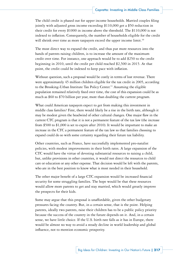The child credit is phased out for upper income households. Married couples filing jointly with adjusted gross income exceeding \$110,000 get a \$50 reduction in their credit for every \$1000 in income above the threshold. The \$110,000 is not indexed to inflation. Consequently, the number of households eligible for the credit will shrink over time as more taxpayers exceed the upper income limit.<sup>10</sup>

The most direct way to expand the credit, and thus put more resources into the hands of parents raising children, is to increase the amount of the maximum credit over time. For instance, one approach would be to add \$250 to the credit beginning in 2010, until the credit per child reached \$2,500 in 2015. At that point, the credit could be indexed to keep pace with inflation.

Without question, such a proposal would be costly in terms of lost revenue. There were approximately 45 million children eligible for the tax credit in 2005, according to the Brooking-Urban Institute Tax Policy Center.<sup>11</sup> Assuming the eligible population remained relatively fixed over time, the cost of this expansion could be as much as \$60 to \$70 billion per year, more than doubling the current program.

What could American taxpayers expect to get from making this investment in middle class families? First, there would likely be a rise in the birth rate, although it may be modest given the headwind of other cultural changes. One major flaw in the current CTC program is that it is not a permanent feature of the tax law (the increase from \$500 to \$1,000 is set to expire after 2010). It would be important to make an increase in the CTC a permanent feature of the tax law so that families choosing to expand could do so with some certainty regarding their future tax liability.

Other countries, such as France, have successfully implemented pro-natalist policies, with modest improvements in their birth rates. A large expansion of the CTC would have the virtue of devoting substantial resources to raising a child, but, unlike provisions in other countries, it would not direct the resources to child care or education or any other expense. That decision would be left with the parents, who are in the best position to know what is most needed in their household.

The other major benefit of a large CTC expansion would be increased financial security for some struggling families. The hope would be that these resources would allow more parents to get and stay married, which would greatly improve the prospects for their kids.

Some may argue that this proposal is unaffordable, given the other budgetary pressures facing the country. But, in a certain sense, that is the point. Helping parents, ideally two parents, raise their children has to be a public policy priority because the success of the country in the future depends on it. And, in a certain sense, we have little choice. If the U.S. birth rate falls as it has in Europe, there would be almost no way to avoid a steady decline in world leadership and global influence, not to mention economic prosperity.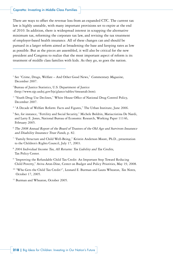## Capretta: Investing in Middle Class Families

There are ways to offset the revenue loss from an expanded CTC. The current tax law is highly unstable, with many important provisions set to expire at the end of 2010. In addition, there is widespread interest in scrapping the alternative minimum tax, reforming the corporate tax law, and revising the tax treatment of employer-based health insurance. All of these changes can and should be pursued in a larger reform aimed at broadening the base and keeping rates as low as possible. But as the pieces are assembled, it will also be critical for the new president and Congress to realize that the most important aspect of reform is its treatment of middle class families with kids. As they go, so goes the nation.

- <sup>1</sup> See "Crime, Drugs, Welfare And Other Good News," Commentary Magazine, December 2007.
- 2 Bureau of Justice Statistics, U.S. Department of Justice (http://www.ojp.usdoj.gov/bjs/glance/tables/4meastab.htm).
- <sup>3</sup> "Youth Drug Use Declines," White House Office of National Drug Control Policy, December 2007.
- <sup>4</sup> "A Decade of Welfare Reform: Facts and Figures," The Urban Institute, June 2006.
- <sup>5</sup> See, for instance, "Fertility and Social Security," Michele Boldrin, Mariacristina De Nardi, and Larry E. Jones, National Bureau of Economic Research, Working Paper 11146, February 2005.
- <sup>6</sup> The 2008 Annual Report of the Board of Trustees of the Old Age and Survivors Insurance and Disability Insurance Trust Funds, p. 82.
- <sup>7</sup> "Family Structure and Child Well-Being," Kristin Anderson Moore, Ph.D., presentation to the Children's Rights Council, July 17, 2003.
- <sup>8</sup> 2004 Individual Income Tax, All Returns: Tax Liability and Tax Credits, Tax Policy Center.
- <sup>9</sup> "Improving the Refundable Child Tax Credit: An Important Step Toward Reducing Child Poverty," Aviva Aron-Dine, Center on Budget and Policy Priorities, May 19, 2008.
- <sup>10</sup> "Who Gets the Child Tax Credit?", Leonard E. Burman and Laura Wheaton, Tax Notes, October 17, 2005.
- <sup>11</sup> Burman and Wheaton, October 2005.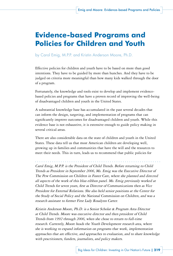# **Evidence-based Programs and Policies for Children and Youth**

by Carol Emig, M.P.P. and Kristin Anderson Moore, Ph.D.

Effective policies for children and youth have to be based on more than good intentions. They have to be guided by more than hunches. And they have to be judged on criteria more meaningful than how many kids walked through the door of a program.

Fortunately, the knowledge and tools exist to develop and implement evidencebased policies and programs that have a proven record of improving the well-being of disadvantaged children and youth in the United States.

A substantial knowledge base has accumulated in the past several decades that can inform the design, targeting, and implementation of programs that can significantly improve outcomes for disadvantaged children and youth. While this evidence base is not exhaustive, it is extensive enough to guide policy making in several critical areas.

There are also considerable data on the state of children and youth in the United States. These data tell us that most American children are developing well, growing up in families and communities that have the will and the resources to meet their needs. This in turn, leads us to recommend that public policies for

Carol Emig, M.P.P. is the President of Child Trends. Before returning to Child Trends as President in September 2006, Ms. Emig was the Executive Director of The Pew Commission on Children in Foster Care, where she planned and directed all aspects of the work of this blue-ribbon panel. Ms. Emig previously worked at Child Trends for seven years, first as Director of Communications then as Vice President for External Relations. She also held senior positions at the Center for the Study of Social Policy and the National Commission on Children, and was a research assistant to former First Lady Rosalynn Carter.

Kristin Anderson Moore, Ph.D. is a Senior Scholar & Program Area Director at Child Trends. Moore was executive director and then president of Child Trends from 1992 through 2006, when she chose to return to full-time research. Currently, Moore heads the Youth Development research area, where she is working to expand information on programs that work, implementation approaches that are effective, and approaches to evaluation, and to share knowledge with practitioners, funders, journalists, and policy makers.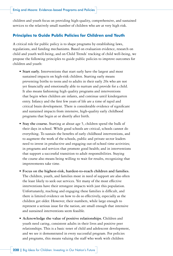children and youth focus on providing high-quality, comprehensive, and sustained services to the relatively small number of children who are at very high risk.

## **Principles to Guide Public Policies for Children and Youth**

A critical role for public policy is to shape programs by establishing laws, regulations, and funding mechanisms. Based on evaluation evidence, research on child and youth well-being, and on Child Trends' tracking of child well-being, we propose the following principles to guide public policies to improve outcomes for children and youth:

- •  **Start early.** Interventions that start early have the largest and most sustained impacts on high-risk children. Starting early means preventing births to teens and to adults in their early 20s who are not yet financially and emotionally able to nurture and provide for a child. It also means fashioning high quality programs and interventions that begin when children are infants, and continue until kindergarten entry. Infancy and the first few years of life are a time of rapid and critical brain development. There is considerable evidence of significant and sustained impacts from intensive, high-quality early childhood programs that begin at or shortly after birth.
- • **Stay the course.** Starting at about age 5, children spend the bulk of their days in school. While good schools are critical, schools cannot do everything. To sustain the benefits of early childhood interventions, and to augment the work of the schools, public and private sector leaders need to invest in productive and engaging out-of-school time activities; in programs and services that promote good health; and in interventions that support a successful transition to adult responsibilities. Staying the course also means being willing to wait for results, recognizing that improvements take time.
- • **Focus on the highest-risk, hardest-to-reach children and families.** The children, youth, and families most in need of support are also often the least likely to seek out services. Yet many of the most effective interventions have their strongest impacts with just this population. Unfortunately, reaching and engaging these families is difficult, and there is limited evidence on how to do so effectively, especially as the children get older. However, their numbers, while large enough to represent a serious issue for the nation, are small enough that intensive and sustained interventions seem feasible.
- • **Acknowledge the value of positive relationships.** Children and youth need caring, consistent adults in their lives and positive peer relationships. This is a basic tenet of child and adolescent development, and we see it demonstrated in every successful program. For policies and programs, this means valuing the staff who work with children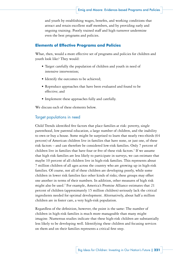and youth by establishing wages, benefits, and working conditions that attract and retain excellent staff members, and by providing early and ongoing training. Poorly trained staff and high turnover undermine even the best programs and policies.

# **Elements of Effective Programs and Policies**

What, then, would a more effective set of programs and policies for children and youth look like? They would:

- Target carefully the population of children and youth in need of intensive intervention;
- Identify the outcomes to be achieved;
- Reproduce approaches that have been evaluated and found to be effective; and
- • Implement these approaches fully and carefully.

We discuss each of these elements below.

## Target populations in need

Child Trends identified five factors that place families at risk: poverty, single parenthood, low parental education, a large number of children, and the inability to own or buy a house. Some might be surprised to learn that nearly two-thirds (64 percent) of American children live in families that have none, or just one, of these risk factors – and can therefore be considered low-risk families. Only 7 percent of children live in families that have four or five of these risk factors.<sup>1</sup> If we assume that high risk families are less likely to participate in surveys, we can estimate that maybe 10 percent of all children live in high-risk families. This represents about 7 million children of all ages across the country who are growing up in high-risk families. Of course, not all of these children are developing poorly, while some children in lower risk families face other kinds of risks; these groups may offset one another in terms of their numbers. In addition, other measures of high risk might also be used.<sup>2</sup> For example, America's Promise Alliance estimates that 21 percent of children (approximately 15 million children) seriously lack the critical ingredients needed for optimal development. Alternatively, about half a million children are in foster care, a very high-risk population.

Regardless of the definition, however, the point is the same: The number of children in high-risk families is much more manageable than many might imagine. Numerous studies indicate that these high-risk children are substantially less likely to be developing well. Identifying these children and focusing services on them and on their families represents a critical first step.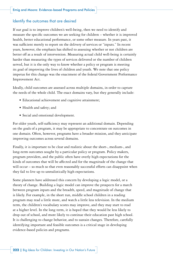# Identify the outcomes that are desired

If our goal is to improve children's well-being, then we need to identify and measure the specific outcomes we are seeking for children – whether it is improved health, better educational performance, or some other measure. In years past, it was sufficient merely to report on the delivery of services or "inputs." In recent years, however, the emphasis has shifted to assessing whether or not children are better off as a result of intervention. Measuring actual child well-being is certainly harder than measuring the types of services delivered or the number of children served, but it is the only way to know whether a policy or program is meeting its goal of improving the lives of children and youth. We note that one policy impetus for this change was the enactment of the federal Government Performance Improvement Act.

Ideally, child outcomes are assessed across multiple domains, in order to capture the needs of the whole child. The exact domains vary, but they generally include:

- Educational achievement and cognitive attainment;
- • Health and safety; and
- • Social and emotional development.

For older youth, self-sufficiency may represent an additional domain. Depending on the goals of a program, it may be appropriate to concentrate on outcomes in one domain. Often, however, programs have a broader mission, and they anticipate improving outcomes across several domains.

Finally, it is important to be clear and realistic about the short-, medium-, and long-term outcomes sought by a particular policy or program. Policy makers, program providers, and the public often have overly high expectations for the kinds of outcomes that will be affected and for the magnitude of the change that will occur – so much so that even reasonably successful efforts can disappoint when they fail to live up to unrealistically high expectations.

Some planners have addressed this concern by developing a logic model, or a theory of change. Building a logic model can improve the prospects for a match between program inputs and the breadth, speed, and magnitude of change that is likely. For example, in the short run, middle school children in a reading program may read a little more, and watch a little less television. In the medium term, the children's vocabulary scores may improve, and they may start to read at a higher level. In the long term, it is hoped that they would be less likely to drop out of school, and more likely to continue their education past high school. It is challenging to change behavior, and to sustain changes. Therefore, carefully identifying important and feasible outcomes is a critical stage in developing evidence-based policies and programs.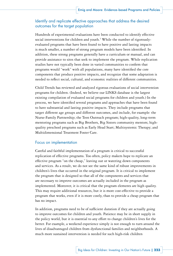# Identify and replicate effective approaches that address the desired outcomes for the target population

Hundreds of experimental evaluations have been conducted to identify effective social interventions for children and youth.<sup>3</sup> While the number of rigorouslyevaluated programs that have been found to have positive and lasting impacts is much smaller, a number of strong program models have been identified. In addition, these strong programs generally have a curriculum or manual, and can provide assistance to sites that seek to implement the program. While replication studies have not typically been done in varied communities to confirm that programs would "work" with all populations, many have identified the core components that produce positive impacts, and recognize that some adaptation is needed to reflect social, cultural, and economic realities of different communities.

Child Trends has reviewed and analyzed rigorous evaluations of social intervention programs for children. (Indeed, we believe our LINKS database is the largest existing compilation of evaluated social programs for children and youth.) In the process, we have identified several programs and approaches that have been found to have substantial and lasting positive impacts. They include programs that target different age groups and different outcomes, and include, for example: the Nurse-Family Partnership; the Teen Outreach program; high-quality, long-term mentoring programs such as Big Brothers, Big Sisters community mentors; highquality preschool programs such as Early Head Start; Multisystemic Therapy; and Multidimensional Treatment Foster Care.

## Focus on implementation

Careful and faithful implementation of a program is critical to successful replication of effective programs. Too often, policy makers hope to replicate an effective program "on the cheap," leaving out or watering down components and services. As a result, we do not see the same kind of robust improvements in children's lives that occurred in the original program. It is critical to implement the program that is designed so that all of the components and services that are necessary to improve outcomes are actually included in the program as implemented. Moreover, it is critical that the program elements are high quality. This may require additional resources, but it is more cost-effective to provide a program that works, even if it is more costly, than to provide a cheap program that has no impact.

In addition, programs need to be of sufficient duration if they are actually going to improve outcomes for children and youth. Patience may be in short supply in the policy world, but it is essential to any effort to change children's lives for the better. For example, a weekend experience simply is not enough to turn around the lives of disadvantaged children from dysfunctional families and neighborhoods. A much more sustained intervention is needed for such high-risk children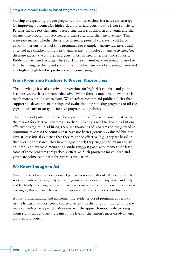Starting or expanding proven programs and interventions is a necessary strategy for improving outcomes for high-risk children and youth, but it is not sufficient. Perhaps the biggest challenge is recruiting high-risk children and youth and their parents into programs or services, and then sustaining their involvement. This is no easy matter, whether the service offered is prenatal care, early childhood education, or out-of-school time programs. For example, nationwide, nearly half of school-age children in high-risk families are not involved in any activities. Yet these are exactly the children and youth most in need of services and supports. Public policies need to target these hard-to-reach families, then programs need to find them, engage them, and sustain their involvement for a long enough time and at a high enough level to produce the outcomes sought.

## **From Promising Practices to Proven Approaches**

The knowledge base of effective interventions for high-risk children and youth is extensive, but it is far from exhaustive. While there is much we know, there is much more we still need to learn. We therefore recommend public policies that support the development, testing, and evaluation of promising programs to fill the gaps in our current array of effective programs and policies.

The number of policies that have been proven to be effective is small relative to the market for effective programs – so there is clearly a need to develop additional effective strategies. In addition, there are thousands of programs on the ground in communities across the country that have not been rigorously evaluated but that have at least initial evidence that they might be effective (e.g., they are based in theory or prior research; they have a logic model; they engage and retain at-risk children , and outcome monitoring studies suggest positive outcomes). At least some of these programs are probably effective. Such programs for children and youth are prime candidates for rigorous evaluation.

# **We Know Enough to Act**

Creating data-driven, evidence-based policies is not a small task. As we note at the start, it involves starting early, sustaining interventions over many years, and fully and faithfully executing programs that have proven results. Results will not happen overnight, though, and they will not happen at all if we cut corners or lose heart.

At first blush, funding and implementing evidence-based programs appears to be the hardest and most costly course of action. In the long run, though, it is the most cost-effective approach. Moreover, it is the approach most likely to bring about significant and lasting gains in the lives of the nation's most disadvantaged children and youth.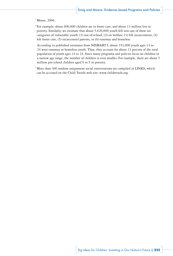<sup>1</sup> Moore, 2006.

 $2$  For example, about 600,000 children are in foster care, and about 13 million live in poverty. Similarly, we estimate that about 5,620,000 youth fell into one of these six categories of vulnerable youth: (1) out-of-school, (2) on welfare, (3) left incarceration, (4) left foster care, (5) incarcerated parents, or (6) runaway and homeless.

 According to published estimates from NISMART I, about 193,000 youth ages 14 to 24 were runaway or homeless youth. Thus, they account for about 13 percent of the total population of youth ages 14 to 24. Since many programs and policies focus on children in a narrow age range, the number of children is even smaller. For example, there are about 5 million pre-school children aged 0 to 5 in poverty.

<sup>3</sup> More than 300 random assignment social interventions are compiled in LINKS, which can be accessed on the Child Trends web site: www.childtrends.org.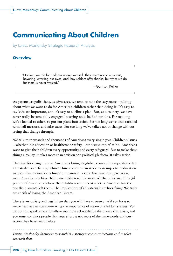# **Communicating About Children**

by Luntz, Maslansky Strategic Research Analysis

# **Overview**

"Nothing you do for children is ever wasted. They seem not to notice us, hovering, averting our eyes, and they seldom offer thanks, but what we do for them is never wasted."

– Garrison Keillor

As parents, as politicians, as advocates, we tend to take the easy route – talking about what we want to do for America's children rather than doing it. It's easy to say kids are important, and it's easy to outline a plan. But, as a country, we have never really become fully engaged in acting on behalf of our kids. For too long we've looked to others to put our plans into action. For too long we've been satisfied with half measures and false starts. For too long we've talked about change without seeing that change through.

We talk to thousands and thousands of Americans every single year. Children's issues – whether it is education or healthcare or safety – are always top-of-mind. Americans want to give their children every opportunity and every safeguard. But to make these things a reality, it takes more than a vision or a political platform. It takes action.

The time for change is now. America is losing its global, economic competitive edge. Our students are falling behind Chinese and Indian students in important education metrics. Our nation is at a historic crossroads: For the first time in a generation, more Americans believe their own children will be worse off than they are. Only 34 percent of Americans believe their children will inherit a better America than the one their parents left them. The implications of this statistic are horrifying: We truly are at risk of losing the American Dream.

There is an anxiety and pessimism that you will have to overcome if you hope to make headway in communicating the importance of action on children's issues. You cannot just speak aspirationally – you must acknowledge the unease that exists, and you must convince people that your effort is not more of the same words-withoutaction they have heard before.

Luntz, Maslansky Strategic Research is a strategic communications and market research firm.

226 | Big Ideas for Children: Investing in Our Nation's Future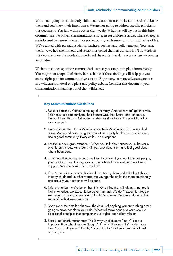We are not going to list the early childhood issues that need to be addressed. You know them and you know their importance. We are not going to address specific policies in this document. You know those better than we do. What we will lay out in this brief document are the proven communication strategies for children's issues. These strategies are informed by research done all over the country with Americans from all walks of life. We've talked with parents, students, teachers, doctors, and policy-makers. You name them, we've had them in our dial sessions or polled them in our surveys. The words in this document are the words that work and the words that don't work when advocating for children.

We have included specific recommendations that you can put in place immediately. You might not adopt all of them, but each one of these findings will help put you on the right path for communicative success. Right now, so many advocates are lost in a wilderness of dead-end plans and policy debate. Consider this document your communications roadmap out of that wilderness.

#### **Key Communications Guidelines**

- 1. Make it personal. Without a feeling of intimacy, Americans won't get involved. This needs to be about them, their hometowns, their future, and, of course, their children. This is NOT about numbers or statistics or dire predictions from wonky experts.
- 2. Every child matters. From Washington state to Washington, DC, every child across America deserves a good education, quality healthcare, a safe home, and a good community. Every child – no exceptions.
- 3. Positive impacts grab attention... When you talk about successes in the realm of children's issues, Americans will pay attention, listen, and feel good about what's been done.
- 4. ...But negative consequences drive them to action. If you want to move people, you must talk about the negatives or the potential for something negative to happen. Americans will listen…and act.
- 5. If you're focusing on early childhood investment, show and talk about children in early childhood. In other words, the younger the child, the more emotionally and actively your audience will respond.
- 6. This is America we're better than this. One thing that will always ring true is that in America, we expect to be better than last. We don't expect to struggle. And when kids across the country do, that's an issue. Be sure to draw on the sense of pride Americans have.
- 7. Don't sweat the details right now. The details of anything you are pushing aren't going to move people to your side. What will move people to your side is a clear set of principles that complements a logical and valiant mission.
- 8. Results, not effort, matter most. This is why what students "learn" is more important than what they are "taught." It's why "life-long skills" matter more than "facts and figures." It's why "accountability" matters more than almost anything else.

Big Ideas for Children: Investing in Our Nation's Future **| 227**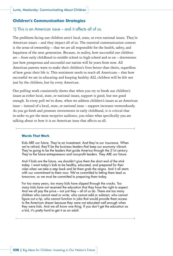# **Children's Communication Strategies**

## 1) This is an American issue – and it affects all of us.

The problems facing our children aren't local, state, or even national issues. They're American issues – and they impact all of us. The essential communication context is the sense of ownership – that we are all responsible for the health, safety, and happiness of the next generation. Because, in reality, how successful our children are – from early childhood to middle school to high school and so on – determines just how prosperous and successful our nation will be years from now. All American parents want to make their children's lives better than theirs, regardless of how great their life is. This sentiment needs to reach all Americans – that how successful we are in educating and keeping healthy ALL children will be felt not just by the children, but by every American.

Our polling work consistently shows that when you try to break out children's issues as either local, state, or national issues, support is good, but not good enough. In every poll we've done, when we address children's issues as an American issue – instead of a local, state, or national issue – support increases tremendously. As you go forth and promote investments in early childhood, it is critical that in order to get the most receptive audience, you relate what specifically you are talking about to how it is an American issue that affects us all.

#### **Words That Work**

Kids ARE our future. They're an investment. And they're our insurance. When we're retired, they'll be the business leaders that keep our economy vibrant. They're going to be the leaders that guide America through the 21st century. They're the future entrepreneurs and non-profit leaders. They ARE our future.

And if kids are the future, we shouldn't give them the short end of the stick today. I want today's kids to be healthy, educated, and prepared for their roles when we take a step back and let them grab the reigns. And it all starts with our commitment to them now. We've committed to letting them lead us tomorrow, so we must be committed to preparing them today.

For too many years, too many kids have slipped through the cracks. Too many kids have not received the education that they have the right to expect. And we all pay the price – not just they – all of us do. There are too many children who cannot read or write, who cannot add or subtract, who cannot figure out a tip, who cannot function in jobs that would provide them access to the American dream because they were not educated well enough when they were kids. And we all know one thing; If you don't get the education as a kid, it's pretty hard to get it as an adult.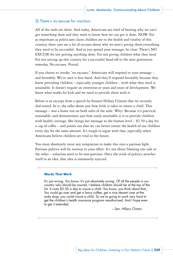# 2) There's no excuse for inaction.

All of the tools are there. And today, Americans are tired of hearing why we can't get something done and they want to know how we can get it done. NOW. For as important as politicians claim children are to the health and vitality of this country, there sure are a lot of excuses about why we aren't giving them everything they need to be successful. And as you spread your message, be clear: There's NO EXCUSE for not getting anything done. For not giving children what they need. For not setting up this country for a successful hand-off to the next generation someday. No excuses. Period.

If you choose to invoke "no excuses," Americans will respond to your message – and favorably. We've seen it first hand. And they'll respond favorably because they know providing children – especially younger children – with what they need is attainable. It doesn't require an invention or years and years of development. We know what works for kids and we need to provide them with it.

Below is an excerpt from a speech by Senator Hillary Clinton that we recently dial-tested. In it, she talks about just how little it takes to insure a child. This message – was a home run on both sides of the aisle. Why? Because it's practical, reasonable, and demonstrates just how easily attainable it is to provide children with health coverage. She brings her message to the human level  $-\frac{2}{3}$ .50 a day for a cup of coffee – and points out that we can better ensure the health of our children every day for the same amount. It's tough to argue with that, especially when Americans believe children are vital to the future.

You must absolutely resist any temptation to make this into a partisan fight. Partisan politics will be ruinous to your effort. It's not about blaming one side or the other – solutions need to be non-partisan. Once the stink of politics attaches itself to an idea, that idea is summarily rejected.

## **Words That Work**

It's just wrong. You know, it's just absolutely wrong. Of all the people in our country who should be insured, I believe children should be at the top of the list. It costs \$3.50 a day to insure a child. You know, you think about that; You could go over and get a fancy coffee, get a nice dessert over at the soda shop; you could insure a child. So we're going to work very hard to get the children's health insurance program reauthorized. And I hope even to get it extended.

– Sen. Hillary Clinton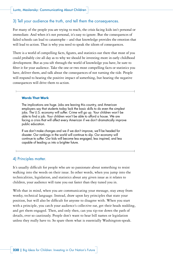## 3) Tell your audience the truth, and tell them the consequences.

For many of the people you are trying to reach, the crisis facing kids isn't personal or immediate. And when it's not personal, it's easy to ignore. But the consequences of failed schools can lead to catastrophe – and that knowledge provides the emotion that will lead to action. That is why you need to speak the idiom of consequences.

There is a world of compelling facts, figures, and statistics out there that most of you could probably cite all day as to why we should be investing more in early childhood development. But as you sift through the world of knowledge you have, be sure to filter it for your audience. Take the one or two most compelling facts or statistics you have, deliver them, and talk about the consequences of not turning the tide. People will respond to hearing the positive impact of something, but hearing the negative consequences will drive them to action.

#### **Words That Work**

The implications are huge. Jobs are leaving this country, and American employers say that students today lack the basic skills to do even the simplest jobs. The U.S. economy will suffer. Crime will go up. Your children won't be able to find a job. Your children won't be able to afford a house. We are facing a crisis that will affect every American if we don't dramatically improve public education.

If we don't make changes and we if we don't improve, we'll be headed for disaster. Our rankings in the world will continue to slip. Our economy will continue to suffer. Our kids will become less engaged, less inspired, and less capable of leading us into a brighter future.

## 4) Principles matter.

It's usually difficult for people who are so passionate about something to resist walking into the weeds on their issue. In other words, when you jump into the technicalities, legislation, and statistics about any given issue as it relates to children, your audience will tune you out faster than they tuned you in.

With that in mind, when you are communicating your message, stay away from wonky, technical language. Instead, draw upon key principles that state your position, but will also be difficult for anyone to disagree with. When you start with a principle, you catch your audience's collective ear, get their heads nodding, and get them engaged. Then, and only then, can you tip-toe down the path of details, ever so cautiously. People don't want to hear bill names or legislation unless they really have to. So spare them what is essentially Washington-speak.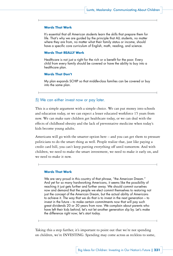#### **Words That Work**

It's essential that all American students learn the skills that prepare them for life. That's why we are guided by the principle that ALL students, no matter where they are from, no matter what their family status or income, should have a specific core curriculum of English, math, reading, and science.

#### **Words That REALLY Work**

Healthcare is not just a right for the rich or a benefit for the poor. Every child from every family should be covered or have the ability to buy into a healthcare plan.

#### **Words That Don't**

My plan expands SCHIP so that middle-class families can be covered or buy into the same plan.

# 5) We can either invest now or pay later.

This is a simple argument with a simple choice. We can put money into schools and education today, or we can expect a lesser educated workforce 15 years from now. We can make sure children get healthcare today, or we can deal with the effects of childhood obesity and the lack of preventative medicine when today's kids become young adults.

Americans will go with the smarter option here – and you can get them to pressure politicians to do the smart thing as well. People realize that, just like paying a credit card bill, you can't keep putting everything off until tomorrow. And with children, we need to make the smart investment, we need to make it early on, and we need to make it now.

#### **Words That Work**

We are very proud in this country of that phrase, "the American Dream." And yet for so many hardworking Americans, it seems like the possibility of reaching it just gets further and further away. We should commit ourselves now and demand that the people we elect commit themselves to restoring not just the concept of the American Dream, but the actual ability of Americans to achieve it. The way that we do that is to invest in the next generation – to invest in the future – to make certain commitments now that will pay such great dividends 20 or 30 years from now. We complain about parents who have left their kids behind; let's not let another generation slip by. Let's make the difference right now; let's start today.

Taking this a step further, it's important to point out that we're not spending on children, we're INVESTING. Spending may come across as reckless to some,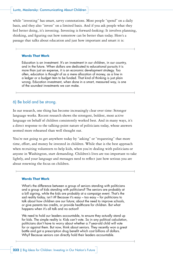while "investing" has smart, savvy connotations. Most people "spend" on a daily basis, and they also "invest" on a limited basis. And if you ask people what they feel better doing, it's investing. Investing is forward-looking: It involves planning, thinking, and figuring out how tomorrow can be better than today. Here's a passage that talks about education and just how important and smart it is:

#### **Words That Work**

Education is an investment. It's an investment in our children, in our country, and in the future. When dollars are dedicated to educational pursuits it is more than just an expense, it is an economic development strategy. Too often, education is thought of as a mere allocation of money, as a line in a ledger or a budget item to be funded. That kind of thinking is just plain wrong. Education investment, when done in a smart, measured way, is one of the soundest investments we can make.

# 6) Be bold and be strong.

In our research, one thing has become increasingly clear over time: Stronger language works. Recent research shows the strongest, boldest, most active language on behalf of children consistently worked best. And in many ways, it's a direct response to the talking-point nature of politicians today, whose answers seemed more rehearsed than well thought out.

You're not going to get anywhere today by "asking" or "requesting" that more time, effort, and money be invested in children. While that is the best approach when recruiting volunteers to help kids, when you're dealing with politicians or anyone in Washington, start demanding. Children's lives are too important to take lightly, and your language and messages need to reflect just how serious you are about renewing the focus on children.

#### **Words That Work**

What's the difference between a group of seniors standing with politicians and a group of kids standing with politicians? The seniors are probably at a bill signing, while the kids are probably at a campaign event. That's the sad reality today, isn't it? Because it's easy – too easy – for politicians to talk about how children are our future; about the need to improve schools, or give parents tax credits, or provide healthcare for children. But what happens when it's all talk and no action?

We need to hold our leaders accountable, to ensure they actually stand up for kids. The simple reality is: Kids can't vote. So in any political calculation, politicians don't have to worry about whether a 7-year-old child will vote for or against them. But now, think about seniors. They recently won a great battle and got a prescription drug benefit which cost billions of dollars. Why? Because seniors can directly hold their leaders accountable.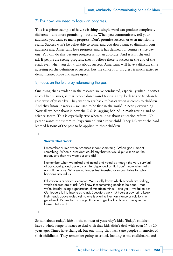# 7) For now, we need to focus on progress.

This is a prime example of how switching a single word can produce completely different – and more promising – results. When you communicate, tell your audience you want to make progress. Don't promise success, or even mention it really. Success won't be believable to some, and you don't want to diminish your audience any. Americans love progress, and it has defined our country since day one. You can do this because progress is not an absolute. And it isn't the end all. If people are seeing progress, they'll believe there is success at the end of the road, even when you don't talk about success. Americans will have a difficult time agreeing on the definition of success, but the concept of progress is much easier to demonstrate, prove and agree upon.

#### 8) Focus on the future by referencing the past.

One thing that's evident in the research we've conducted, especially when it comes to children's issues, is that people don't mind taking a step back to the tried-andtrue ways of yesterday. They want to get back to basics when it comes to children. And they know it works – we used to be first in the world in nearly everything. Now all we hear about is how the U.S. is lagging behind in math testing and on science scores. This is especially true when talking about education reform. No parent wants the system to "experiment" with their child. They DO want the hard learned lessons of the past to be applied to their children.

#### **Words That Work**

I remember a time when promises meant something. When goals meant something. When a president could say that we would put a man on the moon, and then we went out and did it.

I remember when we talked and acted and voted as though the very survival of our country, and our way of life, depended on it. I don't know why that's not still the case. Why we no longer feel invested or accountable for what happens around us.

Education is a perfect example. We usually know which schools are failing, which children are at risk. We know that something needs to be done – that we're literally losing a generation of American minds – and yet ... we fail to act. Our leaders fail to inspire us to act. Educators work 15 hours a day just to keep their heads above water, yet no one is offering them assistance or solutions to get ahead. It's time for a change. It's time to get back to basics. The system is broken. Let's fix it.

So talk about today's kids in the context of yesterday's kids. Today's children have a whole range of issues to deal with that kids didn't deal with even 15 or 20 years ago. Times have changed, but one thing that hasn't are people's memories of their childhood. They remember going to school, looking at the chalkboard, and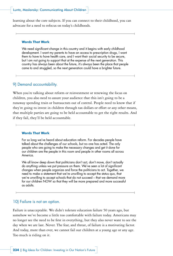learning about the core subjects. If you can connect to their childhood, you can advocate for a need to refocus on today's childhoods.

#### **Words That Work**

We need significant change in this country and it begins with early childhood development. I want my parents to have an access to prescription drugs, I want them to have to have health care, and I want their social security to be secure, but I am not going to support that at the expense of the next generation. This country has always been about the future, it's always been the place that people came to and struggled, so the next generation could have a brighter future.

## 9) Demand accountability.

When you're talking about reform or reinvestment or renewing the focus on children, you also need to assure your audience that this isn't going to be a runaway spending train or bureaucrats out of control. People need to know that if they're going to invest in children through tax dollars or effort or any other means, that multiple parties are going to be held accountable to get the right results. And if they fail, they'll be held accountable.

#### **Words That Work**

For so long we've heard about education reform. For decades people have talked about the challenges of our schools, but no one has acted. The only people who are going to make the necessary changes and get it done for our children are the people in this room and people in other rooms all across America.

We all know deep down that politicians don't act, don't move, don't actually do anything unless we put pressure on them. We've seen a lot of significant changes when people organize and force the politicians to act. Together, we need to make a statement that we're unwilling to accept the status quo, that we're unwilling to accept schools that do not succeed – that we demand more for our children NOW so that they will be more prepared and more successful as adults.

## 10) Failure is not an option.

Failure is unacceptable. We didn't tolerate education failure 50 years ago, but somehow we've become a little too comfortable with failure today. Americans may no longer see the need to be first in everything, but they also never want to see the day when we are last. Never. The fear, and threat, of failure is a motivating factor. And today, more than ever, we cannot fail our children at a young age or any age. Too much is riding on it.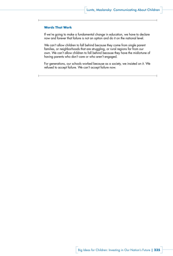#### **Words That Work**

If we're going to make a fundamental change in education, we have to declare now and forever that failure is not an option and do it on the national level.

We can't allow children to fall behind because they come from single parent families, or neighborhoods that are struggling, or rural regions far from our own. We can't allow children to fall behind because they have the misfortune of having parents who don't care or who aren't engaged.

For generations, our schools worked because as a society, we insisted on it. We refused to accept failure. We can't accept failure now.